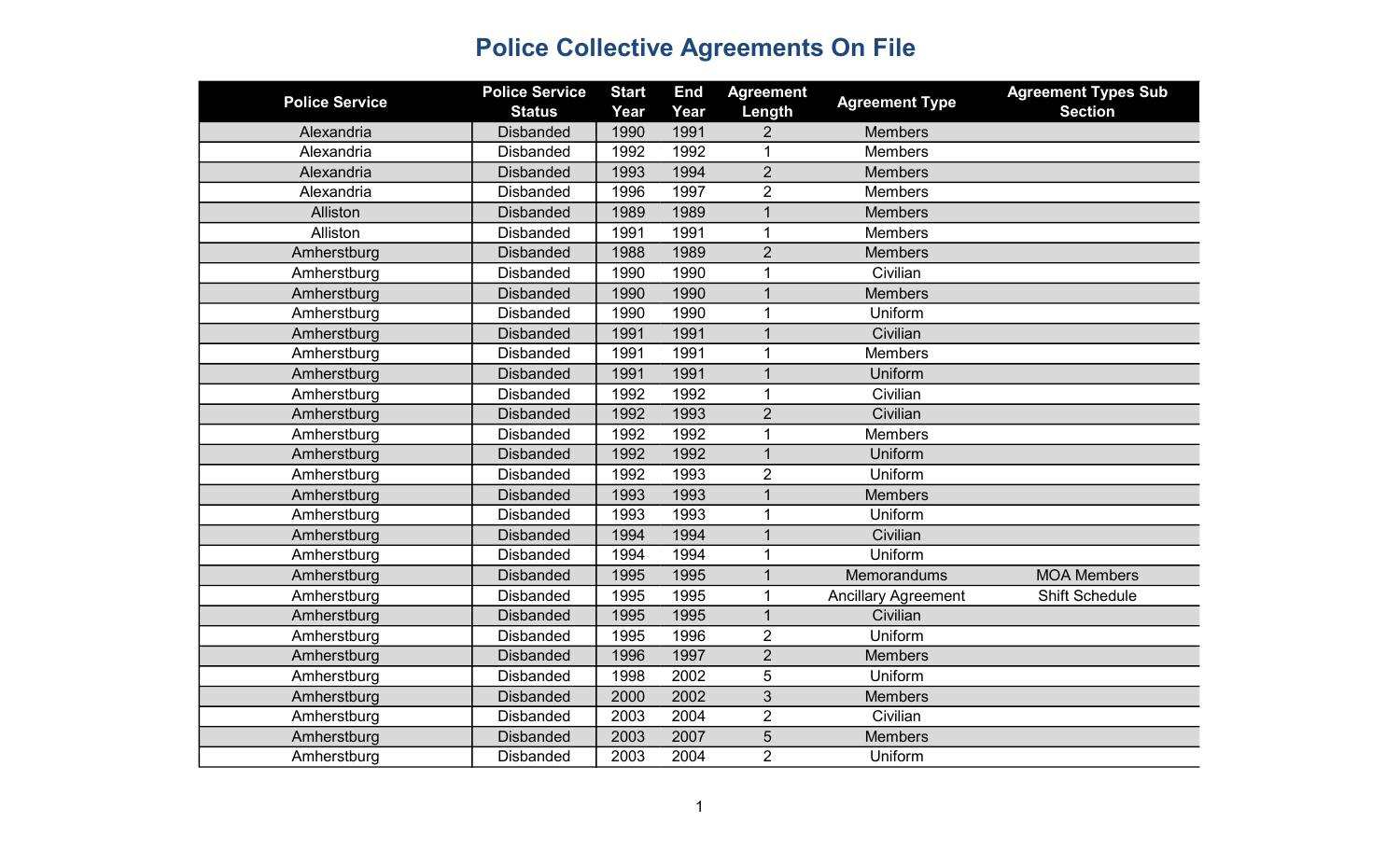| <b>Police Service</b> | <b>Police Service</b> | <b>Start</b> | <b>End</b> | <b>Agreement</b> | <b>Agreement Type</b>      | <b>Agreement Types Sub</b> |
|-----------------------|-----------------------|--------------|------------|------------------|----------------------------|----------------------------|
|                       | <b>Status</b>         | Year         | Year       | Length           |                            | <b>Section</b>             |
| Alexandria            | <b>Disbanded</b>      | 1990         | 1991       | 2                | <b>Members</b>             |                            |
| Alexandria            | <b>Disbanded</b>      | 1992         | 1992       | 1                | Members                    |                            |
| Alexandria            | <b>Disbanded</b>      | 1993         | 1994       | $\overline{2}$   | <b>Members</b>             |                            |
| Alexandria            | <b>Disbanded</b>      | 1996         | 1997       | $\overline{2}$   | Members                    |                            |
| Alliston              | <b>Disbanded</b>      | 1989         | 1989       | $\mathbf 1$      | <b>Members</b>             |                            |
| Alliston              | <b>Disbanded</b>      | 1991         | 1991       | $\mathbf 1$      | Members                    |                            |
| Amherstburg           | <b>Disbanded</b>      | 1988         | 1989       | $\overline{2}$   | <b>Members</b>             |                            |
| Amherstburg           | <b>Disbanded</b>      | 1990         | 1990       | 1                | Civilian                   |                            |
| Amherstburg           | <b>Disbanded</b>      | 1990         | 1990       | $\mathbf{1}$     | <b>Members</b>             |                            |
| Amherstburg           | <b>Disbanded</b>      | 1990         | 1990       | 1                | Uniform                    |                            |
| Amherstburg           | <b>Disbanded</b>      | 1991         | 1991       | $\mathbf{1}$     | Civilian                   |                            |
| Amherstburg           | <b>Disbanded</b>      | 1991         | 1991       | 1                | <b>Members</b>             |                            |
| Amherstburg           | <b>Disbanded</b>      | 1991         | 1991       |                  | Uniform                    |                            |
| Amherstburg           | <b>Disbanded</b>      | 1992         | 1992       | $\mathbf{1}$     | Civilian                   |                            |
| Amherstburg           | <b>Disbanded</b>      | 1992         | 1993       | $\overline{2}$   | Civilian                   |                            |
| Amherstburg           | <b>Disbanded</b>      | 1992         | 1992       | $\mathbf 1$      | <b>Members</b>             |                            |
| Amherstburg           | <b>Disbanded</b>      | 1992         | 1992       | $\overline{1}$   | Uniform                    |                            |
| Amherstburg           | <b>Disbanded</b>      | 1992         | 1993       | $\overline{2}$   | Uniform                    |                            |
| Amherstburg           | <b>Disbanded</b>      | 1993         | 1993       | $\overline{1}$   | <b>Members</b>             |                            |
| Amherstburg           | <b>Disbanded</b>      | 1993         | 1993       | 1                | Uniform                    |                            |
| Amherstburg           | <b>Disbanded</b>      | 1994         | 1994       | 1                | Civilian                   |                            |
| Amherstburg           | <b>Disbanded</b>      | 1994         | 1994       | 1                | Uniform                    |                            |
| Amherstburg           | <b>Disbanded</b>      | 1995         | 1995       | 1                | Memorandums                | <b>MOA Members</b>         |
| Amherstburg           | <b>Disbanded</b>      | 1995         | 1995       | 1                | <b>Ancillary Agreement</b> | Shift Schedule             |
| Amherstburg           | <b>Disbanded</b>      | 1995         | 1995       |                  | Civilian                   |                            |
| Amherstburg           | <b>Disbanded</b>      | 1995         | 1996       | $\overline{2}$   | Uniform                    |                            |
| Amherstburg           | <b>Disbanded</b>      | 1996         | 1997       | $\overline{2}$   | <b>Members</b>             |                            |
| Amherstburg           | <b>Disbanded</b>      | 1998         | 2002       | 5                | Uniform                    |                            |
| Amherstburg           | <b>Disbanded</b>      | 2000         | 2002       | 3                | <b>Members</b>             |                            |
| Amherstburg           | <b>Disbanded</b>      | 2003         | 2004       | $\overline{2}$   | Civilian                   |                            |
| Amherstburg           | <b>Disbanded</b>      | 2003         | 2007       | $\sqrt{5}$       | <b>Members</b>             |                            |
| Amherstburg           | <b>Disbanded</b>      | 2003         | 2004       | $\overline{2}$   | Uniform                    |                            |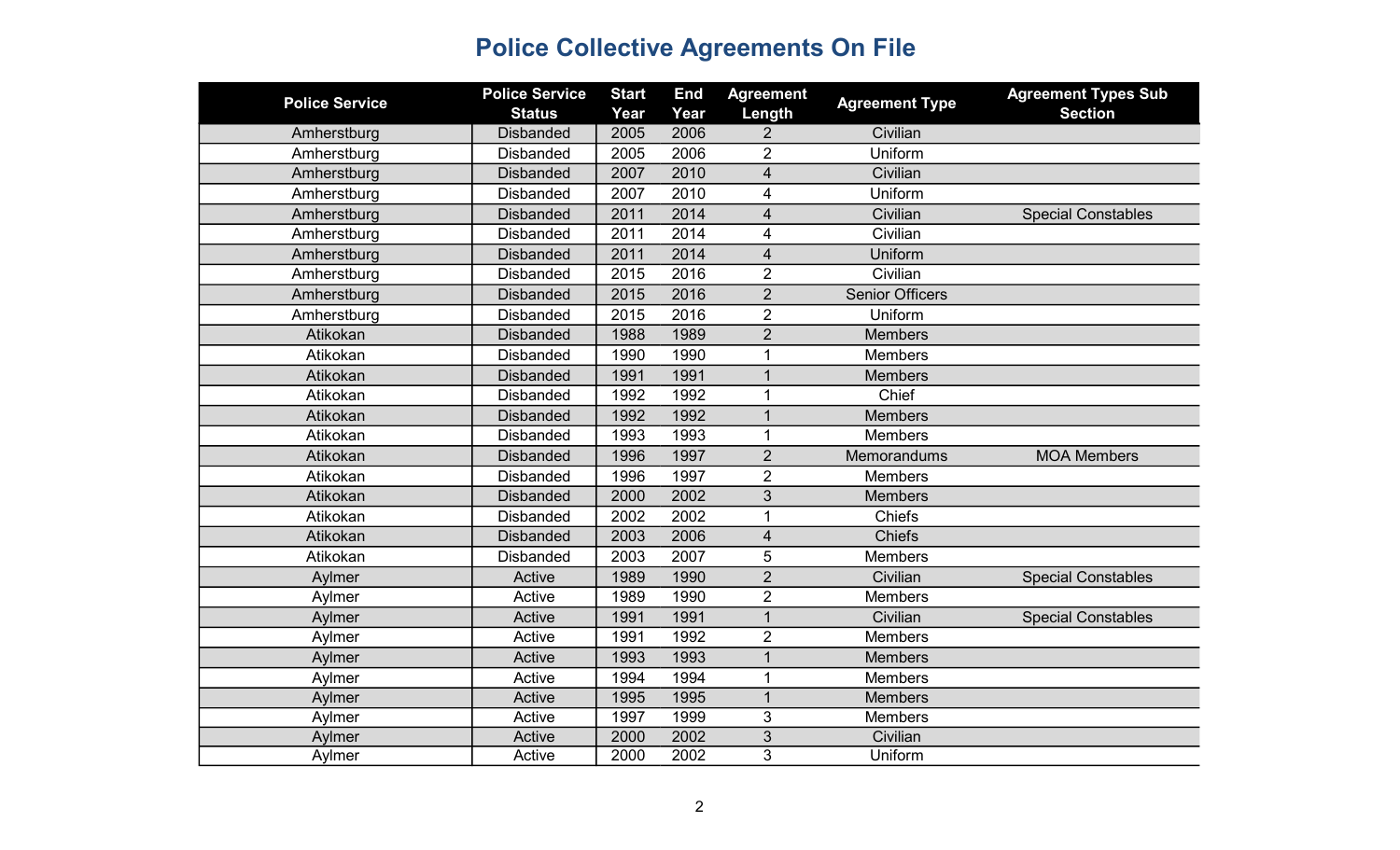| <b>Police Service</b> | <b>Police Service</b> | <b>Start</b> | <b>End</b> | <b>Agreement</b>        | <b>Agreement Type</b>  | <b>Agreement Types Sub</b> |
|-----------------------|-----------------------|--------------|------------|-------------------------|------------------------|----------------------------|
|                       | <b>Status</b>         | Year         | Year       | Length                  |                        | <b>Section</b>             |
| Amherstburg           | <b>Disbanded</b>      | 2005         | 2006       | $\overline{2}$          | Civilian               |                            |
| Amherstburg           | <b>Disbanded</b>      | 2005         | 2006       | $\overline{2}$          | Uniform                |                            |
| Amherstburg           | <b>Disbanded</b>      | 2007         | 2010       | $\overline{\mathbf{4}}$ | Civilian               |                            |
| Amherstburg           | <b>Disbanded</b>      | 2007         | 2010       | 4                       | Uniform                |                            |
| Amherstburg           | <b>Disbanded</b>      | 2011         | 2014       | $\overline{\mathbf{4}}$ | Civilian               | <b>Special Constables</b>  |
| Amherstburg           | <b>Disbanded</b>      | 2011         | 2014       | $\overline{\mathbf{4}}$ | Civilian               |                            |
| Amherstburg           | <b>Disbanded</b>      | 2011         | 2014       | $\overline{4}$          | Uniform                |                            |
| Amherstburg           | <b>Disbanded</b>      | 2015         | 2016       | $\overline{2}$          | Civilian               |                            |
| Amherstburg           | <b>Disbanded</b>      | 2015         | 2016       | $\overline{2}$          | <b>Senior Officers</b> |                            |
| Amherstburg           | <b>Disbanded</b>      | 2015         | 2016       | $\overline{2}$          | Uniform                |                            |
| Atikokan              | <b>Disbanded</b>      | 1988         | 1989       | $\overline{2}$          | <b>Members</b>         |                            |
| Atikokan              | <b>Disbanded</b>      | 1990         | 1990       | 1                       | <b>Members</b>         |                            |
| Atikokan              | <b>Disbanded</b>      | 1991         | 1991       | $\mathbf{1}$            | <b>Members</b>         |                            |
| Atikokan              | <b>Disbanded</b>      | 1992         | 1992       | 1                       | Chief                  |                            |
| Atikokan              | <b>Disbanded</b>      | 1992         | 1992       | $\mathbf 1$             | <b>Members</b>         |                            |
| Atikokan              | <b>Disbanded</b>      | 1993         | 1993       | 1                       | <b>Members</b>         |                            |
| Atikokan              | <b>Disbanded</b>      | 1996         | 1997       | $\overline{2}$          | Memorandums            | <b>MOA Members</b>         |
| Atikokan              | <b>Disbanded</b>      | 1996         | 1997       | $\overline{2}$          | <b>Members</b>         |                            |
| Atikokan              | <b>Disbanded</b>      | 2000         | 2002       | $\sqrt{3}$              | <b>Members</b>         |                            |
| Atikokan              | <b>Disbanded</b>      | 2002         | 2002       | 1                       | Chiefs                 |                            |
| Atikokan              | <b>Disbanded</b>      | 2003         | 2006       | $\overline{\mathbf{4}}$ | <b>Chiefs</b>          |                            |
| Atikokan              | <b>Disbanded</b>      | 2003         | 2007       | 5                       | <b>Members</b>         |                            |
| Aylmer                | Active                | 1989         | 1990       | $\overline{2}$          | Civilian               | <b>Special Constables</b>  |
| Aylmer                | Active                | 1989         | 1990       | $\overline{2}$          | <b>Members</b>         |                            |
| Aylmer                | Active                | 1991         | 1991       | $\mathbf{1}$            | Civilian               | <b>Special Constables</b>  |
| Aylmer                | Active                | 1991         | 1992       | $\overline{2}$          | <b>Members</b>         |                            |
| Aylmer                | Active                | 1993         | 1993       | $\mathbf{1}$            | <b>Members</b>         |                            |
| Aylmer                | Active                | 1994         | 1994       | $\mathbf{1}$            | <b>Members</b>         |                            |
| Aylmer                | Active                | 1995         | 1995       | $\mathbf{1}$            | <b>Members</b>         |                            |
| Aylmer                | Active                | 1997         | 1999       | 3                       | <b>Members</b>         |                            |
| Aylmer                | Active                | 2000         | 2002       | 3                       | Civilian               |                            |
| Aylmer                | Active                | 2000         | 2002       | 3                       | Uniform                |                            |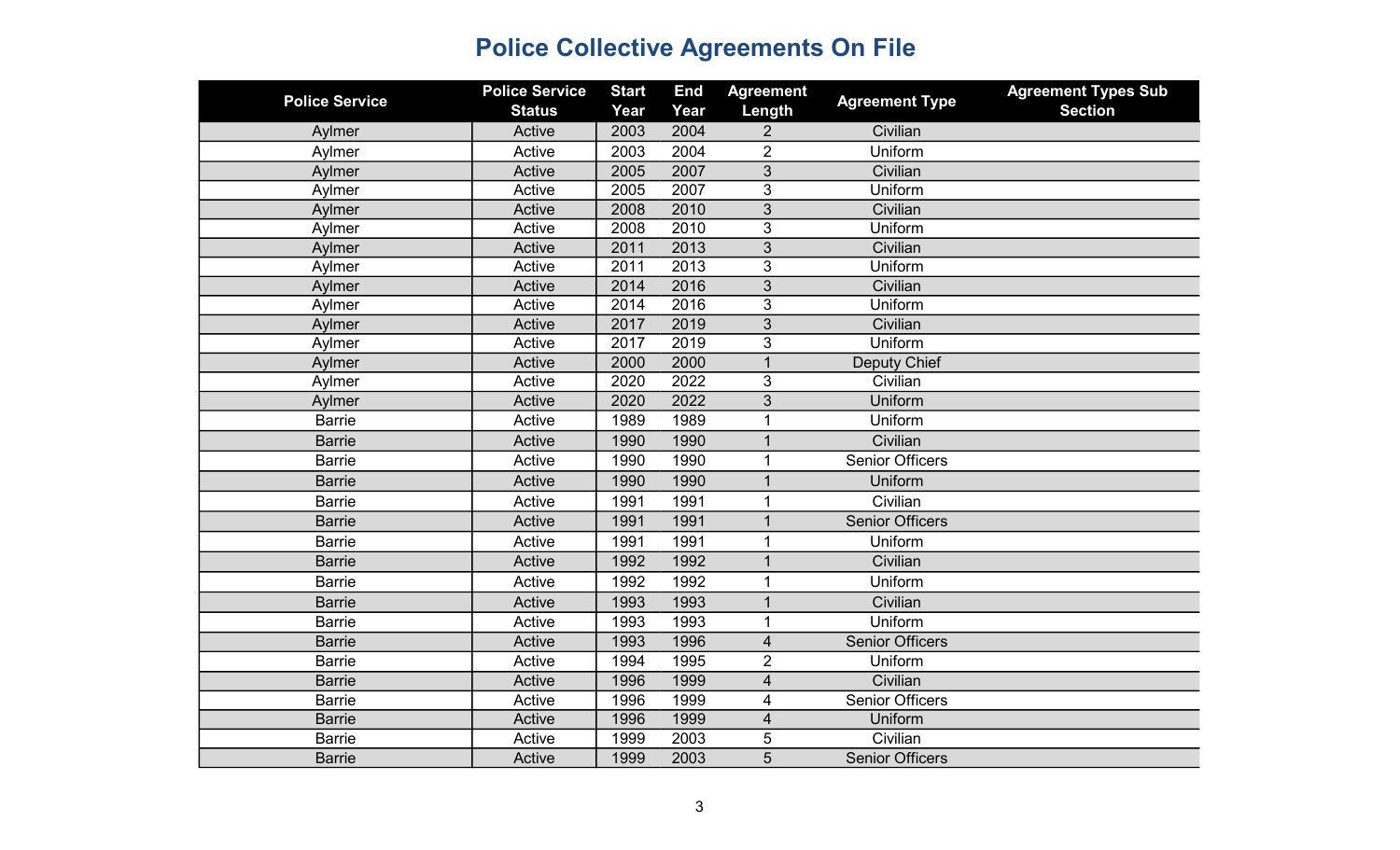| <b>Police Service</b> | <b>Police Service</b><br><b>Status</b> | <b>Start</b><br>Year | <b>End</b><br>Year | <b>Agreement</b><br>Length | <b>Agreement Type</b>  | <b>Agreement Types Sub</b><br><b>Section</b> |
|-----------------------|----------------------------------------|----------------------|--------------------|----------------------------|------------------------|----------------------------------------------|
| Aylmer                | Active                                 | 2003                 | 2004               | 2                          | Civilian               |                                              |
|                       | Active                                 | 2003                 | 2004               | $\overline{2}$             | Uniform                |                                              |
| Aylmer                |                                        | 2005                 | 2007               |                            |                        |                                              |
| Aylmer                | Active                                 |                      |                    | 3                          | Civilian               |                                              |
| Aylmer                | Active                                 | 2005                 | 2007               | 3                          | Uniform                |                                              |
| Aylmer                | Active                                 | 2008                 | 2010               | 3                          | Civilian               |                                              |
| Aylmer                | Active                                 | 2008                 | 2010               | 3                          | Uniform                |                                              |
| Aylmer                | Active                                 | 2011                 | 2013               | $\overline{3}$             | Civilian               |                                              |
| Aylmer                | Active                                 | 2011                 | 2013               | 3                          | Uniform                |                                              |
| Aylmer                | Active                                 | 2014                 | 2016               | 3                          | Civilian               |                                              |
| Aylmer                | Active                                 | 2014                 | 2016               | 3                          | Uniform                |                                              |
| Aylmer                | Active                                 | 2017                 | 2019               | 3                          | Civilian               |                                              |
| Aylmer                | Active                                 | 2017                 | 2019               | 3                          | Uniform                |                                              |
| Aylmer                | Active                                 | 2000                 | 2000               | $\overline{1}$             | Deputy Chief           |                                              |
| Aylmer                | Active                                 | 2020                 | 2022               | 3                          | Civilian               |                                              |
| Aylmer                | Active                                 | 2020                 | 2022               | 3                          | Uniform                |                                              |
| <b>Barrie</b>         | Active                                 | 1989                 | 1989               | 1                          | Uniform                |                                              |
| <b>Barrie</b>         | Active                                 | 1990                 | 1990               | $\mathbf{1}$               | Civilian               |                                              |
| <b>Barrie</b>         | Active                                 | 1990                 | 1990               | 1                          | <b>Senior Officers</b> |                                              |
| <b>Barrie</b>         | Active                                 | 1990                 | 1990               | $\mathbf{1}$               | Uniform                |                                              |
| <b>Barrie</b>         | Active                                 | 1991                 | 1991               | 1                          | Civilian               |                                              |
| <b>Barrie</b>         | Active                                 | 1991                 | 1991               | $\mathbf{1}$               | <b>Senior Officers</b> |                                              |
| <b>Barrie</b>         | Active                                 | 1991                 | 1991               | 1                          | Uniform                |                                              |
| <b>Barrie</b>         | Active                                 | 1992                 | 1992               | $\mathbf{1}$               | Civilian               |                                              |
| <b>Barrie</b>         | Active                                 | 1992                 | 1992               | $\mathbf{1}$               | Uniform                |                                              |
| <b>Barrie</b>         | Active                                 | 1993                 | 1993               | $\mathbf{1}$               | Civilian               |                                              |
| <b>Barrie</b>         | Active                                 | 1993                 | 1993               | $\mathbf{1}$               | Uniform                |                                              |
| <b>Barrie</b>         | Active                                 | 1993                 | 1996               | $\overline{\mathbf{4}}$    | <b>Senior Officers</b> |                                              |
| <b>Barrie</b>         | Active                                 | 1994                 | 1995               | $\overline{2}$             | Uniform                |                                              |
| <b>Barrie</b>         | Active                                 | 1996                 | 1999               | $\overline{\mathbf{4}}$    | Civilian               |                                              |
| <b>Barrie</b>         | Active                                 | 1996                 | 1999               | 4                          | <b>Senior Officers</b> |                                              |
| <b>Barrie</b>         | Active                                 | 1996                 | 1999               | $\overline{\mathbf{4}}$    | Uniform                |                                              |
| <b>Barrie</b>         | Active                                 | 1999                 | 2003               | 5                          | Civilian               |                                              |
| <b>Barrie</b>         | Active                                 | 1999                 | 2003               | 5                          | <b>Senior Officers</b> |                                              |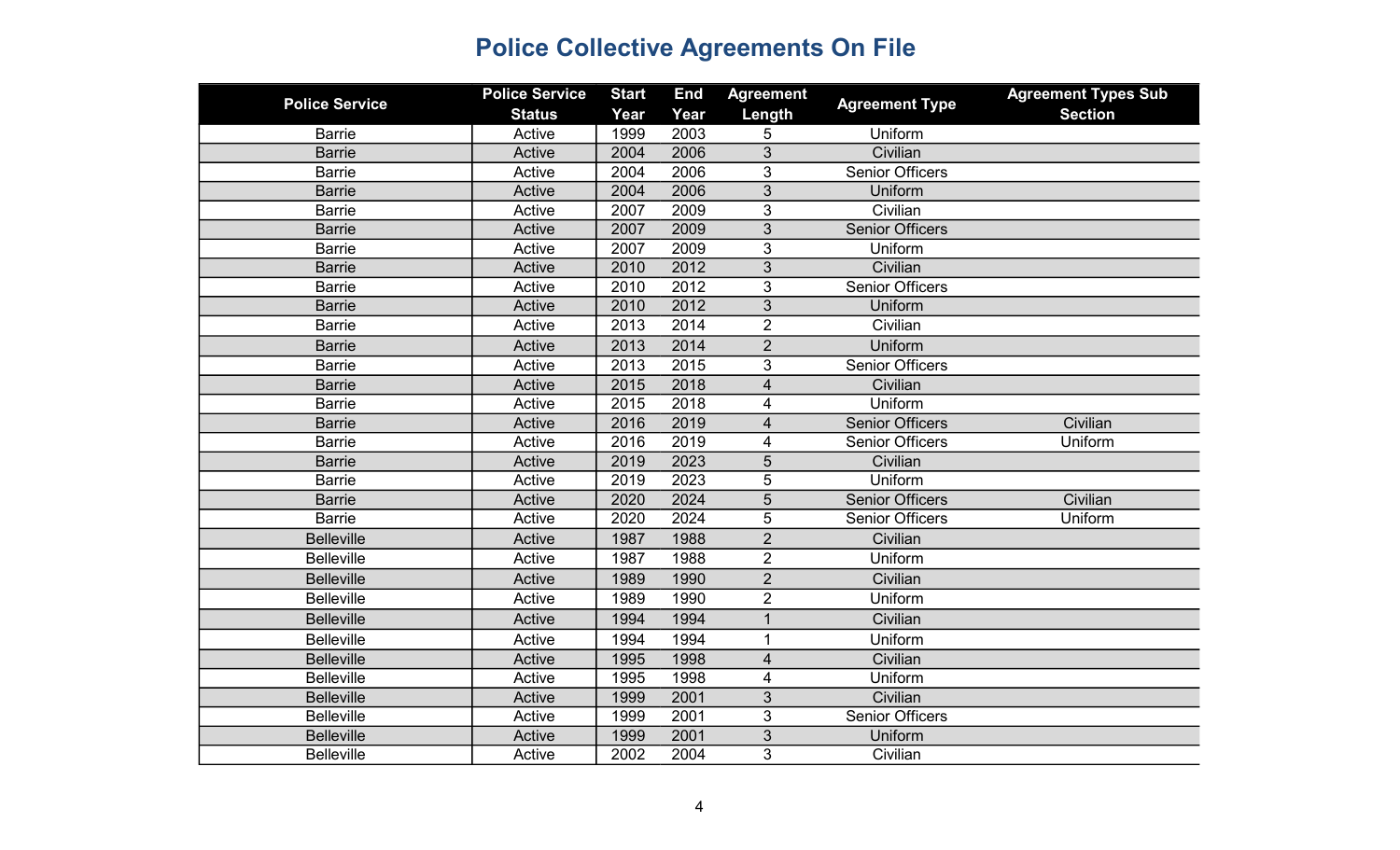| <b>Police Service</b> | <b>Police Service</b><br><b>Status</b> | <b>Start</b><br>Year | <b>End</b><br>Year | <b>Agreement</b><br>Length | <b>Agreement Type</b>  | <b>Agreement Types Sub</b><br><b>Section</b> |
|-----------------------|----------------------------------------|----------------------|--------------------|----------------------------|------------------------|----------------------------------------------|
| <b>Barrie</b>         | Active                                 | 1999                 | 2003               | 5                          | Uniform                |                                              |
| <b>Barrie</b>         | Active                                 | 2004                 | 2006               | 3                          | Civilian               |                                              |
| <b>Barrie</b>         | Active                                 | 2004                 | 2006               | 3                          | <b>Senior Officers</b> |                                              |
| <b>Barrie</b>         | Active                                 | 2004                 | 2006               | 3                          | Uniform                |                                              |
| <b>Barrie</b>         | Active                                 | 2007                 | 2009               | 3                          | Civilian               |                                              |
| <b>Barrie</b>         | Active                                 | 2007                 | 2009               | $\overline{3}$             | <b>Senior Officers</b> |                                              |
| <b>Barrie</b>         | Active                                 | 2007                 | 2009               | 3                          | Uniform                |                                              |
| <b>Barrie</b>         | Active                                 | 2010                 | 2012               | $\mathfrak{S}$             | Civilian               |                                              |
| <b>Barrie</b>         | Active                                 | 2010                 | 2012               | 3                          | <b>Senior Officers</b> |                                              |
| <b>Barrie</b>         | Active                                 | 2010                 | 2012               | 3                          | Uniform                |                                              |
| <b>Barrie</b>         | Active                                 | 2013                 | 2014               | $\overline{2}$             | Civilian               |                                              |
| <b>Barrie</b>         | Active                                 | 2013                 | 2014               | $\overline{2}$             | Uniform                |                                              |
| <b>Barrie</b>         | Active                                 | 2013                 | 2015               | 3                          | <b>Senior Officers</b> |                                              |
| <b>Barrie</b>         | Active                                 | 2015                 | 2018               | $\overline{\mathcal{L}}$   | Civilian               |                                              |
| <b>Barrie</b>         | Active                                 | 2015                 | 2018               | 4                          | Uniform                |                                              |
| <b>Barrie</b>         | Active                                 | 2016                 | 2019               | $\overline{4}$             | <b>Senior Officers</b> | Civilian                                     |
| <b>Barrie</b>         | Active                                 | 2016                 | 2019               | 4                          | <b>Senior Officers</b> | Uniform                                      |
| <b>Barrie</b>         | Active                                 | 2019                 | 2023               | 5                          | Civilian               |                                              |
| <b>Barrie</b>         | Active                                 | 2019                 | 2023               | 5                          | Uniform                |                                              |
| <b>Barrie</b>         | Active                                 | 2020                 | 2024               | 5                          | <b>Senior Officers</b> | Civilian                                     |
| <b>Barrie</b>         | Active                                 | 2020                 | 2024               | 5                          | <b>Senior Officers</b> | Uniform                                      |
| <b>Belleville</b>     | Active                                 | 1987                 | 1988               | $\overline{2}$             | Civilian               |                                              |
| <b>Belleville</b>     | Active                                 | 1987                 | 1988               | $\overline{2}$             | Uniform                |                                              |
| <b>Belleville</b>     | Active                                 | 1989                 | 1990               | $\overline{2}$             | Civilian               |                                              |
| <b>Belleville</b>     | Active                                 | 1989                 | 1990               | $\overline{2}$             | Uniform                |                                              |
| <b>Belleville</b>     | Active                                 | 1994                 | 1994               | $\overline{1}$             | Civilian               |                                              |
| <b>Belleville</b>     | Active                                 | 1994                 | 1994               | $\mathbf{1}$               | Uniform                |                                              |
| <b>Belleville</b>     | Active                                 | 1995                 | 1998               | $\overline{\mathbf{4}}$    | Civilian               |                                              |
| <b>Belleville</b>     | Active                                 | 1995                 | 1998               | 4                          | Uniform                |                                              |
| <b>Belleville</b>     | Active                                 | 1999                 | 2001               | 3                          | Civilian               |                                              |
| <b>Belleville</b>     | Active                                 | 1999                 | 2001               | 3                          | <b>Senior Officers</b> |                                              |
| <b>Belleville</b>     | Active                                 | 1999                 | 2001               | 3                          | Uniform                |                                              |
| Belleville            | Active                                 | 2002                 | 2004               | 3                          | Civilian               |                                              |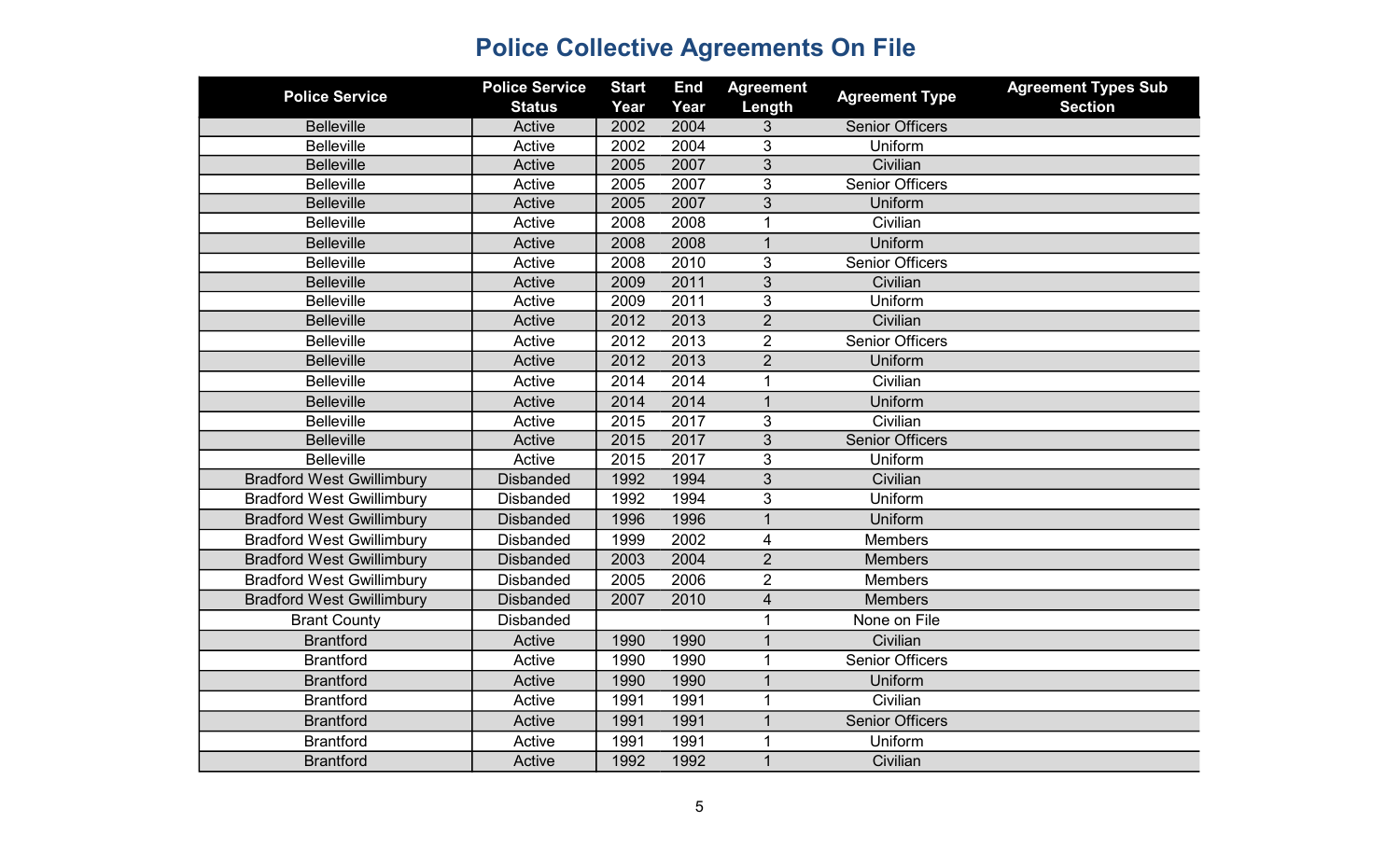| <b>Police Service</b>            | <b>Police Service</b><br><b>Status</b> | <b>Start</b><br>Year | <b>End</b><br>Year | <b>Agreement</b><br>Length | <b>Agreement Type</b>  | <b>Agreement Types Sub</b><br><b>Section</b> |
|----------------------------------|----------------------------------------|----------------------|--------------------|----------------------------|------------------------|----------------------------------------------|
| <b>Belleville</b>                | Active                                 | 2002                 | 2004               | 3                          | <b>Senior Officers</b> |                                              |
| <b>Belleville</b>                | Active                                 | 2002                 | 2004               | 3                          | Uniform                |                                              |
| <b>Belleville</b>                | Active                                 | 2005                 | 2007               | 3                          | Civilian               |                                              |
| <b>Belleville</b>                | Active                                 | 2005                 | 2007               | 3                          | <b>Senior Officers</b> |                                              |
| <b>Belleville</b>                | Active                                 | 2005                 | 2007               | 3                          | Uniform                |                                              |
| <b>Belleville</b>                | Active                                 | 2008                 | 2008               | $\mathbf{1}$               | Civilian               |                                              |
| <b>Belleville</b>                | Active                                 | 2008                 | 2008               | $\mathbf{1}$               | Uniform                |                                              |
| <b>Belleville</b>                | Active                                 | 2008                 | 2010               | 3                          | <b>Senior Officers</b> |                                              |
| <b>Belleville</b>                | Active                                 | 2009                 | 2011               | 3                          | Civilian               |                                              |
| <b>Belleville</b>                | Active                                 | 2009                 | 2011               | 3                          | Uniform                |                                              |
| <b>Belleville</b>                | Active                                 | 2012                 | 2013               | $\overline{2}$             | Civilian               |                                              |
| <b>Belleville</b>                | Active                                 | 2012                 | 2013               | $\overline{2}$             | <b>Senior Officers</b> |                                              |
| <b>Belleville</b>                | Active                                 | 2012                 | 2013               | $\overline{2}$             | Uniform                |                                              |
| <b>Belleville</b>                | Active                                 | 2014                 | 2014               | $\mathbf{1}$               | Civilian               |                                              |
| <b>Belleville</b>                | Active                                 | 2014                 | 2014               | $\mathbf{1}$               | Uniform                |                                              |
| <b>Belleville</b>                | Active                                 | 2015                 | 2017               | 3                          | Civilian               |                                              |
| <b>Belleville</b>                | Active                                 | 2015                 | 2017               | $\overline{3}$             | <b>Senior Officers</b> |                                              |
| <b>Belleville</b>                | Active                                 | 2015                 | 2017               | 3                          | Uniform                |                                              |
| <b>Bradford West Gwillimbury</b> | <b>Disbanded</b>                       | 1992                 | 1994               | 3                          | Civilian               |                                              |
| <b>Bradford West Gwillimbury</b> | <b>Disbanded</b>                       | 1992                 | 1994               | 3                          | Uniform                |                                              |
| <b>Bradford West Gwillimbury</b> | <b>Disbanded</b>                       | 1996                 | 1996               | $\mathbf{1}$               | Uniform                |                                              |
| <b>Bradford West Gwillimbury</b> | <b>Disbanded</b>                       | 1999                 | 2002               | $\overline{\mathbf{4}}$    | <b>Members</b>         |                                              |
| <b>Bradford West Gwillimbury</b> | <b>Disbanded</b>                       | 2003                 | 2004               | $\overline{2}$             | <b>Members</b>         |                                              |
| <b>Bradford West Gwillimbury</b> | <b>Disbanded</b>                       | 2005                 | 2006               | $\overline{2}$             | Members                |                                              |
| <b>Bradford West Gwillimbury</b> | <b>Disbanded</b>                       | 2007                 | 2010               | $\overline{4}$             | <b>Members</b>         |                                              |
| <b>Brant County</b>              | <b>Disbanded</b>                       |                      |                    | 1                          | None on File           |                                              |
| <b>Brantford</b>                 | Active                                 | 1990                 | 1990               | $\overline{1}$             | Civilian               |                                              |
| <b>Brantford</b>                 | Active                                 | 1990                 | 1990               | $\mathbf{1}$               | <b>Senior Officers</b> |                                              |
| <b>Brantford</b>                 | Active                                 | 1990                 | 1990               | $\mathbf{1}$               | Uniform                |                                              |
| <b>Brantford</b>                 | Active                                 | 1991                 | 1991               | $\mathbf{1}$               | Civilian               |                                              |
| <b>Brantford</b>                 | Active                                 | 1991                 | 1991               | $\mathbf{1}$               | <b>Senior Officers</b> |                                              |
| <b>Brantford</b>                 | Active                                 | 1991                 | 1991               | $\mathbf 1$                | Uniform                |                                              |
| <b>Brantford</b>                 | Active                                 | 1992                 | 1992               | $\mathbf{1}$               | Civilian               |                                              |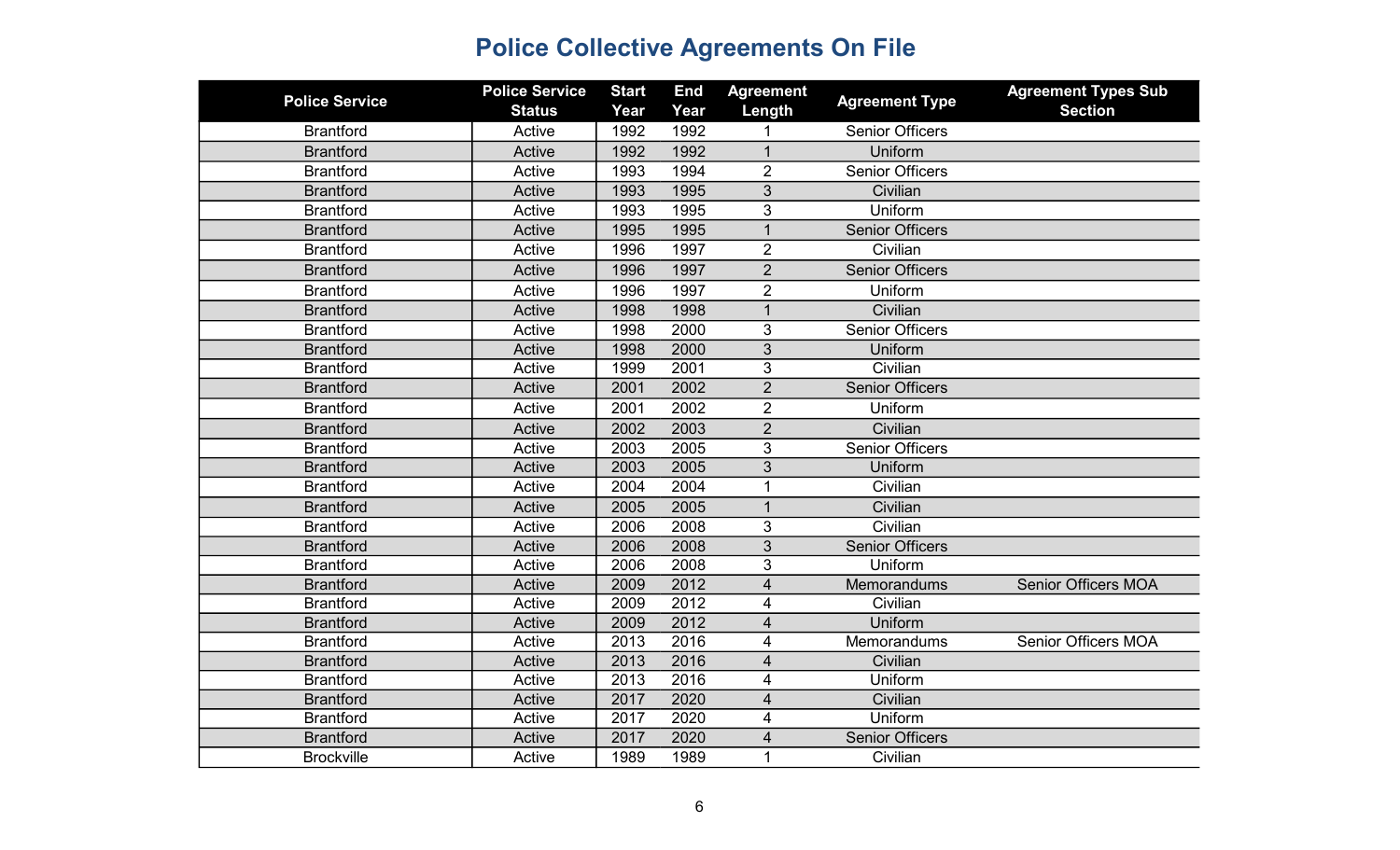| <b>Police Service</b> | <b>Police Service</b><br><b>Status</b> | <b>Start</b><br>Year | <b>End</b><br>Year | <b>Agreement</b><br>Length | <b>Agreement Type</b>  | <b>Agreement Types Sub</b><br><b>Section</b> |
|-----------------------|----------------------------------------|----------------------|--------------------|----------------------------|------------------------|----------------------------------------------|
| <b>Brantford</b>      | Active                                 | 1992                 | 1992               |                            | <b>Senior Officers</b> |                                              |
| <b>Brantford</b>      | Active                                 | 1992                 | 1992               | $\mathbf 1$                | Uniform                |                                              |
| <b>Brantford</b>      | Active                                 | 1993                 | 1994               | $\overline{2}$             | <b>Senior Officers</b> |                                              |
| <b>Brantford</b>      | Active                                 | 1993                 | 1995               | 3                          | Civilian               |                                              |
| <b>Brantford</b>      | Active                                 | 1993                 | 1995               | 3                          | Uniform                |                                              |
| <b>Brantford</b>      | Active                                 | 1995                 | 1995               | $\mathbf{1}$               | <b>Senior Officers</b> |                                              |
| <b>Brantford</b>      | Active                                 | 1996                 | 1997               | $\overline{2}$             | Civilian               |                                              |
| <b>Brantford</b>      | Active                                 | 1996                 | 1997               | $\overline{2}$             | <b>Senior Officers</b> |                                              |
| <b>Brantford</b>      | Active                                 | 1996                 | 1997               | $\overline{2}$             | Uniform                |                                              |
| <b>Brantford</b>      | Active                                 | 1998                 | 1998               | $\overline{1}$             | Civilian               |                                              |
| <b>Brantford</b>      | Active                                 | 1998                 | 2000               | 3                          | <b>Senior Officers</b> |                                              |
| <b>Brantford</b>      | Active                                 | 1998                 | 2000               | 3                          | Uniform                |                                              |
| <b>Brantford</b>      | Active                                 | 1999                 | 2001               | 3                          | Civilian               |                                              |
| <b>Brantford</b>      | Active                                 | 2001                 | 2002               | $\overline{2}$             | <b>Senior Officers</b> |                                              |
| <b>Brantford</b>      | Active                                 | 2001                 | 2002               | $\overline{2}$             | Uniform                |                                              |
| <b>Brantford</b>      | Active                                 | 2002                 | 2003               | $\overline{2}$             | Civilian               |                                              |
| <b>Brantford</b>      | Active                                 | 2003                 | 2005               | 3                          | <b>Senior Officers</b> |                                              |
| <b>Brantford</b>      | Active                                 | 2003                 | 2005               | 3                          | Uniform                |                                              |
| <b>Brantford</b>      | Active                                 | 2004                 | 2004               | $\mathbf 1$                | Civilian               |                                              |
| <b>Brantford</b>      | Active                                 | 2005                 | 2005               | $\mathbf 1$                | Civilian               |                                              |
| <b>Brantford</b>      | Active                                 | 2006                 | 2008               | 3                          | Civilian               |                                              |
| <b>Brantford</b>      | Active                                 | 2006                 | 2008               | 3                          | <b>Senior Officers</b> |                                              |
| <b>Brantford</b>      | Active                                 | 2006                 | 2008               | 3                          | Uniform                |                                              |
| <b>Brantford</b>      | Active                                 | 2009                 | 2012               | $\overline{\mathcal{A}}$   | Memorandums            | <b>Senior Officers MOA</b>                   |
| <b>Brantford</b>      | Active                                 | 2009                 | 2012               | 4                          | Civilian               |                                              |
| <b>Brantford</b>      | Active                                 | 2009                 | 2012               | $\overline{\mathbf{4}}$    | Uniform                |                                              |
| <b>Brantford</b>      | Active                                 | 2013                 | 2016               | $\overline{\mathbf{4}}$    | Memorandums            | <b>Senior Officers MOA</b>                   |
| <b>Brantford</b>      | Active                                 | 2013                 | 2016               | $\overline{\mathcal{L}}$   | Civilian               |                                              |
| <b>Brantford</b>      | Active                                 | 2013                 | 2016               | 4                          | Uniform                |                                              |
| <b>Brantford</b>      | Active                                 | 2017                 | 2020               | $\overline{4}$             | Civilian               |                                              |
| <b>Brantford</b>      | Active                                 | 2017                 | 2020               | 4                          | Uniform                |                                              |
| <b>Brantford</b>      | Active                                 | 2017                 | 2020               | 4                          | <b>Senior Officers</b> |                                              |
| <b>Brockville</b>     | Active                                 | 1989                 | 1989               | $\mathbf 1$                | Civilian               |                                              |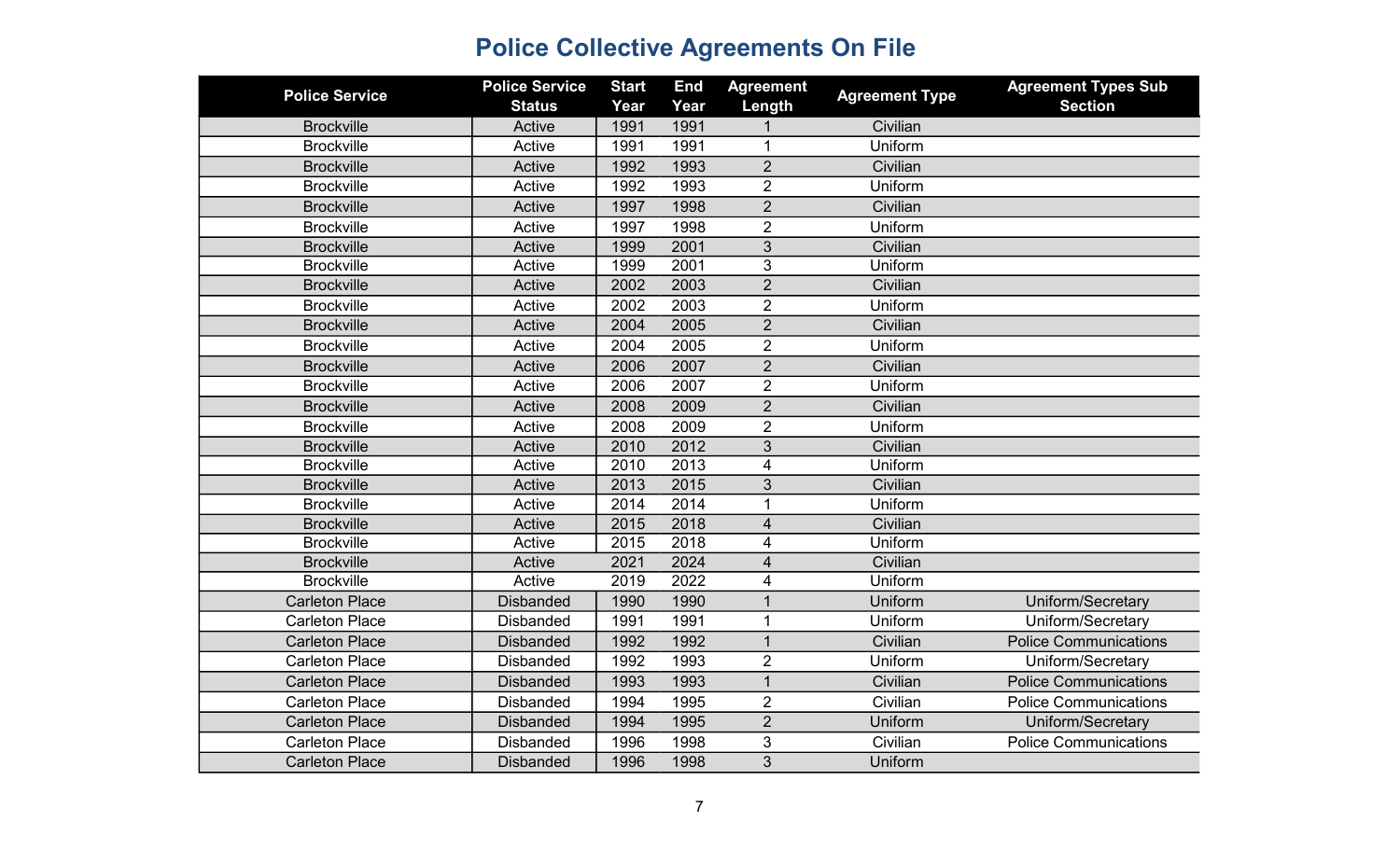| <b>Police Service</b> | <b>Police Service</b><br><b>Status</b> | <b>Start</b><br>Year | <b>End</b><br>Year | <b>Agreement</b><br>Length | <b>Agreement Type</b> | <b>Agreement Types Sub</b><br><b>Section</b> |
|-----------------------|----------------------------------------|----------------------|--------------------|----------------------------|-----------------------|----------------------------------------------|
| <b>Brockville</b>     | Active                                 | 1991                 | 1991               |                            | Civilian              |                                              |
| <b>Brockville</b>     | Active                                 | 1991                 | 1991               | 1                          | Uniform               |                                              |
| <b>Brockville</b>     | Active                                 | 1992                 | 1993               | $\overline{2}$             | Civilian              |                                              |
| <b>Brockville</b>     | Active                                 | 1992                 | 1993               | $\overline{2}$             | Uniform               |                                              |
| <b>Brockville</b>     | Active                                 | 1997                 | 1998               | $\overline{2}$             | Civilian              |                                              |
| <b>Brockville</b>     | Active                                 | 1997                 | 1998               | $\overline{2}$             | Uniform               |                                              |
| <b>Brockville</b>     | Active                                 | 1999                 | 2001               | $\overline{3}$             | Civilian              |                                              |
| <b>Brockville</b>     | Active                                 | 1999                 | 2001               | 3                          | Uniform               |                                              |
| <b>Brockville</b>     | Active                                 | 2002                 | 2003               | $\overline{2}$             | Civilian              |                                              |
| <b>Brockville</b>     | Active                                 | 2002                 | 2003               | $\overline{2}$             | Uniform               |                                              |
| <b>Brockville</b>     | Active                                 | 2004                 | 2005               | $\overline{2}$             | Civilian              |                                              |
| <b>Brockville</b>     | Active                                 | 2004                 | 2005               | $\overline{2}$             | Uniform               |                                              |
| <b>Brockville</b>     | Active                                 | 2006                 | 2007               | $\overline{2}$             | Civilian              |                                              |
| <b>Brockville</b>     | Active                                 | 2006                 | 2007               | $\overline{2}$             | Uniform               |                                              |
| <b>Brockville</b>     | Active                                 | 2008                 | 2009               | $\overline{2}$             | Civilian              |                                              |
| <b>Brockville</b>     | Active                                 | 2008                 | 2009               | $\overline{2}$             | Uniform               |                                              |
| <b>Brockville</b>     | Active                                 | 2010                 | 2012               | 3                          | Civilian              |                                              |
| <b>Brockville</b>     | Active                                 | 2010                 | $\overline{2013}$  | $\overline{\mathbf{4}}$    | Uniform               |                                              |
| <b>Brockville</b>     | Active                                 | 2013                 | 2015               | 3                          | Civilian              |                                              |
| <b>Brockville</b>     | Active                                 | 2014                 | 2014               | $\mathbf{1}$               | Uniform               |                                              |
| <b>Brockville</b>     | Active                                 | 2015                 | 2018               | $\overline{\mathbf{4}}$    | Civilian              |                                              |
| <b>Brockville</b>     | Active                                 | 2015                 | 2018               | $\overline{\mathbf{4}}$    | Uniform               |                                              |
| <b>Brockville</b>     | Active                                 | 2021                 | 2024               | $\overline{4}$             | Civilian              |                                              |
| <b>Brockville</b>     | Active                                 | 2019                 | 2022               | 4                          | Uniform               |                                              |
| <b>Carleton Place</b> | <b>Disbanded</b>                       | 1990                 | 1990               | $\mathbf{1}$               | Uniform               | Uniform/Secretary                            |
| <b>Carleton Place</b> | <b>Disbanded</b>                       | 1991                 | 1991               | $\mathbf{1}$               | Uniform               | Uniform/Secretary                            |
| <b>Carleton Place</b> | <b>Disbanded</b>                       | 1992                 | 1992               | $\overline{1}$             | Civilian              | <b>Police Communications</b>                 |
| <b>Carleton Place</b> | <b>Disbanded</b>                       | 1992                 | 1993               | $\overline{2}$             | Uniform               | Uniform/Secretary                            |
| <b>Carleton Place</b> | <b>Disbanded</b>                       | 1993                 | 1993               | $\mathbf{1}$               | Civilian              | <b>Police Communications</b>                 |
| <b>Carleton Place</b> | <b>Disbanded</b>                       | 1994                 | 1995               | $\overline{2}$             | Civilian              | <b>Police Communications</b>                 |
| <b>Carleton Place</b> | <b>Disbanded</b>                       | 1994                 | 1995               | $\overline{2}$             | Uniform               | Uniform/Secretary                            |
| <b>Carleton Place</b> | <b>Disbanded</b>                       | 1996                 | 1998               | 3                          | Civilian              | <b>Police Communications</b>                 |
| <b>Carleton Place</b> | <b>Disbanded</b>                       | 1996                 | 1998               | 3                          | Uniform               |                                              |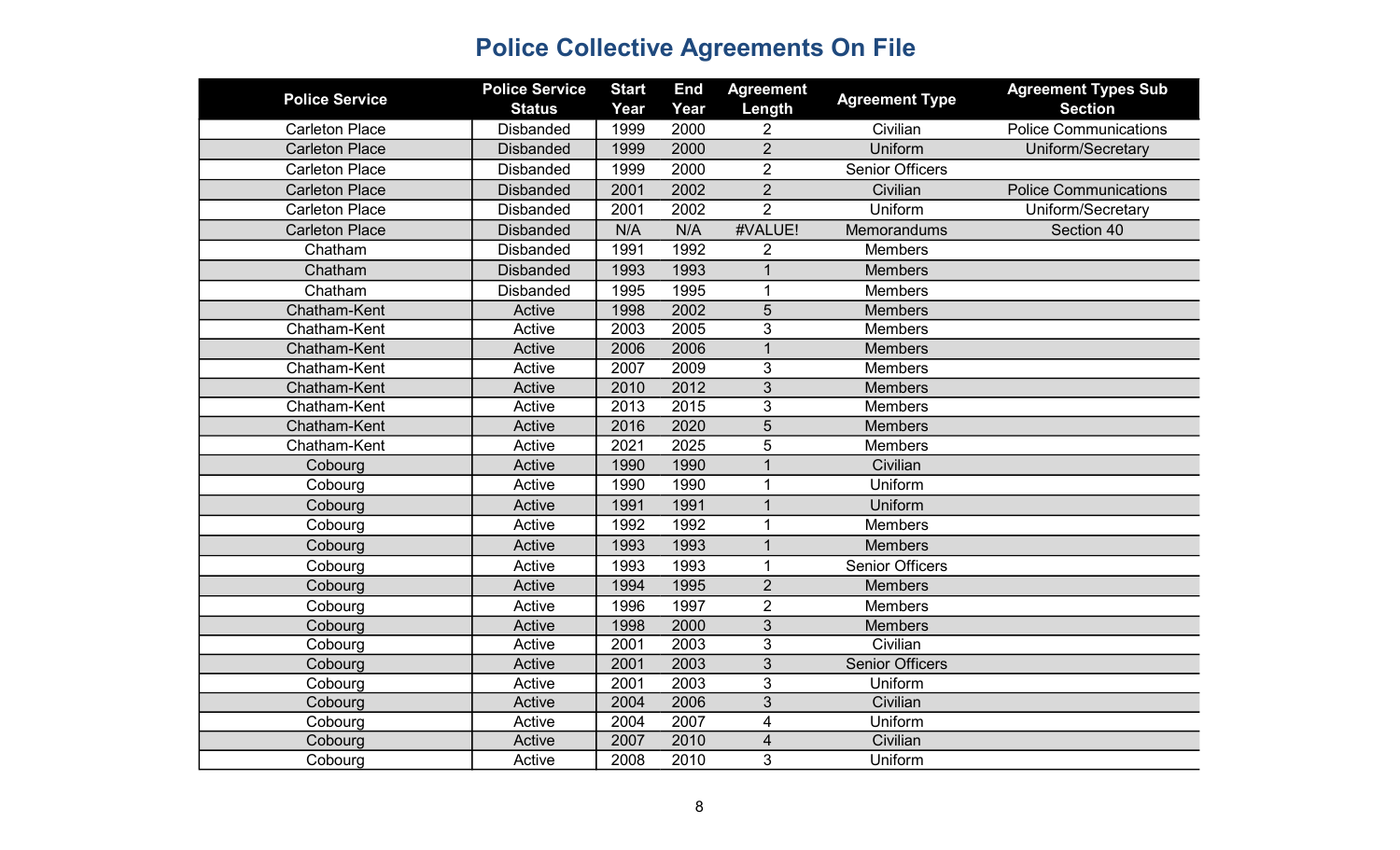| <b>Police Service</b> | <b>Police Service</b> | <b>Start</b> | <b>End</b> | <b>Agreement</b>        | <b>Agreement Type</b>  | <b>Agreement Types Sub</b>   |
|-----------------------|-----------------------|--------------|------------|-------------------------|------------------------|------------------------------|
|                       | <b>Status</b>         | Year         | Year       | Length                  |                        | <b>Section</b>               |
| <b>Carleton Place</b> | <b>Disbanded</b>      | 1999         | 2000       | $\overline{2}$          | Civilian               | <b>Police Communications</b> |
| <b>Carleton Place</b> | <b>Disbanded</b>      | 1999         | 2000       | $\overline{2}$          | Uniform                | Uniform/Secretary            |
| <b>Carleton Place</b> | <b>Disbanded</b>      | 1999         | 2000       | $\overline{2}$          | <b>Senior Officers</b> |                              |
| <b>Carleton Place</b> | <b>Disbanded</b>      | 2001         | 2002       | $\overline{2}$          | Civilian               | <b>Police Communications</b> |
| <b>Carleton Place</b> | <b>Disbanded</b>      | 2001         | 2002       | $\overline{2}$          | Uniform                | Uniform/Secretary            |
| <b>Carleton Place</b> | <b>Disbanded</b>      | N/A          | N/A        | #VALUE!                 | Memorandums            | Section 40                   |
| Chatham               | <b>Disbanded</b>      | 1991         | 1992       | $\overline{2}$          | <b>Members</b>         |                              |
| Chatham               | <b>Disbanded</b>      | 1993         | 1993       | 1                       | <b>Members</b>         |                              |
| Chatham               | <b>Disbanded</b>      | 1995         | 1995       | $\mathbf{1}$            | <b>Members</b>         |                              |
| Chatham-Kent          | Active                | 1998         | 2002       | 5                       | <b>Members</b>         |                              |
| Chatham-Kent          | Active                | 2003         | 2005       | 3                       | <b>Members</b>         |                              |
| Chatham-Kent          | Active                | 2006         | 2006       | $\mathbf{1}$            | <b>Members</b>         |                              |
| Chatham-Kent          | Active                | 2007         | 2009       | 3                       | <b>Members</b>         |                              |
| Chatham-Kent          | Active                | 2010         | 2012       | $\overline{3}$          | <b>Members</b>         |                              |
| Chatham-Kent          | Active                | 2013         | 2015       | 3                       | <b>Members</b>         |                              |
| Chatham-Kent          | Active                | 2016         | 2020       | 5                       | <b>Members</b>         |                              |
| Chatham-Kent          | Active                | 2021         | 2025       | 5                       | <b>Members</b>         |                              |
| Cobourg               | Active                | 1990         | 1990       | 1                       | Civilian               |                              |
| Cobourg               | Active                | 1990         | 1990       | $\mathbf{1}$            | Uniform                |                              |
| Cobourg               | Active                | 1991         | 1991       | $\mathbf{1}$            | Uniform                |                              |
| Cobourg               | Active                | 1992         | 1992       | 1                       | <b>Members</b>         |                              |
| Cobourg               | Active                | 1993         | 1993       | 1                       | <b>Members</b>         |                              |
| Cobourg               | Active                | 1993         | 1993       | $\mathbf{1}$            | <b>Senior Officers</b> |                              |
| Cobourg               | Active                | 1994         | 1995       | $\overline{2}$          | <b>Members</b>         |                              |
| Cobourg               | Active                | 1996         | 1997       | $\overline{2}$          | <b>Members</b>         |                              |
| Cobourg               | Active                | 1998         | 2000       | $\overline{3}$          | <b>Members</b>         |                              |
| Cobourg               | Active                | 2001         | 2003       | 3                       | Civilian               |                              |
| Cobourg               | Active                | 2001         | 2003       | $\overline{3}$          | <b>Senior Officers</b> |                              |
| Cobourg               | Active                | 2001         | 2003       | 3                       | Uniform                |                              |
| Cobourg               | Active                | 2004         | 2006       | 3                       | Civilian               |                              |
| Cobourg               | Active                | 2004         | 2007       | 4                       | Uniform                |                              |
| Cobourg               | Active                | 2007         | 2010       | $\overline{\mathbf{4}}$ | Civilian               |                              |
| Cobourg               | Active                | 2008         | 2010       | 3                       | Uniform                |                              |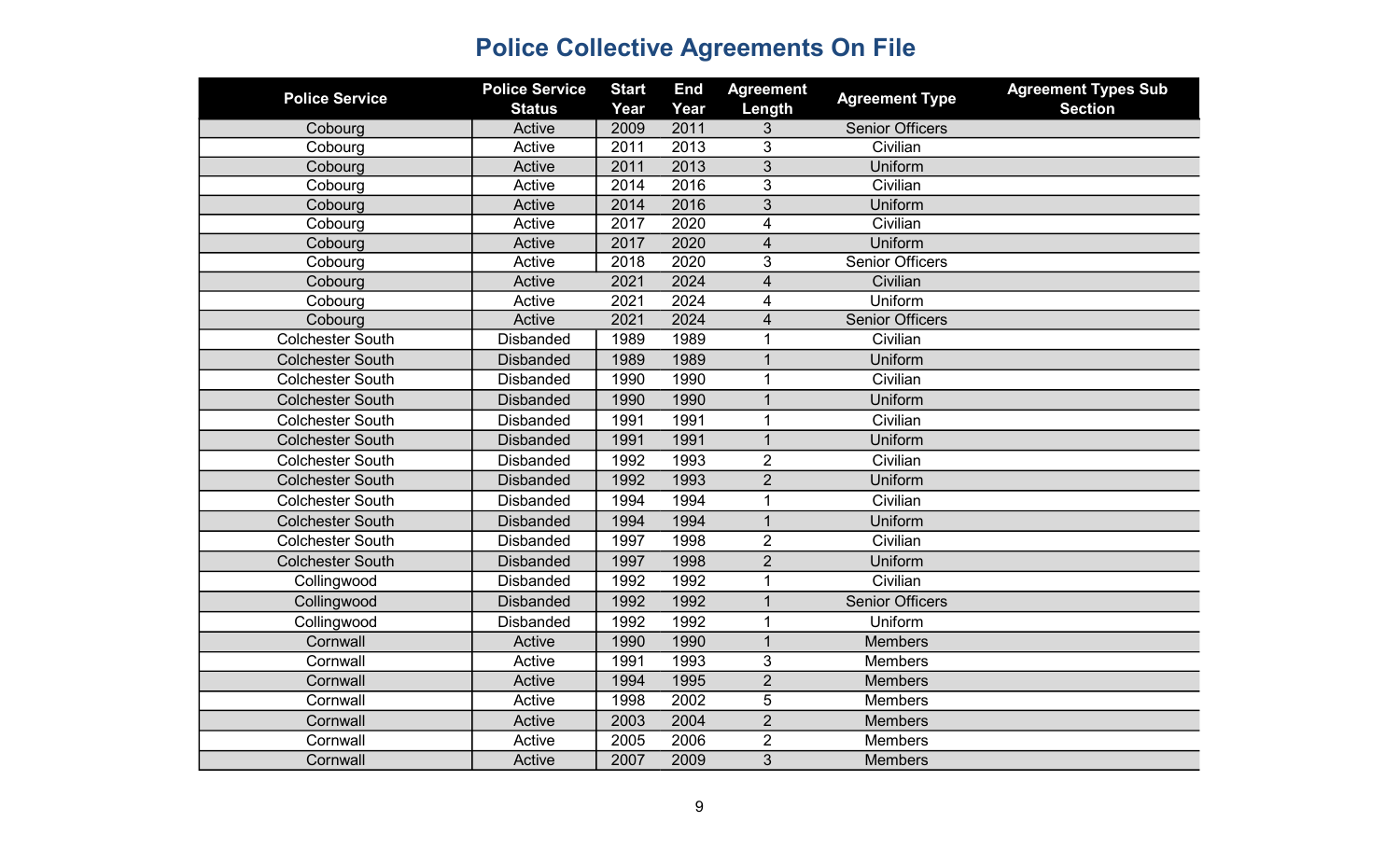| <b>Police Service</b>   | <b>Police Service</b><br><b>Status</b> | <b>Start</b><br>Year | <b>End</b><br>Year | <b>Agreement</b><br>Length | <b>Agreement Type</b>  | <b>Agreement Types Sub</b><br><b>Section</b> |
|-------------------------|----------------------------------------|----------------------|--------------------|----------------------------|------------------------|----------------------------------------------|
| Cobourg                 | Active                                 | 2009                 | 2011               | 3                          | <b>Senior Officers</b> |                                              |
| Cobourg                 | Active                                 | 2011                 | 2013               | 3                          | Civilian               |                                              |
| Cobourg                 | Active                                 | 2011                 | 2013               | 3                          | Uniform                |                                              |
| Cobourg                 | Active                                 | 2014                 | 2016               | 3                          | Civilian               |                                              |
| Cobourg                 | Active                                 | 2014                 | 2016               | 3                          | Uniform                |                                              |
| Cobourg                 | Active                                 | 2017                 | 2020               | 4                          | Civilian               |                                              |
| Cobourg                 | Active                                 | 2017                 | 2020               | $\overline{\mathcal{L}}$   | Uniform                |                                              |
| Cobourg                 | Active                                 | 2018                 | 2020               | 3                          | <b>Senior Officers</b> |                                              |
| Cobourg                 | Active                                 | 2021                 | 2024               | $\overline{4}$             | Civilian               |                                              |
| Cobourg                 | Active                                 | 2021                 | 2024               | 4                          | Uniform                |                                              |
| Cobourg                 | Active                                 | 2021                 | 2024               | 4                          | <b>Senior Officers</b> |                                              |
| <b>Colchester South</b> | <b>Disbanded</b>                       | 1989                 | 1989               | 1                          | Civilian               |                                              |
| <b>Colchester South</b> | <b>Disbanded</b>                       | 1989                 | 1989               | $\mathbf 1$                | Uniform                |                                              |
| <b>Colchester South</b> | <b>Disbanded</b>                       | 1990                 | 1990               | $\mathbf 1$                | Civilian               |                                              |
| <b>Colchester South</b> | <b>Disbanded</b>                       | 1990                 | 1990               | $\overline{1}$             | Uniform                |                                              |
| <b>Colchester South</b> | <b>Disbanded</b>                       | 1991                 | 1991               | $\mathbf{1}$               | Civilian               |                                              |
| <b>Colchester South</b> | <b>Disbanded</b>                       | 1991                 | 1991               | $\mathbf{1}$               | Uniform                |                                              |
| <b>Colchester South</b> | <b>Disbanded</b>                       | 1992                 | 1993               | $\overline{2}$             | Civilian               |                                              |
| <b>Colchester South</b> | <b>Disbanded</b>                       | 1992                 | 1993               | $\overline{2}$             | Uniform                |                                              |
| <b>Colchester South</b> | <b>Disbanded</b>                       | 1994                 | 1994               | $\mathbf{1}$               | Civilian               |                                              |
| <b>Colchester South</b> | <b>Disbanded</b>                       | 1994                 | 1994               | $\overline{1}$             | Uniform                |                                              |
| <b>Colchester South</b> | <b>Disbanded</b>                       | 1997                 | 1998               | $\overline{2}$             | Civilian               |                                              |
| <b>Colchester South</b> | <b>Disbanded</b>                       | 1997                 | 1998               | $\overline{2}$             | Uniform                |                                              |
| Collingwood             | <b>Disbanded</b>                       | 1992                 | 1992               | $\mathbf 1$                | Civilian               |                                              |
| Collingwood             | <b>Disbanded</b>                       | 1992                 | 1992               | 1                          | <b>Senior Officers</b> |                                              |
| Collingwood             | <b>Disbanded</b>                       | 1992                 | 1992               | $\mathbf 1$                | Uniform                |                                              |
| Cornwall                | Active                                 | 1990                 | 1990               | $\mathbf{1}$               | <b>Members</b>         |                                              |
| Cornwall                | Active                                 | 1991                 | 1993               | 3                          | <b>Members</b>         |                                              |
| Cornwall                | Active                                 | 1994                 | 1995               | $\overline{2}$             | <b>Members</b>         |                                              |
| Cornwall                | Active                                 | 1998                 | 2002               | $\overline{5}$             | <b>Members</b>         |                                              |
| Cornwall                | Active                                 | 2003                 | 2004               | $\overline{2}$             | <b>Members</b>         |                                              |
| Cornwall                | Active                                 | 2005                 | 2006               | $\overline{2}$             | <b>Members</b>         |                                              |
| Cornwall                | Active                                 | 2007                 | 2009               | 3                          | <b>Members</b>         |                                              |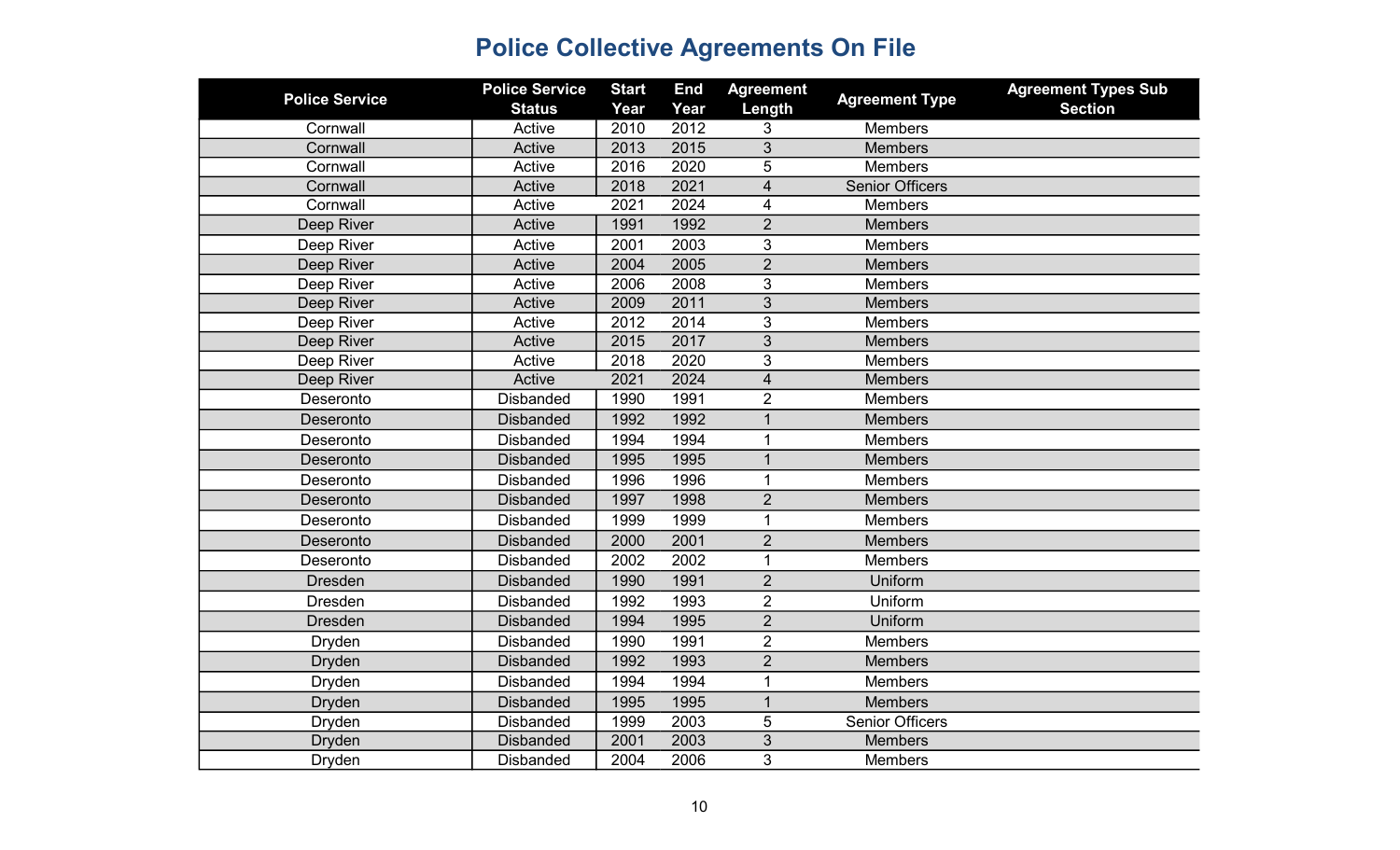| <b>Police Service</b> | <b>Police Service</b> | <b>Start</b> | <b>End</b> | <b>Agreement</b>        |                        | <b>Agreement Types Sub</b> |
|-----------------------|-----------------------|--------------|------------|-------------------------|------------------------|----------------------------|
|                       | <b>Status</b>         | Year         | Year       | Length                  | <b>Agreement Type</b>  | <b>Section</b>             |
| Cornwall              | Active                | 2010         | 2012       | 3                       | <b>Members</b>         |                            |
| Cornwall              | Active                | 2013         | 2015       | 3                       | <b>Members</b>         |                            |
| Cornwall              | Active                | 2016         | 2020       | 5                       | <b>Members</b>         |                            |
| Cornwall              | Active                | 2018         | 2021       | $\overline{4}$          | <b>Senior Officers</b> |                            |
| Cornwall              | Active                | 2021         | 2024       | 4                       | Members                |                            |
| Deep River            | Active                | 1991         | 1992       | $\overline{2}$          | <b>Members</b>         |                            |
| Deep River            | Active                | 2001         | 2003       | 3                       | Members                |                            |
| Deep River            | Active                | 2004         | 2005       | $\overline{2}$          | <b>Members</b>         |                            |
| Deep River            | Active                | 2006         | 2008       | 3                       | Members                |                            |
| Deep River            | Active                | 2009         | 2011       | $\mathfrak{S}$          | <b>Members</b>         |                            |
| Deep River            | Active                | 2012         | 2014       | $\overline{3}$          | <b>Members</b>         |                            |
| Deep River            | Active                | 2015         | 2017       | $\overline{3}$          | <b>Members</b>         |                            |
| Deep River            | Active                | 2018         | 2020       | 3                       | <b>Members</b>         |                            |
| Deep River            | Active                | 2021         | 2024       | $\overline{\mathbf{4}}$ | <b>Members</b>         |                            |
| Deseronto             | <b>Disbanded</b>      | 1990         | 1991       | $\overline{2}$          | <b>Members</b>         |                            |
| Deseronto             | <b>Disbanded</b>      | 1992         | 1992       | 1                       | <b>Members</b>         |                            |
| Deseronto             | <b>Disbanded</b>      | 1994         | 1994       | $\mathbf{1}$            | <b>Members</b>         |                            |
| Deseronto             | <b>Disbanded</b>      | 1995         | 1995       | $\mathbf 1$             | <b>Members</b>         |                            |
| Deseronto             | <b>Disbanded</b>      | 1996         | 1996       | 1                       | <b>Members</b>         |                            |
| Deseronto             | <b>Disbanded</b>      | 1997         | 1998       | $\overline{2}$          | <b>Members</b>         |                            |
| Deseronto             | <b>Disbanded</b>      | 1999         | 1999       | 1                       | <b>Members</b>         |                            |
| Deseronto             | <b>Disbanded</b>      | 2000         | 2001       | $\overline{2}$          | <b>Members</b>         |                            |
| Deseronto             | <b>Disbanded</b>      | 2002         | 2002       | $\mathbf{1}$            | <b>Members</b>         |                            |
| <b>Dresden</b>        | <b>Disbanded</b>      | 1990         | 1991       | $\overline{2}$          | Uniform                |                            |
| <b>Dresden</b>        | <b>Disbanded</b>      | 1992         | 1993       | $\overline{2}$          | Uniform                |                            |
| <b>Dresden</b>        | <b>Disbanded</b>      | 1994         | 1995       | $\overline{2}$          | Uniform                |                            |
| <b>Dryden</b>         | <b>Disbanded</b>      | 1990         | 1991       | $\overline{2}$          | <b>Members</b>         |                            |
| <b>Dryden</b>         | <b>Disbanded</b>      | 1992         | 1993       | $\overline{2}$          | <b>Members</b>         |                            |
| Dryden                | <b>Disbanded</b>      | 1994         | 1994       | 1                       | Members                |                            |
| <b>Dryden</b>         | <b>Disbanded</b>      | 1995         | 1995       | $\mathbf{1}$            | <b>Members</b>         |                            |
| <b>Dryden</b>         | <b>Disbanded</b>      | 1999         | 2003       | 5                       | <b>Senior Officers</b> |                            |
| <b>Dryden</b>         | <b>Disbanded</b>      | 2001         | 2003       | $\mathfrak{S}$          | <b>Members</b>         |                            |
| Dryden                | <b>Disbanded</b>      | 2004         | 2006       | 3                       | <b>Members</b>         |                            |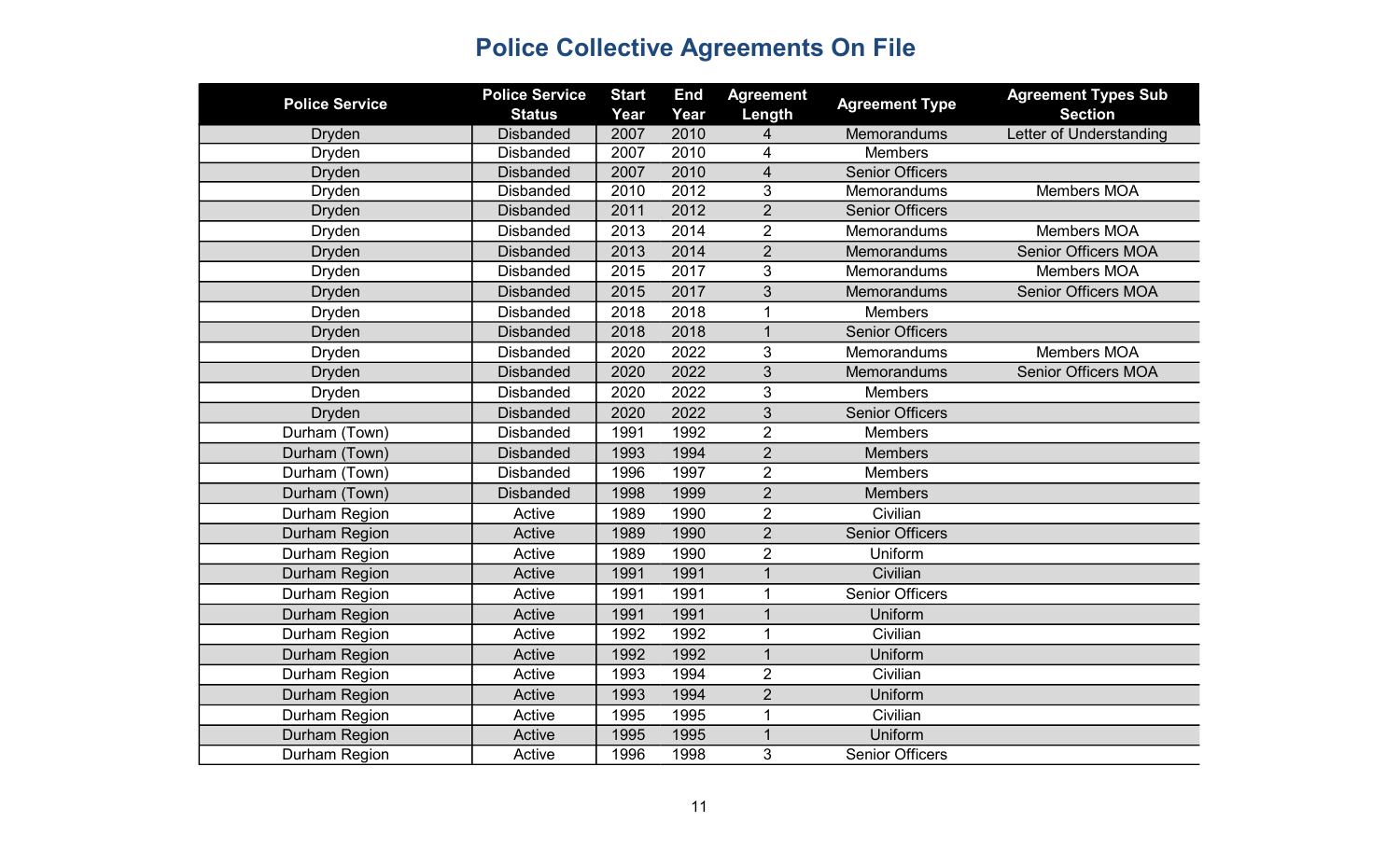| <b>Police Service</b> | <b>Police Service</b> | <b>Start</b> | <b>End</b> | <b>Agreement</b>        | <b>Agreement Type</b>  | <b>Agreement Types Sub</b> |
|-----------------------|-----------------------|--------------|------------|-------------------------|------------------------|----------------------------|
|                       | <b>Status</b>         | Year         | Year       | Length                  |                        | <b>Section</b>             |
| <b>Dryden</b>         | <b>Disbanded</b>      | 2007         | 2010       | 4                       | Memorandums            | Letter of Understanding    |
| Dryden                | <b>Disbanded</b>      | 2007         | 2010       | 4                       | <b>Members</b>         |                            |
| <b>Dryden</b>         | <b>Disbanded</b>      | 2007         | 2010       | $\overline{\mathbf{4}}$ | <b>Senior Officers</b> |                            |
| Dryden                | <b>Disbanded</b>      | 2010         | 2012       | 3                       | Memorandums            | Members MOA                |
| <b>Dryden</b>         | <b>Disbanded</b>      | 2011         | 2012       | $\overline{2}$          | <b>Senior Officers</b> |                            |
| Dryden                | <b>Disbanded</b>      | 2013         | 2014       | $\overline{2}$          | Memorandums            | Members MOA                |
| <b>Dryden</b>         | <b>Disbanded</b>      | 2013         | 2014       | $\overline{2}$          | Memorandums            | <b>Senior Officers MOA</b> |
| Dryden                | <b>Disbanded</b>      | 2015         | 2017       | 3                       | Memorandums            | Members MOA                |
| <b>Dryden</b>         | <b>Disbanded</b>      | 2015         | 2017       | 3                       | Memorandums            | <b>Senior Officers MOA</b> |
| Dryden                | <b>Disbanded</b>      | 2018         | 2018       | $\mathbf{1}$            | <b>Members</b>         |                            |
| <b>Dryden</b>         | <b>Disbanded</b>      | 2018         | 2018       | $\mathbf{1}$            | <b>Senior Officers</b> |                            |
| Dryden                | <b>Disbanded</b>      | 2020         | 2022       | 3                       | Memorandums            | <b>Members MOA</b>         |
| <b>Dryden</b>         | <b>Disbanded</b>      | 2020         | 2022       | 3                       | Memorandums            | <b>Senior Officers MOA</b> |
| Dryden                | <b>Disbanded</b>      | 2020         | 2022       | 3                       | <b>Members</b>         |                            |
| <b>Dryden</b>         | <b>Disbanded</b>      | 2020         | 2022       | 3                       | <b>Senior Officers</b> |                            |
| Durham (Town)         | <b>Disbanded</b>      | 1991         | 1992       | $\overline{2}$          | <b>Members</b>         |                            |
| Durham (Town)         | <b>Disbanded</b>      | 1993         | 1994       | $\overline{2}$          | <b>Members</b>         |                            |
| Durham (Town)         | <b>Disbanded</b>      | 1996         | 1997       | $\overline{2}$          | <b>Members</b>         |                            |
| Durham (Town)         | <b>Disbanded</b>      | 1998         | 1999       | $\overline{2}$          | <b>Members</b>         |                            |
| Durham Region         | Active                | 1989         | 1990       | $\overline{2}$          | Civilian               |                            |
| Durham Region         | Active                | 1989         | 1990       | $\overline{2}$          | <b>Senior Officers</b> |                            |
| Durham Region         | Active                | 1989         | 1990       | $\overline{2}$          | Uniform                |                            |
| Durham Region         | Active                | 1991         | 1991       | $\mathbf{1}$            | Civilian               |                            |
| Durham Region         | Active                | 1991         | 1991       | $\mathbf{1}$            | <b>Senior Officers</b> |                            |
| Durham Region         | Active                | 1991         | 1991       | $\overline{1}$          | Uniform                |                            |
| Durham Region         | Active                | 1992         | 1992       | $\mathbf 1$             | Civilian               |                            |
| Durham Region         | Active                | 1992         | 1992       | $\overline{1}$          | Uniform                |                            |
| Durham Region         | Active                | 1993         | 1994       | $\overline{2}$          | Civilian               |                            |
| Durham Region         | Active                | 1993         | 1994       | $\overline{2}$          | Uniform                |                            |
| Durham Region         | Active                | 1995         | 1995       | $\mathbf{1}$            | Civilian               |                            |
| Durham Region         | Active                | 1995         | 1995       | $\mathbf{1}$            | Uniform                |                            |
| Durham Region         | Active                | 1996         | 1998       | 3                       | <b>Senior Officers</b> |                            |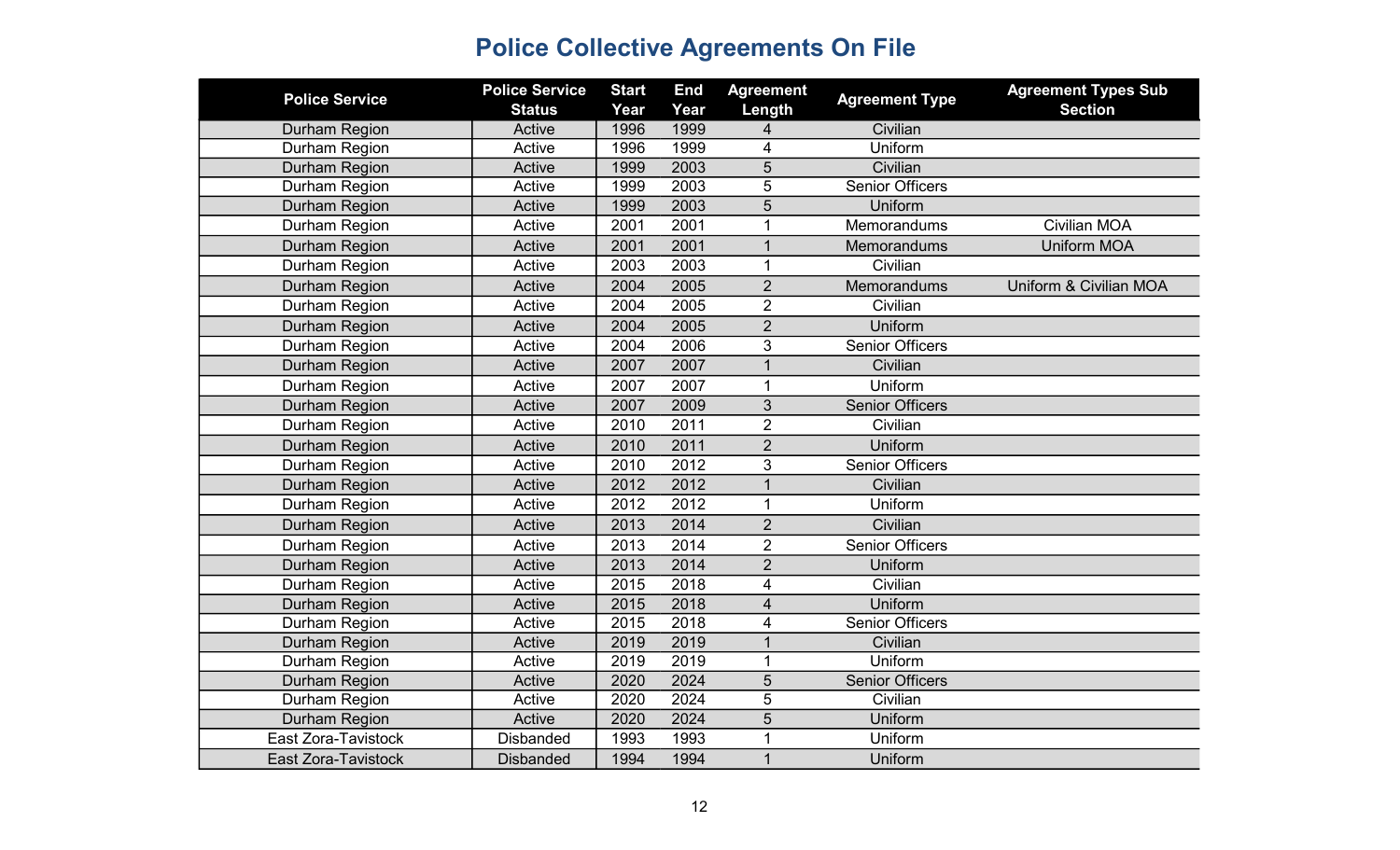| <b>Police Service</b> | <b>Police Service</b><br><b>Status</b> | <b>Start</b><br>Year | <b>End</b><br>Year | <b>Agreement</b><br>Length | <b>Agreement Type</b>  | <b>Agreement Types Sub</b><br><b>Section</b> |
|-----------------------|----------------------------------------|----------------------|--------------------|----------------------------|------------------------|----------------------------------------------|
| Durham Region         | Active                                 | 1996                 | 1999               | 4                          | Civilian               |                                              |
| Durham Region         | Active                                 | 1996                 | 1999               | 4                          | Uniform                |                                              |
| Durham Region         | Active                                 | 1999                 | 2003               | $\overline{5}$             | Civilian               |                                              |
| Durham Region         | Active                                 | 1999                 | 2003               | 5                          | <b>Senior Officers</b> |                                              |
| Durham Region         | Active                                 | 1999                 | 2003               | 5                          | Uniform                |                                              |
| Durham Region         | Active                                 | 2001                 | 2001               | 1                          | Memorandums            | <b>Civilian MOA</b>                          |
| Durham Region         | Active                                 | 2001                 | 2001               | $\mathbf{1}$               | Memorandums            | <b>Uniform MOA</b>                           |
| Durham Region         | Active                                 | 2003                 | 2003               | 1                          | Civilian               |                                              |
| Durham Region         | Active                                 | 2004                 | 2005               | $\overline{2}$             | <b>Memorandums</b>     | Uniform & Civilian MOA                       |
| Durham Region         | Active                                 | 2004                 | 2005               | $\overline{2}$             | Civilian               |                                              |
| Durham Region         | Active                                 | 2004                 | 2005               | $\overline{2}$             | Uniform                |                                              |
| Durham Region         | Active                                 | 2004                 | 2006               | 3                          | <b>Senior Officers</b> |                                              |
| Durham Region         | Active                                 | 2007                 | 2007               | $\overline{1}$             | Civilian               |                                              |
| Durham Region         | Active                                 | 2007                 | 2007               | 1                          | Uniform                |                                              |
| Durham Region         | Active                                 | 2007                 | 2009               | 3                          | <b>Senior Officers</b> |                                              |
| Durham Region         | Active                                 | 2010                 | 2011               | $\overline{2}$             | Civilian               |                                              |
| Durham Region         | Active                                 | 2010                 | 2011               | $\overline{2}$             | Uniform                |                                              |
| Durham Region         | Active                                 | 2010                 | 2012               | 3                          | <b>Senior Officers</b> |                                              |
| Durham Region         | Active                                 | 2012                 | 2012               | $\mathbf{1}$               | Civilian               |                                              |
| Durham Region         | Active                                 | 2012                 | 2012               | $\mathbf{1}$               | Uniform                |                                              |
| Durham Region         | Active                                 | 2013                 | 2014               | $\overline{2}$             | Civilian               |                                              |
| Durham Region         | Active                                 | 2013                 | 2014               | $\overline{2}$             | <b>Senior Officers</b> |                                              |
| Durham Region         | Active                                 | 2013                 | 2014               | $\overline{2}$             | Uniform                |                                              |
| Durham Region         | Active                                 | 2015                 | 2018               | $\overline{4}$             | Civilian               |                                              |
| Durham Region         | Active                                 | 2015                 | 2018               | $\overline{4}$             | Uniform                |                                              |
| Durham Region         | Active                                 | 2015                 | 2018               | 4                          | <b>Senior Officers</b> |                                              |
| Durham Region         | Active                                 | 2019                 | 2019               | $\overline{1}$             | Civilian               |                                              |
| Durham Region         | Active                                 | 2019                 | 2019               | $\mathbf{1}$               | Uniform                |                                              |
| Durham Region         | Active                                 | 2020                 | 2024               | $\overline{5}$             | <b>Senior Officers</b> |                                              |
| Durham Region         | Active                                 | 2020                 | 2024               | 5                          | Civilian               |                                              |
| Durham Region         | Active                                 | 2020                 | 2024               | 5                          | Uniform                |                                              |
| East Zora-Tavistock   | <b>Disbanded</b>                       | 1993                 | 1993               | $\mathbf 1$                | Uniform                |                                              |
| East Zora-Tavistock   | <b>Disbanded</b>                       | 1994                 | 1994               | $\overline{1}$             | Uniform                |                                              |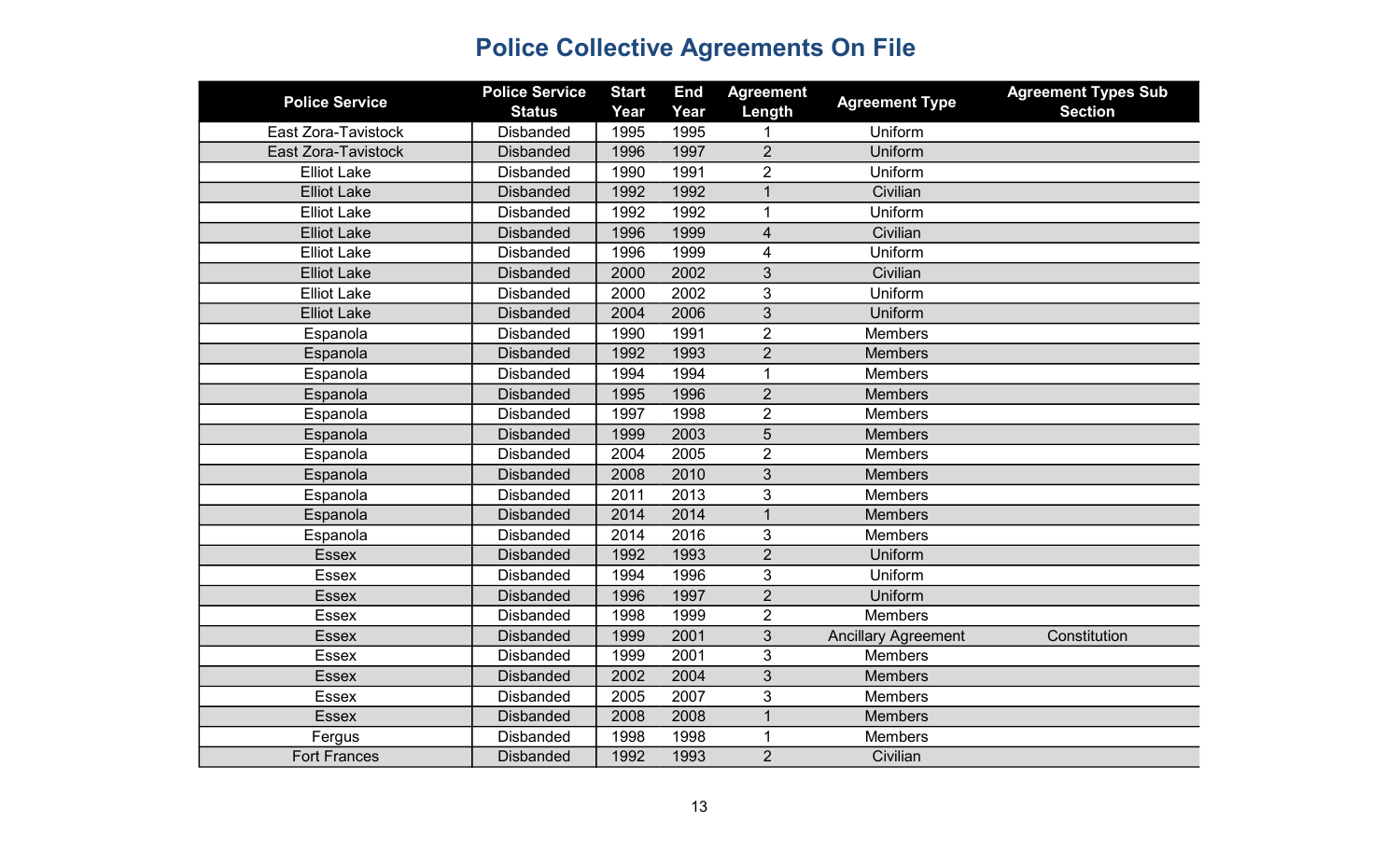| <b>Police Service</b>      | <b>Police Service</b> | <b>Start</b> | <b>End</b> | <b>Agreement</b> | <b>Agreement Type</b>      | <b>Agreement Types Sub</b> |
|----------------------------|-----------------------|--------------|------------|------------------|----------------------------|----------------------------|
|                            | <b>Status</b>         | Year         | Year       | Length           |                            | <b>Section</b>             |
| East Zora-Tavistock        | <b>Disbanded</b>      | 1995         | 1995       |                  | Uniform                    |                            |
| <b>East Zora-Tavistock</b> | <b>Disbanded</b>      | 1996         | 1997       | $\overline{2}$   | Uniform                    |                            |
| <b>Elliot Lake</b>         | <b>Disbanded</b>      | 1990         | 1991       | $\overline{2}$   | Uniform                    |                            |
| <b>Elliot Lake</b>         | <b>Disbanded</b>      | 1992         | 1992       | $\overline{1}$   | Civilian                   |                            |
| <b>Elliot Lake</b>         | <b>Disbanded</b>      | 1992         | 1992       | 1                | Uniform                    |                            |
| <b>Elliot Lake</b>         | <b>Disbanded</b>      | 1996         | 1999       | 4                | Civilian                   |                            |
| <b>Elliot Lake</b>         | <b>Disbanded</b>      | 1996         | 1999       | 4                | Uniform                    |                            |
| <b>Elliot Lake</b>         | <b>Disbanded</b>      | 2000         | 2002       | 3                | Civilian                   |                            |
| <b>Elliot Lake</b>         | <b>Disbanded</b>      | 2000         | 2002       | 3                | Uniform                    |                            |
| <b>Elliot Lake</b>         | <b>Disbanded</b>      | 2004         | 2006       | 3                | Uniform                    |                            |
| Espanola                   | <b>Disbanded</b>      | 1990         | 1991       | $\overline{2}$   | <b>Members</b>             |                            |
| Espanola                   | <b>Disbanded</b>      | 1992         | 1993       | $\overline{2}$   | <b>Members</b>             |                            |
| Espanola                   | <b>Disbanded</b>      | 1994         | 1994       | $\mathbf 1$      | <b>Members</b>             |                            |
| Espanola                   | <b>Disbanded</b>      | 1995         | 1996       | $\overline{2}$   | <b>Members</b>             |                            |
| Espanola                   | <b>Disbanded</b>      | 1997         | 1998       | $\overline{2}$   | <b>Members</b>             |                            |
| Espanola                   | <b>Disbanded</b>      | 1999         | 2003       | 5                | <b>Members</b>             |                            |
| Espanola                   | <b>Disbanded</b>      | 2004         | 2005       | $\overline{2}$   | <b>Members</b>             |                            |
| Espanola                   | <b>Disbanded</b>      | 2008         | 2010       | 3                | <b>Members</b>             |                            |
| Espanola                   | <b>Disbanded</b>      | 2011         | 2013       | 3                | Members                    |                            |
| Espanola                   | <b>Disbanded</b>      | 2014         | 2014       | $\mathbf{1}$     | <b>Members</b>             |                            |
| Espanola                   | <b>Disbanded</b>      | 2014         | 2016       | 3                | <b>Members</b>             |                            |
| <b>Essex</b>               | <b>Disbanded</b>      | 1992         | 1993       | $\overline{2}$   | Uniform                    |                            |
| <b>Essex</b>               | <b>Disbanded</b>      | 1994         | 1996       | 3                | Uniform                    |                            |
| <b>Essex</b>               | <b>Disbanded</b>      | 1996         | 1997       | $\overline{2}$   | Uniform                    |                            |
| <b>Essex</b>               | <b>Disbanded</b>      | 1998         | 1999       | $\overline{2}$   | <b>Members</b>             |                            |
| <b>Essex</b>               | <b>Disbanded</b>      | 1999         | 2001       | 3                | <b>Ancillary Agreement</b> | Constitution               |
| <b>Essex</b>               | <b>Disbanded</b>      | 1999         | 2001       | 3                | <b>Members</b>             |                            |
| <b>Essex</b>               | <b>Disbanded</b>      | 2002         | 2004       | 3                | <b>Members</b>             |                            |
| Essex                      | <b>Disbanded</b>      | 2005         | 2007       | 3                | <b>Members</b>             |                            |
| <b>Essex</b>               | <b>Disbanded</b>      | 2008         | 2008       | $\mathbf{1}$     | <b>Members</b>             |                            |
| Fergus                     | <b>Disbanded</b>      | 1998         | 1998       | $\mathbf 1$      | Members                    |                            |
| <b>Fort Frances</b>        | <b>Disbanded</b>      | 1992         | 1993       | $\overline{2}$   | Civilian                   |                            |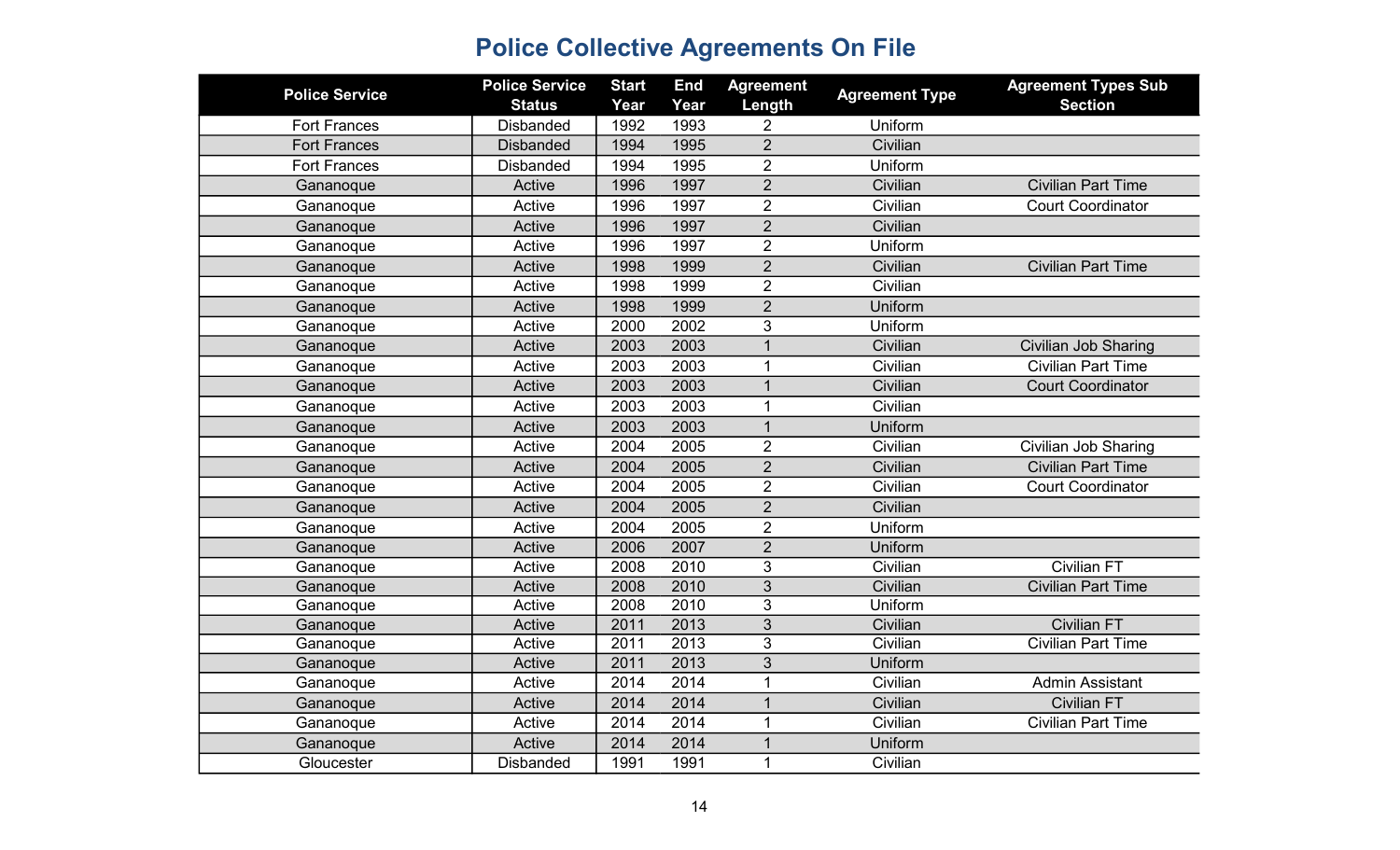| <b>Police Service</b> | <b>Police Service</b><br><b>Status</b> | <b>Start</b><br>Year | <b>End</b><br>Year | <b>Agreement</b><br>Length | <b>Agreement Type</b> | <b>Agreement Types Sub</b><br><b>Section</b> |
|-----------------------|----------------------------------------|----------------------|--------------------|----------------------------|-----------------------|----------------------------------------------|
| <b>Fort Frances</b>   | <b>Disbanded</b>                       | 1992                 | 1993               | 2                          | Uniform               |                                              |
| <b>Fort Frances</b>   | <b>Disbanded</b>                       | 1994                 | 1995               | $\overline{2}$             | Civilian              |                                              |
| <b>Fort Frances</b>   | <b>Disbanded</b>                       | 1994                 | 1995               | $\overline{2}$             | Uniform               |                                              |
| Gananoque             | Active                                 | 1996                 | 1997               | $\overline{2}$             | Civilian              | <b>Civilian Part Time</b>                    |
| Gananoque             | Active                                 | 1996                 | 1997               | $\overline{2}$             | Civilian              | <b>Court Coordinator</b>                     |
| Gananoque             | Active                                 | 1996                 | 1997               | $\overline{2}$             | Civilian              |                                              |
| Gananoque             | Active                                 | 1996                 | 1997               | $\overline{2}$             | Uniform               |                                              |
| Gananoque             | Active                                 | 1998                 | 1999               | $\overline{2}$             | Civilian              | <b>Civilian Part Time</b>                    |
| Gananoque             | Active                                 | 1998                 | 1999               | $\overline{2}$             | Civilian              |                                              |
| Gananoque             | Active                                 | 1998                 | 1999               | $\overline{2}$             | Uniform               |                                              |
| Gananoque             | Active                                 | 2000                 | 2002               | 3                          | Uniform               |                                              |
| Gananoque             | Active                                 | 2003                 | 2003               | $\mathbf{1}$               | Civilian              | <b>Civilian Job Sharing</b>                  |
| Gananoque             | Active                                 | 2003                 | 2003               | 1                          | Civilian              | <b>Civilian Part Time</b>                    |
| Gananoque             | Active                                 | 2003                 | 2003               | $\mathbf 1$                | Civilian              | <b>Court Coordinator</b>                     |
| Gananoque             | Active                                 | 2003                 | 2003               | 1                          | Civilian              |                                              |
| Gananoque             | Active                                 | 2003                 | 2003               | $\mathbf{1}$               | Uniform               |                                              |
| Gananoque             | Active                                 | 2004                 | 2005               | $\overline{2}$             | Civilian              | <b>Civilian Job Sharing</b>                  |
| Gananoque             | Active                                 | 2004                 | 2005               | $\overline{2}$             | Civilian              | <b>Civilian Part Time</b>                    |
| Gananoque             | Active                                 | 2004                 | 2005               | $\overline{2}$             | Civilian              | <b>Court Coordinator</b>                     |
| Gananoque             | Active                                 | 2004                 | 2005               | $\overline{2}$             | Civilian              |                                              |
| Gananoque             | Active                                 | 2004                 | 2005               | $\overline{2}$             | Uniform               |                                              |
| Gananoque             | Active                                 | 2006                 | 2007               | $\overline{2}$             | Uniform               |                                              |
| Gananoque             | Active                                 | 2008                 | 2010               | 3                          | Civilian              | <b>Civilian FT</b>                           |
| Gananoque             | Active                                 | 2008                 | 2010               | $\sqrt{3}$                 | Civilian              | <b>Civilian Part Time</b>                    |
| Gananoque             | Active                                 | 2008                 | 2010               | 3                          | Uniform               |                                              |
| Gananoque             | Active                                 | 2011                 | 2013               | 3                          | Civilian              | <b>Civilian FT</b>                           |
| Gananoque             | Active                                 | 2011                 | 2013               | 3                          | Civilian              | <b>Civilian Part Time</b>                    |
| Gananoque             | Active                                 | 2011                 | 2013               | 3                          | Uniform               |                                              |
| Gananoque             | Active                                 | 2014                 | 2014               | $\mathbf{1}$               | Civilian              | <b>Admin Assistant</b>                       |
| Gananoque             | Active                                 | 2014                 | 2014               | $\mathbf{1}$               | Civilian              | <b>Civilian FT</b>                           |
| Gananoque             | Active                                 | 2014                 | 2014               | 1                          | Civilian              | <b>Civilian Part Time</b>                    |
| Gananoque             | Active                                 | 2014                 | 2014               | 1                          | Uniform               |                                              |
| Gloucester            | <b>Disbanded</b>                       | 1991                 | 1991               | $\mathbf{1}$               | Civilian              |                                              |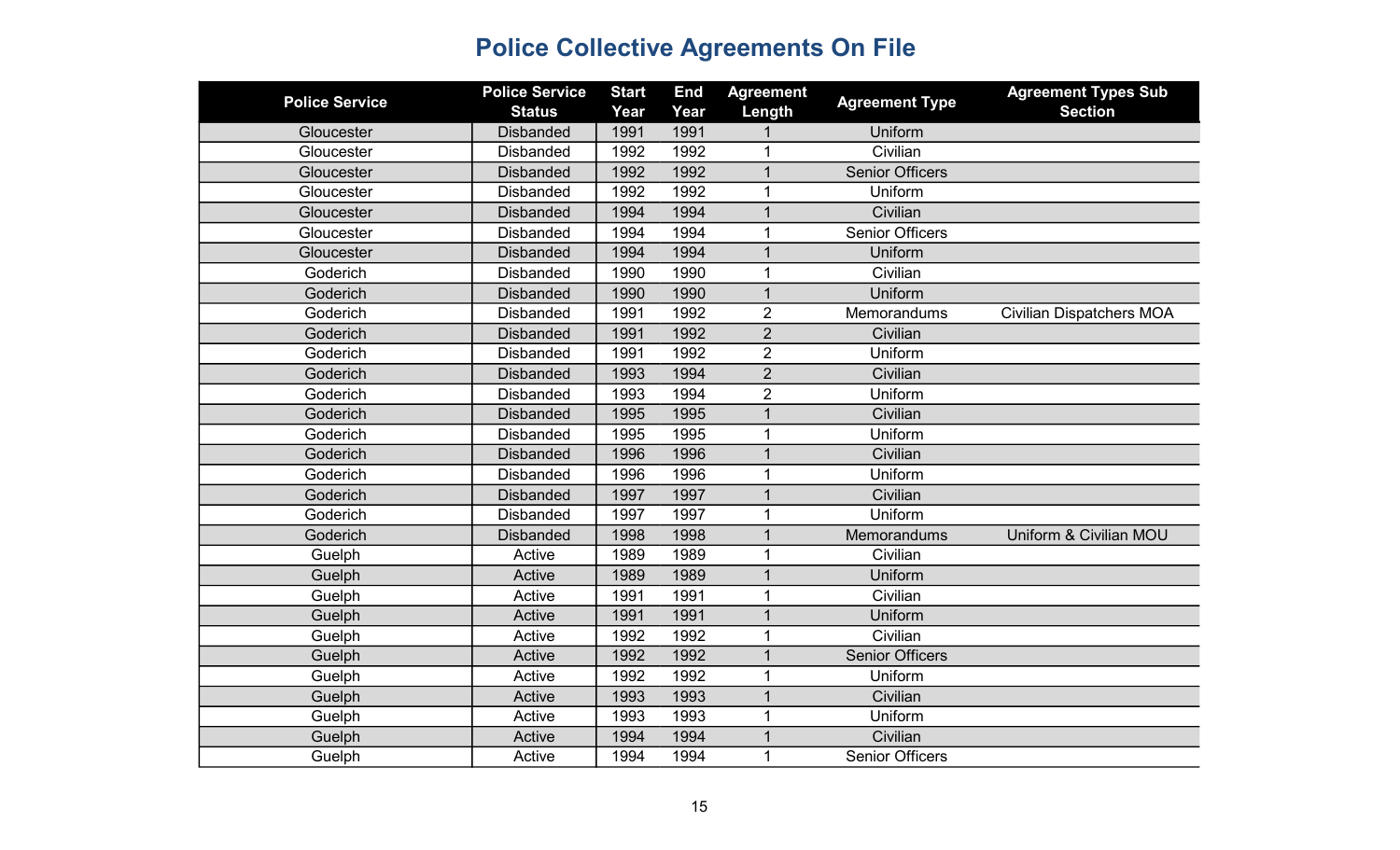| <b>Police Service</b> | <b>Police Service</b><br><b>Status</b> | <b>Start</b><br>Year | <b>End</b><br>Year | <b>Agreement</b><br>Length | <b>Agreement Type</b>  | <b>Agreement Types Sub</b><br><b>Section</b> |
|-----------------------|----------------------------------------|----------------------|--------------------|----------------------------|------------------------|----------------------------------------------|
| Gloucester            | <b>Disbanded</b>                       | 1991                 | 1991               |                            | Uniform                |                                              |
| Gloucester            | <b>Disbanded</b>                       | 1992                 | 1992               | 1                          | Civilian               |                                              |
| Gloucester            | <b>Disbanded</b>                       | 1992                 | 1992               | $\mathbf{1}$               | <b>Senior Officers</b> |                                              |
| Gloucester            | <b>Disbanded</b>                       | 1992                 | 1992               | $\mathbf{1}$               | Uniform                |                                              |
| Gloucester            | <b>Disbanded</b>                       | 1994                 | 1994               |                            | Civilian               |                                              |
| Gloucester            | <b>Disbanded</b>                       | 1994                 | 1994               | $\mathbf 1$                | <b>Senior Officers</b> |                                              |
| Gloucester            | <b>Disbanded</b>                       | 1994                 | 1994               | $\mathbf{1}$               | Uniform                |                                              |
| Goderich              | <b>Disbanded</b>                       | 1990                 | 1990               | 1                          | Civilian               |                                              |
| Goderich              | <b>Disbanded</b>                       | 1990                 | 1990               | $\mathbf{1}$               | Uniform                |                                              |
| Goderich              | <b>Disbanded</b>                       | 1991                 | 1992               | $\overline{2}$             | Memorandums            | <b>Civilian Dispatchers MOA</b>              |
| Goderich              | <b>Disbanded</b>                       | 1991                 | 1992               | $\overline{2}$             | Civilian               |                                              |
| Goderich              | <b>Disbanded</b>                       | 1991                 | 1992               | $\overline{2}$             | Uniform                |                                              |
| Goderich              | <b>Disbanded</b>                       | 1993                 | 1994               | $\overline{2}$             | Civilian               |                                              |
| Goderich              | <b>Disbanded</b>                       | 1993                 | 1994               | $\overline{2}$             | Uniform                |                                              |
| Goderich              | <b>Disbanded</b>                       | 1995                 | 1995               | 1                          | Civilian               |                                              |
| Goderich              | <b>Disbanded</b>                       | 1995                 | 1995               | $\mathbf 1$                | Uniform                |                                              |
| Goderich              | <b>Disbanded</b>                       | 1996                 | 1996               | $\mathbf{1}$               | Civilian               |                                              |
| Goderich              | <b>Disbanded</b>                       | 1996                 | 1996               | $\mathbf 1$                | Uniform                |                                              |
| Goderich              | <b>Disbanded</b>                       | 1997                 | 1997               | $\mathbf{1}$               | Civilian               |                                              |
| Goderich              | <b>Disbanded</b>                       | 1997                 | 1997               | $\mathbf 1$                | Uniform                |                                              |
| Goderich              | <b>Disbanded</b>                       | 1998                 | 1998               | $\mathbf 1$                | Memorandums            | Uniform & Civilian MOU                       |
| Guelph                | Active                                 | 1989                 | 1989               |                            | Civilian               |                                              |
| Guelph                | Active                                 | 1989                 | 1989               | $\mathbf 1$                | Uniform                |                                              |
| Guelph                | Active                                 | 1991                 | 1991               | $\mathbf{1}$               | Civilian               |                                              |
| Guelph                | Active                                 | 1991                 | 1991               | $\mathbf 1$                | Uniform                |                                              |
| Guelph                | Active                                 | 1992                 | 1992               | 1                          | Civilian               |                                              |
| Guelph                | Active                                 | 1992                 | 1992               | $\mathbf{1}$               | <b>Senior Officers</b> |                                              |
| Guelph                | Active                                 | 1992                 | 1992               | $\mathbf 1$                | Uniform                |                                              |
| Guelph                | Active                                 | 1993                 | 1993               | $\mathbf{1}$               | Civilian               |                                              |
| Guelph                | Active                                 | 1993                 | 1993               | 1                          | Uniform                |                                              |
| Guelph                | Active                                 | 1994                 | 1994               |                            | Civilian               |                                              |
| Guelph                | Active                                 | 1994                 | 1994               | $\mathbf 1$                | <b>Senior Officers</b> |                                              |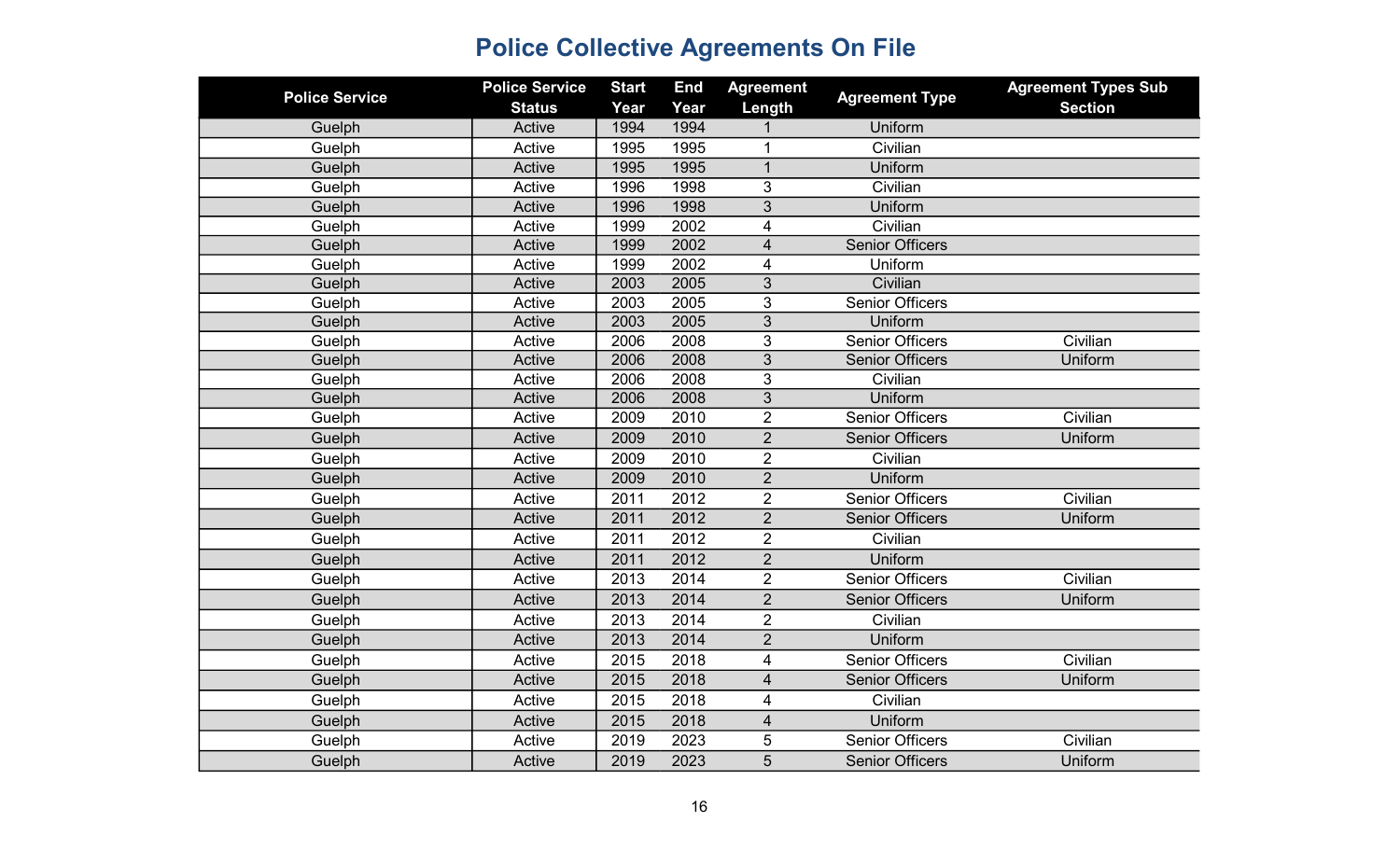| <b>Police Service</b> | <b>Police Service</b><br><b>Status</b> | <b>Start</b><br>Year | <b>End</b><br>Year | <b>Agreement</b><br>Length | <b>Agreement Type</b>  | <b>Agreement Types Sub</b><br><b>Section</b> |
|-----------------------|----------------------------------------|----------------------|--------------------|----------------------------|------------------------|----------------------------------------------|
| Guelph                | Active                                 | 1994                 | 1994               |                            | Uniform                |                                              |
| Guelph                | Active                                 | 1995                 | 1995               | 1                          | Civilian               |                                              |
| Guelph                | Active                                 | 1995                 | 1995               | $\mathbf{1}$               | Uniform                |                                              |
| Guelph                | Active                                 | 1996                 | 1998               | 3                          | Civilian               |                                              |
| Guelph                | Active                                 | 1996                 | 1998               | 3                          | Uniform                |                                              |
| Guelph                | Active                                 | 1999                 | 2002               | 4                          | Civilian               |                                              |
| Guelph                | Active                                 | 1999                 | 2002               | $\overline{\mathbf{4}}$    | <b>Senior Officers</b> |                                              |
| Guelph                | Active                                 | 1999                 | 2002               | 4                          | Uniform                |                                              |
| Guelph                | Active                                 | 2003                 | 2005               | $\mathfrak{S}$             | Civilian               |                                              |
| Guelph                | Active                                 | 2003                 | 2005               | $\overline{3}$             | <b>Senior Officers</b> |                                              |
| Guelph                | Active                                 | 2003                 | 2005               | 3                          | Uniform                |                                              |
| Guelph                | Active                                 | 2006                 | 2008               | 3                          | <b>Senior Officers</b> | Civilian                                     |
| Guelph                | Active                                 | 2006                 | 2008               | 3                          | <b>Senior Officers</b> | Uniform                                      |
| Guelph                | Active                                 | 2006                 | 2008               | 3                          | Civilian               |                                              |
| Guelph                | Active                                 | 2006                 | 2008               | 3                          | Uniform                |                                              |
| Guelph                | Active                                 | 2009                 | 2010               | $\overline{2}$             | <b>Senior Officers</b> | Civilian                                     |
| Guelph                | Active                                 | 2009                 | 2010               | $\overline{2}$             | <b>Senior Officers</b> | Uniform                                      |
| Guelph                | Active                                 | 2009                 | 2010               | $\overline{2}$             | Civilian               |                                              |
| Guelph                | Active                                 | 2009                 | 2010               | $\overline{2}$             | Uniform                |                                              |
| Guelph                | Active                                 | 2011                 | 2012               | $\overline{2}$             | <b>Senior Officers</b> | Civilian                                     |
| Guelph                | Active                                 | 2011                 | 2012               | $\overline{2}$             | <b>Senior Officers</b> | Uniform                                      |
| Guelph                | Active                                 | 2011                 | 2012               | $\overline{2}$             | Civilian               |                                              |
| Guelph                | Active                                 | 2011                 | 2012               | $\overline{2}$             | Uniform                |                                              |
| Guelph                | Active                                 | 2013                 | 2014               | $\overline{2}$             | <b>Senior Officers</b> | Civilian                                     |
| Guelph                | Active                                 | 2013                 | 2014               | $\overline{2}$             | <b>Senior Officers</b> | Uniform                                      |
| Guelph                | Active                                 | 2013                 | 2014               | $\overline{2}$             | Civilian               |                                              |
| Guelph                | Active                                 | 2013                 | 2014               | $\overline{2}$             | Uniform                |                                              |
| Guelph                | Active                                 | 2015                 | 2018               | 4                          | <b>Senior Officers</b> | Civilian                                     |
| Guelph                | Active                                 | 2015                 | 2018               | $\overline{\mathbf{4}}$    | <b>Senior Officers</b> | Uniform                                      |
| Guelph                | Active                                 | 2015                 | 2018               | 4                          | Civilian               |                                              |
| Guelph                | Active                                 | 2015                 | 2018               | $\overline{\mathbf{4}}$    | Uniform                |                                              |
| Guelph                | Active                                 | 2019                 | 2023               | 5                          | <b>Senior Officers</b> | Civilian                                     |
| Guelph                | Active                                 | 2019                 | 2023               | 5                          | <b>Senior Officers</b> | Uniform                                      |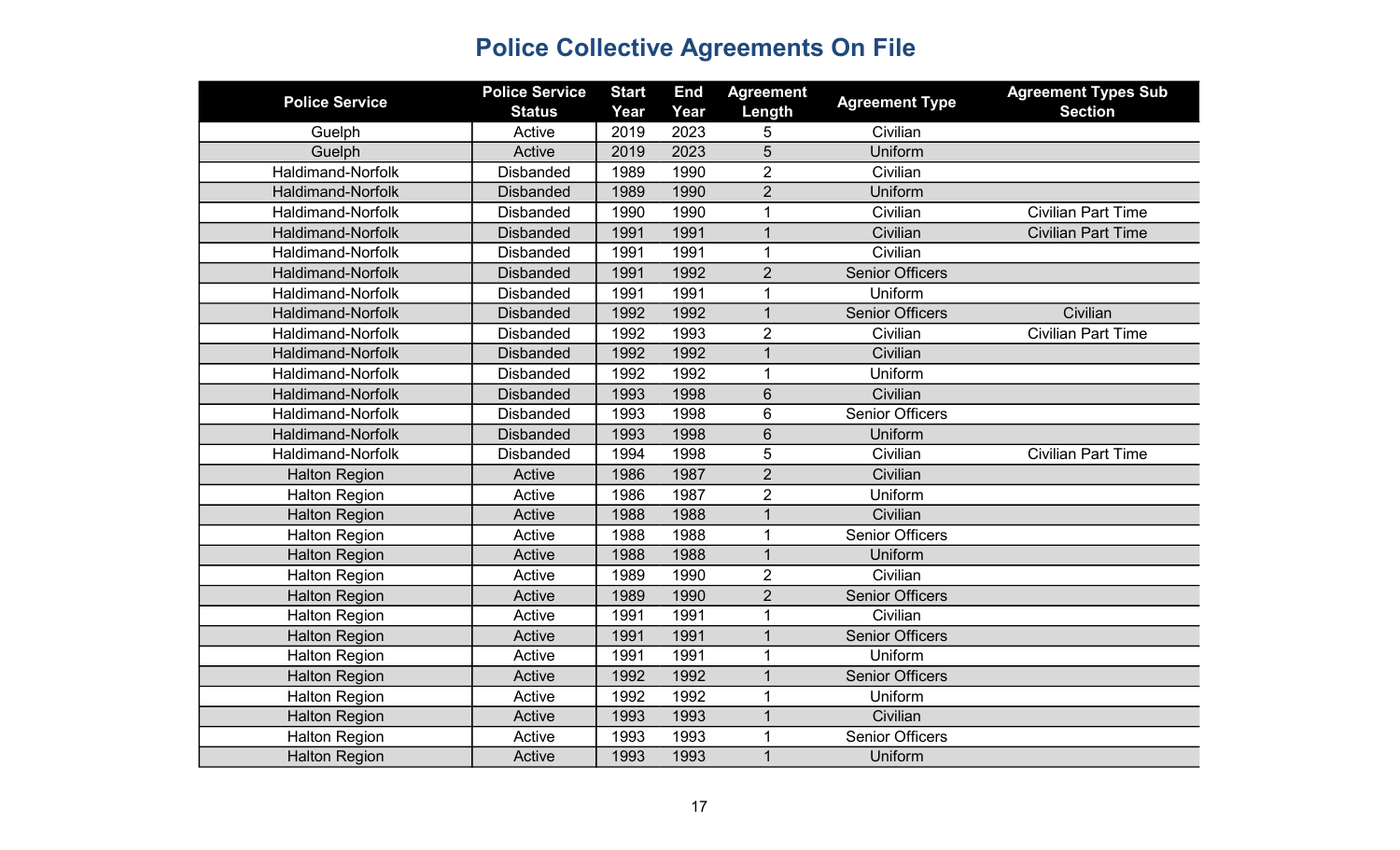| <b>Police Service</b>    | <b>Police Service</b><br><b>Status</b> | <b>Start</b><br>Year | <b>End</b><br>Year | <b>Agreement</b><br>Length | <b>Agreement Type</b>  | <b>Agreement Types Sub</b><br><b>Section</b> |
|--------------------------|----------------------------------------|----------------------|--------------------|----------------------------|------------------------|----------------------------------------------|
| Guelph                   | Active                                 | 2019                 | 2023               | 5                          | Civilian               |                                              |
| Guelph                   | Active                                 | 2019                 | 2023               | 5                          | Uniform                |                                              |
| Haldimand-Norfolk        | <b>Disbanded</b>                       | 1989                 | 1990               | $\overline{2}$             | Civilian               |                                              |
| <b>Haldimand-Norfolk</b> | <b>Disbanded</b>                       | 1989                 | 1990               | $\overline{2}$             | Uniform                |                                              |
| <b>Haldimand-Norfolk</b> | <b>Disbanded</b>                       |                      |                    |                            | Civilian               |                                              |
|                          |                                        | 1990                 | 1990               | 1                          |                        | <b>Civilian Part Time</b>                    |
| <b>Haldimand-Norfolk</b> | <b>Disbanded</b>                       | 1991                 | 1991               | $\mathbf{1}$               | Civilian               | <b>Civilian Part Time</b>                    |
| <b>Haldimand-Norfolk</b> | <b>Disbanded</b>                       | 1991                 | 1991               | 1                          | Civilian               |                                              |
| <b>Haldimand-Norfolk</b> | <b>Disbanded</b>                       | 1991                 | 1992               | $\overline{2}$             | <b>Senior Officers</b> |                                              |
| <b>Haldimand-Norfolk</b> | <b>Disbanded</b>                       | 1991                 | 1991               | $\mathbf{1}$               | Uniform                |                                              |
| <b>Haldimand-Norfolk</b> | <b>Disbanded</b>                       | 1992                 | 1992               | $\mathbf{1}$               | <b>Senior Officers</b> | Civilian                                     |
| <b>Haldimand-Norfolk</b> | <b>Disbanded</b>                       | 1992                 | 1993               | $\overline{2}$             | Civilian               | <b>Civilian Part Time</b>                    |
| <b>Haldimand-Norfolk</b> | <b>Disbanded</b>                       | 1992                 | 1992               | 1                          | Civilian               |                                              |
| Haldimand-Norfolk        | <b>Disbanded</b>                       | 1992                 | 1992               | 1                          | Uniform                |                                              |
| <b>Haldimand-Norfolk</b> | <b>Disbanded</b>                       | 1993                 | 1998               | 6                          | Civilian               |                                              |
| Haldimand-Norfolk        | <b>Disbanded</b>                       | 1993                 | 1998               | 6                          | <b>Senior Officers</b> |                                              |
| <b>Haldimand-Norfolk</b> | <b>Disbanded</b>                       | 1993                 | 1998               | $6\phantom{1}$             | Uniform                |                                              |
| Haldimand-Norfolk        | <b>Disbanded</b>                       | 1994                 | 1998               | 5                          | Civilian               | <b>Civilian Part Time</b>                    |
| <b>Halton Region</b>     | Active                                 | 1986                 | 1987               | $\overline{2}$             | Civilian               |                                              |
| <b>Halton Region</b>     | Active                                 | 1986                 | 1987               | $\overline{2}$             | Uniform                |                                              |
| <b>Halton Region</b>     | Active                                 | 1988                 | 1988               | $\mathbf{1}$               | Civilian               |                                              |
| <b>Halton Region</b>     | Active                                 | 1988                 | 1988               | $\mathbf 1$                | <b>Senior Officers</b> |                                              |
| <b>Halton Region</b>     | Active                                 | 1988                 | 1988               | $\mathbf{1}$               | Uniform                |                                              |
| <b>Halton Region</b>     | Active                                 | 1989                 | 1990               | $\overline{2}$             | Civilian               |                                              |
| <b>Halton Region</b>     | Active                                 | 1989                 | 1990               | $\overline{2}$             | <b>Senior Officers</b> |                                              |
| <b>Halton Region</b>     | Active                                 | 1991                 | 1991               | 1                          | Civilian               |                                              |
| <b>Halton Region</b>     | Active                                 | 1991                 | 1991               | $\mathbf{1}$               | <b>Senior Officers</b> |                                              |
| Halton Region            | Active                                 | 1991                 | 1991               | 1                          | Uniform                |                                              |
| <b>Halton Region</b>     | Active                                 | 1992                 | 1992               | $\overline{1}$             | <b>Senior Officers</b> |                                              |
| <b>Halton Region</b>     | Active                                 | 1992                 | 1992               | $\mathbf 1$                | Uniform                |                                              |
| <b>Halton Region</b>     | Active                                 | 1993                 | 1993               | 1                          | Civilian               |                                              |
| <b>Halton Region</b>     | Active                                 | 1993                 | 1993               | 1                          | <b>Senior Officers</b> |                                              |
| <b>Halton Region</b>     | Active                                 | 1993                 | 1993               | 1                          | Uniform                |                                              |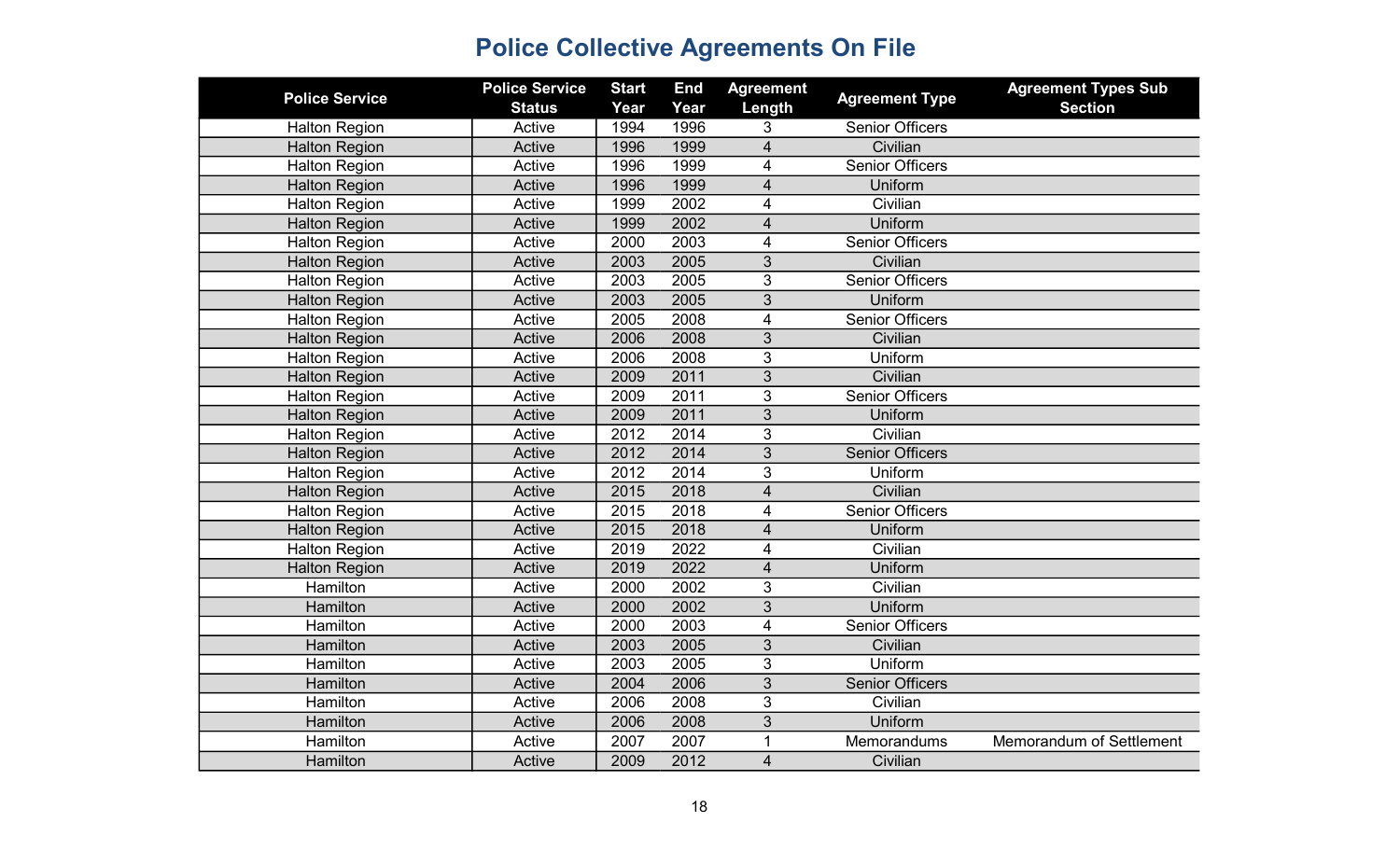| <b>Police Service</b> | <b>Police Service</b> | <b>Start</b> | <b>End</b> | <b>Agreement</b>        |                        | <b>Agreement Types Sub</b> |
|-----------------------|-----------------------|--------------|------------|-------------------------|------------------------|----------------------------|
|                       | <b>Status</b>         | Year         | Year       | Length                  | <b>Agreement Type</b>  | <b>Section</b>             |
| <b>Halton Region</b>  | Active                | 1994         | 1996       | 3                       | <b>Senior Officers</b> |                            |
| <b>Halton Region</b>  | Active                | 1996         | 1999       | $\overline{4}$          | Civilian               |                            |
| <b>Halton Region</b>  | Active                | 1996         | 1999       | 4                       | <b>Senior Officers</b> |                            |
| <b>Halton Region</b>  | Active                | 1996         | 1999       | $\overline{\mathbf{4}}$ | Uniform                |                            |
| <b>Halton Region</b>  | Active                | 1999         | 2002       | $\overline{4}$          | Civilian               |                            |
| <b>Halton Region</b>  | Active                | 1999         | 2002       | $\overline{\mathbf{4}}$ | Uniform                |                            |
| <b>Halton Region</b>  | Active                | 2000         | 2003       | $\overline{\mathbf{4}}$ | <b>Senior Officers</b> |                            |
| <b>Halton Region</b>  | Active                | 2003         | 2005       | 3                       | Civilian               |                            |
| <b>Halton Region</b>  | Active                | 2003         | 2005       | 3                       | <b>Senior Officers</b> |                            |
| <b>Halton Region</b>  | Active                | 2003         | 2005       | 3                       | Uniform                |                            |
| <b>Halton Region</b>  | Active                | 2005         | 2008       | $\overline{4}$          | <b>Senior Officers</b> |                            |
| <b>Halton Region</b>  | Active                | 2006         | 2008       | $\mathfrak{S}$          | Civilian               |                            |
| <b>Halton Region</b>  | Active                | 2006         | 2008       | 3                       | Uniform                |                            |
| <b>Halton Region</b>  | Active                | 2009         | 2011       | $\overline{3}$          | Civilian               |                            |
| <b>Halton Region</b>  | Active                | 2009         | 2011       | $\overline{3}$          | <b>Senior Officers</b> |                            |
| <b>Halton Region</b>  | Active                | 2009         | 2011       | $\overline{3}$          | Uniform                |                            |
| <b>Halton Region</b>  | Active                | 2012         | 2014       | 3                       | Civilian               |                            |
| <b>Halton Region</b>  | Active                | 2012         | 2014       | 3                       | <b>Senior Officers</b> |                            |
| Halton Region         | Active                | 2012         | 2014       | 3                       | Uniform                |                            |
| <b>Halton Region</b>  | Active                | 2015         | 2018       | $\overline{\mathbf{4}}$ | Civilian               |                            |
| <b>Halton Region</b>  | Active                | 2015         | 2018       | 4                       | <b>Senior Officers</b> |                            |
| <b>Halton Region</b>  | Active                | 2015         | 2018       | $\overline{\mathbf{4}}$ | Uniform                |                            |
| <b>Halton Region</b>  | Active                | 2019         | 2022       | 4                       | Civilian               |                            |
| <b>Halton Region</b>  | Active                | 2019         | 2022       | $\overline{4}$          | Uniform                |                            |
| Hamilton              | Active                | 2000         | 2002       | 3                       | Civilian               |                            |
| Hamilton              | Active                | 2000         | 2002       | 3                       | Uniform                |                            |
| <b>Hamilton</b>       | Active                | 2000         | 2003       | $\overline{\mathbf{4}}$ | <b>Senior Officers</b> |                            |
| Hamilton              | Active                | 2003         | 2005       | 3                       | Civilian               |                            |
| Hamilton              | Active                | 2003         | 2005       | 3                       | Uniform                |                            |
| Hamilton              | Active                | 2004         | 2006       | 3                       | <b>Senior Officers</b> |                            |
| Hamilton              | Active                | 2006         | 2008       | 3                       | Civilian               |                            |
| Hamilton              | Active                | 2006         | 2008       | 3                       | Uniform                |                            |
| Hamilton              | Active                | 2007         | 2007       | $\mathbf 1$             | Memorandums            | Memorandum of Settlement   |
| Hamilton              | Active                | 2009         | 2012       | $\overline{4}$          | Civilian               |                            |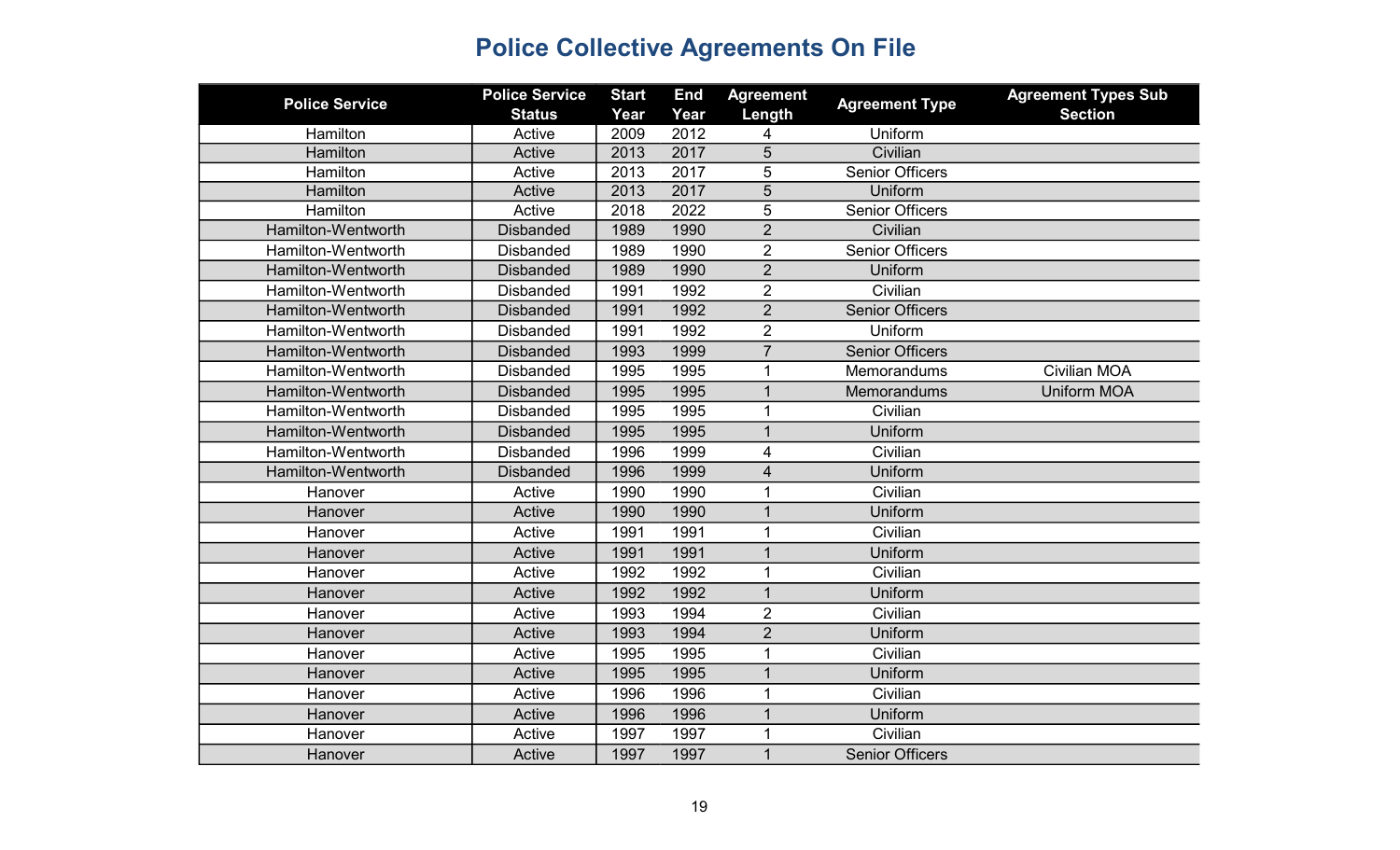| <b>Police Service</b> | <b>Police Service</b><br><b>Status</b> | <b>Start</b><br>Year | <b>End</b><br>Year | <b>Agreement</b><br>Length | <b>Agreement Type</b>  | <b>Agreement Types Sub</b><br><b>Section</b> |
|-----------------------|----------------------------------------|----------------------|--------------------|----------------------------|------------------------|----------------------------------------------|
| Hamilton              | Active                                 | 2009                 | 2012               | 4                          | Uniform                |                                              |
| Hamilton              | Active                                 | 2013                 | 2017               | 5                          | Civilian               |                                              |
| Hamilton              | Active                                 | 2013                 | 2017               | 5                          | <b>Senior Officers</b> |                                              |
| Hamilton              | Active                                 | 2013                 | 2017               | 5                          | Uniform                |                                              |
| Hamilton              | Active                                 | 2018                 | 2022               | 5                          | <b>Senior Officers</b> |                                              |
| Hamilton-Wentworth    | <b>Disbanded</b>                       | 1989                 | 1990               | $\overline{2}$             | Civilian               |                                              |
| Hamilton-Wentworth    | <b>Disbanded</b>                       | 1989                 | 1990               | $\overline{2}$             | <b>Senior Officers</b> |                                              |
| Hamilton-Wentworth    | <b>Disbanded</b>                       | 1989                 | 1990               | $\overline{2}$             | Uniform                |                                              |
| Hamilton-Wentworth    | <b>Disbanded</b>                       | 1991                 | 1992               | $\overline{2}$             | Civilian               |                                              |
| Hamilton-Wentworth    | <b>Disbanded</b>                       | 1991                 | 1992               | $\overline{2}$             | <b>Senior Officers</b> |                                              |
| Hamilton-Wentworth    | <b>Disbanded</b>                       | 1991                 | 1992               | $\overline{2}$             | Uniform                |                                              |
| Hamilton-Wentworth    | <b>Disbanded</b>                       | 1993                 | 1999               | $\overline{7}$             | <b>Senior Officers</b> |                                              |
| Hamilton-Wentworth    | <b>Disbanded</b>                       | 1995                 | 1995               | 1                          | Memorandums            | <b>Civilian MOA</b>                          |
| Hamilton-Wentworth    | <b>Disbanded</b>                       | 1995                 | 1995               | $\mathbf{1}$               | Memorandums            | <b>Uniform MOA</b>                           |
| Hamilton-Wentworth    | <b>Disbanded</b>                       | 1995                 | 1995               | $\mathbf{1}$               | Civilian               |                                              |
| Hamilton-Wentworth    | <b>Disbanded</b>                       | 1995                 | 1995               | $\mathbf{1}$               | Uniform                |                                              |
| Hamilton-Wentworth    | <b>Disbanded</b>                       | 1996                 | 1999               | 4                          | Civilian               |                                              |
| Hamilton-Wentworth    | <b>Disbanded</b>                       | 1996                 | 1999               | $\overline{4}$             | Uniform                |                                              |
| Hanover               | Active                                 | 1990                 | 1990               | 1                          | Civilian               |                                              |
| Hanover               | Active                                 | 1990                 | 1990               | $\mathbf{1}$               | Uniform                |                                              |
| Hanover               | Active                                 | 1991                 | 1991               | 1                          | Civilian               |                                              |
| Hanover               | Active                                 | 1991                 | 1991               | $\mathbf 1$                | Uniform                |                                              |
| Hanover               | Active                                 | 1992                 | 1992               | 1                          | Civilian               |                                              |
| Hanover               | Active                                 | 1992                 | 1992               | $\mathbf{1}$               | Uniform                |                                              |
| Hanover               | Active                                 | 1993                 | 1994               | $\overline{2}$             | Civilian               |                                              |
| Hanover               | Active                                 | 1993                 | 1994               | $\overline{2}$             | Uniform                |                                              |
| Hanover               | Active                                 | 1995                 | 1995               | $\overline{1}$             | Civilian               |                                              |
| Hanover               | Active                                 | 1995                 | 1995               | $\mathbf{1}$               | Uniform                |                                              |
| Hanover               | Active                                 | 1996                 | 1996               | $\mathbf{1}$               | Civilian               |                                              |
| Hanover               | Active                                 | 1996                 | 1996               | $\overline{1}$             | Uniform                |                                              |
| Hanover               | Active                                 | 1997                 | 1997               |                            | Civilian               |                                              |
| Hanover               | Active                                 | 1997                 | 1997               | $\mathbf{1}$               | <b>Senior Officers</b> |                                              |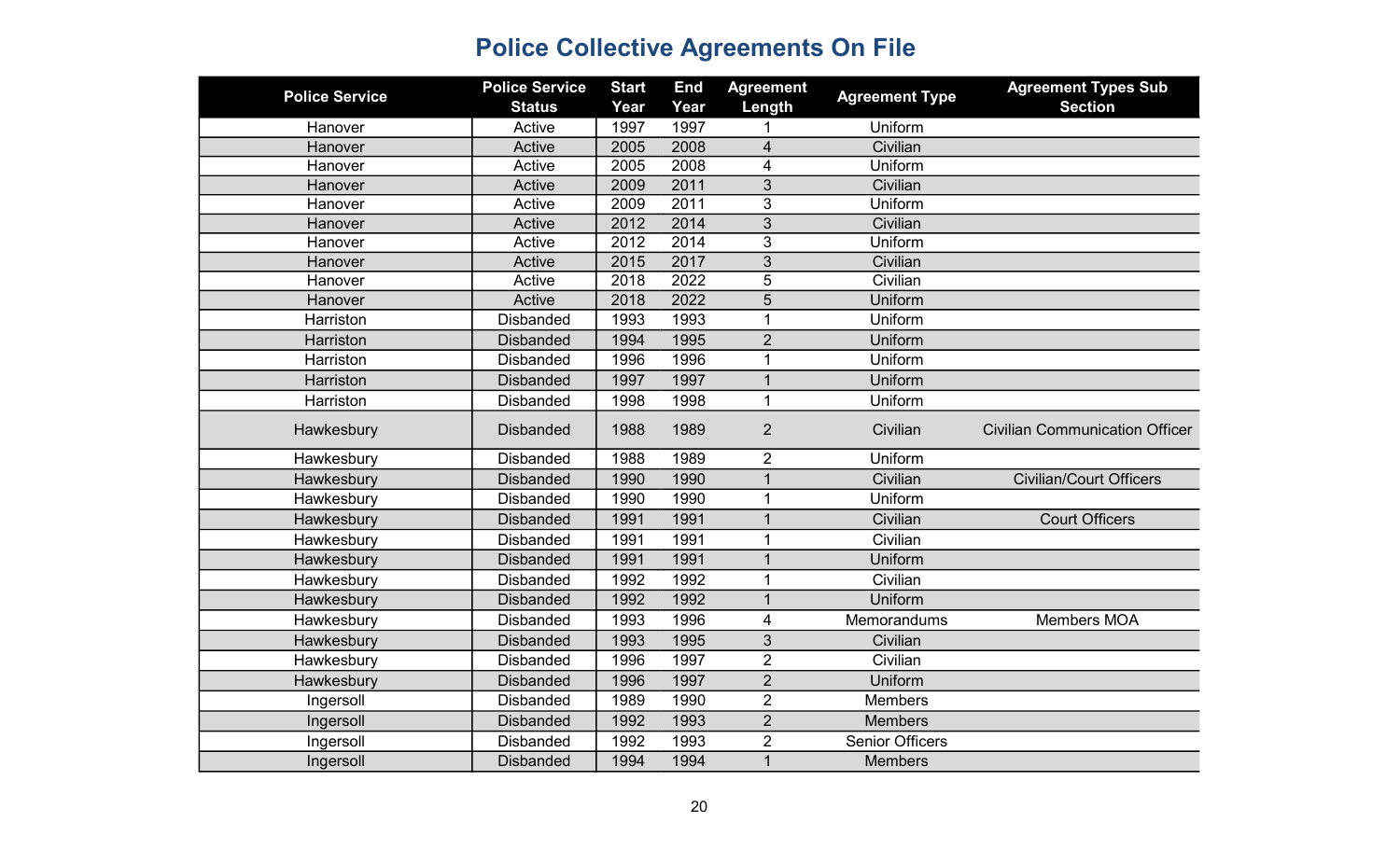| Length<br><b>Section</b><br><b>Status</b><br>Year<br>Year<br>1997<br>Active<br>1997<br>Uniform<br>Hanover<br>Active<br>2008<br>Civilian<br>Hanover<br>2005<br>4<br>2005<br>2008<br>Uniform<br>Hanover<br>Active<br>4<br>2011<br>Civilian<br>Active<br>2009<br>3<br>Hanover<br>2011<br>Uniform<br>2009<br>3<br>Hanover<br>Active<br>2012<br>2014<br>3<br>Civilian<br>Active<br>Hanover<br>2012<br>2014<br>3<br>Uniform<br>Active<br>Hanover<br>2015<br>2017<br>3<br>Civilian<br>Hanover<br>Active<br>5<br>Civilian<br>Active<br>2018<br>2022<br>Hanover<br>$\overline{5}$<br>2022<br>Active<br>2018<br>Uniform<br>Hanover<br>Uniform<br>1993<br>Harriston<br><b>Disbanded</b><br>1993<br>1<br>1995<br>$\overline{2}$<br><b>Disbanded</b><br>1994<br>Uniform<br>Harriston<br>Uniform<br>Harriston<br><b>Disbanded</b><br>1996<br>1996<br>$\mathbf 1$<br>1997<br>Uniform<br>Harriston<br><b>Disbanded</b><br>1997<br>$\mathbf{1}$<br>$\mathbf{1}$<br>Uniform<br>1998<br>1998<br>Harriston<br><b>Disbanded</b><br><b>Disbanded</b><br>1988<br>1989<br>$\overline{2}$<br>Civilian<br><b>Civilian Communication Officer</b><br>Hawkesbury<br>1989<br>$\overline{2}$<br><b>Disbanded</b><br>1988<br>Uniform<br>Hawkesbury<br>1990<br>$\overline{1}$<br><b>Civilian/Court Officers</b><br><b>Disbanded</b><br>1990<br>Civilian<br>Hawkesbury<br>Uniform<br>1990<br>Hawkesbury<br><b>Disbanded</b><br>1990<br>1<br>Civilian<br><b>Disbanded</b><br>1991<br><b>Court Officers</b><br>Hawkesbury<br>1991<br>$\mathbf{1}$<br>Civilian<br>1991<br>$\mathbf{1}$<br><b>Disbanded</b><br>1991 | <b>Police Service</b> | <b>Police Service</b> | <b>Start</b> | <b>End</b> | <b>Agreement</b> | <b>Agreement Type</b> | <b>Agreement Types Sub</b> |
|-------------------------------------------------------------------------------------------------------------------------------------------------------------------------------------------------------------------------------------------------------------------------------------------------------------------------------------------------------------------------------------------------------------------------------------------------------------------------------------------------------------------------------------------------------------------------------------------------------------------------------------------------------------------------------------------------------------------------------------------------------------------------------------------------------------------------------------------------------------------------------------------------------------------------------------------------------------------------------------------------------------------------------------------------------------------------------------------------------------------------------------------------------------------------------------------------------------------------------------------------------------------------------------------------------------------------------------------------------------------------------------------------------------------------------------------------------------------------------------------------------------------------------------------------------------------------------|-----------------------|-----------------------|--------------|------------|------------------|-----------------------|----------------------------|
|                                                                                                                                                                                                                                                                                                                                                                                                                                                                                                                                                                                                                                                                                                                                                                                                                                                                                                                                                                                                                                                                                                                                                                                                                                                                                                                                                                                                                                                                                                                                                                               |                       |                       |              |            |                  |                       |                            |
|                                                                                                                                                                                                                                                                                                                                                                                                                                                                                                                                                                                                                                                                                                                                                                                                                                                                                                                                                                                                                                                                                                                                                                                                                                                                                                                                                                                                                                                                                                                                                                               |                       |                       |              |            |                  |                       |                            |
|                                                                                                                                                                                                                                                                                                                                                                                                                                                                                                                                                                                                                                                                                                                                                                                                                                                                                                                                                                                                                                                                                                                                                                                                                                                                                                                                                                                                                                                                                                                                                                               |                       |                       |              |            |                  |                       |                            |
|                                                                                                                                                                                                                                                                                                                                                                                                                                                                                                                                                                                                                                                                                                                                                                                                                                                                                                                                                                                                                                                                                                                                                                                                                                                                                                                                                                                                                                                                                                                                                                               |                       |                       |              |            |                  |                       |                            |
|                                                                                                                                                                                                                                                                                                                                                                                                                                                                                                                                                                                                                                                                                                                                                                                                                                                                                                                                                                                                                                                                                                                                                                                                                                                                                                                                                                                                                                                                                                                                                                               |                       |                       |              |            |                  |                       |                            |
|                                                                                                                                                                                                                                                                                                                                                                                                                                                                                                                                                                                                                                                                                                                                                                                                                                                                                                                                                                                                                                                                                                                                                                                                                                                                                                                                                                                                                                                                                                                                                                               |                       |                       |              |            |                  |                       |                            |
|                                                                                                                                                                                                                                                                                                                                                                                                                                                                                                                                                                                                                                                                                                                                                                                                                                                                                                                                                                                                                                                                                                                                                                                                                                                                                                                                                                                                                                                                                                                                                                               |                       |                       |              |            |                  |                       |                            |
|                                                                                                                                                                                                                                                                                                                                                                                                                                                                                                                                                                                                                                                                                                                                                                                                                                                                                                                                                                                                                                                                                                                                                                                                                                                                                                                                                                                                                                                                                                                                                                               |                       |                       |              |            |                  |                       |                            |
|                                                                                                                                                                                                                                                                                                                                                                                                                                                                                                                                                                                                                                                                                                                                                                                                                                                                                                                                                                                                                                                                                                                                                                                                                                                                                                                                                                                                                                                                                                                                                                               |                       |                       |              |            |                  |                       |                            |
|                                                                                                                                                                                                                                                                                                                                                                                                                                                                                                                                                                                                                                                                                                                                                                                                                                                                                                                                                                                                                                                                                                                                                                                                                                                                                                                                                                                                                                                                                                                                                                               |                       |                       |              |            |                  |                       |                            |
|                                                                                                                                                                                                                                                                                                                                                                                                                                                                                                                                                                                                                                                                                                                                                                                                                                                                                                                                                                                                                                                                                                                                                                                                                                                                                                                                                                                                                                                                                                                                                                               |                       |                       |              |            |                  |                       |                            |
|                                                                                                                                                                                                                                                                                                                                                                                                                                                                                                                                                                                                                                                                                                                                                                                                                                                                                                                                                                                                                                                                                                                                                                                                                                                                                                                                                                                                                                                                                                                                                                               |                       |                       |              |            |                  |                       |                            |
|                                                                                                                                                                                                                                                                                                                                                                                                                                                                                                                                                                                                                                                                                                                                                                                                                                                                                                                                                                                                                                                                                                                                                                                                                                                                                                                                                                                                                                                                                                                                                                               |                       |                       |              |            |                  |                       |                            |
|                                                                                                                                                                                                                                                                                                                                                                                                                                                                                                                                                                                                                                                                                                                                                                                                                                                                                                                                                                                                                                                                                                                                                                                                                                                                                                                                                                                                                                                                                                                                                                               |                       |                       |              |            |                  |                       |                            |
|                                                                                                                                                                                                                                                                                                                                                                                                                                                                                                                                                                                                                                                                                                                                                                                                                                                                                                                                                                                                                                                                                                                                                                                                                                                                                                                                                                                                                                                                                                                                                                               |                       |                       |              |            |                  |                       |                            |
|                                                                                                                                                                                                                                                                                                                                                                                                                                                                                                                                                                                                                                                                                                                                                                                                                                                                                                                                                                                                                                                                                                                                                                                                                                                                                                                                                                                                                                                                                                                                                                               |                       |                       |              |            |                  |                       |                            |
|                                                                                                                                                                                                                                                                                                                                                                                                                                                                                                                                                                                                                                                                                                                                                                                                                                                                                                                                                                                                                                                                                                                                                                                                                                                                                                                                                                                                                                                                                                                                                                               |                       |                       |              |            |                  |                       |                            |
|                                                                                                                                                                                                                                                                                                                                                                                                                                                                                                                                                                                                                                                                                                                                                                                                                                                                                                                                                                                                                                                                                                                                                                                                                                                                                                                                                                                                                                                                                                                                                                               |                       |                       |              |            |                  |                       |                            |
|                                                                                                                                                                                                                                                                                                                                                                                                                                                                                                                                                                                                                                                                                                                                                                                                                                                                                                                                                                                                                                                                                                                                                                                                                                                                                                                                                                                                                                                                                                                                                                               |                       |                       |              |            |                  |                       |                            |
|                                                                                                                                                                                                                                                                                                                                                                                                                                                                                                                                                                                                                                                                                                                                                                                                                                                                                                                                                                                                                                                                                                                                                                                                                                                                                                                                                                                                                                                                                                                                                                               |                       |                       |              |            |                  |                       |                            |
|                                                                                                                                                                                                                                                                                                                                                                                                                                                                                                                                                                                                                                                                                                                                                                                                                                                                                                                                                                                                                                                                                                                                                                                                                                                                                                                                                                                                                                                                                                                                                                               |                       |                       |              |            |                  |                       |                            |
|                                                                                                                                                                                                                                                                                                                                                                                                                                                                                                                                                                                                                                                                                                                                                                                                                                                                                                                                                                                                                                                                                                                                                                                                                                                                                                                                                                                                                                                                                                                                                                               | Hawkesbury            |                       |              |            |                  |                       |                            |
| Uniform<br>1991<br><b>Disbanded</b><br>1991<br>$\mathbf{1}$<br>Hawkesbury                                                                                                                                                                                                                                                                                                                                                                                                                                                                                                                                                                                                                                                                                                                                                                                                                                                                                                                                                                                                                                                                                                                                                                                                                                                                                                                                                                                                                                                                                                     |                       |                       |              |            |                  |                       |                            |
| 1992<br>Civilian<br><b>Disbanded</b><br>1992<br>1<br>Hawkesbury                                                                                                                                                                                                                                                                                                                                                                                                                                                                                                                                                                                                                                                                                                                                                                                                                                                                                                                                                                                                                                                                                                                                                                                                                                                                                                                                                                                                                                                                                                               |                       |                       |              |            |                  |                       |                            |
| 1992<br>$\mathbf{1}$<br>Uniform<br>1992<br>Hawkesbury<br><b>Disbanded</b>                                                                                                                                                                                                                                                                                                                                                                                                                                                                                                                                                                                                                                                                                                                                                                                                                                                                                                                                                                                                                                                                                                                                                                                                                                                                                                                                                                                                                                                                                                     |                       |                       |              |            |                  |                       |                            |
| 1996<br><b>Disbanded</b><br>1993<br>4<br>Memorandums<br>Members MOA<br>Hawkesbury                                                                                                                                                                                                                                                                                                                                                                                                                                                                                                                                                                                                                                                                                                                                                                                                                                                                                                                                                                                                                                                                                                                                                                                                                                                                                                                                                                                                                                                                                             |                       |                       |              |            |                  |                       |                            |
| 1995<br>3<br><b>Disbanded</b><br>1993<br>Civilian<br>Hawkesbury                                                                                                                                                                                                                                                                                                                                                                                                                                                                                                                                                                                                                                                                                                                                                                                                                                                                                                                                                                                                                                                                                                                                                                                                                                                                                                                                                                                                                                                                                                               |                       |                       |              |            |                  |                       |                            |
| $\overline{2}$<br>1996<br>1997<br>Civilian<br>Hawkesbury<br><b>Disbanded</b>                                                                                                                                                                                                                                                                                                                                                                                                                                                                                                                                                                                                                                                                                                                                                                                                                                                                                                                                                                                                                                                                                                                                                                                                                                                                                                                                                                                                                                                                                                  |                       |                       |              |            |                  |                       |                            |
| 1997<br>$\overline{2}$<br>Uniform<br>Hawkesbury<br><b>Disbanded</b><br>1996                                                                                                                                                                                                                                                                                                                                                                                                                                                                                                                                                                                                                                                                                                                                                                                                                                                                                                                                                                                                                                                                                                                                                                                                                                                                                                                                                                                                                                                                                                   |                       |                       |              |            |                  |                       |                            |
| $\overline{2}$<br><b>Disbanded</b><br>1990<br>1989<br><b>Members</b><br>Ingersoll                                                                                                                                                                                                                                                                                                                                                                                                                                                                                                                                                                                                                                                                                                                                                                                                                                                                                                                                                                                                                                                                                                                                                                                                                                                                                                                                                                                                                                                                                             |                       |                       |              |            |                  |                       |                            |
| $\overline{2}$<br>Ingersoll<br><b>Disbanded</b><br>1992<br>1993<br><b>Members</b>                                                                                                                                                                                                                                                                                                                                                                                                                                                                                                                                                                                                                                                                                                                                                                                                                                                                                                                                                                                                                                                                                                                                                                                                                                                                                                                                                                                                                                                                                             |                       |                       |              |            |                  |                       |                            |
| <b>Senior Officers</b><br><b>Disbanded</b><br>1992<br>1993<br>$\overline{2}$<br>Ingersoll                                                                                                                                                                                                                                                                                                                                                                                                                                                                                                                                                                                                                                                                                                                                                                                                                                                                                                                                                                                                                                                                                                                                                                                                                                                                                                                                                                                                                                                                                     |                       |                       |              |            |                  |                       |                            |
| $\mathbf{1}$<br>1994<br>1994<br>Ingersoll<br><b>Disbanded</b><br><b>Members</b>                                                                                                                                                                                                                                                                                                                                                                                                                                                                                                                                                                                                                                                                                                                                                                                                                                                                                                                                                                                                                                                                                                                                                                                                                                                                                                                                                                                                                                                                                               |                       |                       |              |            |                  |                       |                            |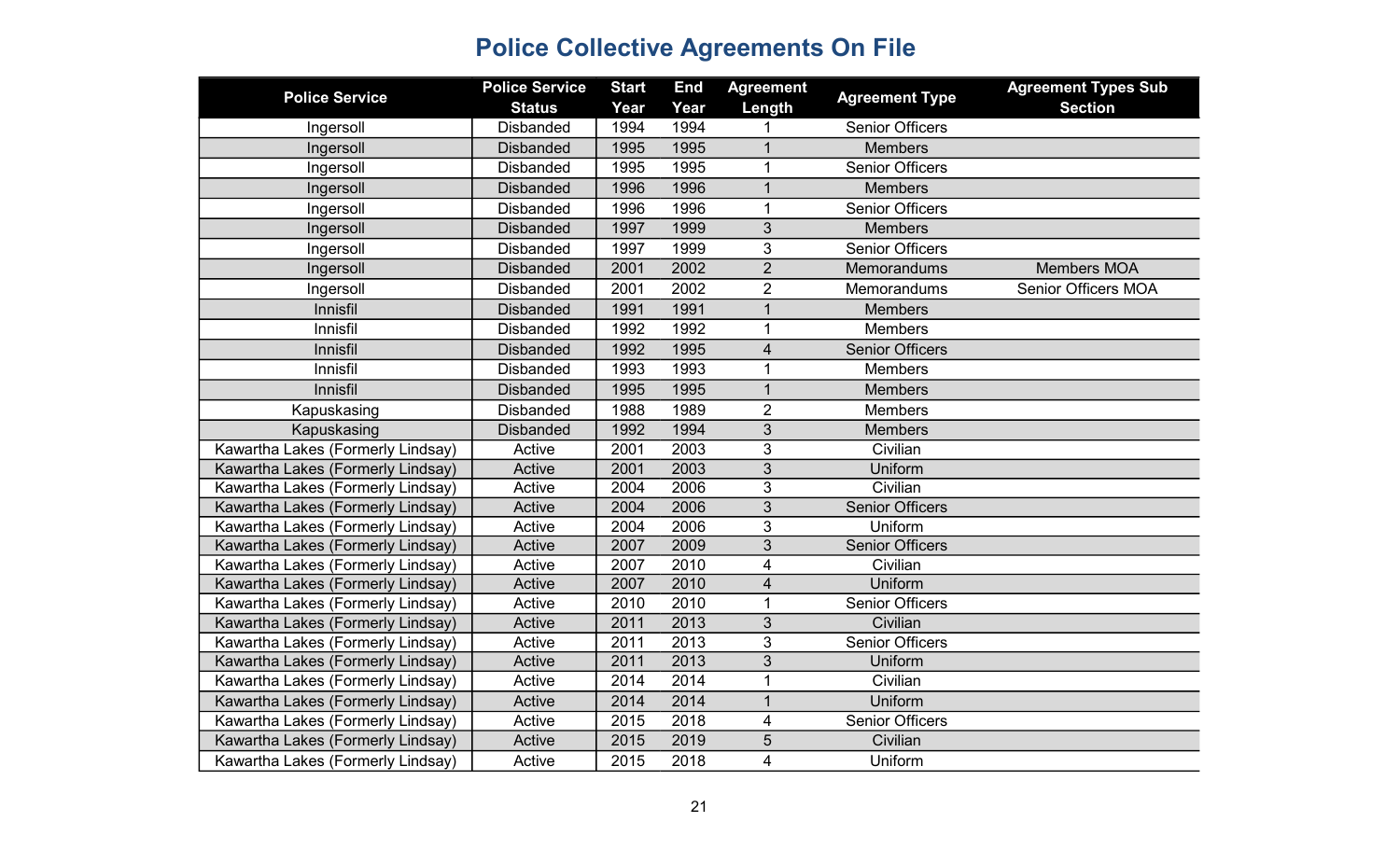| <b>Police Service</b>             | <b>Police Service</b><br><b>Status</b> | <b>Start</b><br>Year | <b>End</b><br>Year | <b>Agreement</b><br>Length | <b>Agreement Type</b>  | <b>Agreement Types Sub</b><br><b>Section</b> |
|-----------------------------------|----------------------------------------|----------------------|--------------------|----------------------------|------------------------|----------------------------------------------|
| Ingersoll                         | <b>Disbanded</b>                       | 1994                 | 1994               |                            | <b>Senior Officers</b> |                                              |
| Ingersoll                         | <b>Disbanded</b>                       | 1995                 | 1995               | $\mathbf 1$                | <b>Members</b>         |                                              |
| Ingersoll                         | <b>Disbanded</b>                       | 1995                 | 1995               | $\mathbf{1}$               | <b>Senior Officers</b> |                                              |
| Ingersoll                         | <b>Disbanded</b>                       | 1996                 | 1996               | $\mathbf{1}$               | <b>Members</b>         |                                              |
| Ingersoll                         | <b>Disbanded</b>                       | 1996                 | 1996               | $\mathbf{1}$               | <b>Senior Officers</b> |                                              |
| Ingersoll                         | <b>Disbanded</b>                       | 1997                 | 1999               | 3                          | <b>Members</b>         |                                              |
| Ingersoll                         | <b>Disbanded</b>                       | 1997                 | 1999               | 3                          | <b>Senior Officers</b> |                                              |
| Ingersoll                         | <b>Disbanded</b>                       | 2001                 | 2002               | $\overline{2}$             | Memorandums            | <b>Members MOA</b>                           |
| Ingersoll                         | <b>Disbanded</b>                       | 2001                 | 2002               | $\overline{2}$             | Memorandums            | <b>Senior Officers MOA</b>                   |
| Innisfil                          | <b>Disbanded</b>                       | 1991                 | 1991               | $\mathbf{1}$               | <b>Members</b>         |                                              |
| Innisfil                          | <b>Disbanded</b>                       | 1992                 | 1992               | $\mathbf{1}$               | <b>Members</b>         |                                              |
| Innisfil                          | <b>Disbanded</b>                       | 1992                 | 1995               | 4                          | <b>Senior Officers</b> |                                              |
| Innisfil                          | <b>Disbanded</b>                       | 1993                 | 1993               | 1                          | <b>Members</b>         |                                              |
| Innisfil                          | <b>Disbanded</b>                       | 1995                 | 1995               | $\mathbf{1}$               | <b>Members</b>         |                                              |
| Kapuskasing                       | <b>Disbanded</b>                       | 1988                 | 1989               | $\overline{2}$             | <b>Members</b>         |                                              |
| Kapuskasing                       | <b>Disbanded</b>                       | 1992                 | 1994               | 3                          | <b>Members</b>         |                                              |
| Kawartha Lakes (Formerly Lindsay) | Active                                 | 2001                 | 2003               | 3                          | Civilian               |                                              |
| Kawartha Lakes (Formerly Lindsay) | Active                                 | 2001                 | 2003               | $\overline{3}$             | Uniform                |                                              |
| Kawartha Lakes (Formerly Lindsay) | Active                                 | 2004                 | 2006               | 3                          | Civilian               |                                              |
| Kawartha Lakes (Formerly Lindsay) | Active                                 | 2004                 | 2006               | 3                          | <b>Senior Officers</b> |                                              |
| Kawartha Lakes (Formerly Lindsay) | Active                                 | 2004                 | 2006               | 3                          | Uniform                |                                              |
| Kawartha Lakes (Formerly Lindsay) | Active                                 | 2007                 | 2009               | 3                          | <b>Senior Officers</b> |                                              |
| Kawartha Lakes (Formerly Lindsay) | Active                                 | 2007                 | 2010               | 4                          | Civilian               |                                              |
| Kawartha Lakes (Formerly Lindsay) | Active                                 | 2007                 | 2010               | 4                          | Uniform                |                                              |
| Kawartha Lakes (Formerly Lindsay) | Active                                 | 2010                 | 2010               | $\mathbf{1}$               | <b>Senior Officers</b> |                                              |
| Kawartha Lakes (Formerly Lindsay) | Active                                 | 2011                 | 2013               | 3                          | Civilian               |                                              |
| Kawartha Lakes (Formerly Lindsay) | Active                                 | 2011                 | 2013               | 3                          | <b>Senior Officers</b> |                                              |
| Kawartha Lakes (Formerly Lindsay) | Active                                 | 2011                 | 2013               | 3                          | Uniform                |                                              |
| Kawartha Lakes (Formerly Lindsay) | Active                                 | 2014                 | 2014               | $\mathbf{1}$               | Civilian               |                                              |
| Kawartha Lakes (Formerly Lindsay) | Active                                 | 2014                 | 2014               | $\mathbf{1}$               | Uniform                |                                              |
| Kawartha Lakes (Formerly Lindsay) | Active                                 | 2015                 | 2018               | 4                          | <b>Senior Officers</b> |                                              |
| Kawartha Lakes (Formerly Lindsay) | Active                                 | 2015                 | 2019               | 5                          | Civilian               |                                              |
| Kawartha Lakes (Formerly Lindsay) | Active                                 | 2015                 | 2018               | 4                          | Uniform                |                                              |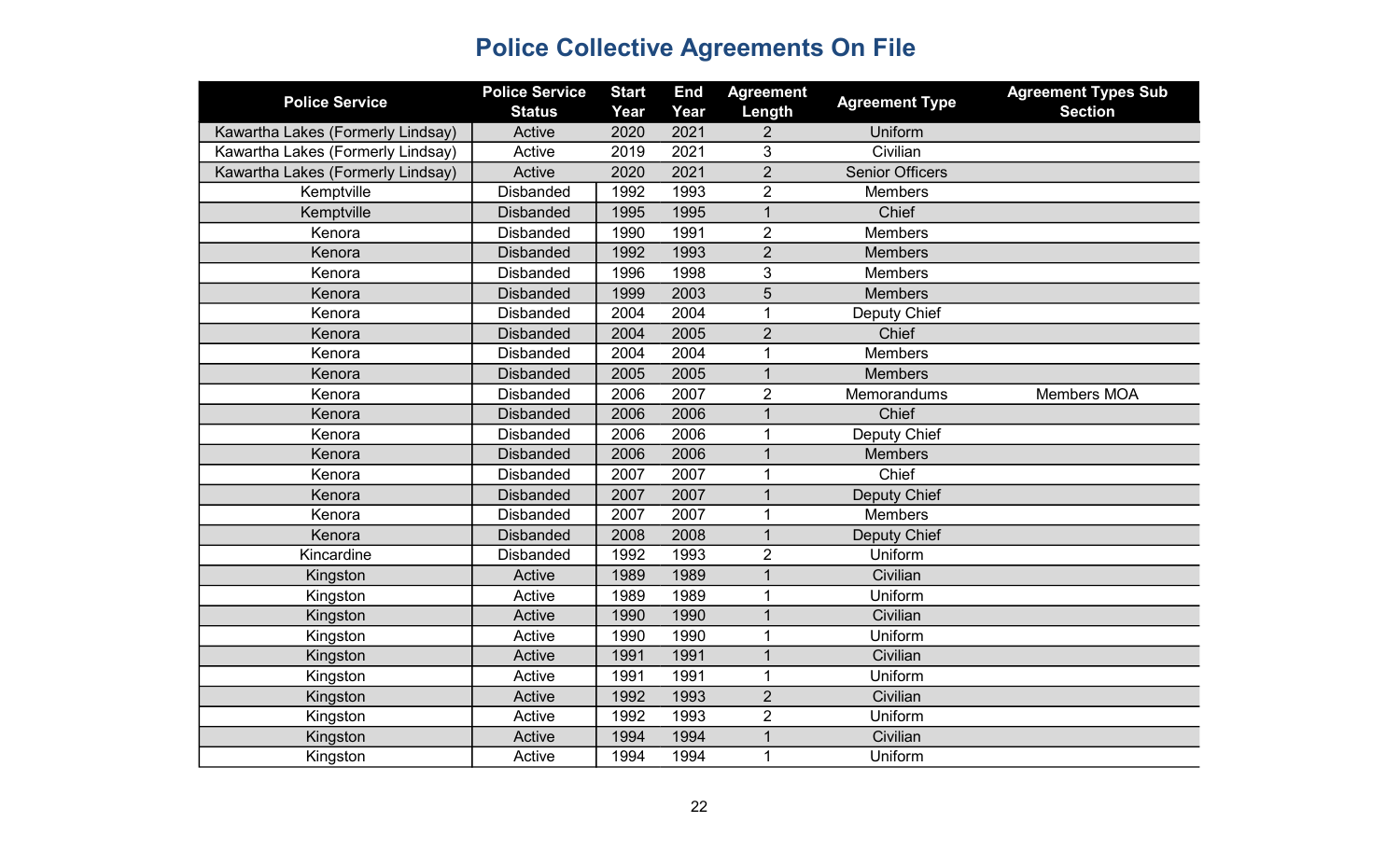| <b>Police Service</b>             | <b>Police Service</b> | <b>Start</b> | <b>End</b> | <b>Agreement</b> | <b>Agreement Type</b>  | <b>Agreement Types Sub</b> |
|-----------------------------------|-----------------------|--------------|------------|------------------|------------------------|----------------------------|
|                                   | <b>Status</b>         | Year         | Year       | Length           |                        | <b>Section</b>             |
| Kawartha Lakes (Formerly Lindsay) | Active                | 2020         | 2021       | $\overline{2}$   | Uniform                |                            |
| Kawartha Lakes (Formerly Lindsay) | Active                | 2019         | 2021       | 3                | Civilian               |                            |
| Kawartha Lakes (Formerly Lindsay) | Active                | 2020         | 2021       | $\overline{2}$   | <b>Senior Officers</b> |                            |
| Kemptville                        | <b>Disbanded</b>      | 1992         | 1993       | $\overline{2}$   | <b>Members</b>         |                            |
| Kemptville                        | <b>Disbanded</b>      | 1995         | 1995       | $\mathbf{1}$     | Chief                  |                            |
| Kenora                            | <b>Disbanded</b>      | 1990         | 1991       | $\overline{2}$   | <b>Members</b>         |                            |
| Kenora                            | <b>Disbanded</b>      | 1992         | 1993       | $\overline{2}$   | <b>Members</b>         |                            |
| Kenora                            | <b>Disbanded</b>      | 1996         | 1998       | 3                | <b>Members</b>         |                            |
| Kenora                            | <b>Disbanded</b>      | 1999         | 2003       | $\overline{5}$   | <b>Members</b>         |                            |
| Kenora                            | <b>Disbanded</b>      | 2004         | 2004       | 1                | Deputy Chief           |                            |
| Kenora                            | <b>Disbanded</b>      | 2004         | 2005       | $\overline{2}$   | Chief                  |                            |
| Kenora                            | <b>Disbanded</b>      | 2004         | 2004       | 1                | <b>Members</b>         |                            |
| Kenora                            | <b>Disbanded</b>      | 2005         | 2005       | $\mathbf{1}$     | <b>Members</b>         |                            |
| Kenora                            | <b>Disbanded</b>      | 2006         | 2007       | $\overline{2}$   | Memorandums            | Members MOA                |
| Kenora                            | <b>Disbanded</b>      | 2006         | 2006       | $\mathbf{1}$     | Chief                  |                            |
| Kenora                            | <b>Disbanded</b>      | 2006         | 2006       | 1                | Deputy Chief           |                            |
| Kenora                            | <b>Disbanded</b>      | 2006         | 2006       | $\mathbf{1}$     | <b>Members</b>         |                            |
| Kenora                            | <b>Disbanded</b>      | 2007         | 2007       | 1                | Chief                  |                            |
| Kenora                            | <b>Disbanded</b>      | 2007         | 2007       | $\mathbf{1}$     | Deputy Chief           |                            |
| Kenora                            | <b>Disbanded</b>      | 2007         | 2007       | 1                | <b>Members</b>         |                            |
| Kenora                            | <b>Disbanded</b>      | 2008         | 2008       | $\mathbf{1}$     | Deputy Chief           |                            |
| Kincardine                        | <b>Disbanded</b>      | 1992         | 1993       | $\overline{2}$   | Uniform                |                            |
| Kingston                          | Active                | 1989         | 1989       | 1                | Civilian               |                            |
| Kingston                          | Active                | 1989         | 1989       | $\mathbf{1}$     | Uniform                |                            |
| Kingston                          | Active                | 1990         | 1990       | $\overline{1}$   | Civilian               |                            |
| Kingston                          | Active                | 1990         | 1990       | $\mathbf 1$      | Uniform                |                            |
| Kingston                          | Active                | 1991         | 1991       | $\overline{1}$   | Civilian               |                            |
| Kingston                          | Active                | 1991         | 1991       | $\mathbf{1}$     | Uniform                |                            |
| Kingston                          | Active                | 1992         | 1993       | $\overline{2}$   | Civilian               |                            |
| Kingston                          | Active                | 1992         | 1993       | $\overline{2}$   | Uniform                |                            |
| Kingston                          | Active                | 1994         | 1994       | 1                | Civilian               |                            |
| Kingston                          | Active                | 1994         | 1994       | $\mathbf{1}$     | Uniform                |                            |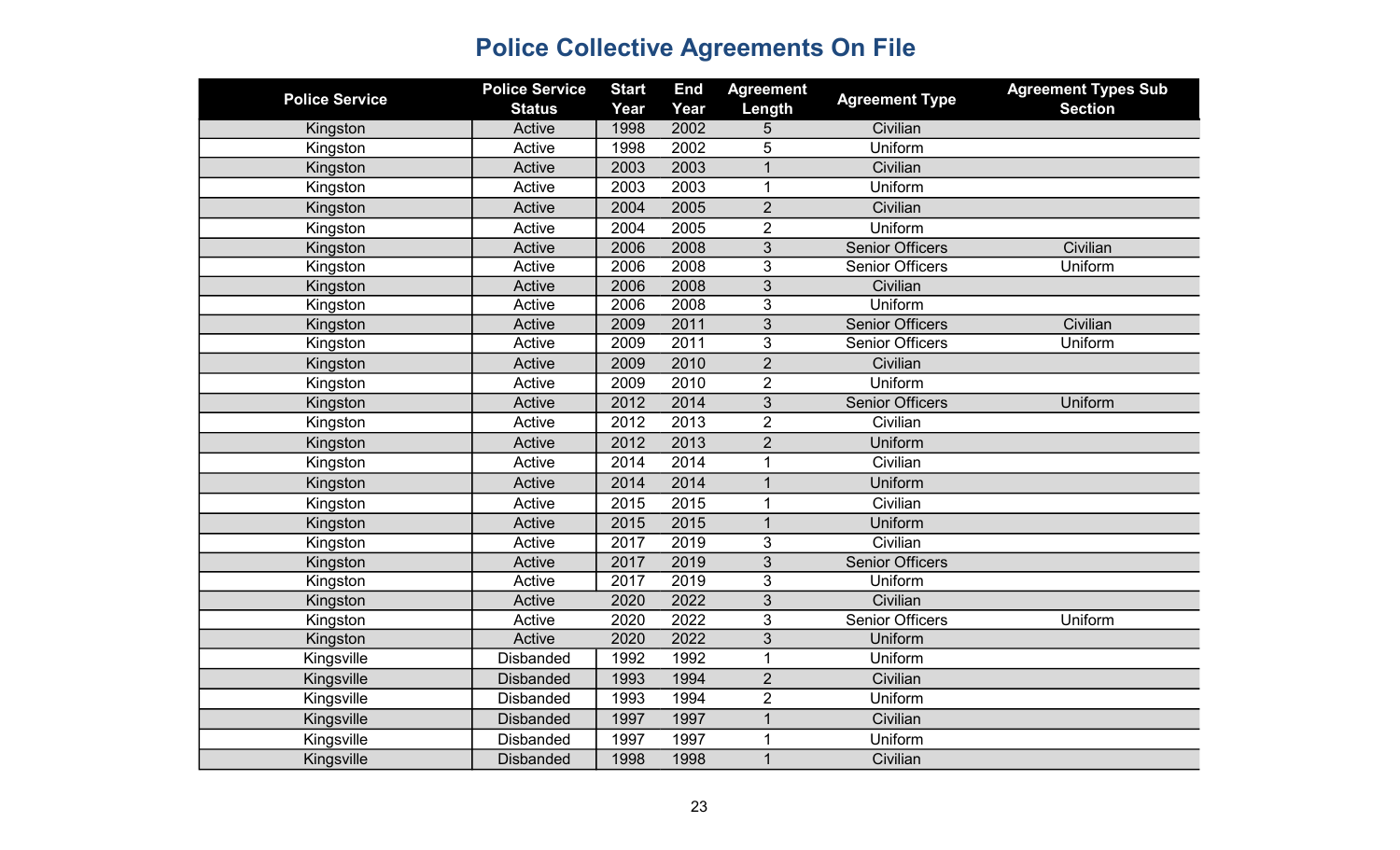| <b>Police Service</b> | <b>Police Service</b><br><b>Status</b> | <b>Start</b><br>Year | <b>End</b><br>Year | <b>Agreement</b><br>Length | <b>Agreement Type</b>  | <b>Agreement Types Sub</b><br><b>Section</b> |
|-----------------------|----------------------------------------|----------------------|--------------------|----------------------------|------------------------|----------------------------------------------|
| Kingston              | Active                                 | 1998                 | 2002               | 5                          | Civilian               |                                              |
| Kingston              | Active                                 | 1998                 | 2002               | 5                          | Uniform                |                                              |
| Kingston              | Active                                 | 2003                 | 2003               | $\overline{1}$             | Civilian               |                                              |
| Kingston              | Active                                 | 2003                 | 2003               | $\mathbf{1}$               | Uniform                |                                              |
| Kingston              | Active                                 | 2004                 | 2005               | $\overline{2}$             | Civilian               |                                              |
| Kingston              | Active                                 | 2004                 | 2005               | $\overline{2}$             | Uniform                |                                              |
| Kingston              | Active                                 | 2006                 | 2008               | 3                          | <b>Senior Officers</b> | Civilian                                     |
| Kingston              | Active                                 | 2006                 | 2008               | 3                          | <b>Senior Officers</b> | Uniform                                      |
| Kingston              | Active                                 | 2006                 | 2008               | 3                          | Civilian               |                                              |
| Kingston              | Active                                 | 2006                 | 2008               | 3                          | Uniform                |                                              |
| Kingston              | Active                                 | 2009                 | 2011               | 3                          | <b>Senior Officers</b> | Civilian                                     |
| Kingston              | Active                                 | 2009                 | 2011               | 3                          | <b>Senior Officers</b> | Uniform                                      |
| Kingston              | Active                                 | 2009                 | 2010               | $\overline{2}$             | Civilian               |                                              |
| Kingston              | Active                                 | 2009                 | 2010               | $\overline{2}$             | Uniform                |                                              |
| Kingston              | Active                                 | 2012                 | 2014               | $\overline{3}$             | <b>Senior Officers</b> | Uniform                                      |
| Kingston              | Active                                 | 2012                 | 2013               | $\overline{2}$             | Civilian               |                                              |
| Kingston              | Active                                 | 2012                 | 2013               | $\overline{2}$             | Uniform                |                                              |
| Kingston              | Active                                 | 2014                 | 2014               | 1                          | Civilian               |                                              |
| Kingston              | Active                                 | 2014                 | 2014               | $\overline{1}$             | Uniform                |                                              |
| Kingston              | Active                                 | 2015                 | 2015               | 1                          | Civilian               |                                              |
| Kingston              | Active                                 | 2015                 | 2015               | $\mathbf{1}$               | Uniform                |                                              |
| Kingston              | Active                                 | 2017                 | 2019               | 3                          | Civilian               |                                              |
| Kingston              | Active                                 | 2017                 | 2019               | $\overline{3}$             | <b>Senior Officers</b> |                                              |
| Kingston              | Active                                 | 2017                 | 2019               | 3                          | Uniform                |                                              |
| Kingston              | Active                                 | 2020                 | 2022               | 3                          | Civilian               |                                              |
| Kingston              | Active                                 | 2020                 | 2022               | 3                          | <b>Senior Officers</b> | Uniform                                      |
| Kingston              | Active                                 | 2020                 | 2022               | 3                          | Uniform                |                                              |
| Kingsville            | <b>Disbanded</b>                       | 1992                 | 1992               | $\mathbf{1}$               | Uniform                |                                              |
| Kingsville            | <b>Disbanded</b>                       | 1993                 | 1994               | $\overline{2}$             | Civilian               |                                              |
| Kingsville            | <b>Disbanded</b>                       | 1993                 | 1994               | $\overline{2}$             | Uniform                |                                              |
| Kingsville            | <b>Disbanded</b>                       | 1997                 | 1997               | $\overline{1}$             | Civilian               |                                              |
| Kingsville            | <b>Disbanded</b>                       | 1997                 | 1997               | 1                          | Uniform                |                                              |
| Kingsville            | <b>Disbanded</b>                       | 1998                 | 1998               | $\overline{1}$             | Civilian               |                                              |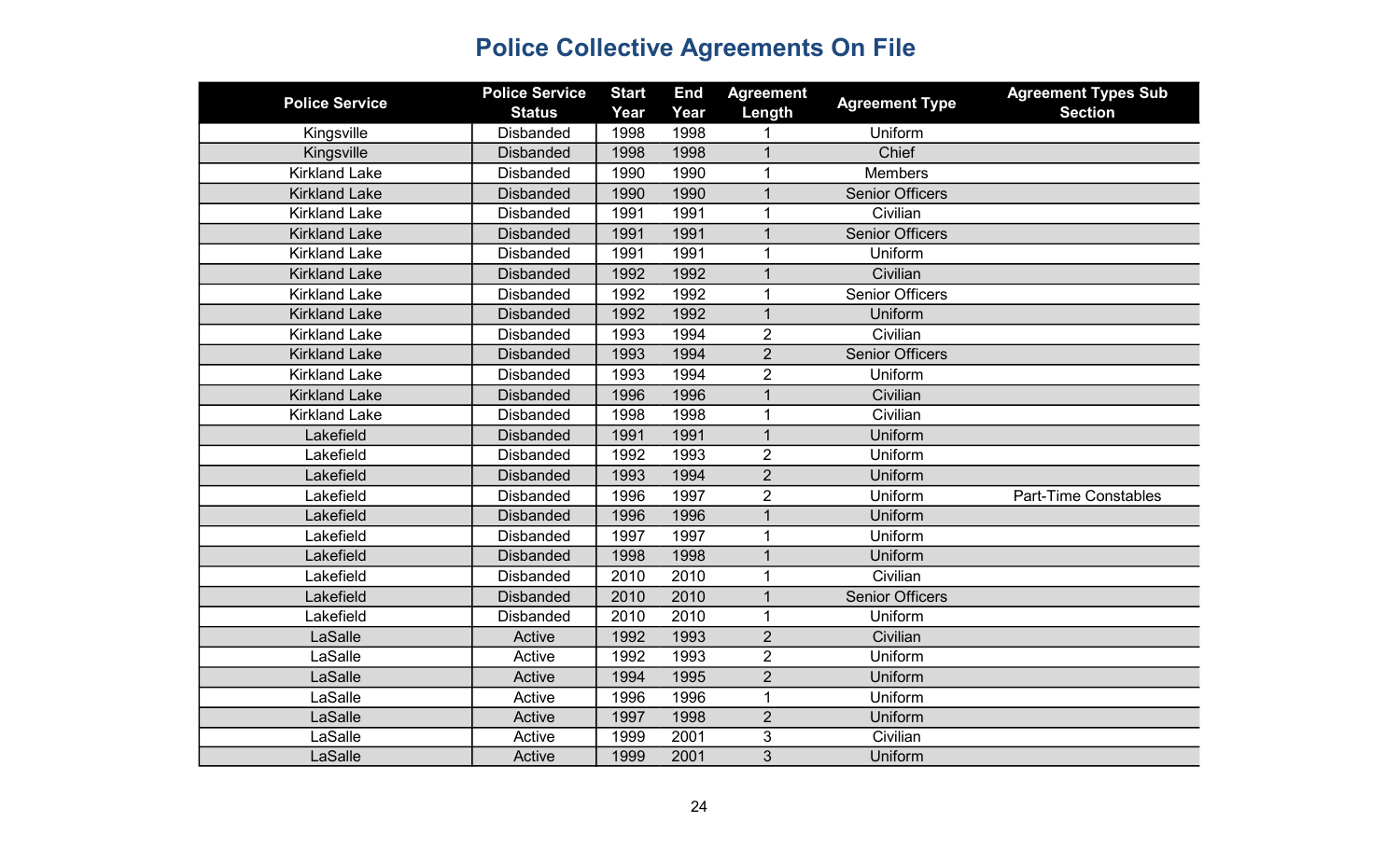| <b>Police Service</b> | <b>Police Service</b> | <b>Start</b> | <b>End</b> | <b>Agreement</b> | <b>Agreement Type</b>  | <b>Agreement Types Sub</b>  |
|-----------------------|-----------------------|--------------|------------|------------------|------------------------|-----------------------------|
|                       | <b>Status</b>         | Year         | Year       | Length           |                        | <b>Section</b>              |
| Kingsville            | <b>Disbanded</b>      | 1998         | 1998       |                  | Uniform                |                             |
| Kingsville            | <b>Disbanded</b>      | 1998         | 1998       | 1                | Chief                  |                             |
| <b>Kirkland Lake</b>  | <b>Disbanded</b>      | 1990         | 1990       | 1                | <b>Members</b>         |                             |
| <b>Kirkland Lake</b>  | <b>Disbanded</b>      | 1990         | 1990       | $\mathbf{1}$     | <b>Senior Officers</b> |                             |
| <b>Kirkland Lake</b>  | <b>Disbanded</b>      | 1991         | 1991       | 1                | Civilian               |                             |
| <b>Kirkland Lake</b>  | <b>Disbanded</b>      | 1991         | 1991       | $\mathbf{1}$     | <b>Senior Officers</b> |                             |
| <b>Kirkland Lake</b>  | <b>Disbanded</b>      | 1991         | 1991       | 1                | Uniform                |                             |
| <b>Kirkland Lake</b>  | <b>Disbanded</b>      | 1992         | 1992       | $\mathbf{1}$     | Civilian               |                             |
| <b>Kirkland Lake</b>  | <b>Disbanded</b>      | 1992         | 1992       | 1                | <b>Senior Officers</b> |                             |
| <b>Kirkland Lake</b>  | <b>Disbanded</b>      | 1992         | 1992       | 1                | Uniform                |                             |
| <b>Kirkland Lake</b>  | <b>Disbanded</b>      | 1993         | 1994       | $\overline{2}$   | Civilian               |                             |
| <b>Kirkland Lake</b>  | <b>Disbanded</b>      | 1993         | 1994       | $\overline{2}$   | <b>Senior Officers</b> |                             |
| <b>Kirkland Lake</b>  | <b>Disbanded</b>      | 1993         | 1994       | $\overline{2}$   | Uniform                |                             |
| <b>Kirkland Lake</b>  | <b>Disbanded</b>      | 1996         | 1996       | $\mathbf{1}$     | Civilian               |                             |
| <b>Kirkland Lake</b>  | <b>Disbanded</b>      | 1998         | 1998       | 1                | Civilian               |                             |
| Lakefield             | <b>Disbanded</b>      | 1991         | 1991       | $\mathbf{1}$     | Uniform                |                             |
| Lakefield             | <b>Disbanded</b>      | 1992         | 1993       | $\overline{2}$   | Uniform                |                             |
| Lakefield             | <b>Disbanded</b>      | 1993         | 1994       | $\overline{2}$   | Uniform                |                             |
| Lakefield             | <b>Disbanded</b>      | 1996         | 1997       | $\overline{2}$   | Uniform                | <b>Part-Time Constables</b> |
| Lakefield             | <b>Disbanded</b>      | 1996         | 1996       | $\mathbf{1}$     | Uniform                |                             |
| Lakefield             | <b>Disbanded</b>      | 1997         | 1997       | 1                | Uniform                |                             |
| Lakefield             | <b>Disbanded</b>      | 1998         | 1998       | $\mathbf{1}$     | Uniform                |                             |
| Lakefield             | <b>Disbanded</b>      | 2010         | 2010       | $\mathbf{1}$     | Civilian               |                             |
| Lakefield             | <b>Disbanded</b>      | 2010         | 2010       | $\mathbf{1}$     | <b>Senior Officers</b> |                             |
| Lakefield             | <b>Disbanded</b>      | 2010         | 2010       |                  | Uniform                |                             |
| LaSalle               | Active                | 1992         | 1993       | $\overline{2}$   | Civilian               |                             |
| LaSalle               | Active                | 1992         | 1993       | $\overline{2}$   | Uniform                |                             |
| LaSalle               | Active                | 1994         | 1995       | $\overline{2}$   | Uniform                |                             |
| LaSalle               | Active                | 1996         | 1996       | $\mathbf{1}$     | Uniform                |                             |
| LaSalle               | Active                | 1997         | 1998       | $\overline{2}$   | Uniform                |                             |
| LaSalle               | Active                | 1999         | 2001       | 3                | Civilian               |                             |
| LaSalle               | Active                | 1999         | 2001       | $\overline{3}$   | Uniform                |                             |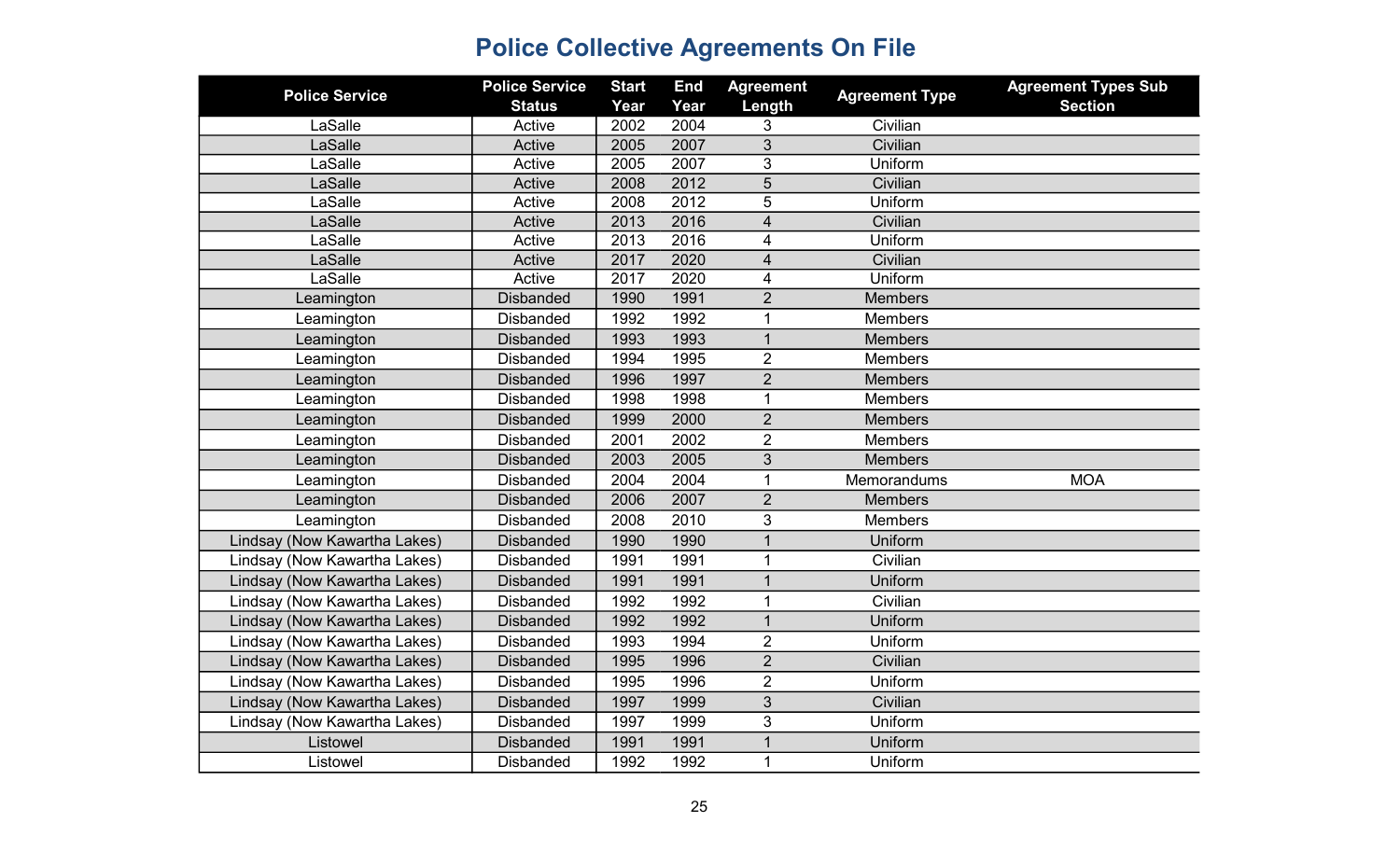| <b>Police Service</b>        | <b>Police Service</b> | <b>Start</b> | <b>End</b> | <b>Agreement</b>        | <b>Agreement Type</b> | <b>Agreement Types Sub</b> |
|------------------------------|-----------------------|--------------|------------|-------------------------|-----------------------|----------------------------|
|                              | <b>Status</b>         | Year         | Year       | Length                  |                       | <b>Section</b>             |
| LaSalle                      | Active                | 2002         | 2004       | 3                       | Civilian              |                            |
| LaSalle                      | Active                | 2005         | 2007       | 3                       | Civilian              |                            |
| LaSalle                      | Active                | 2005         | 2007       | 3                       | Uniform               |                            |
| LaSalle                      | Active                | 2008         | 2012       | 5                       | Civilian              |                            |
| LaSalle                      | Active                | 2008         | 2012       | 5                       | Uniform               |                            |
| LaSalle                      | Active                | 2013         | 2016       | $\overline{\mathbf{4}}$ | Civilian              |                            |
| LaSalle                      | Active                | 2013         | 2016       | 4                       | Uniform               |                            |
| LaSalle                      | Active                | 2017         | 2020       | $\overline{\mathbf{4}}$ | Civilian              |                            |
| LaSalle                      | Active                | 2017         | 2020       | 4                       | Uniform               |                            |
| Leamington                   | <b>Disbanded</b>      | 1990         | 1991       | $\overline{2}$          | <b>Members</b>        |                            |
| Leamington                   | <b>Disbanded</b>      | 1992         | 1992       | $\mathbf 1$             | <b>Members</b>        |                            |
| Leamington                   | <b>Disbanded</b>      | 1993         | 1993       | $\mathbf 1$             | <b>Members</b>        |                            |
| Leamington                   | <b>Disbanded</b>      | 1994         | 1995       | $\overline{2}$          | <b>Members</b>        |                            |
| Leamington                   | <b>Disbanded</b>      | 1996         | 1997       | $\overline{2}$          | <b>Members</b>        |                            |
| Leamington                   | <b>Disbanded</b>      | 1998         | 1998       | $\mathbf{1}$            | <b>Members</b>        |                            |
| Leamington                   | <b>Disbanded</b>      | 1999         | 2000       | $\overline{2}$          | <b>Members</b>        |                            |
| Leamington                   | <b>Disbanded</b>      | 2001         | 2002       | $\overline{2}$          | <b>Members</b>        |                            |
| Leamington                   | <b>Disbanded</b>      | 2003         | 2005       | 3                       | <b>Members</b>        |                            |
| Leamington                   | <b>Disbanded</b>      | 2004         | 2004       | $\mathbf{1}$            | <b>Memorandums</b>    | <b>MOA</b>                 |
| Leamington                   | <b>Disbanded</b>      | 2006         | 2007       | $\overline{2}$          | <b>Members</b>        |                            |
| Leamington                   | <b>Disbanded</b>      | 2008         | 2010       | 3                       | <b>Members</b>        |                            |
| Lindsay (Now Kawartha Lakes) | <b>Disbanded</b>      | 1990         | 1990       | $\mathbf{1}$            | Uniform               |                            |
| Lindsay (Now Kawartha Lakes) | <b>Disbanded</b>      | 1991         | 1991       | $\mathbf{1}$            | Civilian              |                            |
| Lindsay (Now Kawartha Lakes) | <b>Disbanded</b>      | 1991         | 1991       | $\mathbf{1}$            | Uniform               |                            |
| Lindsay (Now Kawartha Lakes) | <b>Disbanded</b>      | 1992         | 1992       | $\mathbf 1$             | Civilian              |                            |
| Lindsay (Now Kawartha Lakes) | <b>Disbanded</b>      | 1992         | 1992       | $\mathbf{1}$            | Uniform               |                            |
| Lindsay (Now Kawartha Lakes) | <b>Disbanded</b>      | 1993         | 1994       | $\overline{2}$          | Uniform               |                            |
| Lindsay (Now Kawartha Lakes) | <b>Disbanded</b>      | 1995         | 1996       | $\overline{2}$          | Civilian              |                            |
| Lindsay (Now Kawartha Lakes) | <b>Disbanded</b>      | 1995         | 1996       | $\overline{2}$          | Uniform               |                            |
| Lindsay (Now Kawartha Lakes) | <b>Disbanded</b>      | 1997         | 1999       | 3                       | Civilian              |                            |
| Lindsay (Now Kawartha Lakes) | <b>Disbanded</b>      | 1997         | 1999       | 3                       | Uniform               |                            |
| Listowel                     | <b>Disbanded</b>      | 1991         | 1991       | $\mathbf{1}$            | Uniform               |                            |
| Listowel                     | <b>Disbanded</b>      | 1992         | 1992       | 1                       | Uniform               |                            |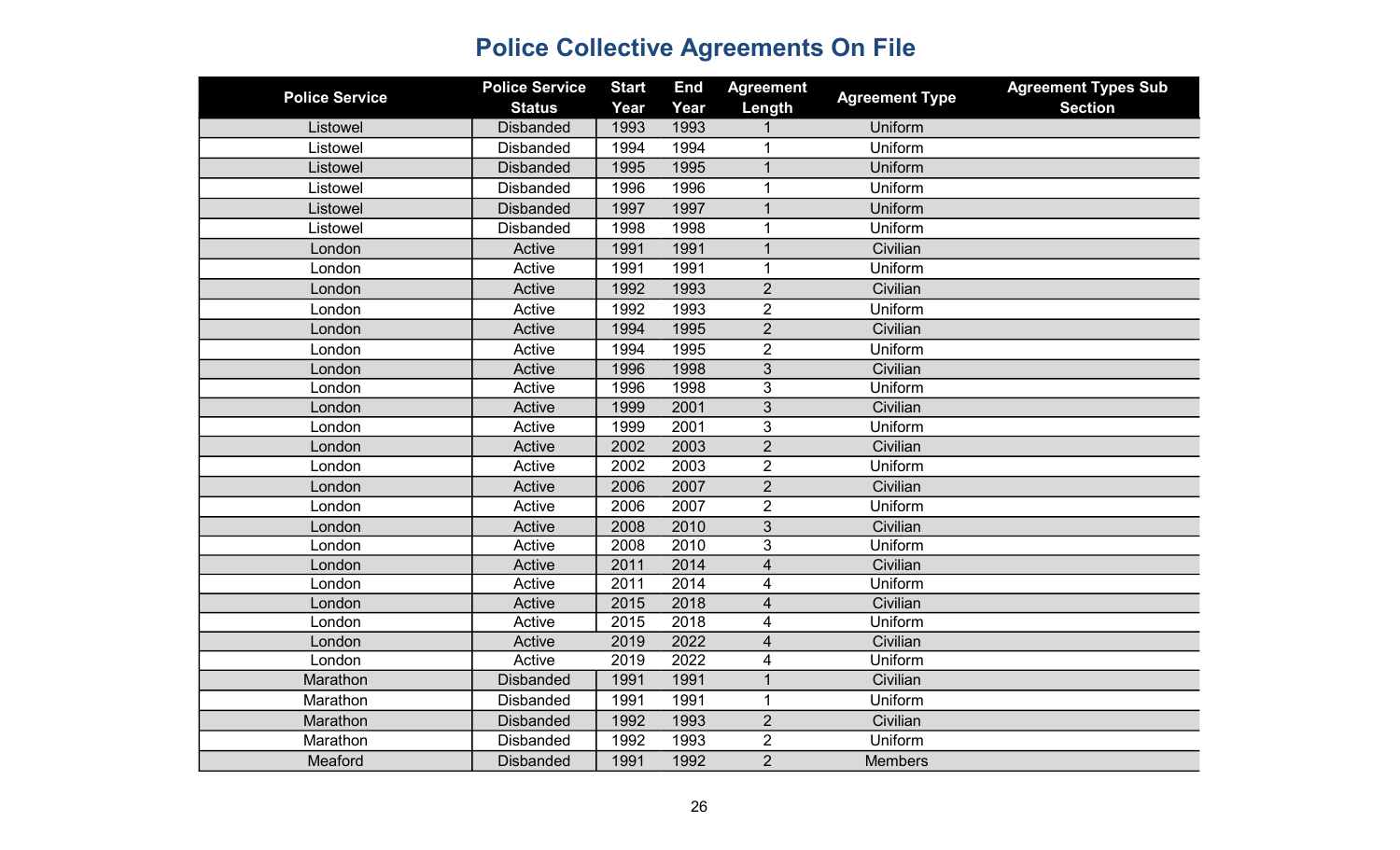| <b>Police Service</b> | <b>Police Service</b><br><b>Status</b> | <b>Start</b><br>Year | <b>End</b><br>Year | <b>Agreement</b><br>Length | <b>Agreement Type</b> | <b>Agreement Types Sub</b><br><b>Section</b> |
|-----------------------|----------------------------------------|----------------------|--------------------|----------------------------|-----------------------|----------------------------------------------|
| Listowel              | <b>Disbanded</b>                       | 1993                 | 1993               |                            | Uniform               |                                              |
| Listowel              | <b>Disbanded</b>                       | 1994                 | 1994               | $\mathbf 1$                | Uniform               |                                              |
| Listowel              | <b>Disbanded</b>                       | 1995                 | 1995               | $\mathbf{1}$               | Uniform               |                                              |
| Listowel              | <b>Disbanded</b>                       | 1996                 | 1996               | 1                          | Uniform               |                                              |
| Listowel              | <b>Disbanded</b>                       | 1997                 | 1997               | $\overline{1}$             | Uniform               |                                              |
| Listowel              | <b>Disbanded</b>                       | 1998                 | 1998               | $\mathbf{1}$               | Uniform               |                                              |
| London                | Active                                 | 1991                 | 1991               | $\mathbf{1}$               | Civilian              |                                              |
| London                | Active                                 | 1991                 | 1991               | 1                          | Uniform               |                                              |
| London                | Active                                 | 1992                 | 1993               | $\overline{2}$             | Civilian              |                                              |
| London                | Active                                 | 1992                 | 1993               | $\overline{2}$             | Uniform               |                                              |
| London                | Active                                 | 1994                 | 1995               | $\overline{2}$             | Civilian              |                                              |
| London                | Active                                 | 1994                 | 1995               | $\overline{2}$             | Uniform               |                                              |
| London                | Active                                 | 1996                 | 1998               | 3                          | Civilian              |                                              |
| London                | Active                                 | 1996                 | 1998               | 3                          | Uniform               |                                              |
| London                | Active                                 | 1999                 | 2001               | 3                          | Civilian              |                                              |
| London                | Active                                 | 1999                 | 2001               | 3                          | Uniform               |                                              |
| London                | Active                                 | 2002                 | 2003               | $\overline{2}$             | Civilian              |                                              |
| London                | Active                                 | 2002                 | 2003               | $\overline{2}$             | Uniform               |                                              |
| London                | Active                                 | 2006                 | 2007               | $\overline{2}$             | Civilian              |                                              |
| London                | Active                                 | 2006                 | 2007               | $\overline{2}$             | Uniform               |                                              |
| London                | Active                                 | 2008                 | 2010               | 3                          | Civilian              |                                              |
| London                | Active                                 | 2008                 | 2010               | 3                          | Uniform               |                                              |
| London                | Active                                 | 2011                 | 2014               | $\overline{4}$             | Civilian              |                                              |
| London                | Active                                 | 2011                 | $\overline{2014}$  | 4                          | Uniform               |                                              |
| London                | Active                                 | 2015                 | 2018               | 4                          | Civilian              |                                              |
| London                | Active                                 | 2015                 | 2018               | 4                          | Uniform               |                                              |
| London                | Active                                 | 2019                 | 2022               | 4                          | Civilian              |                                              |
| London                | Active                                 | 2019                 | 2022               | 4                          | Uniform               |                                              |
| Marathon              | <b>Disbanded</b>                       | 1991                 | 1991               | $\mathbf{1}$               | Civilian              |                                              |
| Marathon              | <b>Disbanded</b>                       | 1991                 | 1991               | 1                          | Uniform               |                                              |
| Marathon              | <b>Disbanded</b>                       | 1992                 | 1993               | $\overline{2}$             | Civilian              |                                              |
| Marathon              | <b>Disbanded</b>                       | 1992                 | 1993               | $\overline{2}$             | Uniform               |                                              |
| Meaford               | <b>Disbanded</b>                       | 1991                 | 1992               | $\overline{2}$             | <b>Members</b>        |                                              |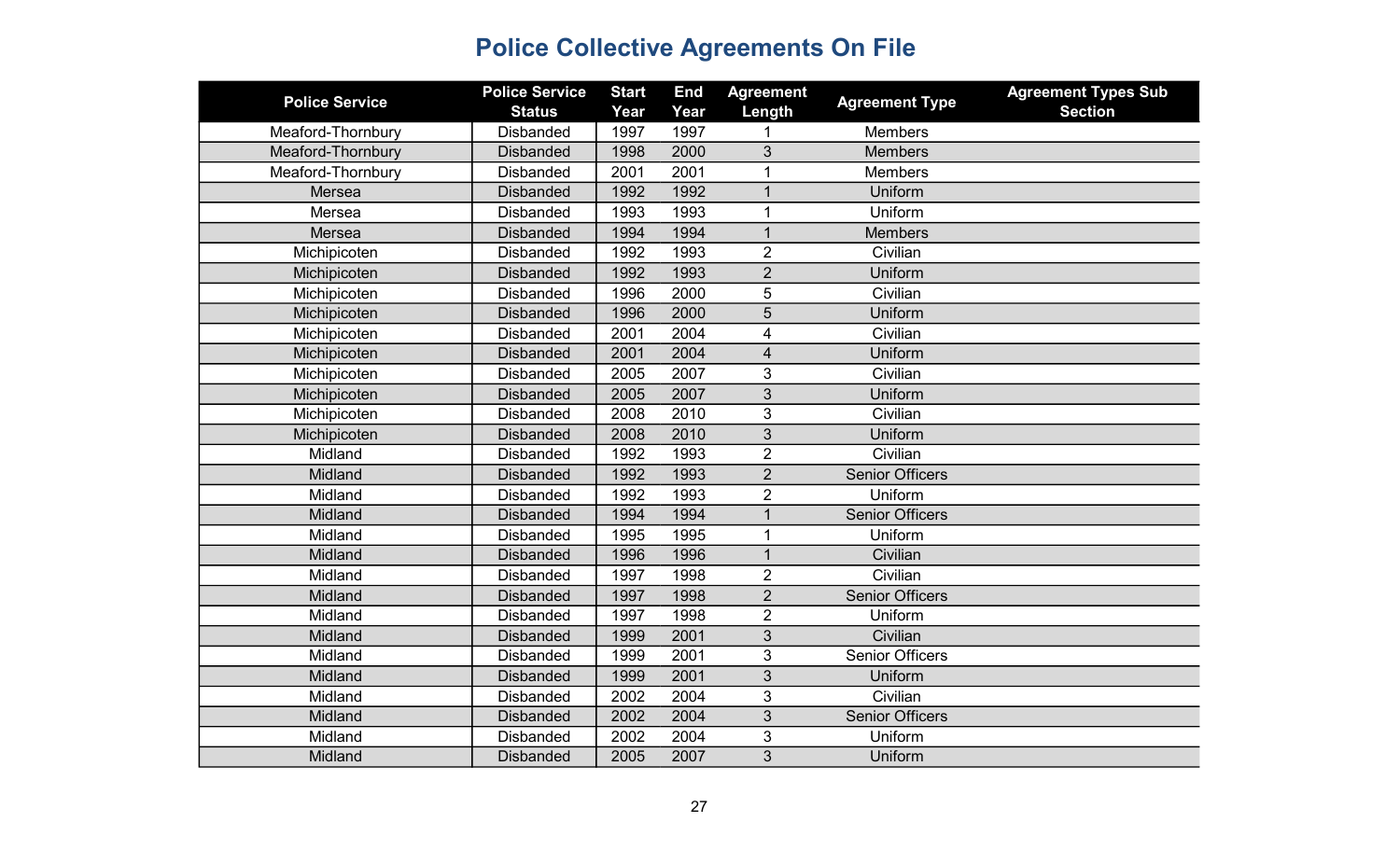| <b>Police Service</b> | <b>Police Service</b> | <b>Start</b> | <b>End</b> | <b>Agreement</b>        | <b>Agreement Type</b>  | <b>Agreement Types Sub</b> |
|-----------------------|-----------------------|--------------|------------|-------------------------|------------------------|----------------------------|
|                       | <b>Status</b>         | Year         | Year       | Length                  |                        | <b>Section</b>             |
| Meaford-Thornbury     | <b>Disbanded</b>      | 1997         | 1997       |                         | <b>Members</b>         |                            |
| Meaford-Thornbury     | <b>Disbanded</b>      | 1998         | 2000       | 3                       | <b>Members</b>         |                            |
| Meaford-Thornbury     | <b>Disbanded</b>      | 2001         | 2001       | 1                       | Members                |                            |
| Mersea                | <b>Disbanded</b>      | 1992         | 1992       | $\overline{1}$          | Uniform                |                            |
| Mersea                | <b>Disbanded</b>      | 1993         | 1993       | 1                       | Uniform                |                            |
| Mersea                | <b>Disbanded</b>      | 1994         | 1994       | 1                       | <b>Members</b>         |                            |
| Michipicoten          | <b>Disbanded</b>      | 1992         | 1993       | $\overline{2}$          | Civilian               |                            |
| Michipicoten          | <b>Disbanded</b>      | 1992         | 1993       | $\overline{2}$          | Uniform                |                            |
| Michipicoten          | <b>Disbanded</b>      | 1996         | 2000       | 5                       | Civilian               |                            |
| Michipicoten          | <b>Disbanded</b>      | 1996         | 2000       | $\sqrt{5}$              | Uniform                |                            |
| Michipicoten          | <b>Disbanded</b>      | 2001         | 2004       | 4                       | Civilian               |                            |
| Michipicoten          | <b>Disbanded</b>      | 2001         | 2004       | $\overline{\mathbf{4}}$ | Uniform                |                            |
| Michipicoten          | <b>Disbanded</b>      | 2005         | 2007       | 3                       | Civilian               |                            |
| Michipicoten          | <b>Disbanded</b>      | 2005         | 2007       | 3                       | Uniform                |                            |
| Michipicoten          | <b>Disbanded</b>      | 2008         | 2010       | 3                       | Civilian               |                            |
| Michipicoten          | <b>Disbanded</b>      | 2008         | 2010       | 3                       | Uniform                |                            |
| Midland               | <b>Disbanded</b>      | 1992         | 1993       | $\overline{2}$          | Civilian               |                            |
| Midland               | <b>Disbanded</b>      | 1992         | 1993       | $\overline{2}$          | <b>Senior Officers</b> |                            |
| Midland               | <b>Disbanded</b>      | 1992         | 1993       | $\overline{2}$          | Uniform                |                            |
| Midland               | <b>Disbanded</b>      | 1994         | 1994       | $\mathbf{1}$            | <b>Senior Officers</b> |                            |
| Midland               | <b>Disbanded</b>      | 1995         | 1995       | 1                       | Uniform                |                            |
| Midland               | <b>Disbanded</b>      | 1996         | 1996       | $\mathbf{1}$            | Civilian               |                            |
| Midland               | <b>Disbanded</b>      | 1997         | 1998       | $\overline{2}$          | Civilian               |                            |
| Midland               | <b>Disbanded</b>      | 1997         | 1998       | $\overline{2}$          | <b>Senior Officers</b> |                            |
| Midland               | <b>Disbanded</b>      | 1997         | 1998       | $\overline{2}$          | Uniform                |                            |
| Midland               | <b>Disbanded</b>      | 1999         | 2001       | 3                       | Civilian               |                            |
| Midland               | <b>Disbanded</b>      | 1999         | 2001       | 3                       | <b>Senior Officers</b> |                            |
| Midland               | <b>Disbanded</b>      | 1999         | 2001       | 3                       | Uniform                |                            |
| Midland               | <b>Disbanded</b>      | 2002         | 2004       | 3                       | Civilian               |                            |
| Midland               | <b>Disbanded</b>      | 2002         | 2004       | 3                       | <b>Senior Officers</b> |                            |
| Midland               | <b>Disbanded</b>      | 2002         | 2004       | 3                       | Uniform                |                            |
| Midland               | <b>Disbanded</b>      | 2005         | 2007       | $\overline{3}$          | Uniform                |                            |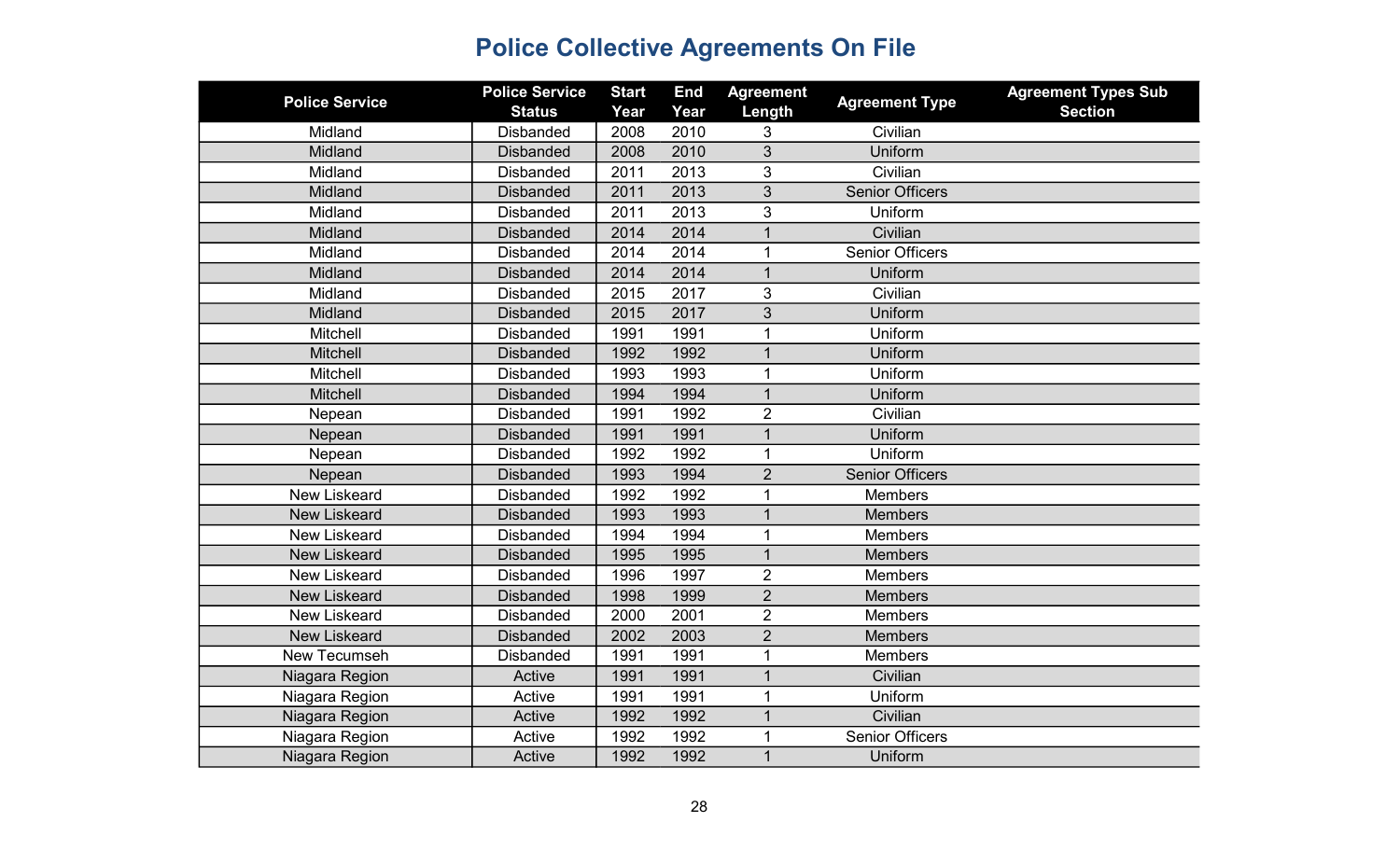| <b>Police Service</b> | <b>Police Service</b><br><b>Status</b> | <b>Start</b><br>Year | <b>End</b><br>Year | <b>Agreement</b><br>Length | <b>Agreement Type</b>  | <b>Agreement Types Sub</b><br><b>Section</b> |
|-----------------------|----------------------------------------|----------------------|--------------------|----------------------------|------------------------|----------------------------------------------|
| Midland               | <b>Disbanded</b>                       | 2008                 | 2010               | 3                          | Civilian               |                                              |
| Midland               | <b>Disbanded</b>                       | 2008                 | 2010               | 3                          | Uniform                |                                              |
| Midland               | <b>Disbanded</b>                       | 2011                 | 2013               | 3                          | Civilian               |                                              |
| Midland               | <b>Disbanded</b>                       | 2011                 | 2013               | 3                          | <b>Senior Officers</b> |                                              |
| Midland               | <b>Disbanded</b>                       | 2011                 | 2013               | 3                          | Uniform                |                                              |
| Midland               | <b>Disbanded</b>                       | 2014                 | 2014               |                            | Civilian               |                                              |
| Midland               | <b>Disbanded</b>                       | 2014                 | 2014               | 1                          | <b>Senior Officers</b> |                                              |
| Midland               | <b>Disbanded</b>                       | 2014                 | 2014               | $\overline{1}$             | Uniform                |                                              |
| Midland               | <b>Disbanded</b>                       | 2015                 | 2017               | 3                          | Civilian               |                                              |
| Midland               | <b>Disbanded</b>                       | 2015                 | 2017               | 3                          | Uniform                |                                              |
| Mitchell              | <b>Disbanded</b>                       | 1991                 | 1991               |                            | Uniform                |                                              |
| Mitchell              | <b>Disbanded</b>                       | 1992                 | 1992               |                            | Uniform                |                                              |
| Mitchell              | <b>Disbanded</b>                       | 1993                 | 1993               | 1                          | Uniform                |                                              |
| <b>Mitchell</b>       | <b>Disbanded</b>                       | 1994                 | 1994               | $\mathbf{1}$               | Uniform                |                                              |
| Nepean                | <b>Disbanded</b>                       | 1991                 | 1992               | $\overline{2}$             | Civilian               |                                              |
| Nepean                | <b>Disbanded</b>                       | 1991                 | 1991               | $\mathbf{1}$               | Uniform                |                                              |
| Nepean                | <b>Disbanded</b>                       | 1992                 | 1992               | 1                          | Uniform                |                                              |
| Nepean                | <b>Disbanded</b>                       | 1993                 | 1994               | $\overline{2}$             | <b>Senior Officers</b> |                                              |
| <b>New Liskeard</b>   | <b>Disbanded</b>                       | 1992                 | 1992               | 1                          | <b>Members</b>         |                                              |
| <b>New Liskeard</b>   | <b>Disbanded</b>                       | 1993                 | 1993               | $\mathbf{1}$               | <b>Members</b>         |                                              |
| <b>New Liskeard</b>   | <b>Disbanded</b>                       | 1994                 | 1994               |                            | <b>Members</b>         |                                              |
| <b>New Liskeard</b>   | <b>Disbanded</b>                       | 1995                 | 1995               | $\mathbf 1$                | <b>Members</b>         |                                              |
| <b>New Liskeard</b>   | <b>Disbanded</b>                       | 1996                 | 1997               | $\overline{2}$             | <b>Members</b>         |                                              |
| <b>New Liskeard</b>   | <b>Disbanded</b>                       | 1998                 | 1999               | $\overline{2}$             | <b>Members</b>         |                                              |
| <b>New Liskeard</b>   | <b>Disbanded</b>                       | 2000                 | 2001               | $\overline{2}$             | <b>Members</b>         |                                              |
| <b>New Liskeard</b>   | <b>Disbanded</b>                       | 2002                 | 2003               | $\overline{2}$             | <b>Members</b>         |                                              |
| New Tecumseh          | <b>Disbanded</b>                       | 1991                 | 1991               | 1                          | Members                |                                              |
| Niagara Region        | Active                                 | 1991                 | 1991               | $\overline{1}$             | Civilian               |                                              |
| Niagara Region        | Active                                 | 1991                 | 1991               | 1                          | Uniform                |                                              |
| Niagara Region        | Active                                 | 1992                 | 1992               | $\mathbf 1$                | Civilian               |                                              |
| Niagara Region        | Active                                 | 1992                 | 1992               |                            | <b>Senior Officers</b> |                                              |
| Niagara Region        | Active                                 | 1992                 | 1992               | $\overline{1}$             | Uniform                |                                              |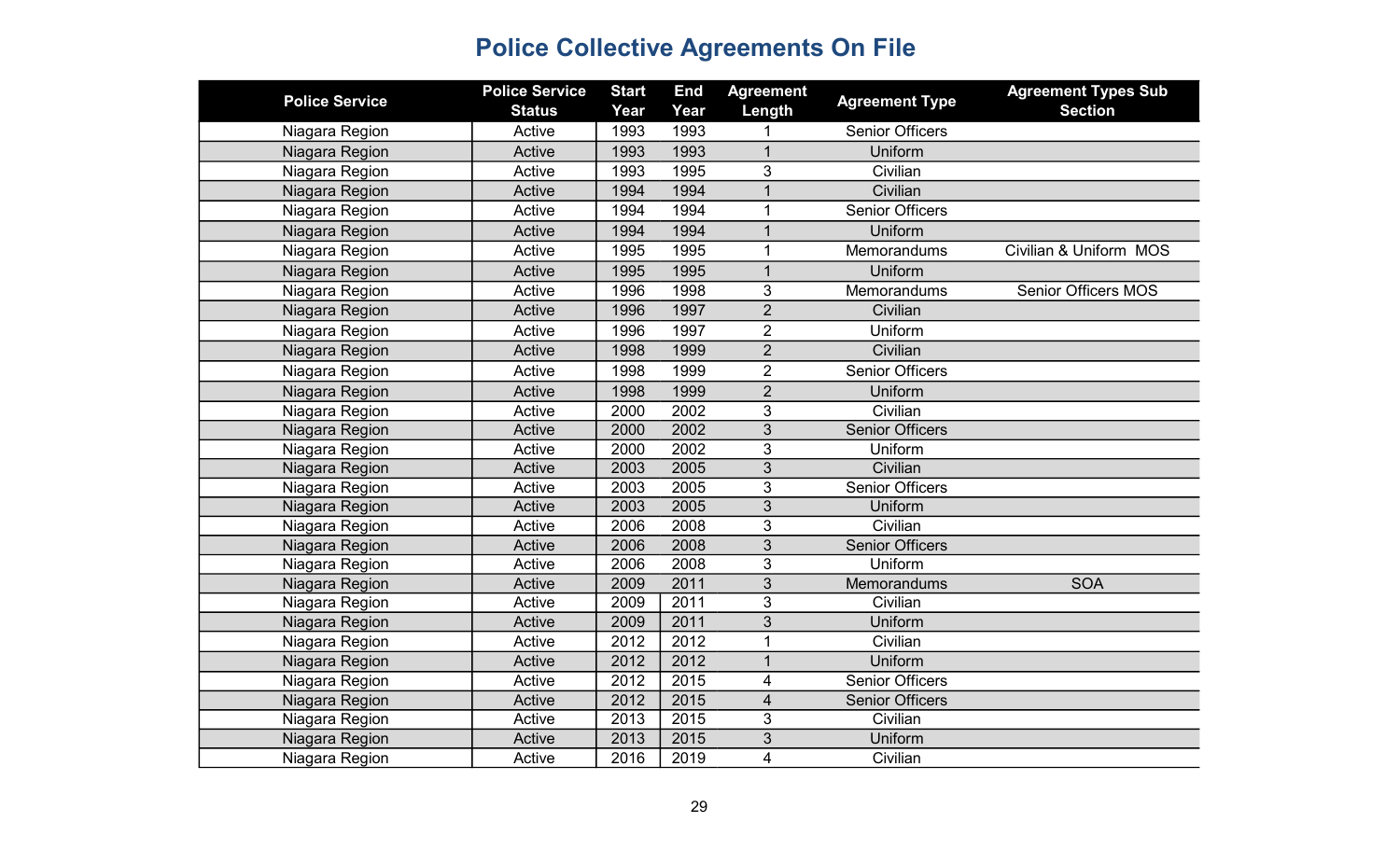| <b>Police Service</b> | <b>Police Service</b><br><b>Status</b> | <b>Start</b><br>Year | <b>End</b><br>Year | <b>Agreement</b><br>Length | <b>Agreement Type</b>  | <b>Agreement Types Sub</b><br><b>Section</b> |
|-----------------------|----------------------------------------|----------------------|--------------------|----------------------------|------------------------|----------------------------------------------|
| Niagara Region        | Active                                 | 1993                 | 1993               |                            | <b>Senior Officers</b> |                                              |
| Niagara Region        | Active                                 | 1993                 | 1993               | $\mathbf{1}$               | Uniform                |                                              |
| Niagara Region        | Active                                 | 1993                 | 1995               | 3                          | Civilian               |                                              |
| Niagara Region        | Active                                 | 1994                 | 1994               | $\mathbf 1$                | Civilian               |                                              |
| Niagara Region        | Active                                 | 1994                 | 1994               | $\mathbf{1}$               | <b>Senior Officers</b> |                                              |
| Niagara Region        | Active                                 | 1994                 | 1994               | $\mathbf{1}$               | Uniform                |                                              |
| Niagara Region        | Active                                 | 1995                 | 1995               | $\mathbf{1}$               | <b>Memorandums</b>     | Civilian & Uniform MOS                       |
| Niagara Region        | Active                                 | 1995                 | 1995               | $\mathbf{1}$               | Uniform                |                                              |
| Niagara Region        | Active                                 | 1996                 | 1998               | 3                          | Memorandums            | <b>Senior Officers MOS</b>                   |
| Niagara Region        | Active                                 | 1996                 | 1997               | $\overline{2}$             | Civilian               |                                              |
| Niagara Region        | Active                                 | 1996                 | 1997               | $\overline{2}$             | Uniform                |                                              |
| Niagara Region        | Active                                 | 1998                 | 1999               | $\overline{2}$             | Civilian               |                                              |
| Niagara Region        | Active                                 | 1998                 | 1999               | $\overline{2}$             | <b>Senior Officers</b> |                                              |
| Niagara Region        | Active                                 | 1998                 | 1999               | $\overline{2}$             | Uniform                |                                              |
| Niagara Region        | Active                                 | 2000                 | 2002               | 3                          | Civilian               |                                              |
| Niagara Region        | Active                                 | 2000                 | 2002               | 3                          | <b>Senior Officers</b> |                                              |
| Niagara Region        | Active                                 | 2000                 | 2002               | 3                          | Uniform                |                                              |
| Niagara Region        | Active                                 | 2003                 | 2005               | $\overline{3}$             | Civilian               |                                              |
| Niagara Region        | Active                                 | 2003                 | 2005               | $\overline{3}$             | <b>Senior Officers</b> |                                              |
| Niagara Region        | Active                                 | 2003                 | 2005               | 3                          | Uniform                |                                              |
| Niagara Region        | Active                                 | 2006                 | 2008               | 3                          | Civilian               |                                              |
| Niagara Region        | Active                                 | 2006                 | 2008               | 3                          | <b>Senior Officers</b> |                                              |
| Niagara Region        | Active                                 | 2006                 | 2008               | 3                          | Uniform                |                                              |
| Niagara Region        | Active                                 | 2009                 | 2011               | 3                          | Memorandums            | <b>SOA</b>                                   |
| Niagara Region        | Active                                 | 2009                 | 2011               | 3                          | Civilian               |                                              |
| Niagara Region        | Active                                 | 2009                 | 2011               | 3                          | Uniform                |                                              |
| Niagara Region        | Active                                 | 2012                 | 2012               | $\mathbf{1}$               | Civilian               |                                              |
| Niagara Region        | Active                                 | 2012                 | 2012               | $\mathbf{1}$               | Uniform                |                                              |
| Niagara Region        | Active                                 | 2012                 | 2015               | 4                          | <b>Senior Officers</b> |                                              |
| Niagara Region        | Active                                 | 2012                 | 2015               | $\overline{\mathbf{4}}$    | <b>Senior Officers</b> |                                              |
| Niagara Region        | Active                                 | 2013                 | 2015               | 3                          | Civilian               |                                              |
| Niagara Region        | Active                                 | 2013                 | 2015               | 3                          | Uniform                |                                              |
| Niagara Region        | Active                                 | 2016                 | 2019               | $\overline{\mathbf{4}}$    | Civilian               |                                              |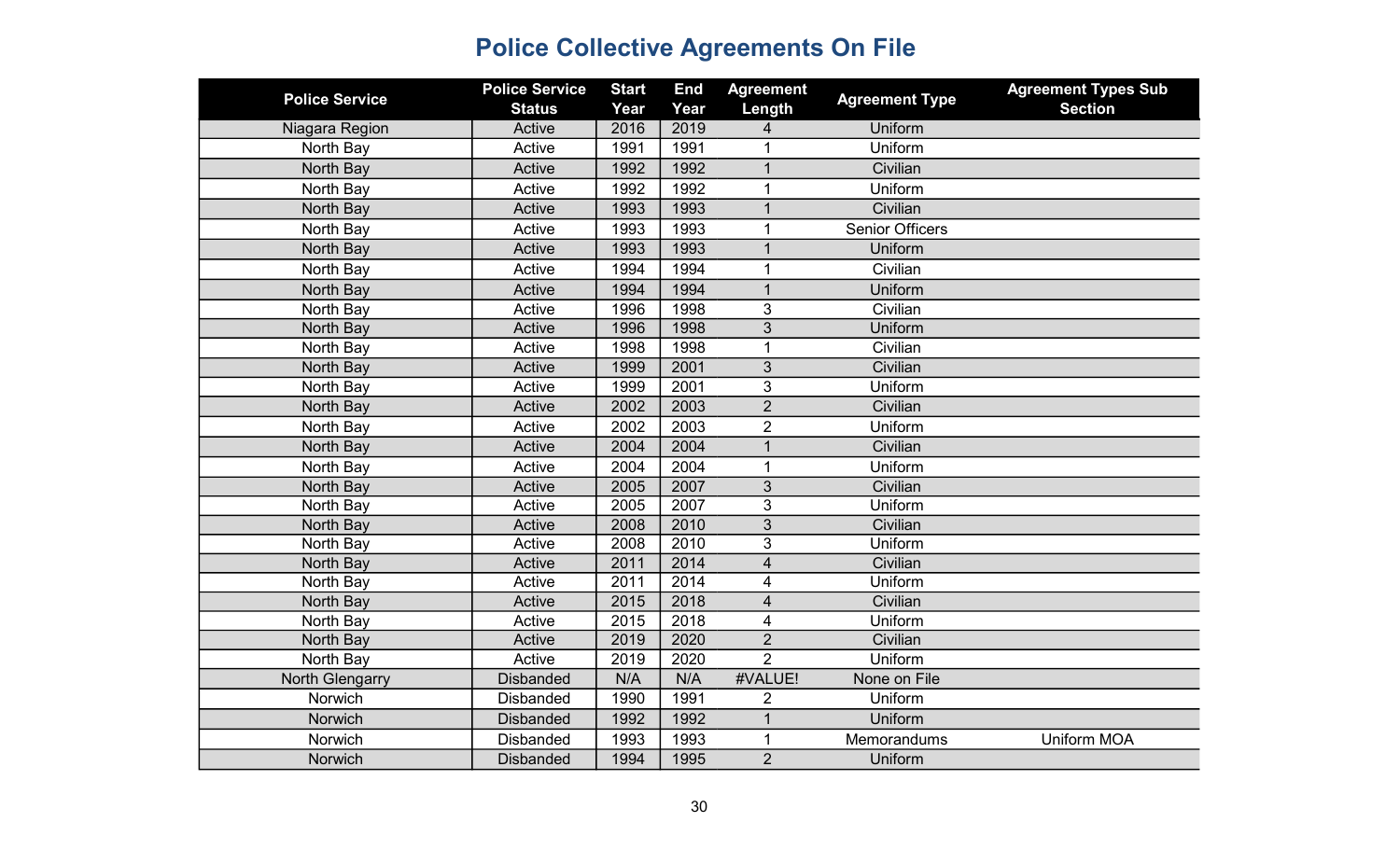| <b>Police Service</b>  | <b>Police Service</b><br><b>Status</b> | <b>Start</b><br>Year | <b>End</b><br>Year | <b>Agreement</b><br>Length | <b>Agreement Type</b>  | <b>Agreement Types Sub</b><br><b>Section</b> |
|------------------------|----------------------------------------|----------------------|--------------------|----------------------------|------------------------|----------------------------------------------|
| Niagara Region         | Active                                 | 2016                 | 2019               | 4                          | Uniform                |                                              |
| North Bay              | Active                                 | 1991                 | 1991               | 1                          | Uniform                |                                              |
| North Bay              | Active                                 | 1992                 | 1992               | $\overline{1}$             | Civilian               |                                              |
| North Bay              | Active                                 | 1992                 | 1992               | $\mathbf{1}$               | Uniform                |                                              |
| North Bay              | Active                                 | 1993                 | 1993               | $\mathbf{1}$               | Civilian               |                                              |
| North Bay              | Active                                 | 1993                 | 1993               | $\mathbf 1$                | <b>Senior Officers</b> |                                              |
| North Bay              | Active                                 | 1993                 | 1993               | $\mathbf 1$                | Uniform                |                                              |
| North Bay              | Active                                 | 1994                 | 1994               | 1                          | Civilian               |                                              |
| North Bay              | Active                                 | 1994                 | 1994               | $\overline{1}$             | Uniform                |                                              |
| North Bay              | Active                                 | 1996                 | 1998               | 3                          | Civilian               |                                              |
| North Bay              | Active                                 | 1996                 | 1998               | 3                          | Uniform                |                                              |
| North Bay              | Active                                 | 1998                 | 1998               | $\mathbf{1}$               | Civilian               |                                              |
| North Bay              | Active                                 | 1999                 | 2001               | $\mathfrak{S}$             | Civilian               |                                              |
| North Bay              | Active                                 | 1999                 | 2001               | 3                          | Uniform                |                                              |
| North Bay              | Active                                 | 2002                 | 2003               | $\overline{2}$             | Civilian               |                                              |
| North Bay              | Active                                 | 2002                 | 2003               | $\overline{2}$             | Uniform                |                                              |
| North Bay              | Active                                 | 2004                 | 2004               | $\overline{1}$             | Civilian               |                                              |
| North Bay              | Active                                 | 2004                 | 2004               | $\mathbf{1}$               | Uniform                |                                              |
| North Bay              | Active                                 | 2005                 | 2007               | 3                          | Civilian               |                                              |
| North Bay              | Active                                 | 2005                 | 2007               | 3                          | Uniform                |                                              |
| North Bay              | Active                                 | 2008                 | 2010               | $\mathfrak{S}$             | Civilian               |                                              |
| North Bay              | Active                                 | 2008                 | 2010               | 3                          | Uniform                |                                              |
| North Bay              | Active                                 | 2011                 | 2014               | $\overline{\mathbf{4}}$    | Civilian               |                                              |
| North Bay              | Active                                 | 2011                 | 2014               | 4                          | Uniform                |                                              |
| North Bay              | Active                                 | 2015                 | 2018               | $\overline{\mathbf{4}}$    | Civilian               |                                              |
| North Bay              | Active                                 | 2015                 | 2018               | 4                          | Uniform                |                                              |
| North Bay              | Active                                 | 2019                 | 2020               | $\overline{2}$             | Civilian               |                                              |
| North Bay              | Active                                 | 2019                 | 2020               | $\overline{2}$             | Uniform                |                                              |
| <b>North Glengarry</b> | <b>Disbanded</b>                       | N/A                  | N/A                | #VALUE!                    | None on File           |                                              |
| Norwich                | <b>Disbanded</b>                       | 1990                 | 1991               | 2                          | Uniform                |                                              |
| Norwich                | <b>Disbanded</b>                       | 1992                 | 1992               | $\mathbf 1$                | Uniform                |                                              |
| Norwich                | <b>Disbanded</b>                       | 1993                 | 1993               | $\mathbf 1$                | Memorandums            | <b>Uniform MOA</b>                           |
| Norwich                | <b>Disbanded</b>                       | 1994                 | 1995               | $\overline{2}$             | Uniform                |                                              |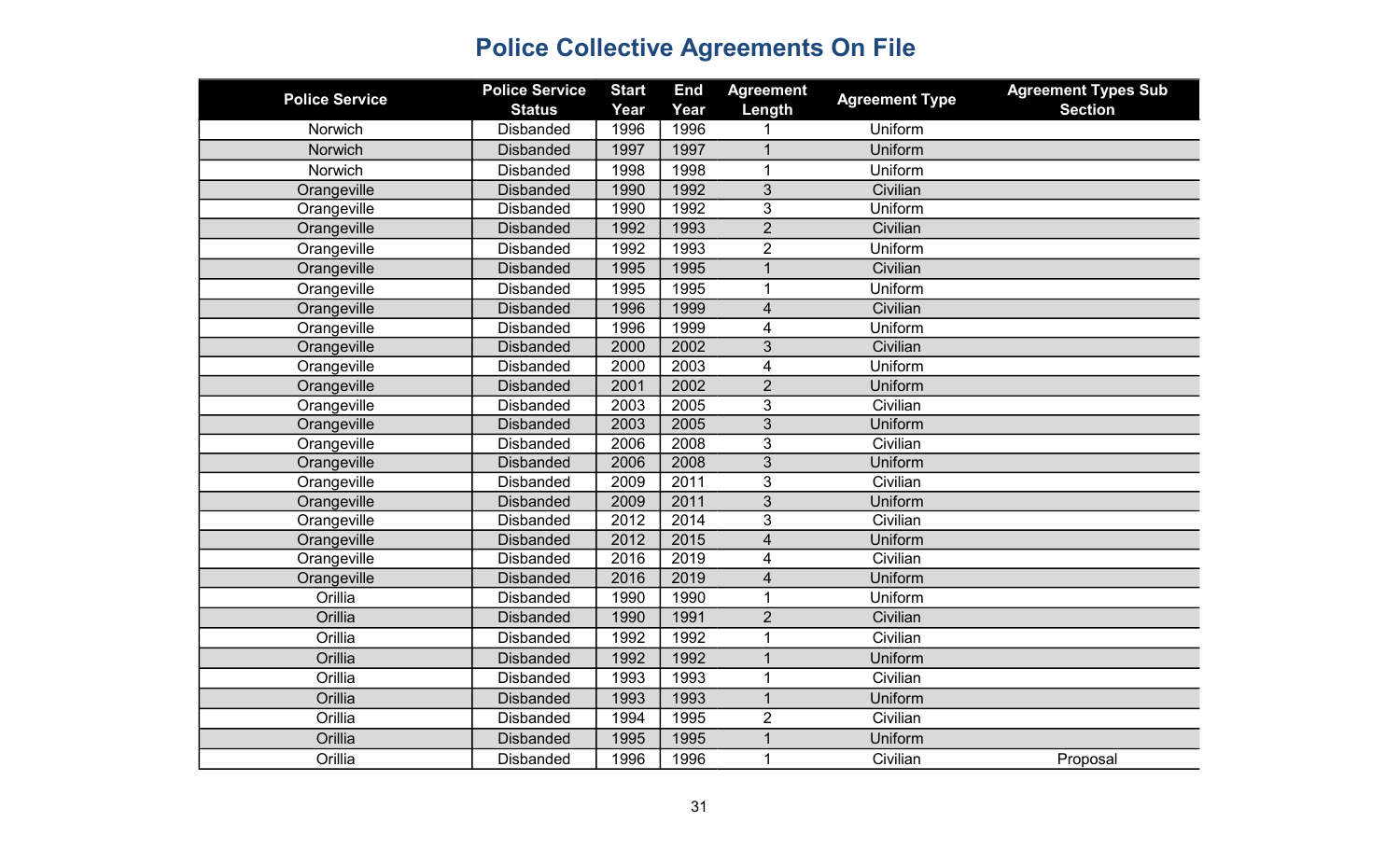| <b>Police Service</b> | <b>Police Service</b> | <b>Start</b> | <b>End</b> | <b>Agreement</b>        | <b>Agreement Type</b> | <b>Agreement Types Sub</b> |
|-----------------------|-----------------------|--------------|------------|-------------------------|-----------------------|----------------------------|
|                       | <b>Status</b>         | Year         | Year       | Length                  |                       | <b>Section</b>             |
| Norwich               | <b>Disbanded</b>      | 1996         | 1996       |                         | Uniform               |                            |
| Norwich               | <b>Disbanded</b>      | 1997         | 1997       | 1                       | Uniform               |                            |
| Norwich               | <b>Disbanded</b>      | 1998         | 1998       | 1                       | Uniform               |                            |
| Orangeville           | <b>Disbanded</b>      | 1990         | 1992       | 3                       | Civilian              |                            |
| Orangeville           | <b>Disbanded</b>      | 1990         | 1992       | 3                       | Uniform               |                            |
| Orangeville           | <b>Disbanded</b>      | 1992         | 1993       | $\overline{2}$          | Civilian              |                            |
| Orangeville           | <b>Disbanded</b>      | 1992         | 1993       | $\overline{2}$          | Uniform               |                            |
| Orangeville           | <b>Disbanded</b>      | 1995         | 1995       | $\mathbf{1}$            | Civilian              |                            |
| Orangeville           | <b>Disbanded</b>      | 1995         | 1995       | $\mathbf{1}$            | Uniform               |                            |
| Orangeville           | <b>Disbanded</b>      | 1996         | 1999       | $\overline{4}$          | Civilian              |                            |
| Orangeville           | <b>Disbanded</b>      | 1996         | 1999       | 4                       | Uniform               |                            |
| Orangeville           | <b>Disbanded</b>      | 2000         | 2002       | $\overline{3}$          | Civilian              |                            |
| Orangeville           | <b>Disbanded</b>      | 2000         | 2003       | 4                       | Uniform               |                            |
| Orangeville           | <b>Disbanded</b>      | 2001         | 2002       | $\overline{2}$          | Uniform               |                            |
| Orangeville           | <b>Disbanded</b>      | 2003         | 2005       | 3                       | Civilian              |                            |
| Orangeville           | <b>Disbanded</b>      | 2003         | 2005       | 3                       | Uniform               |                            |
| Orangeville           | <b>Disbanded</b>      | 2006         | 2008       | $\overline{3}$          | Civilian              |                            |
| Orangeville           | <b>Disbanded</b>      | 2006         | 2008       | 3                       | Uniform               |                            |
| Orangeville           | <b>Disbanded</b>      | 2009         | 2011       | 3                       | Civilian              |                            |
| Orangeville           | <b>Disbanded</b>      | 2009         | 2011       | 3                       | Uniform               |                            |
| Orangeville           | <b>Disbanded</b>      | 2012         | 2014       | 3                       | Civilian              |                            |
| Orangeville           | <b>Disbanded</b>      | 2012         | 2015       | $\overline{\mathbf{4}}$ | Uniform               |                            |
| Orangeville           | <b>Disbanded</b>      | 2016         | 2019       | 4                       | Civilian              |                            |
| Orangeville           | <b>Disbanded</b>      | 2016         | 2019       | $\overline{\mathbf{4}}$ | Uniform               |                            |
| Orillia               | <b>Disbanded</b>      | 1990         | 1990       | 1                       | Uniform               |                            |
| Orillia               | <b>Disbanded</b>      | 1990         | 1991       | $\overline{2}$          | Civilian              |                            |
| Orillia               | <b>Disbanded</b>      | 1992         | 1992       | 1                       | Civilian              |                            |
| Orillia               | <b>Disbanded</b>      | 1992         | 1992       | $\overline{1}$          | Uniform               |                            |
| Orillia               | <b>Disbanded</b>      | 1993         | 1993       | $\mathbf{1}$            | Civilian              |                            |
| Orillia               | <b>Disbanded</b>      | 1993         | 1993       | $\mathbf 1$             | Uniform               |                            |
| Orillia               | <b>Disbanded</b>      | 1994         | 1995       | $\overline{2}$          | Civilian              |                            |
| Orillia               | <b>Disbanded</b>      | 1995         | 1995       | 1                       | Uniform               |                            |
| Orillia               | <b>Disbanded</b>      | 1996         | 1996       | 1                       | Civilian              | Proposal                   |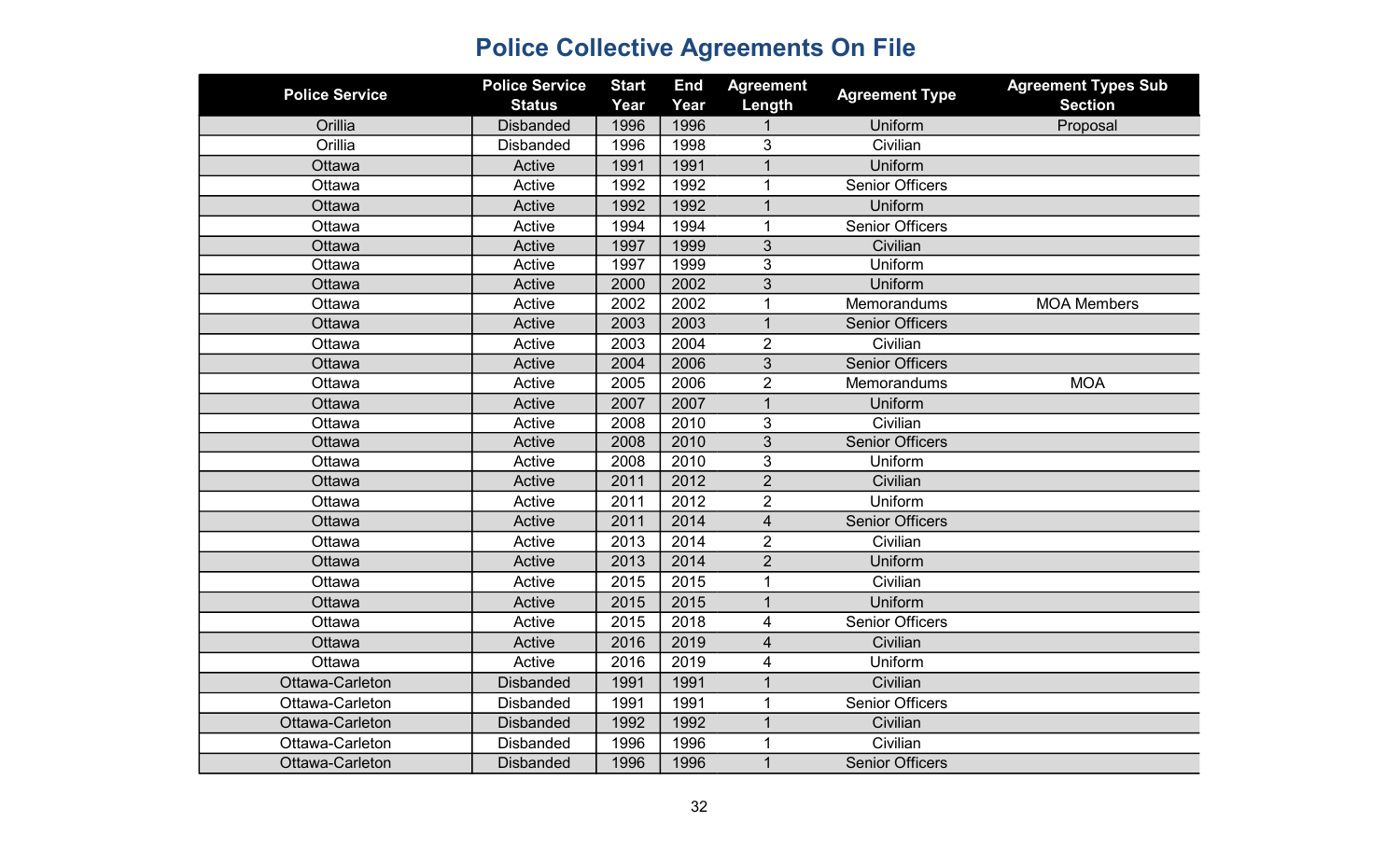| <b>Police Service</b> | <b>Police Service</b><br><b>Status</b> | <b>Start</b><br>Year | <b>End</b><br>Year | <b>Agreement</b><br>Length | <b>Agreement Type</b>  | <b>Agreement Types Sub</b><br><b>Section</b> |
|-----------------------|----------------------------------------|----------------------|--------------------|----------------------------|------------------------|----------------------------------------------|
| Orillia               | <b>Disbanded</b>                       | 1996                 | 1996               |                            | Uniform                | Proposal                                     |
| Orillia               | <b>Disbanded</b>                       | 1996                 | 1998               | 3                          | Civilian               |                                              |
| Ottawa                | Active                                 | 1991                 | 1991               | $\mathbf{1}$               | Uniform                |                                              |
| Ottawa                | Active                                 | 1992                 | 1992               | 1                          | <b>Senior Officers</b> |                                              |
| Ottawa                | Active                                 | 1992                 | 1992               | $\mathbf{1}$               | Uniform                |                                              |
| Ottawa                | Active                                 | 1994                 | 1994               | $\mathbf{1}$               | <b>Senior Officers</b> |                                              |
| Ottawa                | Active                                 | 1997                 | 1999               | 3                          | Civilian               |                                              |
| Ottawa                | Active                                 | 1997                 | 1999               | 3                          | Uniform                |                                              |
| Ottawa                | Active                                 | 2000                 | 2002               | 3                          | Uniform                |                                              |
| Ottawa                | Active                                 | 2002                 | 2002               | 1                          | Memorandums            | <b>MOA Members</b>                           |
| Ottawa                | Active                                 | 2003                 | 2003               | $\overline{1}$             | <b>Senior Officers</b> |                                              |
| Ottawa                | Active                                 | 2003                 | 2004               | $\overline{2}$             | Civilian               |                                              |
| Ottawa                | Active                                 | 2004                 | 2006               | $\overline{3}$             | <b>Senior Officers</b> |                                              |
| Ottawa                | Active                                 | 2005                 | 2006               | $\overline{2}$             | Memorandums            | <b>MOA</b>                                   |
| Ottawa                | Active                                 | 2007                 | 2007               | $\overline{1}$             | Uniform                |                                              |
| Ottawa                | Active                                 | 2008                 | 2010               | 3                          | Civilian               |                                              |
| Ottawa                | Active                                 | 2008                 | 2010               | 3                          | <b>Senior Officers</b> |                                              |
| Ottawa                | Active                                 | 2008                 | 2010               | 3                          | Uniform                |                                              |
| Ottawa                | Active                                 | 2011                 | 2012               | $\overline{2}$             | Civilian               |                                              |
| Ottawa                | Active                                 | 2011                 | 2012               | $\overline{2}$             | Uniform                |                                              |
| Ottawa                | Active                                 | 2011                 | 2014               | $\overline{4}$             | <b>Senior Officers</b> |                                              |
| Ottawa                | Active                                 | 2013                 | 2014               | $\overline{2}$             | Civilian               |                                              |
| Ottawa                | Active                                 | 2013                 | 2014               | $\overline{2}$             | Uniform                |                                              |
| Ottawa                | Active                                 | 2015                 | 2015               | 1                          | Civilian               |                                              |
| Ottawa                | Active                                 | 2015                 | 2015               | $\mathbf{1}$               | Uniform                |                                              |
| Ottawa                | Active                                 | 2015                 | 2018               | 4                          | <b>Senior Officers</b> |                                              |
| Ottawa                | Active                                 | 2016                 | 2019               | $\overline{\mathbf{4}}$    | Civilian               |                                              |
| Ottawa                | Active                                 | 2016                 | 2019               | 4                          | Uniform                |                                              |
| Ottawa-Carleton       | <b>Disbanded</b>                       | 1991                 | 1991               | $\overline{1}$             | Civilian               |                                              |
| Ottawa-Carleton       | <b>Disbanded</b>                       | 1991                 | 1991               | 1                          | <b>Senior Officers</b> |                                              |
| Ottawa-Carleton       | <b>Disbanded</b>                       | 1992                 | 1992               |                            | Civilian               |                                              |
| Ottawa-Carleton       | <b>Disbanded</b>                       | 1996                 | 1996               |                            | Civilian               |                                              |
| Ottawa-Carleton       | <b>Disbanded</b>                       | 1996                 | 1996               | $\mathbf{1}$               | <b>Senior Officers</b> |                                              |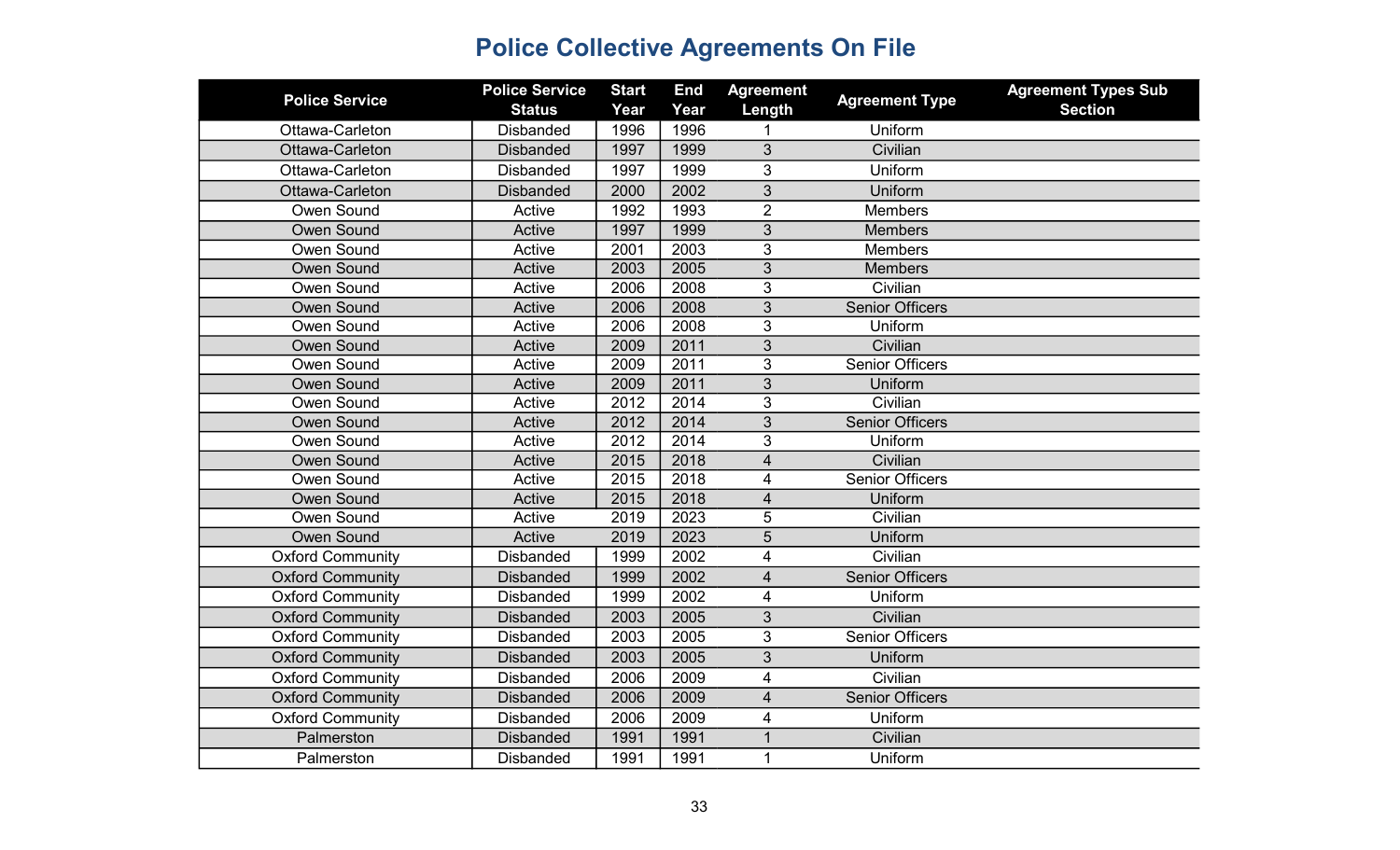| <b>Police Service</b>   | <b>Police Service</b><br><b>Status</b> | <b>Start</b><br>Year | <b>End</b><br>Year | <b>Agreement</b><br>Length | <b>Agreement Type</b>  | <b>Agreement Types Sub</b><br><b>Section</b> |
|-------------------------|----------------------------------------|----------------------|--------------------|----------------------------|------------------------|----------------------------------------------|
| Ottawa-Carleton         | <b>Disbanded</b>                       | 1996                 | 1996               |                            | Uniform                |                                              |
| Ottawa-Carleton         | <b>Disbanded</b>                       | 1997                 | 1999               | 3                          | Civilian               |                                              |
| Ottawa-Carleton         | <b>Disbanded</b>                       | 1997                 | 1999               | 3                          | Uniform                |                                              |
| Ottawa-Carleton         | <b>Disbanded</b>                       | 2000                 | 2002               | 3                          | Uniform                |                                              |
| Owen Sound              | Active                                 | 1992                 | 1993               | $\overline{2}$             | <b>Members</b>         |                                              |
| <b>Owen Sound</b>       | Active                                 | 1997                 | 1999               | $\overline{3}$             | <b>Members</b>         |                                              |
| Owen Sound              | Active                                 | 2001                 | 2003               | 3                          | <b>Members</b>         |                                              |
| <b>Owen Sound</b>       | Active                                 | 2003                 | 2005               | 3                          | <b>Members</b>         |                                              |
| Owen Sound              | Active                                 | 2006                 | 2008               | 3                          | Civilian               |                                              |
| <b>Owen Sound</b>       | Active                                 | 2006                 | 2008               | 3                          | <b>Senior Officers</b> |                                              |
| Owen Sound              | Active                                 | 2006                 | 2008               | $\mathfrak{B}$             | Uniform                |                                              |
| <b>Owen Sound</b>       | Active                                 | 2009                 | 2011               | $\overline{3}$             | Civilian               |                                              |
| Owen Sound              | Active                                 | 2009                 | 2011               | $\mathfrak{B}$             | <b>Senior Officers</b> |                                              |
| <b>Owen Sound</b>       | Active                                 | 2009                 | 2011               | 3                          | Uniform                |                                              |
| Owen Sound              | Active                                 | 2012                 | 2014               | $\overline{3}$             | Civilian               |                                              |
| <b>Owen Sound</b>       | Active                                 | 2012                 | 2014               | $\overline{3}$             | <b>Senior Officers</b> |                                              |
| Owen Sound              | Active                                 | 2012                 | 2014               | 3                          | Uniform                |                                              |
| <b>Owen Sound</b>       | Active                                 | 2015                 | 2018               | $\overline{4}$             | Civilian               |                                              |
| Owen Sound              | Active                                 | 2015                 | 2018               | 4                          | <b>Senior Officers</b> |                                              |
| <b>Owen Sound</b>       | Active                                 | 2015                 | 2018               | $\overline{4}$             | Uniform                |                                              |
| Owen Sound              | Active                                 | 2019                 | 2023               | 5                          | Civilian               |                                              |
| <b>Owen Sound</b>       | Active                                 | 2019                 | 2023               | 5                          | Uniform                |                                              |
| <b>Oxford Community</b> | <b>Disbanded</b>                       | 1999                 | 2002               | $\overline{4}$             | Civilian               |                                              |
| <b>Oxford Community</b> | <b>Disbanded</b>                       | 1999                 | 2002               | $\overline{4}$             | <b>Senior Officers</b> |                                              |
| <b>Oxford Community</b> | <b>Disbanded</b>                       | 1999                 | 2002               | $\overline{\mathbf{4}}$    | Uniform                |                                              |
| <b>Oxford Community</b> | <b>Disbanded</b>                       | 2003                 | 2005               | 3                          | Civilian               |                                              |
| <b>Oxford Community</b> | <b>Disbanded</b>                       | 2003                 | 2005               | 3                          | <b>Senior Officers</b> |                                              |
| <b>Oxford Community</b> | <b>Disbanded</b>                       | 2003                 | 2005               | 3                          | Uniform                |                                              |
| <b>Oxford Community</b> | <b>Disbanded</b>                       | 2006                 | 2009               | $\overline{\mathbf{4}}$    | Civilian               |                                              |
| <b>Oxford Community</b> | <b>Disbanded</b>                       | 2006                 | 2009               | $\overline{\mathbf{4}}$    | <b>Senior Officers</b> |                                              |
| <b>Oxford Community</b> | <b>Disbanded</b>                       | 2006                 | 2009               | $\overline{4}$             | Uniform                |                                              |
| Palmerston              | <b>Disbanded</b>                       | 1991                 | 1991               | $\mathbf 1$                | Civilian               |                                              |
| Palmerston              | <b>Disbanded</b>                       | 1991                 | 1991               | 1                          | Uniform                |                                              |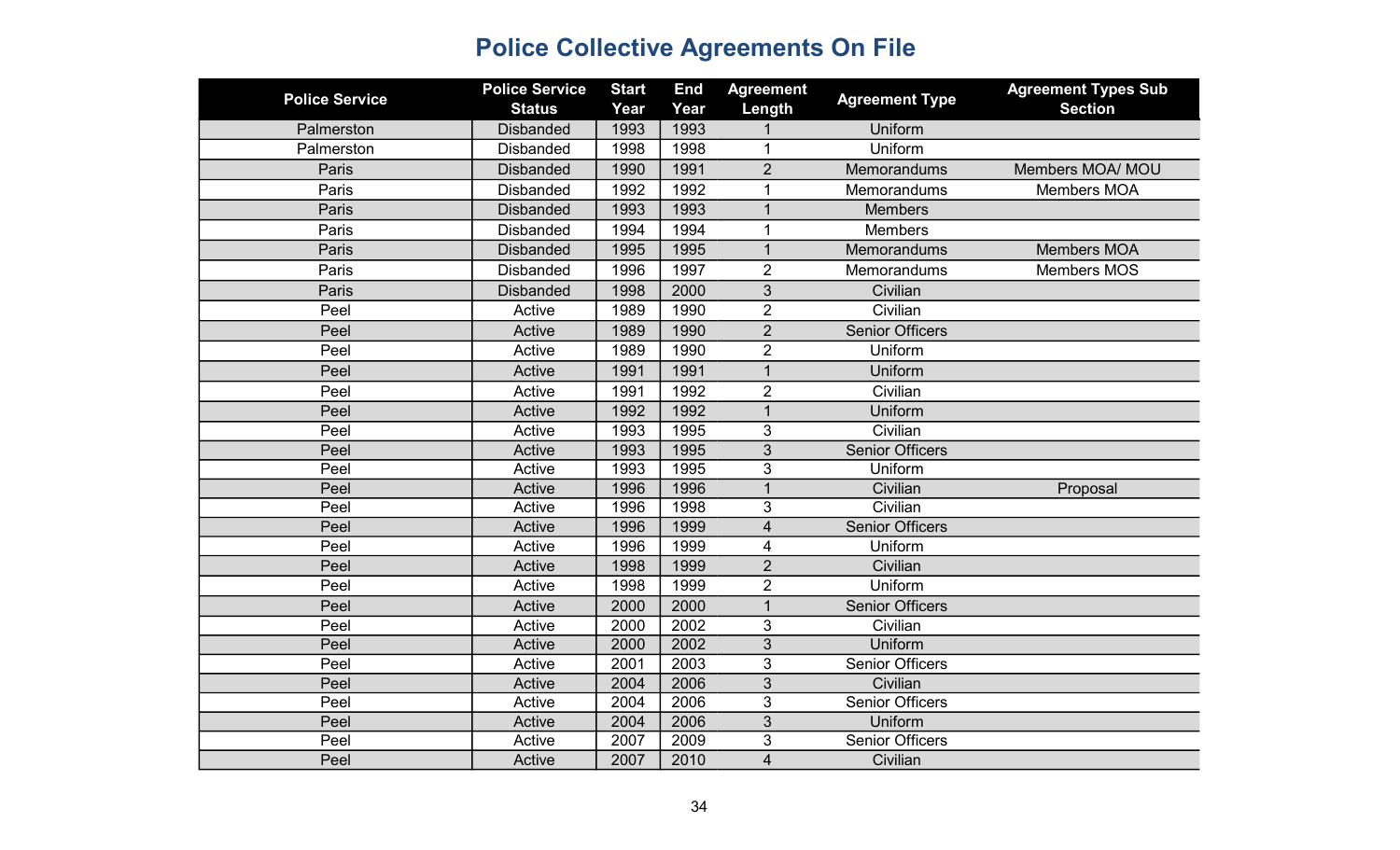| <b>Police Service</b> | <b>Police Service</b> | <b>Start</b> | <b>End</b> | <b>Agreement</b> | <b>Agreement Type</b>  | <b>Agreement Types Sub</b> |
|-----------------------|-----------------------|--------------|------------|------------------|------------------------|----------------------------|
|                       | <b>Status</b>         | Year         | Year       | Length           |                        | <b>Section</b>             |
| Palmerston            | <b>Disbanded</b>      | 1993         | 1993       |                  | Uniform<br>Uniform     |                            |
| Palmerston            | <b>Disbanded</b>      | 1998         | 1998       | 1                |                        |                            |
| Paris                 | <b>Disbanded</b>      | 1990         | 1991       | $\overline{2}$   | <b>Memorandums</b>     | Members MOA/ MOU           |
| Paris                 | <b>Disbanded</b>      | 1992         | 1992       | $\mathbf{1}$     | Memorandums            | Members MOA                |
| Paris                 | <b>Disbanded</b>      | 1993         | 1993       | $\mathbf{1}$     | <b>Members</b>         |                            |
| Paris                 | <b>Disbanded</b>      | 1994         | 1994       | $\mathbf 1$      | <b>Members</b>         |                            |
| Paris                 | <b>Disbanded</b>      | 1995         | 1995       | $\mathbf{1}$     | <b>Memorandums</b>     | <b>Members MOA</b>         |
| Paris                 | <b>Disbanded</b>      | 1996         | 1997       | $\overline{2}$   | Memorandums            | <b>Members MOS</b>         |
| Paris                 | <b>Disbanded</b>      | 1998         | 2000       | 3                | Civilian               |                            |
| Peel                  | Active                | 1989         | 1990       | $\overline{2}$   | Civilian               |                            |
| Peel                  | Active                | 1989         | 1990       | $\overline{2}$   | <b>Senior Officers</b> |                            |
| Peel                  | Active                | 1989         | 1990       | $\overline{2}$   | Uniform                |                            |
| Peel                  | Active                | 1991         | 1991       | $\mathbf{1}$     | Uniform                |                            |
| Peel                  | Active                | 1991         | 1992       | $\overline{2}$   | Civilian               |                            |
| Peel                  | Active                | 1992         | 1992       | $\mathbf 1$      | Uniform                |                            |
| Peel                  | Active                | 1993         | 1995       | 3                | Civilian               |                            |
| Peel                  | Active                | 1993         | 1995       | 3                | <b>Senior Officers</b> |                            |
| Peel                  | Active                | 1993         | 1995       | 3                | Uniform                |                            |
| Peel                  | Active                | 1996         | 1996       | $\mathbf 1$      | Civilian               | Proposal                   |
| Peel                  | Active                | 1996         | 1998       | 3                | Civilian               |                            |
| Peel                  | Active                | 1996         | 1999       | $\overline{4}$   | <b>Senior Officers</b> |                            |
| Peel                  | Active                | 1996         | 1999       | 4                | Uniform                |                            |
| Peel                  | Active                | 1998         | 1999       | $\overline{2}$   | Civilian               |                            |
| Peel                  | Active                | 1998         | 1999       | $\overline{2}$   | Uniform                |                            |
| Peel                  | Active                | 2000         | 2000       | $\overline{1}$   | <b>Senior Officers</b> |                            |
| Peel                  | Active                | 2000         | 2002       | 3                | Civilian               |                            |
| Peel                  | Active                | 2000         | 2002       | $\overline{3}$   | Uniform                |                            |
| Peel                  | Active                | 2001         | 2003       | 3                | <b>Senior Officers</b> |                            |
| Peel                  | Active                | 2004         | 2006       | 3                | Civilian               |                            |
| Peel                  | Active                | 2004         | 2006       | 3                | <b>Senior Officers</b> |                            |
| Peel                  | Active                | 2004         | 2006       | 3                | Uniform                |                            |
| Peel                  | Active                | 2007         | 2009       | 3                | <b>Senior Officers</b> |                            |
| Peel                  | Active                | 2007         | 2010       | 4                | Civilian               |                            |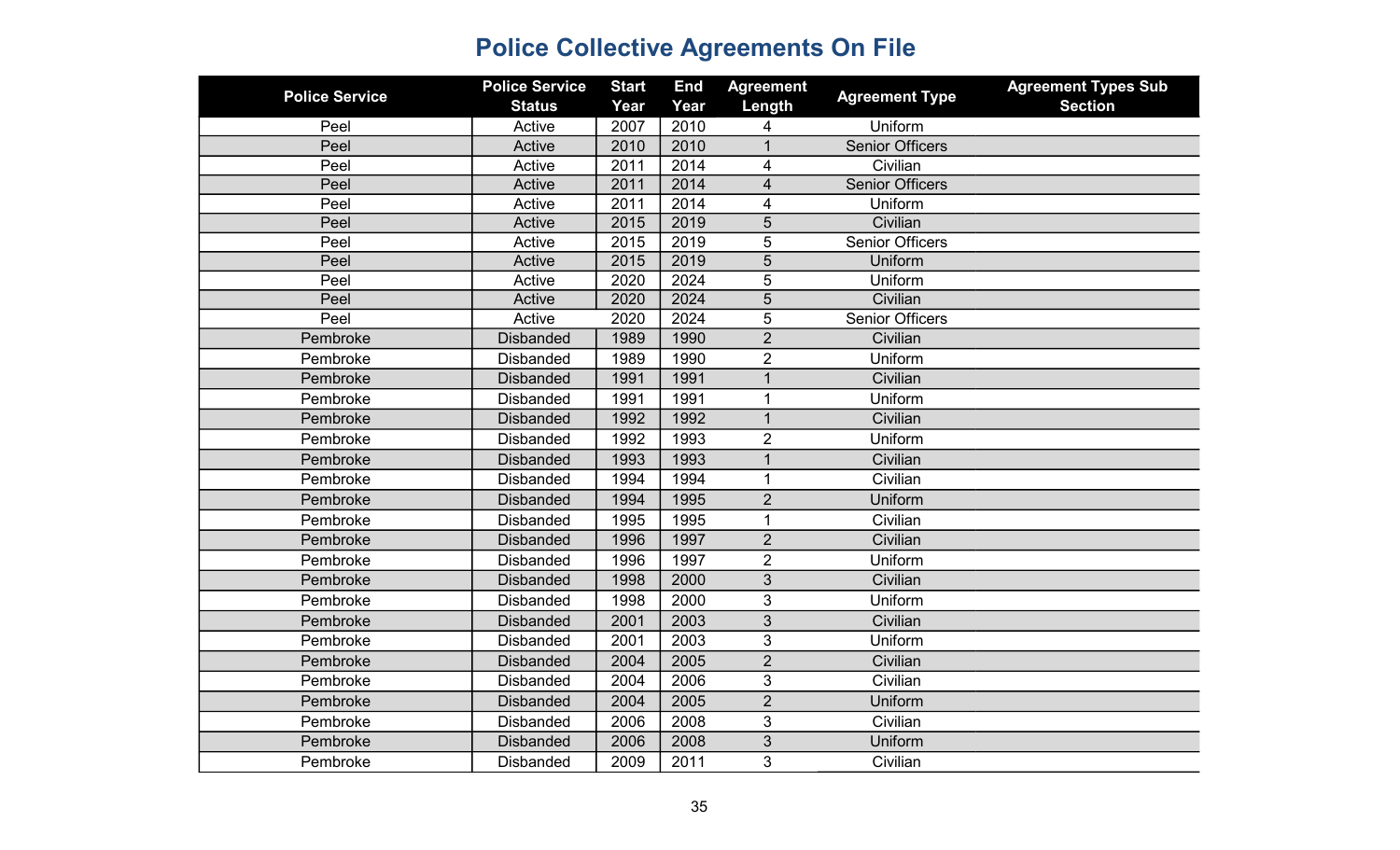| <b>Police Service</b> | <b>Police Service</b> | <b>Start</b> | <b>End</b> | <b>Agreement</b> | <b>Agreement Type</b>  | <b>Agreement Types Sub</b> |
|-----------------------|-----------------------|--------------|------------|------------------|------------------------|----------------------------|
|                       | <b>Status</b>         | Year         | Year       | Length           |                        | <b>Section</b>             |
| Peel                  | Active                | 2007         | 2010       | 4                | Uniform                |                            |
| Peel                  | Active                | 2010         | 2010       | 1                | <b>Senior Officers</b> |                            |
| Peel                  | Active                | 2011         | 2014       | 4                | Civilian               |                            |
| Peel                  | Active                | 2011         | 2014       | 4                | <b>Senior Officers</b> |                            |
| Peel                  | Active                | 2011         | 2014       | 4                | Uniform                |                            |
| Peel                  | Active                | 2015         | 2019       | 5                | Civilian               |                            |
| Peel                  | Active                | 2015         | 2019       | 5                | <b>Senior Officers</b> |                            |
| Peel                  | Active                | 2015         | 2019       | 5                | Uniform                |                            |
| Peel                  | Active                | 2020         | 2024       | 5                | Uniform                |                            |
| Peel                  | Active                | 2020         | 2024       | 5                | Civilian               |                            |
| Peel                  | Active                | 2020         | 2024       | 5                | <b>Senior Officers</b> |                            |
| Pembroke              | <b>Disbanded</b>      | 1989         | 1990       | $\overline{2}$   | Civilian               |                            |
| Pembroke              | <b>Disbanded</b>      | 1989         | 1990       | $\overline{2}$   | Uniform                |                            |
| Pembroke              | <b>Disbanded</b>      | 1991         | 1991       | $\mathbf{1}$     | Civilian               |                            |
| Pembroke              | <b>Disbanded</b>      | 1991         | 1991       | $\mathbf 1$      | Uniform                |                            |
| Pembroke              | <b>Disbanded</b>      | 1992         | 1992       | $\mathbf{1}$     | Civilian               |                            |
| Pembroke              | <b>Disbanded</b>      | 1992         | 1993       | $\overline{2}$   | Uniform                |                            |
| Pembroke              | <b>Disbanded</b>      | 1993         | 1993       | $\mathbf 1$      | Civilian               |                            |
| Pembroke              | <b>Disbanded</b>      | 1994         | 1994       | $\mathbf 1$      | Civilian               |                            |
| Pembroke              | <b>Disbanded</b>      | 1994         | 1995       | $\overline{2}$   | Uniform                |                            |
| Pembroke              | <b>Disbanded</b>      | 1995         | 1995       | $\mathbf 1$      | Civilian               |                            |
| Pembroke              | <b>Disbanded</b>      | 1996         | 1997       | $\overline{2}$   | Civilian               |                            |
| Pembroke              | <b>Disbanded</b>      | 1996         | 1997       | $\overline{2}$   | Uniform                |                            |
| Pembroke              | <b>Disbanded</b>      | 1998         | 2000       | 3                | Civilian               |                            |
| Pembroke              | <b>Disbanded</b>      | 1998         | 2000       | 3                | Uniform                |                            |
| Pembroke              | <b>Disbanded</b>      | 2001         | 2003       | 3                | Civilian               |                            |
| Pembroke              | <b>Disbanded</b>      | 2001         | 2003       | 3                | Uniform                |                            |
| Pembroke              | <b>Disbanded</b>      | 2004         | 2005       | $\overline{2}$   | Civilian               |                            |
| Pembroke              | <b>Disbanded</b>      | 2004         | 2006       | 3                | Civilian               |                            |
| Pembroke              | <b>Disbanded</b>      | 2004         | 2005       | $\overline{2}$   | Uniform                |                            |
| Pembroke              | <b>Disbanded</b>      | 2006         | 2008       | 3                | Civilian               |                            |
| Pembroke              | <b>Disbanded</b>      | 2006         | 2008       | 3                | Uniform                |                            |
| Pembroke              | <b>Disbanded</b>      | 2009         | 2011       | 3                | Civilian               |                            |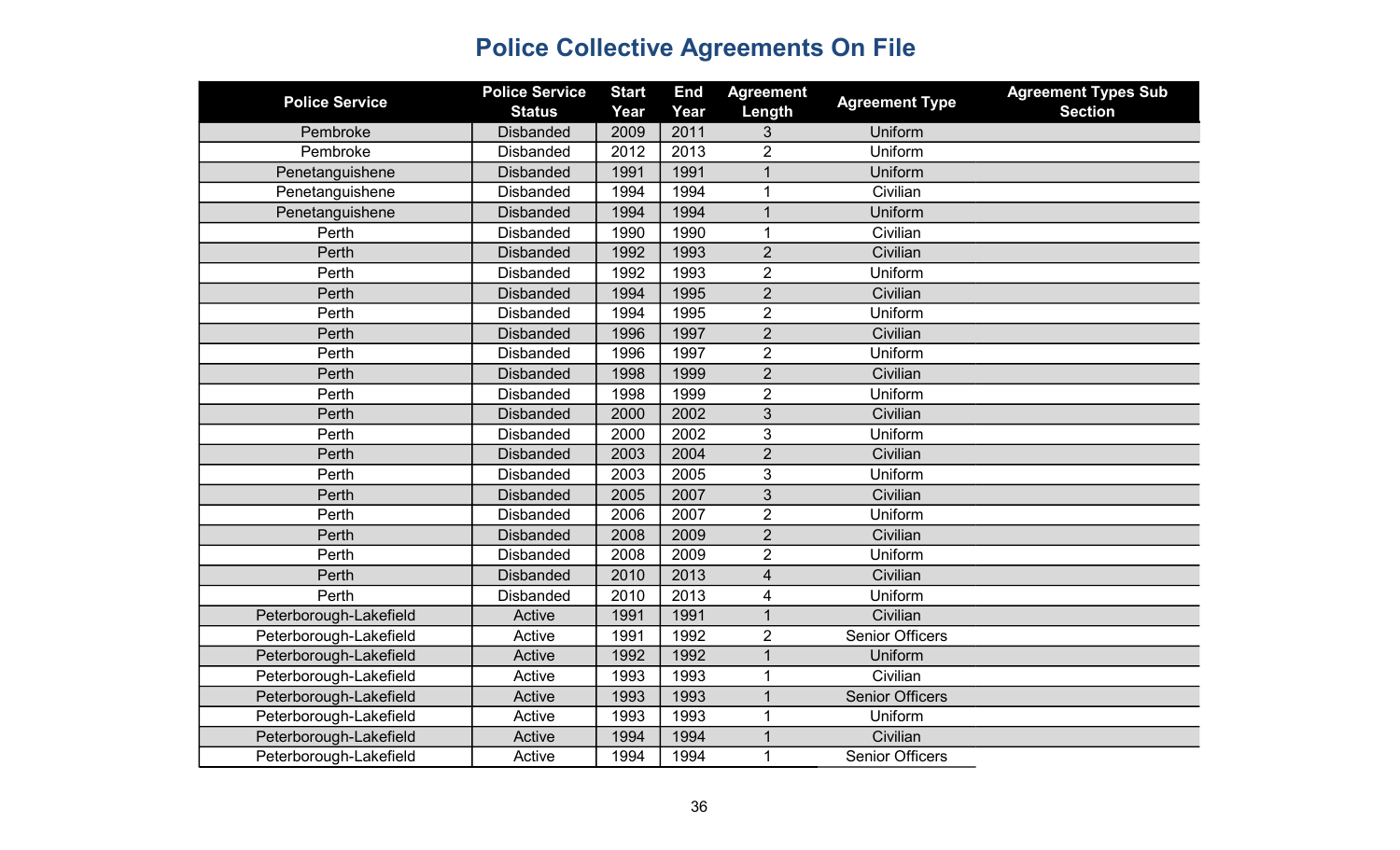| <b>Police Service</b>  | <b>Police Service</b><br><b>Status</b> | <b>Start</b><br>Year | <b>End</b><br>Year | <b>Agreement</b><br>Length | <b>Agreement Type</b>  | <b>Agreement Types Sub</b><br><b>Section</b> |
|------------------------|----------------------------------------|----------------------|--------------------|----------------------------|------------------------|----------------------------------------------|
| Pembroke               | <b>Disbanded</b>                       | 2009                 | 2011               | 3                          | Uniform                |                                              |
| Pembroke               | <b>Disbanded</b>                       | 2012                 | 2013               | $\overline{2}$             | Uniform                |                                              |
| Penetanguishene        | <b>Disbanded</b>                       | 1991                 | 1991               | 1                          | Uniform                |                                              |
| Penetanguishene        | <b>Disbanded</b>                       | 1994                 | 1994               | 1                          | Civilian               |                                              |
| Penetanguishene        | <b>Disbanded</b>                       | 1994                 | 1994               | 1                          | Uniform                |                                              |
| Perth                  | <b>Disbanded</b>                       | 1990                 | 1990               | 1                          | Civilian               |                                              |
| Perth                  | <b>Disbanded</b>                       | 1992                 | 1993               | $\overline{2}$             | Civilian               |                                              |
| Perth                  | <b>Disbanded</b>                       | 1992                 | 1993               | $\overline{2}$             | Uniform                |                                              |
| Perth                  | <b>Disbanded</b>                       | 1994                 | 1995               | $\overline{2}$             | Civilian               |                                              |
| Perth                  | <b>Disbanded</b>                       | 1994                 | 1995               | $\overline{2}$             | Uniform                |                                              |
| Perth                  | <b>Disbanded</b>                       | 1996                 | 1997               | $\overline{2}$             | Civilian               |                                              |
| Perth                  | <b>Disbanded</b>                       | 1996                 | 1997               | $\overline{2}$             | Uniform                |                                              |
| Perth                  | <b>Disbanded</b>                       | 1998                 | 1999               | $\overline{2}$             | Civilian               |                                              |
| Perth                  | <b>Disbanded</b>                       | 1998                 | 1999               | $\overline{2}$             | Uniform                |                                              |
| Perth                  | <b>Disbanded</b>                       | 2000                 | 2002               | 3                          | Civilian               |                                              |
| Perth                  | <b>Disbanded</b>                       | 2000                 | 2002               | 3                          | Uniform                |                                              |
| Perth                  | <b>Disbanded</b>                       | 2003                 | 2004               | $\overline{2}$             | Civilian               |                                              |
| Perth                  | <b>Disbanded</b>                       | 2003                 | 2005               | 3                          | Uniform                |                                              |
| Perth                  | <b>Disbanded</b>                       | 2005                 | 2007               | 3                          | Civilian               |                                              |
| Perth                  | <b>Disbanded</b>                       | 2006                 | 2007               | $\overline{2}$             | Uniform                |                                              |
| Perth                  | <b>Disbanded</b>                       | 2008                 | 2009               | $\overline{2}$             | Civilian               |                                              |
| Perth                  | <b>Disbanded</b>                       | 2008                 | 2009               | $\overline{2}$             | Uniform                |                                              |
| Perth                  | <b>Disbanded</b>                       | 2010                 | 2013               | $\overline{4}$             | Civilian               |                                              |
| Perth                  | <b>Disbanded</b>                       | 2010                 | 2013               | 4                          | Uniform                |                                              |
| Peterborough-Lakefield | Active                                 | 1991                 | 1991               | $\mathbf 1$                | Civilian               |                                              |
| Peterborough-Lakefield | Active                                 | 1991                 | 1992               | $\overline{2}$             | <b>Senior Officers</b> |                                              |
| Peterborough-Lakefield | Active                                 | 1992                 | 1992               | $\mathbf 1$                | Uniform                |                                              |
| Peterborough-Lakefield | Active                                 | 1993                 | 1993               | 1                          | Civilian               |                                              |
| Peterborough-Lakefield | Active                                 | 1993                 | 1993               | $\mathbf{1}$               | <b>Senior Officers</b> |                                              |
| Peterborough-Lakefield | Active                                 | 1993                 | 1993               | $\mathbf 1$                | Uniform                |                                              |
| Peterborough-Lakefield | Active                                 | 1994                 | 1994               |                            | Civilian               |                                              |
| Peterborough-Lakefield | Active                                 | 1994                 | 1994               | 1                          | <b>Senior Officers</b> |                                              |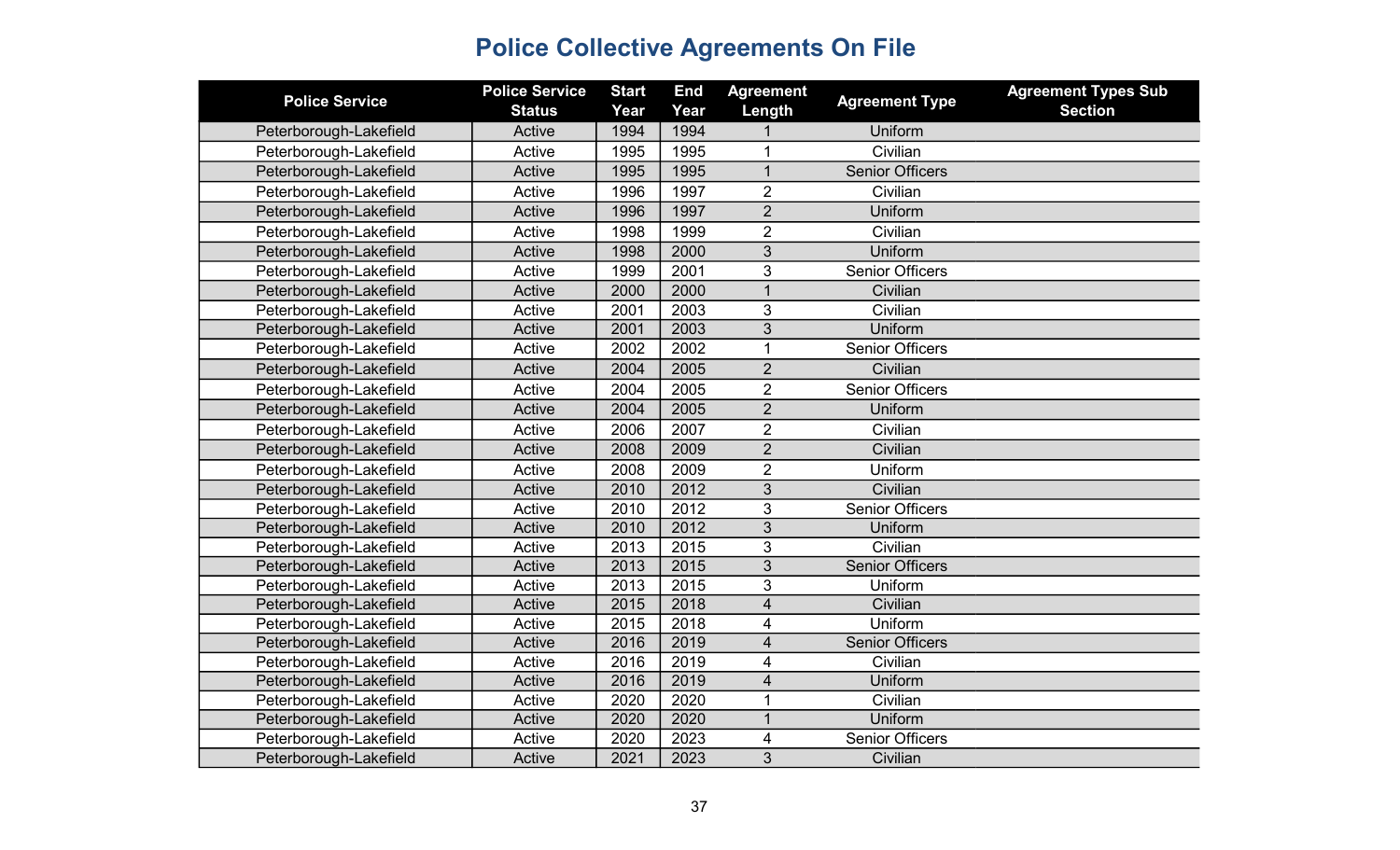| <b>Police Service</b>  | <b>Police Service</b><br><b>Status</b> | <b>Start</b><br>Year | <b>End</b><br>Year | <b>Agreement</b><br>Length | <b>Agreement Type</b>  | <b>Agreement Types Sub</b><br><b>Section</b> |
|------------------------|----------------------------------------|----------------------|--------------------|----------------------------|------------------------|----------------------------------------------|
| Peterborough-Lakefield | Active                                 | 1994                 | 1994               |                            | Uniform                |                                              |
| Peterborough-Lakefield | Active                                 | 1995                 | 1995               | 1                          | Civilian               |                                              |
| Peterborough-Lakefield | Active                                 | 1995                 | 1995               | $\mathbf{1}$               | <b>Senior Officers</b> |                                              |
| Peterborough-Lakefield | Active                                 | 1996                 | 1997               | $\overline{2}$             | Civilian               |                                              |
| Peterborough-Lakefield | Active                                 | 1996                 | 1997               | $\overline{2}$             | Uniform                |                                              |
| Peterborough-Lakefield | Active                                 | 1998                 | 1999               | $\overline{2}$             | Civilian               |                                              |
| Peterborough-Lakefield | Active                                 | 1998                 | 2000               | 3                          | Uniform                |                                              |
| Peterborough-Lakefield | Active                                 | 1999                 | 2001               | 3                          | <b>Senior Officers</b> |                                              |
| Peterborough-Lakefield | Active                                 | 2000                 | 2000               | $\mathbf{1}$               | Civilian               |                                              |
| Peterborough-Lakefield | Active                                 | 2001                 | 2003               | 3                          | Civilian               |                                              |
| Peterborough-Lakefield | Active                                 | 2001                 | 2003               | $\overline{3}$             | Uniform                |                                              |
| Peterborough-Lakefield | Active                                 | 2002                 | 2002               | $\mathbf{1}$               | <b>Senior Officers</b> |                                              |
| Peterborough-Lakefield | Active                                 | 2004                 | 2005               | $\overline{2}$             | Civilian               |                                              |
| Peterborough-Lakefield | Active                                 | 2004                 | 2005               | $\overline{2}$             | <b>Senior Officers</b> |                                              |
| Peterborough-Lakefield | Active                                 | 2004                 | 2005               | $\overline{2}$             | Uniform                |                                              |
| Peterborough-Lakefield | Active                                 | 2006                 | 2007               | $\overline{2}$             | Civilian               |                                              |
| Peterborough-Lakefield | Active                                 | 2008                 | 2009               | $\overline{2}$             | Civilian               |                                              |
| Peterborough-Lakefield | Active                                 | 2008                 | 2009               | $\overline{2}$             | Uniform                |                                              |
| Peterborough-Lakefield | Active                                 | 2010                 | 2012               | 3                          | Civilian               |                                              |
| Peterborough-Lakefield | Active                                 | 2010                 | 2012               | 3                          | <b>Senior Officers</b> |                                              |
| Peterborough-Lakefield | Active                                 | 2010                 | 2012               | 3                          | Uniform                |                                              |
| Peterborough-Lakefield | Active                                 | 2013                 | 2015               | 3                          | Civilian               |                                              |
| Peterborough-Lakefield | Active                                 | 2013                 | 2015               | 3                          | <b>Senior Officers</b> |                                              |
| Peterborough-Lakefield | Active                                 | 2013                 | 2015               | 3                          | Uniform                |                                              |
| Peterborough-Lakefield | Active                                 | 2015                 | 2018               | $\overline{4}$             | Civilian               |                                              |
| Peterborough-Lakefield | Active                                 | 2015                 | 2018               | 4                          | Uniform                |                                              |
| Peterborough-Lakefield | Active                                 | 2016                 | 2019               | $\overline{\mathbf{4}}$    | <b>Senior Officers</b> |                                              |
| Peterborough-Lakefield | Active                                 | 2016                 | 2019               | $\overline{\mathbf{4}}$    | Civilian               |                                              |
| Peterborough-Lakefield | Active                                 | 2016                 | 2019               | 4                          | Uniform                |                                              |
| Peterborough-Lakefield | Active                                 | 2020                 | 2020               | 1                          | Civilian               |                                              |
| Peterborough-Lakefield | Active                                 | 2020                 | 2020               | $\mathbf{1}$               | Uniform                |                                              |
| Peterborough-Lakefield | Active                                 | 2020                 | 2023               | 4                          | <b>Senior Officers</b> |                                              |
| Peterborough-Lakefield | Active                                 | 2021                 | 2023               | 3                          | Civilian               |                                              |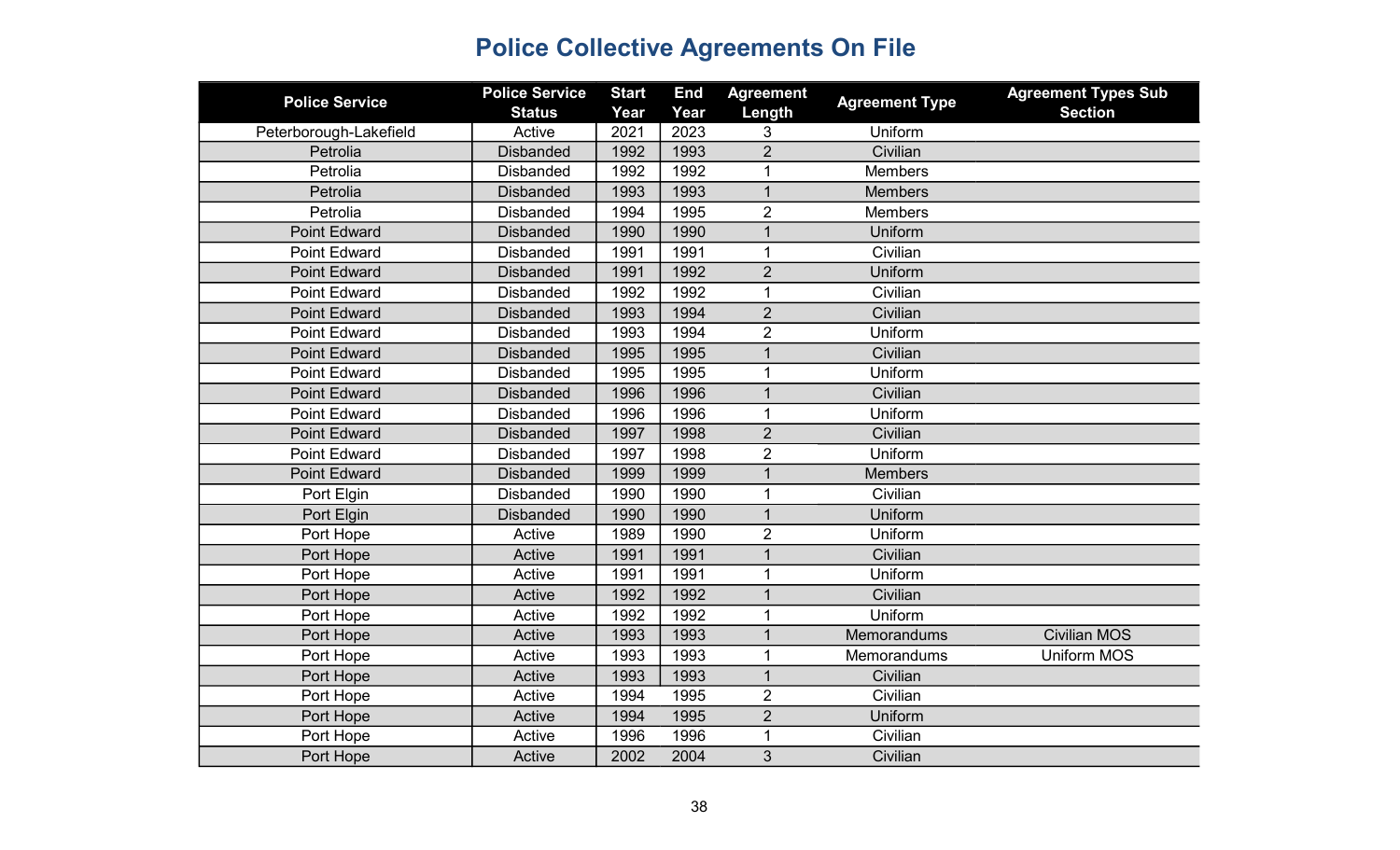| <b>Police Service</b>  | <b>Police Service</b> | <b>Start</b> | <b>End</b> | <b>Agreement</b> | <b>Agreement Type</b> | <b>Agreement Types Sub</b> |
|------------------------|-----------------------|--------------|------------|------------------|-----------------------|----------------------------|
|                        | <b>Status</b>         | Year         | Year       | Length           |                       | <b>Section</b>             |
| Peterborough-Lakefield | Active                | 2021         | 2023       | 3                | Uniform               |                            |
| Petrolia               | <b>Disbanded</b>      | 1992         | 1993       | $\overline{2}$   | Civilian              |                            |
| Petrolia               | <b>Disbanded</b>      | 1992         | 1992       | 1                | <b>Members</b>        |                            |
| Petrolia               | <b>Disbanded</b>      | 1993         | 1993       | $\mathbf{1}$     | <b>Members</b>        |                            |
| Petrolia               | <b>Disbanded</b>      | 1994         | 1995       | $\overline{2}$   | <b>Members</b>        |                            |
| <b>Point Edward</b>    | <b>Disbanded</b>      | 1990         | 1990       | $\mathbf{1}$     | Uniform               |                            |
| <b>Point Edward</b>    | <b>Disbanded</b>      | 1991         | 1991       | $\mathbf{1}$     | Civilian              |                            |
| <b>Point Edward</b>    | <b>Disbanded</b>      | 1991         | 1992       | $\overline{2}$   | Uniform               |                            |
| <b>Point Edward</b>    | <b>Disbanded</b>      | 1992         | 1992       | $\mathbf{1}$     | Civilian              |                            |
| <b>Point Edward</b>    | <b>Disbanded</b>      | 1993         | 1994       | $\overline{2}$   | Civilian              |                            |
| <b>Point Edward</b>    | <b>Disbanded</b>      | 1993         | 1994       | $\overline{2}$   | Uniform               |                            |
| <b>Point Edward</b>    | <b>Disbanded</b>      | 1995         | 1995       | $\mathbf 1$      | Civilian              |                            |
| <b>Point Edward</b>    | <b>Disbanded</b>      | 1995         | 1995       | 1                | Uniform               |                            |
| <b>Point Edward</b>    | <b>Disbanded</b>      | 1996         | 1996       | $\mathbf{1}$     | Civilian              |                            |
| <b>Point Edward</b>    | <b>Disbanded</b>      | 1996         | 1996       | 1                | Uniform               |                            |
| <b>Point Edward</b>    | <b>Disbanded</b>      | 1997         | 1998       | $\overline{2}$   | Civilian              |                            |
| <b>Point Edward</b>    | <b>Disbanded</b>      | 1997         | 1998       | $\overline{2}$   | Uniform               |                            |
| <b>Point Edward</b>    | <b>Disbanded</b>      | 1999         | 1999       | $\overline{1}$   | <b>Members</b>        |                            |
| Port Elgin             | <b>Disbanded</b>      | 1990         | 1990       | 1                | Civilian              |                            |
| Port Elgin             | <b>Disbanded</b>      | 1990         | 1990       | $\mathbf{1}$     | Uniform               |                            |
| Port Hope              | Active                | 1989         | 1990       | $\overline{2}$   | Uniform               |                            |
| Port Hope              | Active                | 1991         | 1991       | $\mathbf 1$      | Civilian              |                            |
| Port Hope              | Active                | 1991         | 1991       | 1                | Uniform               |                            |
| Port Hope              | Active                | 1992         | 1992       | $\mathbf{1}$     | Civilian              |                            |
| Port Hope              | Active                | 1992         | 1992       | $\mathbf 1$      | Uniform               |                            |
| Port Hope              | Active                | 1993         | 1993       | $\mathbf{1}$     | Memorandums           | <b>Civilian MOS</b>        |
| Port Hope              | Active                | 1993         | 1993       | 1                | Memorandums           | <b>Uniform MOS</b>         |
| Port Hope              | Active                | 1993         | 1993       | $\overline{1}$   | Civilian              |                            |
| Port Hope              | Active                | 1994         | 1995       | $\overline{2}$   | Civilian              |                            |
| Port Hope              | Active                | 1994         | 1995       | $\overline{2}$   | Uniform               |                            |
| Port Hope              | Active                | 1996         | 1996       | 1                | Civilian              |                            |
| Port Hope              | Active                | 2002         | 2004       | 3                | Civilian              |                            |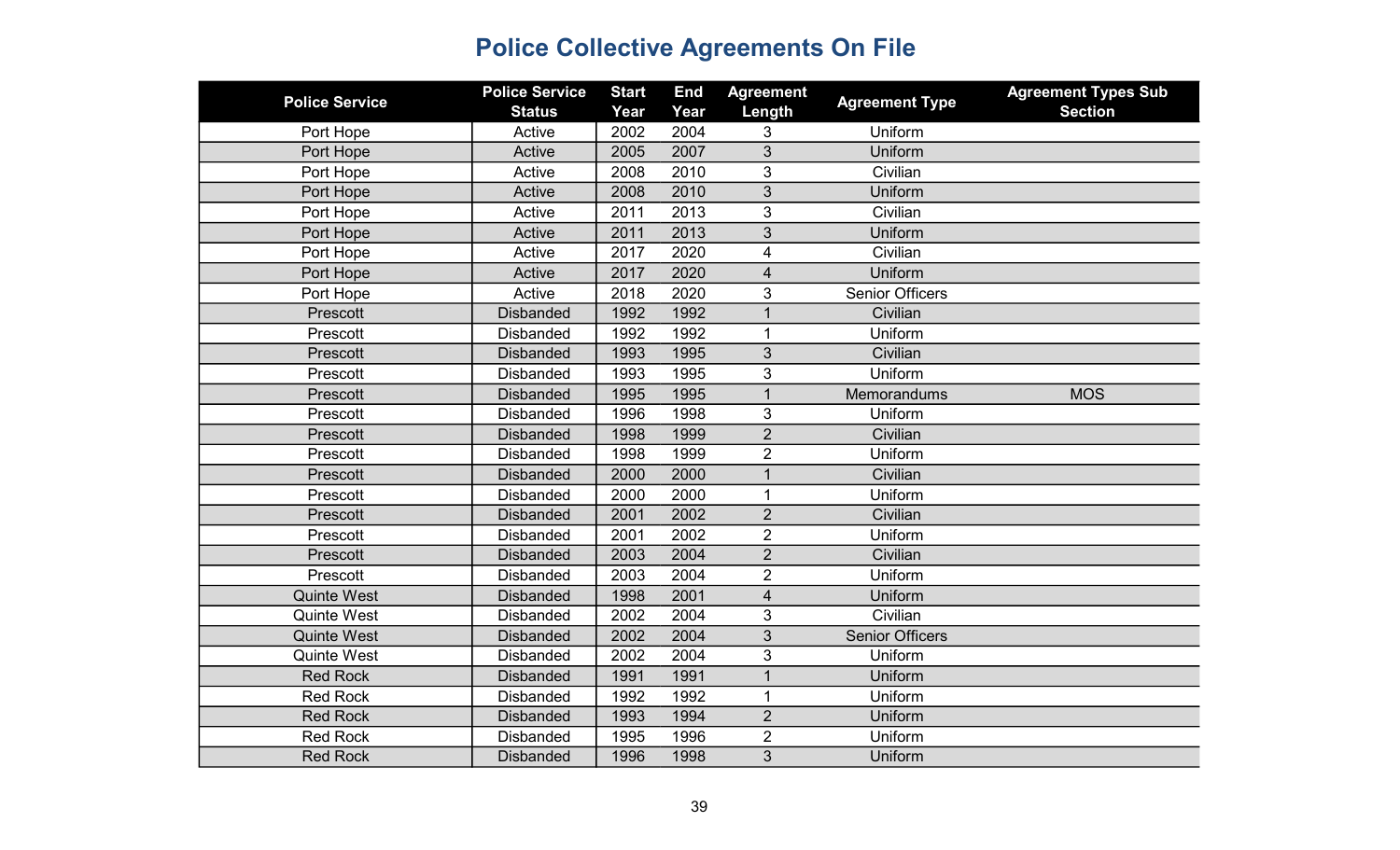| <b>Police Service</b> | <b>Police Service</b><br><b>Status</b> | <b>Start</b><br>Year | <b>End</b><br>Year | <b>Agreement</b><br>Length | <b>Agreement Type</b>  | <b>Agreement Types Sub</b><br><b>Section</b> |
|-----------------------|----------------------------------------|----------------------|--------------------|----------------------------|------------------------|----------------------------------------------|
| Port Hope             | Active                                 | 2002                 | 2004               | 3                          | Uniform                |                                              |
| Port Hope             | Active                                 | 2005                 | 2007               | 3                          | Uniform                |                                              |
| Port Hope             | Active                                 | 2008                 | 2010               | 3                          | Civilian               |                                              |
| Port Hope             | Active                                 | 2008                 | 2010               | 3                          | Uniform                |                                              |
| Port Hope             | Active                                 | 2011                 | 2013               | 3                          | Civilian               |                                              |
| Port Hope             | Active                                 | 2011                 | 2013               | 3                          | Uniform                |                                              |
| Port Hope             | Active                                 | 2017                 | 2020               | $\overline{4}$             | Civilian               |                                              |
| Port Hope             | Active                                 | 2017                 | 2020               | $\overline{4}$             | Uniform                |                                              |
| Port Hope             | Active                                 | 2018                 | 2020               | 3                          | <b>Senior Officers</b> |                                              |
| Prescott              | <b>Disbanded</b>                       | 1992                 | 1992               | $\overline{1}$             | Civilian               |                                              |
| Prescott              | <b>Disbanded</b>                       | 1992                 | 1992               | 1                          | Uniform                |                                              |
| Prescott              | <b>Disbanded</b>                       | 1993                 | 1995               | 3                          | Civilian               |                                              |
| Prescott              | <b>Disbanded</b>                       | 1993                 | 1995               | 3                          | Uniform                |                                              |
| Prescott              | <b>Disbanded</b>                       | 1995                 | 1995               | $\mathbf 1$                | Memorandums            | <b>MOS</b>                                   |
| Prescott              | <b>Disbanded</b>                       | 1996                 | 1998               | 3                          | Uniform                |                                              |
| Prescott              | <b>Disbanded</b>                       | 1998                 | 1999               | $\overline{2}$             | Civilian               |                                              |
| Prescott              | <b>Disbanded</b>                       | 1998                 | 1999               | $\overline{2}$             | Uniform                |                                              |
| Prescott              | <b>Disbanded</b>                       | 2000                 | 2000               | $\overline{1}$             | Civilian               |                                              |
| Prescott              | <b>Disbanded</b>                       | 2000                 | 2000               | $\mathbf{1}$               | Uniform                |                                              |
| Prescott              | <b>Disbanded</b>                       | 2001                 | 2002               | $\overline{2}$             | Civilian               |                                              |
| Prescott              | <b>Disbanded</b>                       | 2001                 | 2002               | $\overline{2}$             | Uniform                |                                              |
| Prescott              | <b>Disbanded</b>                       | 2003                 | 2004               | $\overline{2}$             | Civilian               |                                              |
| Prescott              | <b>Disbanded</b>                       | 2003                 | 2004               | $\overline{2}$             | Uniform                |                                              |
| <b>Quinte West</b>    | <b>Disbanded</b>                       | 1998                 | 2001               | $\overline{4}$             | Uniform                |                                              |
| <b>Quinte West</b>    | <b>Disbanded</b>                       | 2002                 | 2004               | $\mathfrak{B}$             | Civilian               |                                              |
| <b>Quinte West</b>    | <b>Disbanded</b>                       | 2002                 | 2004               | 3                          | <b>Senior Officers</b> |                                              |
| <b>Quinte West</b>    | <b>Disbanded</b>                       | 2002                 | 2004               | 3                          | Uniform                |                                              |
| <b>Red Rock</b>       | <b>Disbanded</b>                       | 1991                 | 1991               | $\overline{1}$             | Uniform                |                                              |
| <b>Red Rock</b>       | <b>Disbanded</b>                       | 1992                 | 1992               | $\mathbf 1$                | Uniform                |                                              |
| <b>Red Rock</b>       | <b>Disbanded</b>                       | 1993                 | 1994               | $\overline{2}$             | Uniform                |                                              |
| <b>Red Rock</b>       | <b>Disbanded</b>                       | 1995                 | 1996               | $\overline{2}$             | Uniform                |                                              |
| <b>Red Rock</b>       | <b>Disbanded</b>                       | 1996                 | 1998               | 3                          | Uniform                |                                              |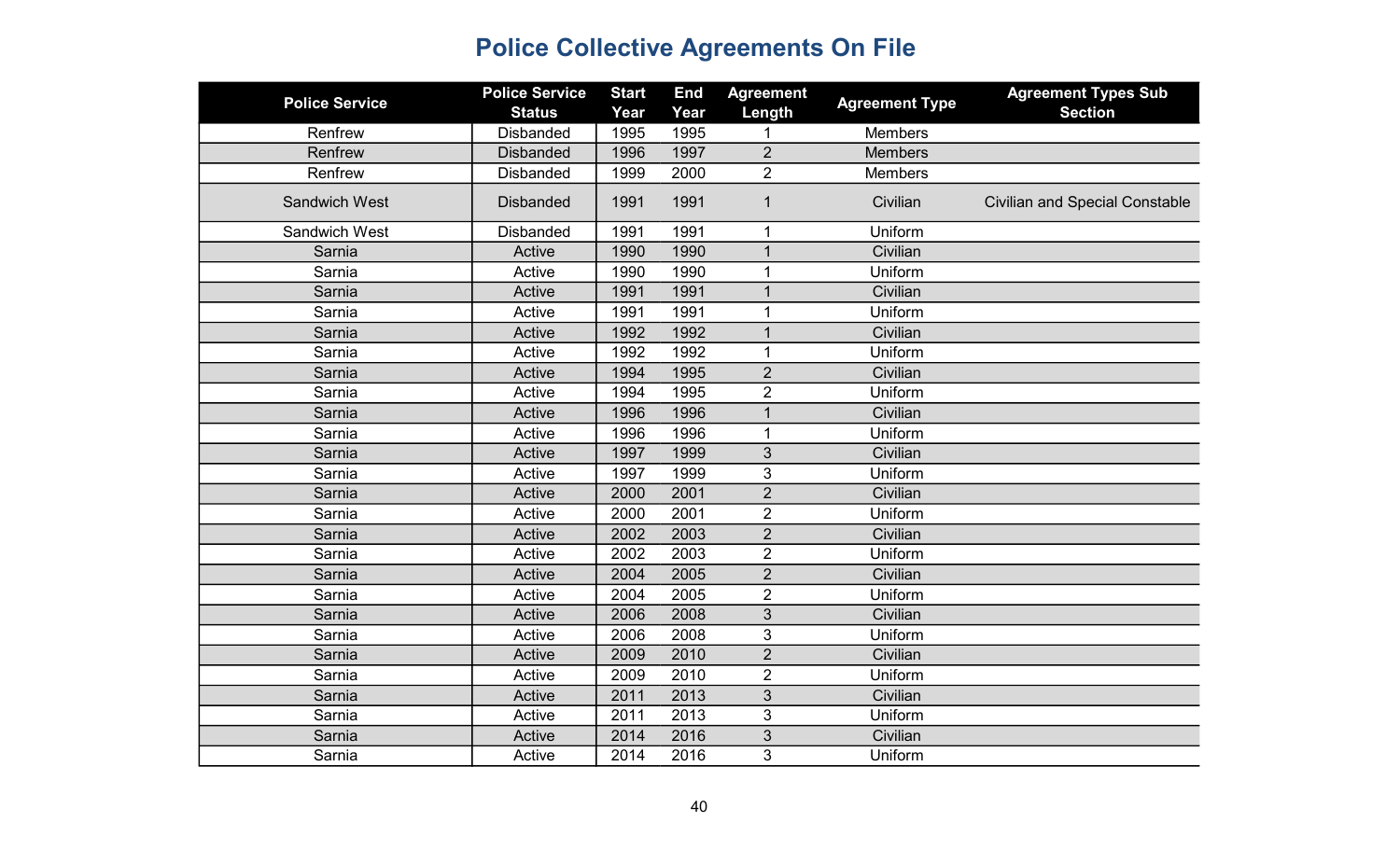| <b>Police Service</b> | <b>Police Service</b> | <b>Start</b> | <b>End</b> | <b>Agreement</b> | <b>Agreement Type</b> | <b>Agreement Types Sub</b>            |
|-----------------------|-----------------------|--------------|------------|------------------|-----------------------|---------------------------------------|
|                       | <b>Status</b>         | Year         | Year       | Length           |                       | <b>Section</b>                        |
| Renfrew               | <b>Disbanded</b>      | 1995         | 1995       |                  | <b>Members</b>        |                                       |
| Renfrew               | <b>Disbanded</b>      | 1996         | 1997       | $\overline{2}$   | <b>Members</b>        |                                       |
| Renfrew               | <b>Disbanded</b>      | 1999         | 2000       | $\overline{2}$   | <b>Members</b>        |                                       |
| <b>Sandwich West</b>  | <b>Disbanded</b>      | 1991         | 1991       | $\mathbf{1}$     | Civilian              | <b>Civilian and Special Constable</b> |
| Sandwich West         | <b>Disbanded</b>      | 1991         | 1991       | 1                | Uniform               |                                       |
| Sarnia                | Active                | 1990         | 1990       | 1                | Civilian              |                                       |
| Sarnia                | Active                | 1990         | 1990       | 1                | Uniform               |                                       |
| Sarnia                | Active                | 1991         | 1991       | $\mathbf 1$      | Civilian              |                                       |
| Sarnia                | Active                | 1991         | 1991       | 1                | Uniform               |                                       |
| Sarnia                | Active                | 1992         | 1992       |                  | Civilian              |                                       |
| Sarnia                | Active                | 1992         | 1992       | 1                | Uniform               |                                       |
| Sarnia                | Active                | 1994         | 1995       | $\overline{2}$   | Civilian              |                                       |
| Sarnia                | Active                | 1994         | 1995       | $\overline{2}$   | Uniform               |                                       |
| Sarnia                | Active                | 1996         | 1996       | $\overline{1}$   | Civilian              |                                       |
| Sarnia                | Active                | 1996         | 1996       | 1                | Uniform               |                                       |
| Sarnia                | Active                | 1997         | 1999       | 3                | Civilian              |                                       |
| Sarnia                | Active                | 1997         | 1999       | $\mathfrak{B}$   | Uniform               |                                       |
| Sarnia                | Active                | 2000         | 2001       | $\overline{2}$   | Civilian              |                                       |
| Sarnia                | Active                | 2000         | 2001       | $\overline{2}$   | Uniform               |                                       |
| Sarnia                | Active                | 2002         | 2003       | $\overline{2}$   | Civilian              |                                       |
| Sarnia                | Active                | 2002         | 2003       | $\overline{2}$   | Uniform               |                                       |
| Sarnia                | Active                | 2004         | 2005       | $\overline{2}$   | Civilian              |                                       |
| Sarnia                | Active                | 2004         | 2005       | $\overline{2}$   | Uniform               |                                       |
| Sarnia                | Active                | 2006         | 2008       | $\mathfrak{S}$   | Civilian              |                                       |
| Sarnia                | Active                | 2006         | 2008       | $\mathbf{3}$     | Uniform               |                                       |
| Sarnia                | Active                | 2009         | 2010       | $\overline{2}$   | Civilian              |                                       |
| Sarnia                | Active                | 2009         | 2010       | $\overline{2}$   | Uniform               |                                       |
| Sarnia                | Active                | 2011         | 2013       | 3                | Civilian              |                                       |
| Sarnia                | Active                | 2011         | 2013       | 3                | Uniform               |                                       |
| Sarnia                | Active                | 2014         | 2016       | 3                | Civilian              |                                       |
| Sarnia                | Active                | 2014         | 2016       | 3                | Uniform               |                                       |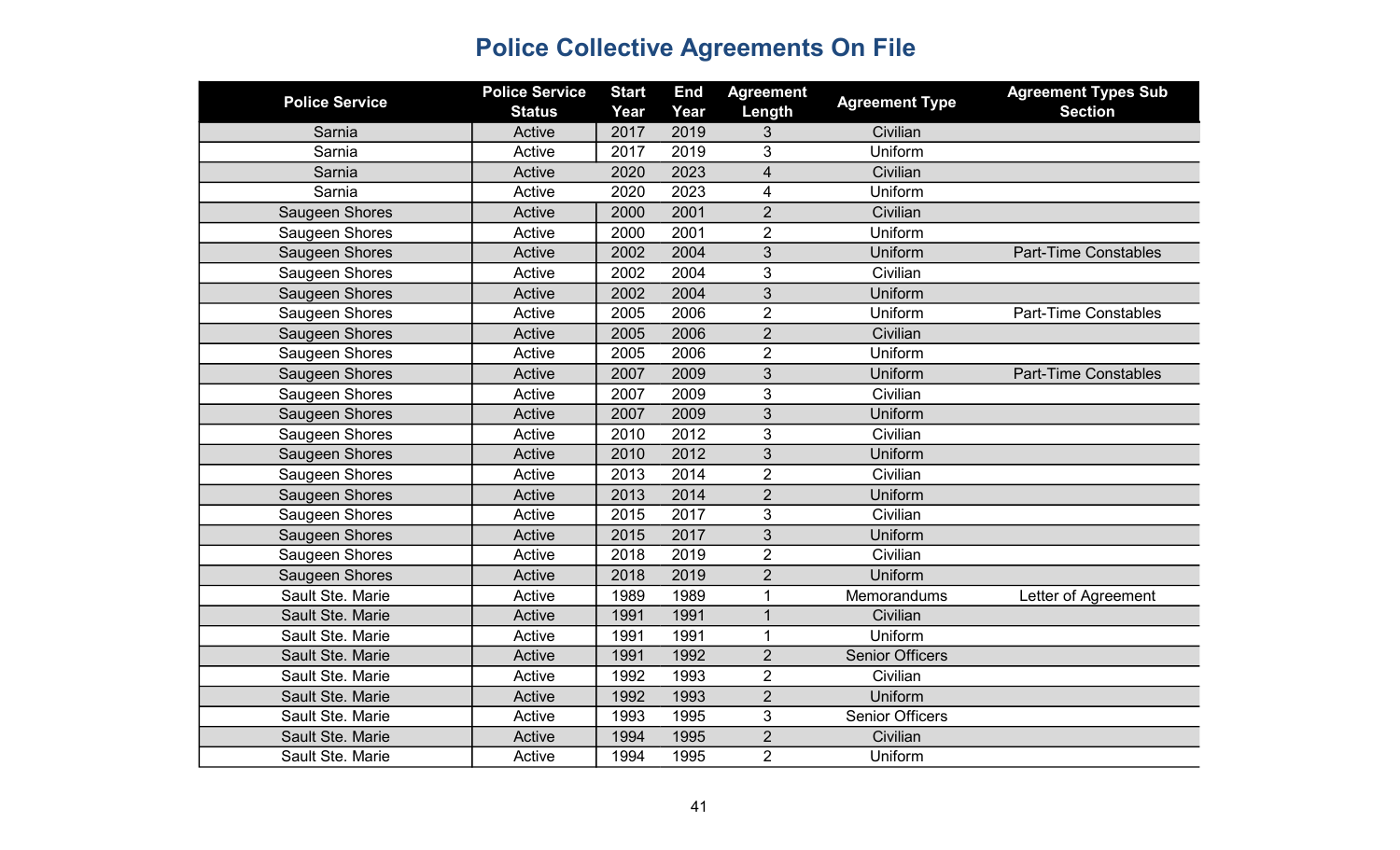| <b>Police Service</b> | <b>Police Service</b><br><b>Status</b> | <b>Start</b><br>Year | <b>End</b><br>Year | <b>Agreement</b><br>Length | <b>Agreement Type</b>  | <b>Agreement Types Sub</b><br><b>Section</b> |
|-----------------------|----------------------------------------|----------------------|--------------------|----------------------------|------------------------|----------------------------------------------|
| Sarnia                | Active                                 | 2017                 | 2019               | 3                          | Civilian               |                                              |
| Sarnia                | Active                                 | 2017                 | 2019               | 3                          | Uniform                |                                              |
| Sarnia                | Active                                 | 2020                 | 2023               | $\overline{\mathcal{A}}$   | Civilian               |                                              |
| Sarnia                | Active                                 | 2020                 | 2023               | 4                          | Uniform                |                                              |
| Saugeen Shores        | Active                                 | 2000                 | 2001               | $\overline{2}$             | Civilian               |                                              |
| Saugeen Shores        | Active                                 | 2000                 | 2001               | $\overline{2}$             | Uniform                |                                              |
| Saugeen Shores        | Active                                 | 2002                 | 2004               | 3                          | Uniform                | <b>Part-Time Constables</b>                  |
| Saugeen Shores        | Active                                 | 2002                 | 2004               | 3                          | Civilian               |                                              |
| Saugeen Shores        | Active                                 | 2002                 | 2004               | 3                          | Uniform                |                                              |
| Saugeen Shores        | Active                                 | 2005                 | 2006               | $\overline{2}$             | Uniform                | <b>Part-Time Constables</b>                  |
| Saugeen Shores        | Active                                 | 2005                 | 2006               | $\overline{2}$             | Civilian               |                                              |
| Saugeen Shores        | Active                                 | 2005                 | 2006               | $\overline{2}$             | Uniform                |                                              |
| Saugeen Shores        | Active                                 | 2007                 | 2009               | 3                          | Uniform                | <b>Part-Time Constables</b>                  |
| Saugeen Shores        | Active                                 | 2007                 | 2009               | 3                          | Civilian               |                                              |
| Saugeen Shores        | Active                                 | 2007                 | 2009               | 3                          | Uniform                |                                              |
| Saugeen Shores        | Active                                 | 2010                 | 2012               | 3                          | Civilian               |                                              |
| Saugeen Shores        | Active                                 | 2010                 | 2012               | 3                          | Uniform                |                                              |
| Saugeen Shores        | Active                                 | 2013                 | 2014               | $\overline{2}$             | Civilian               |                                              |
| Saugeen Shores        | Active                                 | 2013                 | 2014               | $\overline{2}$             | Uniform                |                                              |
| Saugeen Shores        | Active                                 | 2015                 | 2017               | 3                          | Civilian               |                                              |
| Saugeen Shores        | Active                                 | 2015                 | 2017               | 3                          | Uniform                |                                              |
| Saugeen Shores        | Active                                 | 2018                 | 2019               | $\overline{2}$             | Civilian               |                                              |
| Saugeen Shores        | Active                                 | 2018                 | 2019               | $\overline{2}$             | Uniform                |                                              |
| Sault Ste. Marie      | Active                                 | 1989                 | 1989               | 1                          | Memorandums            | Letter of Agreement                          |
| Sault Ste. Marie      | Active                                 | 1991                 | 1991               | $\mathbf{1}$               | Civilian               |                                              |
| Sault Ste. Marie      | Active                                 | 1991                 | 1991               | $\mathbf{1}$               | Uniform                |                                              |
| Sault Ste. Marie      | Active                                 | 1991                 | 1992               | $\overline{2}$             | <b>Senior Officers</b> |                                              |
| Sault Ste. Marie      | Active                                 | 1992                 | 1993               | $\overline{2}$             | Civilian               |                                              |
| Sault Ste. Marie      | Active                                 | 1992                 | 1993               | $\overline{2}$             | Uniform                |                                              |
| Sault Ste. Marie      | Active                                 | 1993                 | 1995               | 3                          | <b>Senior Officers</b> |                                              |
| Sault Ste. Marie      | Active                                 | 1994                 | 1995               | $\overline{2}$             | Civilian               |                                              |
| Sault Ste. Marie      | Active                                 | 1994                 | 1995               | $\overline{2}$             | Uniform                |                                              |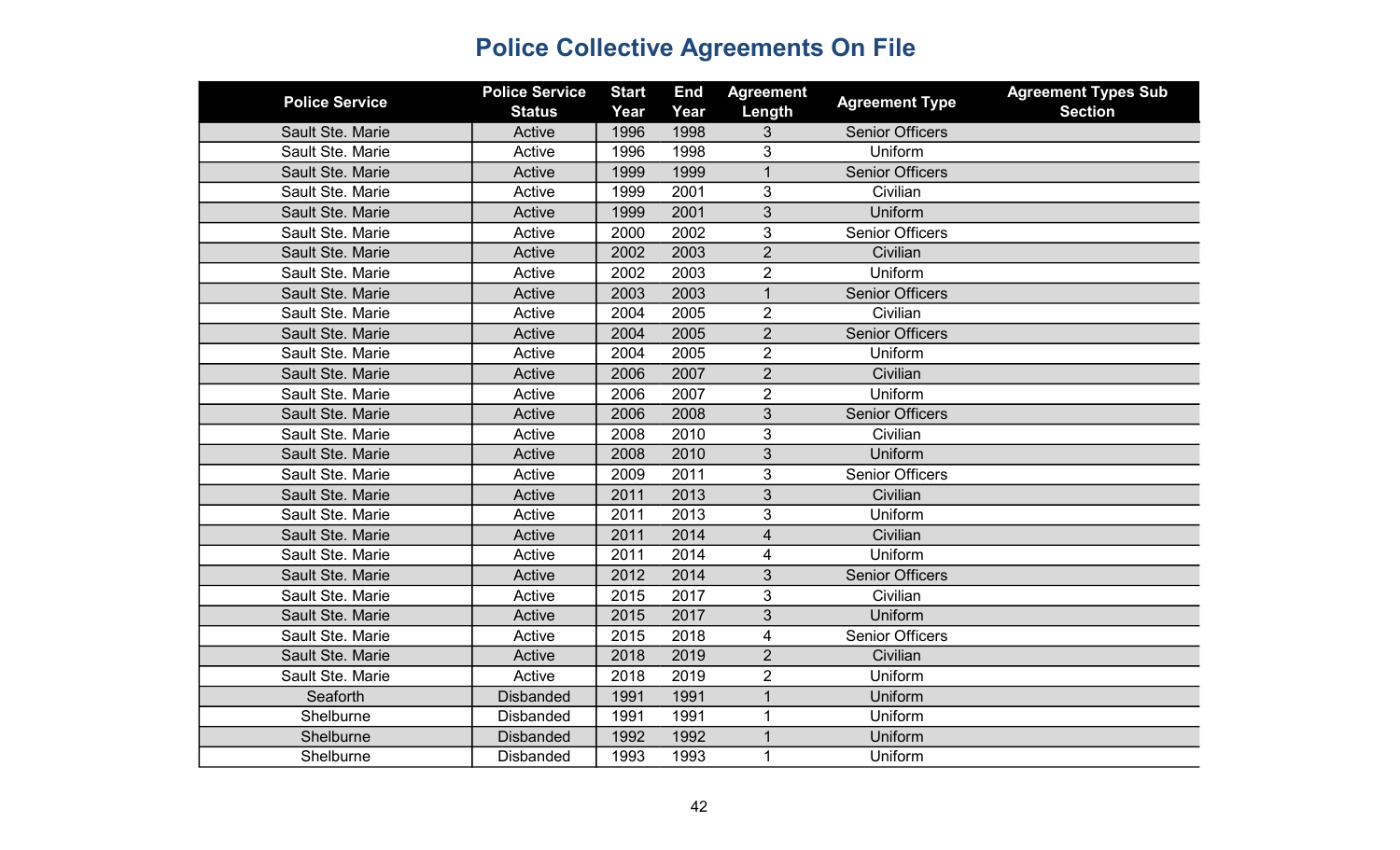| <b>Police Service</b> | <b>Police Service</b><br><b>Status</b> | <b>Start</b><br>Year | <b>End</b><br>Year | <b>Agreement</b><br>Length | <b>Agreement Type</b>  | <b>Agreement Types Sub</b><br><b>Section</b> |
|-----------------------|----------------------------------------|----------------------|--------------------|----------------------------|------------------------|----------------------------------------------|
| Sault Ste. Marie      | Active                                 | 1996                 | 1998               | 3                          | <b>Senior Officers</b> |                                              |
| Sault Ste. Marie      | Active                                 | 1996                 | 1998               | 3                          | Uniform                |                                              |
| Sault Ste. Marie      | Active                                 | 1999                 | 1999               | $\mathbf 1$                | <b>Senior Officers</b> |                                              |
| Sault Ste. Marie      | Active                                 | 1999                 | 2001               | 3                          | Civilian               |                                              |
| Sault Ste. Marie      | Active                                 | 1999                 | 2001               | 3                          | Uniform                |                                              |
| Sault Ste. Marie      | Active                                 | 2000                 | 2002               | 3                          | <b>Senior Officers</b> |                                              |
| Sault Ste. Marie      | Active                                 | 2002                 | 2003               | $\overline{2}$             | Civilian               |                                              |
| Sault Ste. Marie      | Active                                 | 2002                 | 2003               | $\overline{2}$             | Uniform                |                                              |
| Sault Ste. Marie      | Active                                 | 2003                 | 2003               | $\mathbf{1}$               | <b>Senior Officers</b> |                                              |
| Sault Ste. Marie      | Active                                 | 2004                 | 2005               | $\overline{2}$             | Civilian               |                                              |
| Sault Ste. Marie      | Active                                 | 2004                 | 2005               | $\overline{2}$             | <b>Senior Officers</b> |                                              |
| Sault Ste. Marie      | Active                                 | 2004                 | 2005               | $\overline{2}$             | Uniform                |                                              |
| Sault Ste. Marie      | Active                                 | 2006                 | 2007               | $\overline{2}$             | Civilian               |                                              |
| Sault Ste. Marie      | Active                                 | 2006                 | 2007               | $\overline{2}$             | Uniform                |                                              |
| Sault Ste. Marie      | Active                                 | 2006                 | 2008               | 3                          | <b>Senior Officers</b> |                                              |
| Sault Ste. Marie      | Active                                 | 2008                 | 2010               | 3                          | Civilian               |                                              |
| Sault Ste. Marie      | Active                                 | 2008                 | 2010               | 3                          | Uniform                |                                              |
| Sault Ste. Marie      | Active                                 | 2009                 | 2011               | 3                          | <b>Senior Officers</b> |                                              |
| Sault Ste. Marie      | Active                                 | 2011                 | 2013               | 3                          | Civilian               |                                              |
| Sault Ste. Marie      | Active                                 | 2011                 | 2013               | 3                          | Uniform                |                                              |
| Sault Ste. Marie      | Active                                 | 2011                 | 2014               | $\overline{4}$             | Civilian               |                                              |
| Sault Ste. Marie      | Active                                 | 2011                 | 2014               | 4                          | Uniform                |                                              |
| Sault Ste. Marie      | Active                                 | 2012                 | 2014               | 3                          | <b>Senior Officers</b> |                                              |
| Sault Ste. Marie      | Active                                 | 2015                 | 2017               | 3                          | Civilian               |                                              |
| Sault Ste. Marie      | Active                                 | 2015                 | 2017               | 3                          | Uniform                |                                              |
| Sault Ste. Marie      | Active                                 | 2015                 | 2018               | 4                          | <b>Senior Officers</b> |                                              |
| Sault Ste. Marie      | Active                                 | 2018                 | 2019               | $\overline{2}$             | Civilian               |                                              |
| Sault Ste. Marie      | Active                                 | 2018                 | 2019               | $\overline{2}$             | Uniform                |                                              |
| Seaforth              | <b>Disbanded</b>                       | 1991                 | 1991               | $\overline{1}$             | Uniform                |                                              |
| Shelburne             | <b>Disbanded</b>                       | 1991                 | 1991               | $\mathbf{1}$               | Uniform                |                                              |
| Shelburne             | <b>Disbanded</b>                       | 1992                 | 1992               |                            | Uniform                |                                              |
| Shelburne             | <b>Disbanded</b>                       | 1993                 | 1993               | $\mathbf 1$                | Uniform                |                                              |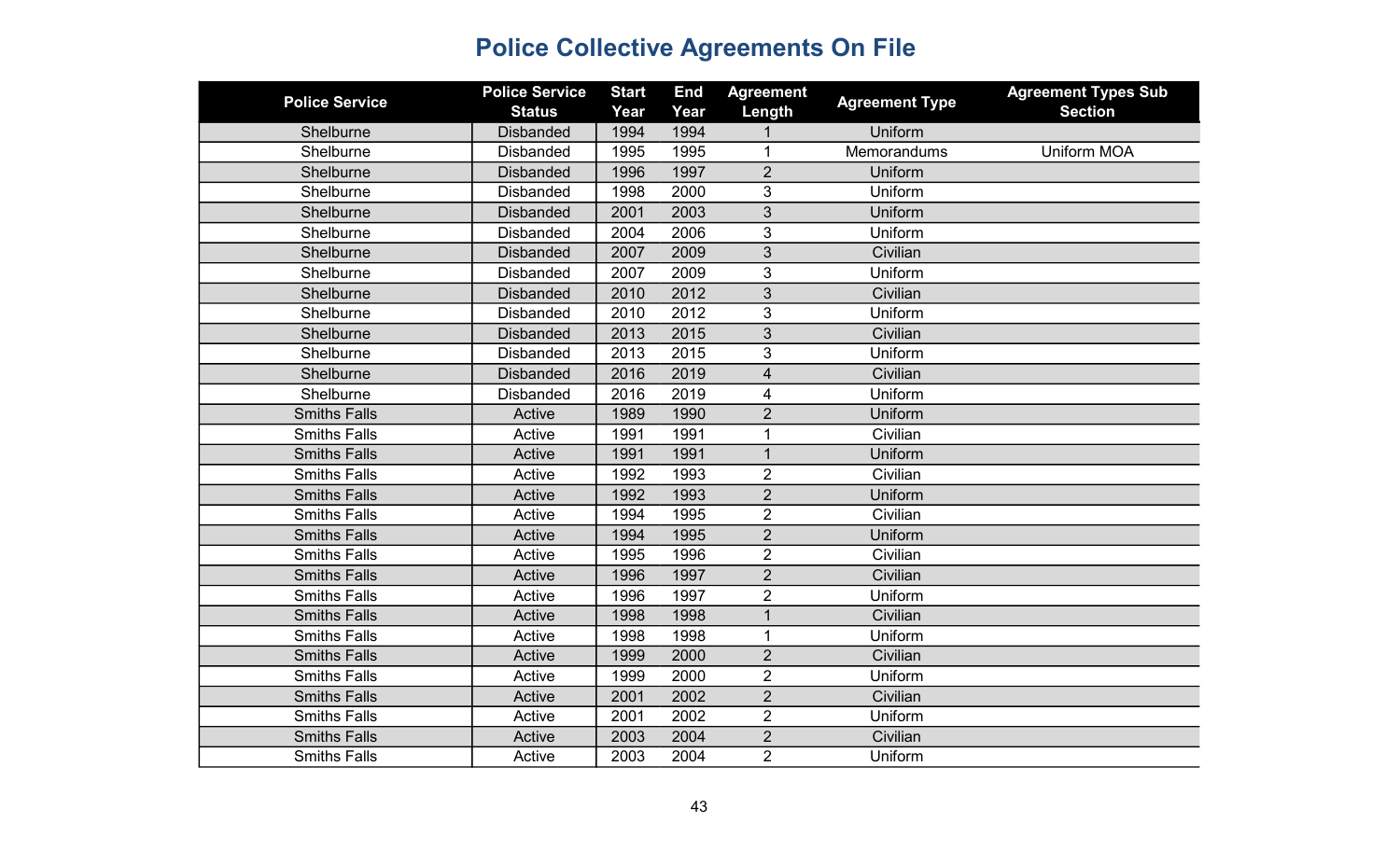| <b>Police Service</b> | <b>Police Service</b><br><b>Status</b> | <b>Start</b><br>Year | <b>End</b><br>Year | <b>Agreement</b><br>Length | <b>Agreement Type</b> | <b>Agreement Types Sub</b><br><b>Section</b> |
|-----------------------|----------------------------------------|----------------------|--------------------|----------------------------|-----------------------|----------------------------------------------|
| Shelburne             | <b>Disbanded</b>                       | 1994                 | 1994               |                            | Uniform               |                                              |
| Shelburne             | <b>Disbanded</b>                       | 1995                 | 1995               | $\mathbf{1}$               | Memorandums           | <b>Uniform MOA</b>                           |
| Shelburne             | <b>Disbanded</b>                       | 1996                 | 1997               | $\overline{2}$             | Uniform               |                                              |
| Shelburne             | <b>Disbanded</b>                       | 1998                 | 2000               | 3                          | Uniform               |                                              |
| Shelburne             | <b>Disbanded</b>                       | 2001                 | 2003               | 3                          | Uniform               |                                              |
| Shelburne             | <b>Disbanded</b>                       | 2004                 | 2006               | 3                          | Uniform               |                                              |
| Shelburne             | <b>Disbanded</b>                       | 2007                 | 2009               | 3                          | Civilian              |                                              |
| Shelburne             | <b>Disbanded</b>                       | 2007                 | 2009               | 3                          | Uniform               |                                              |
| Shelburne             | <b>Disbanded</b>                       | 2010                 | 2012               | $\overline{3}$             | Civilian              |                                              |
| Shelburne             | <b>Disbanded</b>                       | 2010                 | 2012               | 3                          | Uniform               |                                              |
| Shelburne             | <b>Disbanded</b>                       | 2013                 | 2015               | 3                          | Civilian              |                                              |
| Shelburne             | <b>Disbanded</b>                       | 2013                 | 2015               | 3                          | Uniform               |                                              |
| Shelburne             | <b>Disbanded</b>                       | 2016                 | 2019               | $\overline{4}$             | Civilian              |                                              |
| Shelburne             | <b>Disbanded</b>                       | 2016                 | 2019               | $\overline{\mathbf{4}}$    | Uniform               |                                              |
| <b>Smiths Falls</b>   | Active                                 | 1989                 | 1990               | $\overline{2}$             | Uniform               |                                              |
| <b>Smiths Falls</b>   | Active                                 | 1991                 | 1991               | $\mathbf 1$                | Civilian              |                                              |
| <b>Smiths Falls</b>   | Active                                 | 1991                 | 1991               | $\mathbf{1}$               | Uniform               |                                              |
| <b>Smiths Falls</b>   | Active                                 | 1992                 | 1993               | $\overline{2}$             | Civilian              |                                              |
| <b>Smiths Falls</b>   | Active                                 | 1992                 | 1993               | $\overline{2}$             | Uniform               |                                              |
| <b>Smiths Falls</b>   | Active                                 | 1994                 | 1995               | $\overline{2}$             | Civilian              |                                              |
| <b>Smiths Falls</b>   | Active                                 | 1994                 | 1995               | $\overline{2}$             | Uniform               |                                              |
| <b>Smiths Falls</b>   | Active                                 | 1995                 | 1996               | $\overline{2}$             | Civilian              |                                              |
| <b>Smiths Falls</b>   | Active                                 | 1996                 | 1997               | $\overline{2}$             | Civilian              |                                              |
| <b>Smiths Falls</b>   | Active                                 | 1996                 | 1997               | $\overline{2}$             | Uniform               |                                              |
| <b>Smiths Falls</b>   | Active                                 | 1998                 | 1998               | 1                          | Civilian              |                                              |
| <b>Smiths Falls</b>   | Active                                 | 1998                 | 1998               | $\mathbf{1}$               | Uniform               |                                              |
| <b>Smiths Falls</b>   | Active                                 | 1999                 | 2000               | $\overline{2}$             | Civilian              |                                              |
| <b>Smiths Falls</b>   | Active                                 | 1999                 | 2000               | $\overline{2}$             | Uniform               |                                              |
| <b>Smiths Falls</b>   | Active                                 | 2001                 | 2002               | $\overline{2}$             | Civilian              |                                              |
| <b>Smiths Falls</b>   | Active                                 | 2001                 | 2002               | $\overline{2}$             | Uniform               |                                              |
| <b>Smiths Falls</b>   | Active                                 | 2003                 | 2004               | $\overline{2}$             | Civilian              |                                              |
| <b>Smiths Falls</b>   | Active                                 | 2003                 | 2004               | $\overline{2}$             | Uniform               |                                              |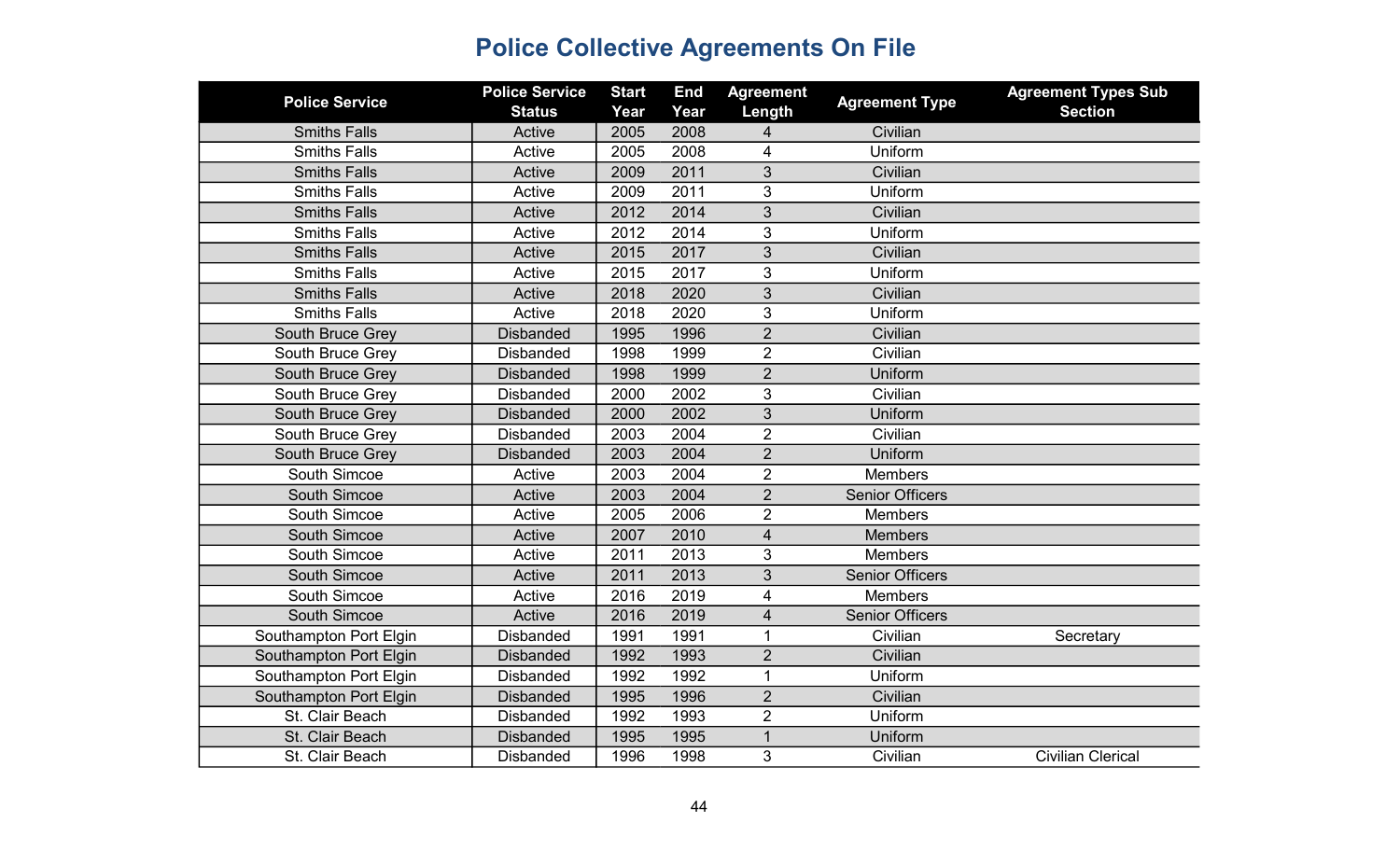| <b>Police Service</b>  | <b>Police Service</b><br><b>Status</b> | <b>Start</b><br>Year | <b>End</b><br>Year | <b>Agreement</b><br>Length | <b>Agreement Type</b>  | <b>Agreement Types Sub</b><br><b>Section</b> |
|------------------------|----------------------------------------|----------------------|--------------------|----------------------------|------------------------|----------------------------------------------|
| <b>Smiths Falls</b>    | Active                                 | 2005                 | 2008               | 4                          | Civilian               |                                              |
| <b>Smiths Falls</b>    | Active                                 | 2005                 | 2008               | 4                          | Uniform                |                                              |
| <b>Smiths Falls</b>    | Active                                 | 2009                 | 2011               | 3                          | Civilian               |                                              |
| <b>Smiths Falls</b>    | Active                                 | 2009                 | 2011               | 3                          | Uniform                |                                              |
| <b>Smiths Falls</b>    | Active                                 | 2012                 | 2014               | 3                          | Civilian               |                                              |
| <b>Smiths Falls</b>    | Active                                 | 2012                 | 2014               | 3                          | Uniform                |                                              |
| <b>Smiths Falls</b>    | Active                                 | 2015                 | 2017               | 3                          | Civilian               |                                              |
| <b>Smiths Falls</b>    | Active                                 | 2015                 | 2017               | 3                          | Uniform                |                                              |
| <b>Smiths Falls</b>    | Active                                 | 2018                 | 2020               | 3                          | Civilian               |                                              |
| <b>Smiths Falls</b>    | Active                                 | 2018                 | 2020               | 3                          | Uniform                |                                              |
| South Bruce Grey       | <b>Disbanded</b>                       | 1995                 | 1996               | $\overline{2}$             | Civilian               |                                              |
| South Bruce Grey       | <b>Disbanded</b>                       | 1998                 | 1999               | $\overline{2}$             | Civilian               |                                              |
| South Bruce Grey       | <b>Disbanded</b>                       | 1998                 | 1999               | $\overline{2}$             | Uniform                |                                              |
| South Bruce Grey       | <b>Disbanded</b>                       | 2000                 | 2002               | 3                          | Civilian               |                                              |
| South Bruce Grey       | <b>Disbanded</b>                       | 2000                 | 2002               | 3                          | Uniform                |                                              |
| South Bruce Grey       | <b>Disbanded</b>                       | 2003                 | 2004               | $\overline{2}$             | Civilian               |                                              |
| South Bruce Grey       | <b>Disbanded</b>                       | 2003                 | 2004               | $\overline{2}$             | Uniform                |                                              |
| South Simcoe           | Active                                 | 2003                 | 2004               | $\overline{2}$             | <b>Members</b>         |                                              |
| South Simcoe           | Active                                 | 2003                 | 2004               | $\overline{2}$             | <b>Senior Officers</b> |                                              |
| South Simcoe           | Active                                 | 2005                 | 2006               | $\overline{2}$             | <b>Members</b>         |                                              |
| South Simcoe           | Active                                 | 2007                 | 2010               | $\overline{\mathbf{4}}$    | <b>Members</b>         |                                              |
| South Simcoe           | Active                                 | 2011                 | 2013               | 3                          | <b>Members</b>         |                                              |
| South Simcoe           | Active                                 | 2011                 | 2013               | 3                          | <b>Senior Officers</b> |                                              |
| South Simcoe           | Active                                 | 2016                 | 2019               | 4                          | <b>Members</b>         |                                              |
| <b>South Simcoe</b>    | Active                                 | 2016                 | 2019               | $\overline{4}$             | <b>Senior Officers</b> |                                              |
| Southampton Port Elgin | <b>Disbanded</b>                       | 1991                 | 1991               | 1                          | Civilian               | Secretary                                    |
| Southampton Port Elgin | <b>Disbanded</b>                       | 1992                 | 1993               | $\overline{2}$             | Civilian               |                                              |
| Southampton Port Elgin | <b>Disbanded</b>                       | 1992                 | 1992               | $\mathbf{1}$               | Uniform                |                                              |
| Southampton Port Elgin | <b>Disbanded</b>                       | 1995                 | 1996               | $\overline{2}$             | Civilian               |                                              |
| St. Clair Beach        | <b>Disbanded</b>                       | 1992                 | 1993               | $\overline{2}$             | Uniform                |                                              |
| St. Clair Beach        | <b>Disbanded</b>                       | 1995                 | 1995               | $\mathbf 1$                | Uniform                |                                              |
| St. Clair Beach        | <b>Disbanded</b>                       | 1996                 | 1998               | 3                          | Civilian               | <b>Civilian Clerical</b>                     |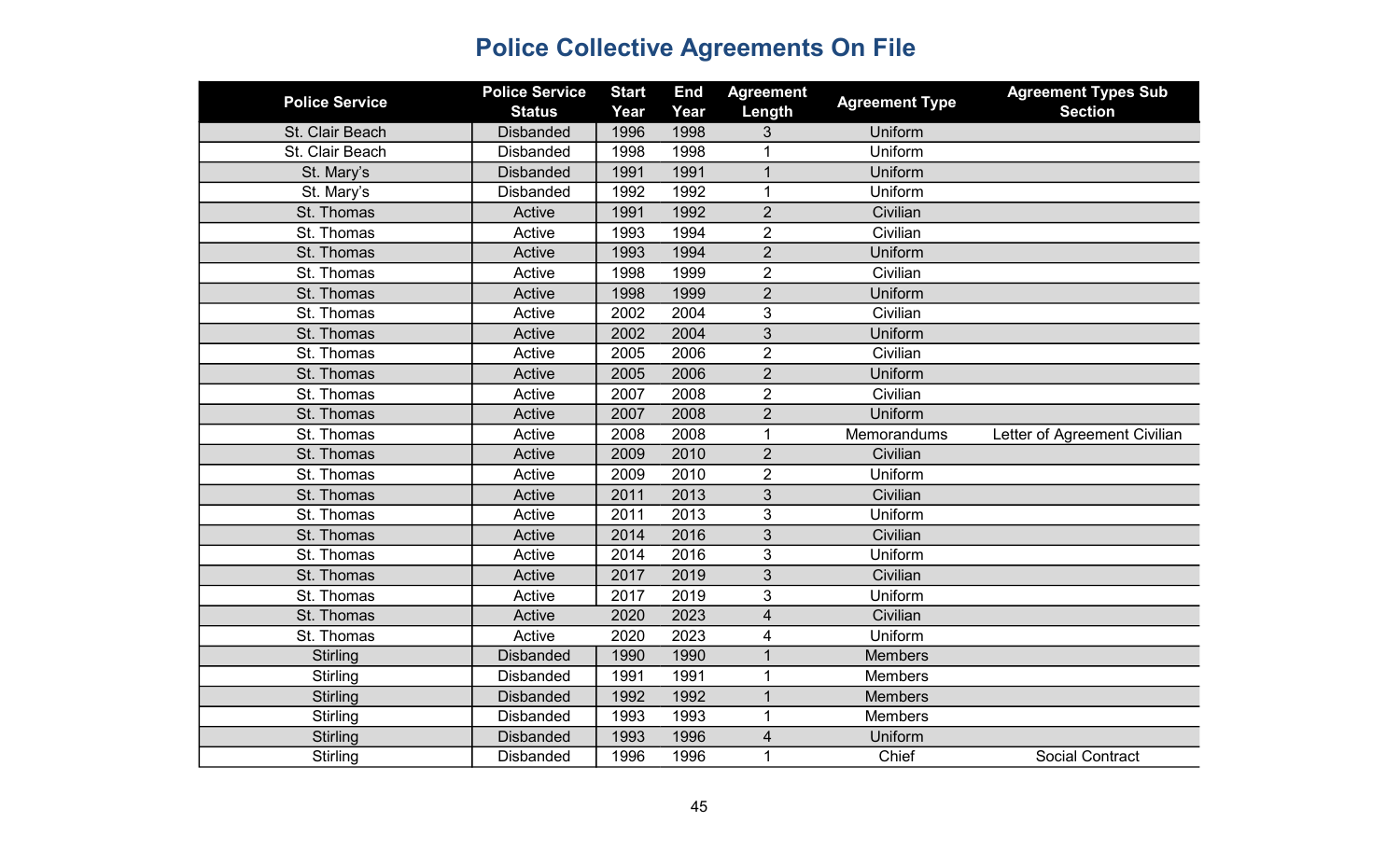| <b>Police Service</b> | <b>Police Service</b><br><b>Status</b> | <b>Start</b><br>Year | <b>End</b><br>Year | <b>Agreement</b><br>Length | <b>Agreement Type</b> | <b>Agreement Types Sub</b><br><b>Section</b> |
|-----------------------|----------------------------------------|----------------------|--------------------|----------------------------|-----------------------|----------------------------------------------|
| St. Clair Beach       | <b>Disbanded</b>                       | 1996                 | 1998               | 3                          | Uniform               |                                              |
| St. Clair Beach       | <b>Disbanded</b>                       | 1998                 | 1998               | 1                          | Uniform               |                                              |
| St. Mary's            | <b>Disbanded</b>                       | 1991                 | 1991               | $\mathbf{1}$               | Uniform               |                                              |
| St. Mary's            | <b>Disbanded</b>                       | 1992                 | 1992               | $\mathbf{1}$               | Uniform               |                                              |
| St. Thomas            | Active                                 | 1991                 | 1992               | $\overline{2}$             | Civilian              |                                              |
| St. Thomas            | Active                                 | 1993                 | 1994               | $\overline{2}$             | Civilian              |                                              |
| St. Thomas            | Active                                 | 1993                 | 1994               | $\overline{2}$             | Uniform               |                                              |
| St. Thomas            | Active                                 | 1998                 | 1999               | $\overline{2}$             | Civilian              |                                              |
| St. Thomas            | Active                                 | 1998                 | 1999               | $\overline{2}$             | Uniform               |                                              |
| St. Thomas            | Active                                 | 2002                 | 2004               | 3                          | Civilian              |                                              |
| St. Thomas            |                                        | 2002                 | 2004               | 3                          | Uniform               |                                              |
|                       | Active                                 |                      |                    |                            |                       |                                              |
| St. Thomas            | Active                                 | 2005                 | 2006               | $\overline{2}$             | Civilian              |                                              |
| St. Thomas            | Active                                 | 2005                 | 2006               | $\overline{2}$             | Uniform               |                                              |
| St. Thomas            | Active                                 | 2007                 | 2008               | $\overline{2}$             | Civilian              |                                              |
| St. Thomas            | Active                                 | 2007                 | 2008               | $\overline{2}$             | Uniform               |                                              |
| St. Thomas            | Active                                 | 2008                 | 2008               | $\mathbf{1}$               | Memorandums           | Letter of Agreement Civilian                 |
| St. Thomas            | Active                                 | 2009                 | 2010               | $\overline{2}$             | Civilian              |                                              |
| St. Thomas            | Active                                 | 2009                 | 2010               | $\overline{2}$             | Uniform               |                                              |
| St. Thomas            | Active                                 | 2011                 | 2013               | 3                          | Civilian              |                                              |
| St. Thomas            | Active                                 | 2011                 | 2013               | 3                          | Uniform               |                                              |
| St. Thomas            | Active                                 | 2014                 | 2016               | 3                          | Civilian              |                                              |
| St. Thomas            | Active                                 | 2014                 | 2016               | 3                          | Uniform               |                                              |
| St. Thomas            | Active                                 | 2017                 | 2019               | 3                          | Civilian              |                                              |
| St. Thomas            | Active                                 | 2017                 | 2019               | 3                          | Uniform               |                                              |
| St. Thomas            | Active                                 | 2020                 | 2023               | 4                          | Civilian              |                                              |
| St. Thomas            | Active                                 | 2020                 | 2023               | $\overline{\mathbf{4}}$    | Uniform               |                                              |
| <b>Stirling</b>       | <b>Disbanded</b>                       | 1990                 | 1990               | $\mathbf{1}$               | <b>Members</b>        |                                              |
| <b>Stirling</b>       | <b>Disbanded</b>                       | 1991                 | 1991               | 1                          | <b>Members</b>        |                                              |
| <b>Stirling</b>       | <b>Disbanded</b>                       | 1992                 | 1992               | $\mathbf{1}$               | <b>Members</b>        |                                              |
| Stirling              | <b>Disbanded</b>                       | 1993                 | 1993               | $\mathbf 1$                | <b>Members</b>        |                                              |
| <b>Stirling</b>       | <b>Disbanded</b>                       | 1993                 | 1996               | 4                          | Uniform               |                                              |
| Stirling              | <b>Disbanded</b>                       | 1996                 | 1996               | $\mathbf{1}$               | Chief                 | <b>Social Contract</b>                       |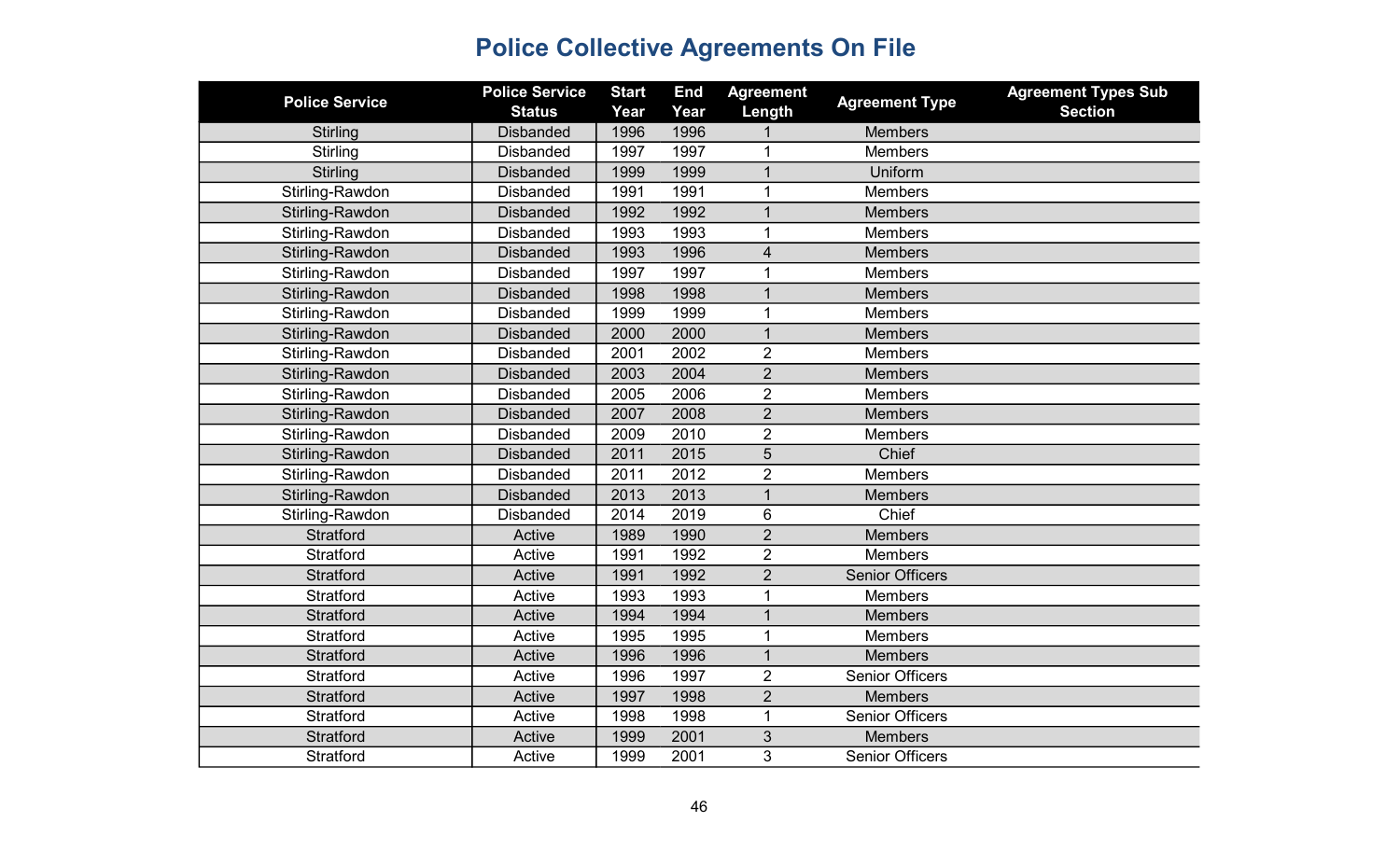| <b>Police Service</b>  | <b>Police Service</b><br><b>Status</b> | <b>Start</b><br>Year | <b>End</b><br>Year | <b>Agreement</b><br>Length | <b>Agreement Type</b>  | <b>Agreement Types Sub</b><br><b>Section</b> |
|------------------------|----------------------------------------|----------------------|--------------------|----------------------------|------------------------|----------------------------------------------|
| Stirling               | <b>Disbanded</b>                       | 1996                 | 1996               |                            | <b>Members</b>         |                                              |
| Stirling               | <b>Disbanded</b>                       | 1997                 | 1997               | 1                          | <b>Members</b>         |                                              |
| <b>Stirling</b>        | <b>Disbanded</b>                       | 1999                 | 1999               | $\mathbf 1$                | Uniform                |                                              |
| Stirling-Rawdon        | <b>Disbanded</b>                       | 1991                 | 1991               | $\mathbf{1}$               | <b>Members</b>         |                                              |
| Stirling-Rawdon        | <b>Disbanded</b>                       | 1992                 | 1992               |                            | <b>Members</b>         |                                              |
| Stirling-Rawdon        | <b>Disbanded</b>                       | 1993                 | 1993               | 1                          | <b>Members</b>         |                                              |
| Stirling-Rawdon        | <b>Disbanded</b>                       | 1993                 | 1996               | 4                          | <b>Members</b>         |                                              |
| Stirling-Rawdon        | <b>Disbanded</b>                       | 1997                 | 1997               | 1                          | <b>Members</b>         |                                              |
| Stirling-Rawdon        | <b>Disbanded</b>                       | 1998                 | 1998               | $\overline{1}$             | <b>Members</b>         |                                              |
| Stirling-Rawdon        | <b>Disbanded</b>                       | 1999                 | 1999               | 1                          | <b>Members</b>         |                                              |
| Stirling-Rawdon        | <b>Disbanded</b>                       | 2000                 | 2000               | $\mathbf 1$                | <b>Members</b>         |                                              |
| Stirling-Rawdon        | <b>Disbanded</b>                       | 2001                 | 2002               | $\overline{2}$             | <b>Members</b>         |                                              |
| Stirling-Rawdon        | <b>Disbanded</b>                       | 2003                 | 2004               | $\overline{2}$             | <b>Members</b>         |                                              |
| Stirling-Rawdon        | <b>Disbanded</b>                       | 2005                 | 2006               | $\overline{2}$             | <b>Members</b>         |                                              |
| Stirling-Rawdon        | <b>Disbanded</b>                       | 2007                 | 2008               | $\overline{2}$             | <b>Members</b>         |                                              |
| Stirling-Rawdon        | <b>Disbanded</b>                       | 2009                 | 2010               | $\overline{2}$             | <b>Members</b>         |                                              |
| <b>Stirling-Rawdon</b> | <b>Disbanded</b>                       | 2011                 | 2015               | 5                          | Chief                  |                                              |
| Stirling-Rawdon        | <b>Disbanded</b>                       | 2011                 | 2012               | $\overline{2}$             | <b>Members</b>         |                                              |
| Stirling-Rawdon        | <b>Disbanded</b>                       | 2013                 | 2013               | $\mathbf{1}$               | <b>Members</b>         |                                              |
| Stirling-Rawdon        | <b>Disbanded</b>                       | 2014                 | 2019               | 6                          | Chief                  |                                              |
| Stratford              | Active                                 | 1989                 | 1990               | $\overline{2}$             | <b>Members</b>         |                                              |
| Stratford              | Active                                 | 1991                 | 1992               | $\overline{2}$             | Members                |                                              |
| <b>Stratford</b>       | Active                                 | 1991                 | 1992               | $\overline{2}$             | <b>Senior Officers</b> |                                              |
| Stratford              | Active                                 | 1993                 | 1993               | 1                          | Members                |                                              |
| <b>Stratford</b>       | Active                                 | 1994                 | 1994               | $\mathbf 1$                | <b>Members</b>         |                                              |
| <b>Stratford</b>       | Active                                 | 1995                 | 1995               | $\mathbf 1$                | Members                |                                              |
| <b>Stratford</b>       | Active                                 | 1996                 | 1996               | $\overline{1}$             | <b>Members</b>         |                                              |
| Stratford              | Active                                 | 1996                 | 1997               | $\overline{2}$             | <b>Senior Officers</b> |                                              |
| <b>Stratford</b>       | Active                                 | 1997                 | 1998               | $\overline{2}$             | <b>Members</b>         |                                              |
| Stratford              | Active                                 | 1998                 | 1998               | $\mathbf{1}$               | <b>Senior Officers</b> |                                              |
| Stratford              | Active                                 | 1999                 | 2001               | 3                          | <b>Members</b>         |                                              |
| Stratford              | Active                                 | 1999                 | 2001               | 3                          | <b>Senior Officers</b> |                                              |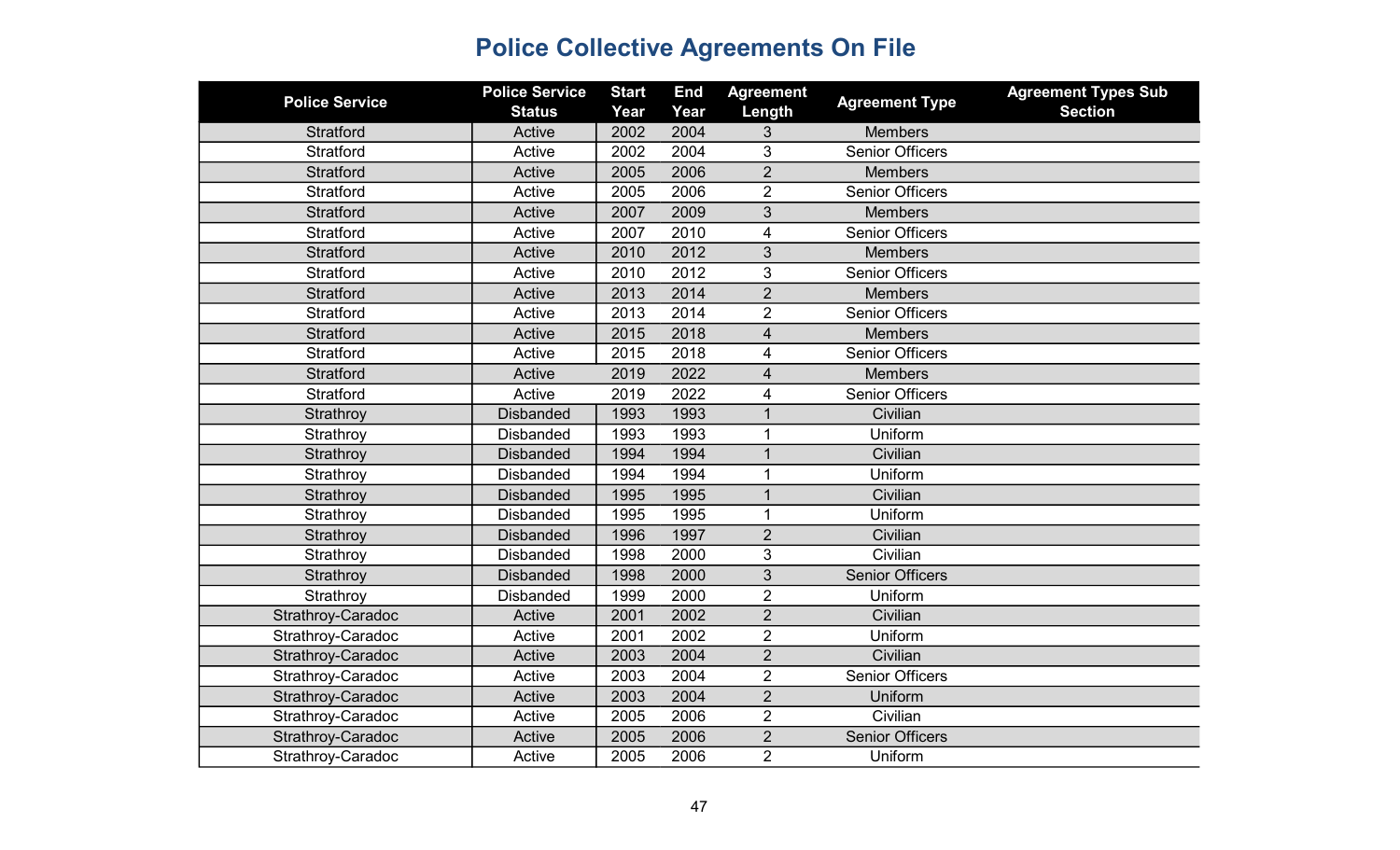| <b>Police Service</b> | <b>Police Service</b><br><b>Status</b> | <b>Start</b><br>Year | <b>End</b><br>Year | <b>Agreement</b><br>Length | <b>Agreement Type</b>  | <b>Agreement Types Sub</b><br><b>Section</b> |
|-----------------------|----------------------------------------|----------------------|--------------------|----------------------------|------------------------|----------------------------------------------|
| Stratford             | Active                                 | 2002                 | 2004               | 3                          | <b>Members</b>         |                                              |
| Stratford             | Active                                 | 2002                 | 2004               | 3                          | <b>Senior Officers</b> |                                              |
| <b>Stratford</b>      | Active                                 | 2005                 | 2006               | $\overline{2}$             | <b>Members</b>         |                                              |
| Stratford             | Active                                 | 2005                 | 2006               | $\overline{2}$             | <b>Senior Officers</b> |                                              |
| Stratford             | Active                                 | 2007                 | 2009               | 3                          | <b>Members</b>         |                                              |
| Stratford             | Active                                 | 2007                 | 2010               | $\overline{\mathbf{4}}$    | <b>Senior Officers</b> |                                              |
| <b>Stratford</b>      | Active                                 | 2010                 | 2012               | 3                          | <b>Members</b>         |                                              |
| Stratford             | Active                                 | 2010                 | 2012               | 3                          | <b>Senior Officers</b> |                                              |
| <b>Stratford</b>      | Active                                 | 2013                 | 2014               | $\overline{2}$             | <b>Members</b>         |                                              |
| Stratford             | Active                                 | 2013                 | 2014               | $\overline{2}$             | <b>Senior Officers</b> |                                              |
| Stratford             | Active                                 | 2015                 | 2018               | 4                          | <b>Members</b>         |                                              |
| Stratford             | Active                                 | 2015                 | 2018               | 4                          | <b>Senior Officers</b> |                                              |
| <b>Stratford</b>      | Active                                 | 2019                 | 2022               | $\overline{4}$             | <b>Members</b>         |                                              |
| Stratford             | Active                                 | 2019                 | 2022               | 4                          | <b>Senior Officers</b> |                                              |
| Strathroy             | <b>Disbanded</b>                       | 1993                 | 1993               | $\mathbf{1}$               | Civilian               |                                              |
| Strathroy             | <b>Disbanded</b>                       | 1993                 | 1993               | 1                          | Uniform                |                                              |
| Strathroy             | <b>Disbanded</b>                       | 1994                 | 1994               | $\overline{1}$             | Civilian               |                                              |
| Strathroy             | <b>Disbanded</b>                       | 1994                 | 1994               | $\mathbf{1}$               | Uniform                |                                              |
| Strathroy             | <b>Disbanded</b>                       | 1995                 | 1995               | $\mathbf{1}$               | Civilian               |                                              |
| Strathroy             | <b>Disbanded</b>                       | 1995                 | 1995               | $\mathbf{1}$               | Uniform                |                                              |
| Strathroy             | <b>Disbanded</b>                       | 1996                 | 1997               | $\overline{2}$             | Civilian               |                                              |
| Strathroy             | <b>Disbanded</b>                       | 1998                 | 2000               | 3                          | Civilian               |                                              |
| Strathroy             | <b>Disbanded</b>                       | 1998                 | 2000               | 3                          | <b>Senior Officers</b> |                                              |
| Strathroy             | <b>Disbanded</b>                       | 1999                 | 2000               | $\overline{2}$             | Uniform                |                                              |
| Strathroy-Caradoc     | Active                                 | 2001                 | 2002               | $\overline{2}$             | Civilian               |                                              |
| Strathroy-Caradoc     | Active                                 | 2001                 | 2002               | $\overline{2}$             | Uniform                |                                              |
| Strathroy-Caradoc     | Active                                 | 2003                 | 2004               | $\overline{2}$             | Civilian               |                                              |
| Strathroy-Caradoc     | Active                                 | 2003                 | 2004               | $\overline{2}$             | <b>Senior Officers</b> |                                              |
| Strathroy-Caradoc     | Active                                 | 2003                 | 2004               | $\overline{2}$             | Uniform                |                                              |
| Strathroy-Caradoc     | Active                                 | 2005                 | 2006               | $\overline{2}$             | Civilian               |                                              |
| Strathroy-Caradoc     | Active                                 | 2005                 | 2006               | $\overline{2}$             | <b>Senior Officers</b> |                                              |
| Strathroy-Caradoc     | Active                                 | 2005                 | 2006               | $\overline{2}$             | Uniform                |                                              |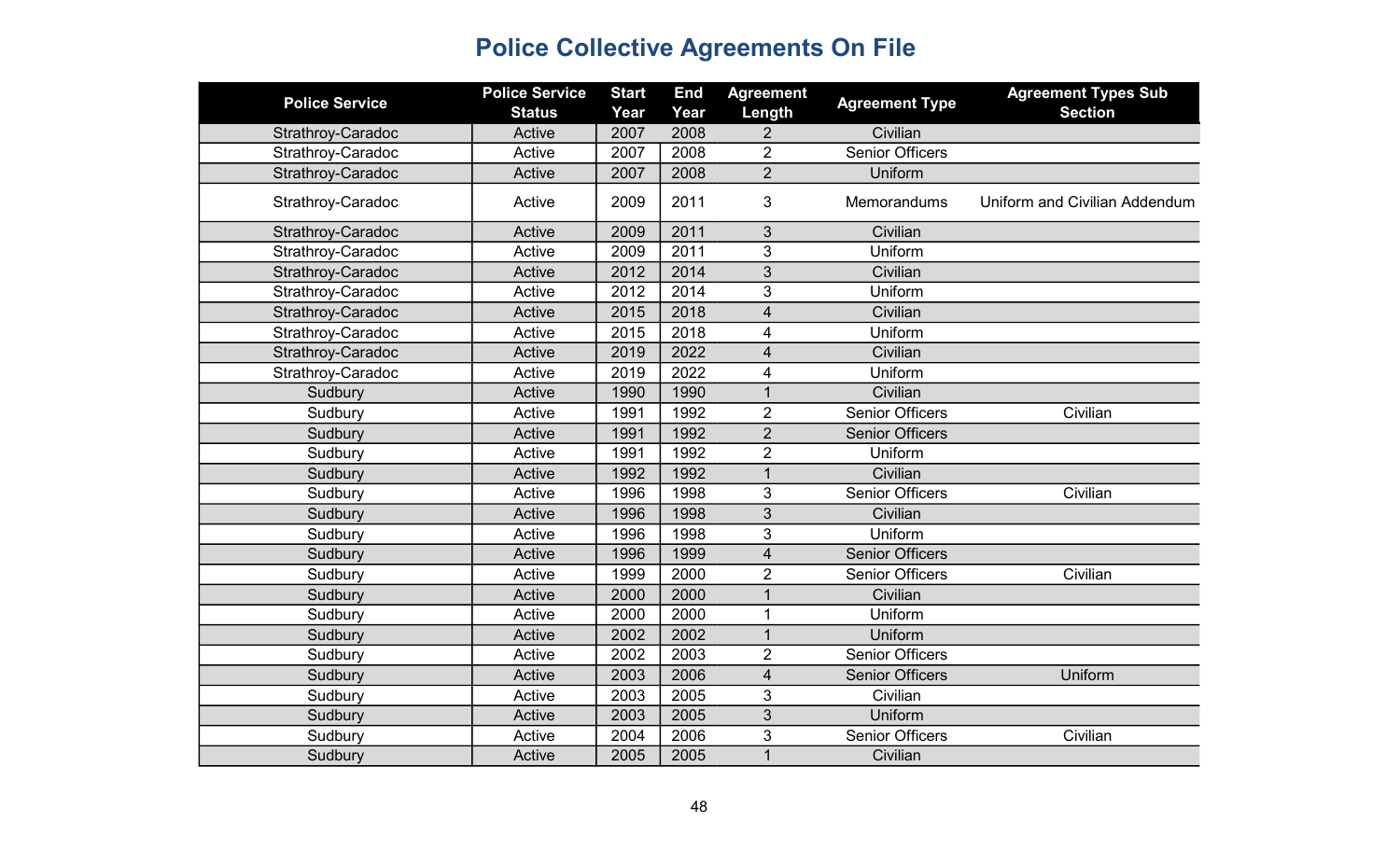| <b>Police Service</b> | <b>Police Service</b> | <b>Start</b> | <b>End</b> | <b>Agreement</b>         | <b>Agreement Type</b>  | <b>Agreement Types Sub</b>    |
|-----------------------|-----------------------|--------------|------------|--------------------------|------------------------|-------------------------------|
|                       | <b>Status</b>         | Year         | Year       | Length                   |                        | <b>Section</b>                |
| Strathroy-Caradoc     | Active                | 2007         | 2008       | $\overline{2}$           | Civilian               |                               |
| Strathroy-Caradoc     | Active                | 2007         | 2008       | $\overline{2}$           | <b>Senior Officers</b> |                               |
| Strathroy-Caradoc     | Active                | 2007         | 2008       | $\overline{2}$           | Uniform                |                               |
| Strathroy-Caradoc     | Active                | 2009         | 2011       | 3                        | <b>Memorandums</b>     | Uniform and Civilian Addendum |
| Strathroy-Caradoc     | Active                | 2009         | 2011       | 3                        | Civilian               |                               |
| Strathroy-Caradoc     | Active                | 2009         | 2011       | 3                        | Uniform                |                               |
| Strathroy-Caradoc     | Active                | 2012         | 2014       | 3                        | Civilian               |                               |
| Strathroy-Caradoc     | Active                | 2012         | 2014       | 3                        | Uniform                |                               |
| Strathroy-Caradoc     | Active                | 2015         | 2018       | $\overline{\mathbf{4}}$  | Civilian               |                               |
| Strathroy-Caradoc     | Active                | 2015         | 2018       | 4                        | Uniform                |                               |
| Strathroy-Caradoc     | Active                | 2019         | 2022       | $\overline{\mathcal{L}}$ | Civilian               |                               |
| Strathroy-Caradoc     | Active                | 2019         | 2022       | 4                        | Uniform                |                               |
| Sudbury               | Active                | 1990         | 1990       | $\mathbf{1}$             | Civilian               |                               |
| Sudbury               | Active                | 1991         | 1992       | $\overline{2}$           | <b>Senior Officers</b> | Civilian                      |
| Sudbury               | Active                | 1991         | 1992       | $\overline{2}$           | <b>Senior Officers</b> |                               |
| Sudbury               | Active                | 1991         | 1992       | $\overline{2}$           | Uniform                |                               |
| Sudbury               | Active                | 1992         | 1992       | $\overline{1}$           | Civilian               |                               |
| Sudbury               | Active                | 1996         | 1998       | 3                        | <b>Senior Officers</b> | Civilian                      |
| Sudbury               | Active                | 1996         | 1998       | 3                        | Civilian               |                               |
| Sudbury               | Active                | 1996         | 1998       | 3                        | Uniform                |                               |
| Sudbury               | Active                | 1996         | 1999       | $\overline{4}$           | <b>Senior Officers</b> |                               |
| Sudbury               | Active                | 1999         | 2000       | $\overline{2}$           | <b>Senior Officers</b> | Civilian                      |
| Sudbury               | Active                | 2000         | 2000       | $\mathbf{1}$             | Civilian               |                               |
| Sudbury               | Active                | 2000         | 2000       | 1                        | Uniform                |                               |
| Sudbury               | Active                | 2002         | 2002       | $\mathbf{1}$             | Uniform                |                               |
| Sudbury               | Active                | 2002         | 2003       | $\overline{2}$           | <b>Senior Officers</b> |                               |
| Sudbury               | Active                | 2003         | 2006       | $\overline{\mathbf{4}}$  | <b>Senior Officers</b> | Uniform                       |
| Sudbury               | Active                | 2003         | 2005       | 3                        | Civilian               |                               |
| Sudbury               | Active                | 2003         | 2005       | 3                        | Uniform                |                               |
| Sudbury               | Active                | 2004         | 2006       | 3                        | <b>Senior Officers</b> | Civilian                      |
| Sudbury               | Active                | 2005         | 2005       | $\overline{1}$           | Civilian               |                               |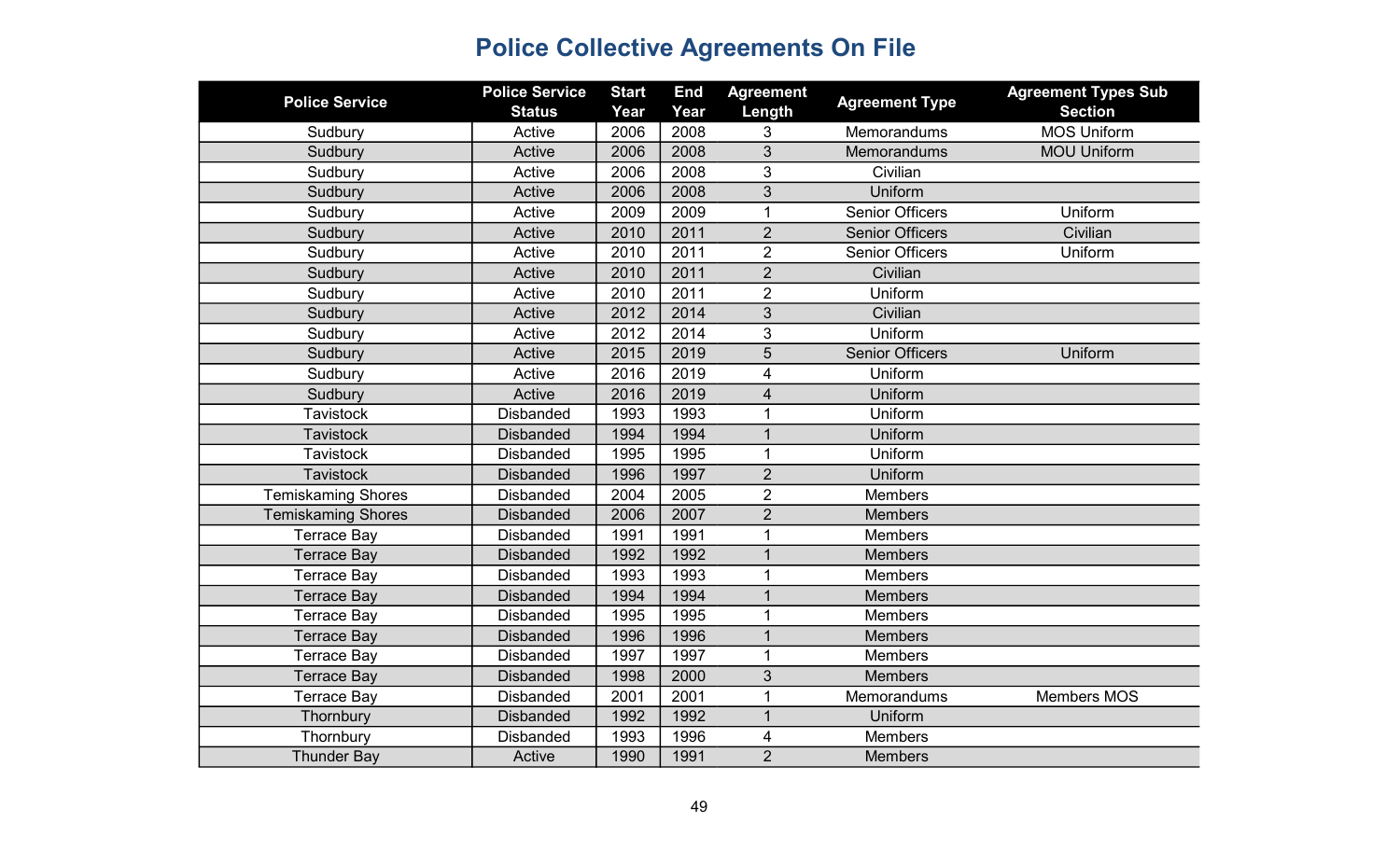| <b>Police Service</b>     | <b>Police Service</b><br><b>Status</b> | <b>Start</b><br>Year | <b>End</b><br>Year | <b>Agreement</b><br>Length | <b>Agreement Type</b>  | <b>Agreement Types Sub</b><br><b>Section</b> |
|---------------------------|----------------------------------------|----------------------|--------------------|----------------------------|------------------------|----------------------------------------------|
| Sudbury                   | Active                                 | 2006                 | 2008               | 3                          | <b>Memorandums</b>     | <b>MOS Uniform</b>                           |
| Sudbury                   | Active                                 | 2006                 | 2008               | 3                          | Memorandums            | <b>MOU Uniform</b>                           |
| Sudbury                   | Active                                 | 2006                 | 2008               | 3                          | Civilian               |                                              |
| Sudbury                   | Active                                 | 2006                 | 2008               | 3                          | Uniform                |                                              |
| Sudbury                   | Active                                 | 2009                 | 2009               | $\mathbf 1$                | <b>Senior Officers</b> | Uniform                                      |
| Sudbury                   | Active                                 | 2010                 | 2011               | $\overline{2}$             | <b>Senior Officers</b> | Civilian                                     |
| Sudbury                   | Active                                 | 2010                 | 2011               | $\overline{2}$             | <b>Senior Officers</b> | Uniform                                      |
| Sudbury                   | Active                                 | 2010                 | 2011               | $\overline{2}$             | Civilian               |                                              |
| Sudbury                   | Active                                 | 2010                 | 2011               | $\overline{2}$             | Uniform                |                                              |
| Sudbury                   | Active                                 | 2012                 | 2014               | 3                          | Civilian               |                                              |
| Sudbury                   | Active                                 | 2012                 | 2014               | 3                          | Uniform                |                                              |
| Sudbury                   | Active                                 | 2015                 | 2019               | 5                          | <b>Senior Officers</b> | Uniform                                      |
| Sudbury                   | Active                                 | 2016                 | 2019               | 4                          | Uniform                |                                              |
| Sudbury                   | Active                                 | 2016                 | 2019               | 4                          | Uniform                |                                              |
| <b>Tavistock</b>          | <b>Disbanded</b>                       | 1993                 | 1993               | 1                          | Uniform                |                                              |
| <b>Tavistock</b>          | <b>Disbanded</b>                       | 1994                 | 1994               | $\mathbf{1}$               | Uniform                |                                              |
| Tavistock                 | <b>Disbanded</b>                       | 1995                 | 1995               | 1                          | Uniform                |                                              |
| <b>Tavistock</b>          | <b>Disbanded</b>                       | 1996                 | 1997               | $\overline{2}$             | Uniform                |                                              |
| <b>Temiskaming Shores</b> | <b>Disbanded</b>                       | 2004                 | 2005               | $\overline{2}$             | <b>Members</b>         |                                              |
| <b>Temiskaming Shores</b> | <b>Disbanded</b>                       | 2006                 | 2007               | $\overline{2}$             | <b>Members</b>         |                                              |
| <b>Terrace Bay</b>        | <b>Disbanded</b>                       | 1991                 | 1991               | $\mathbf{1}$               | <b>Members</b>         |                                              |
| <b>Terrace Bay</b>        | <b>Disbanded</b>                       | 1992                 | 1992               | $\mathbf{1}$               | <b>Members</b>         |                                              |
| <b>Terrace Bay</b>        | <b>Disbanded</b>                       | 1993                 | 1993               | 1                          | <b>Members</b>         |                                              |
| <b>Terrace Bay</b>        | <b>Disbanded</b>                       | 1994                 | 1994               | $\mathbf{1}$               | <b>Members</b>         |                                              |
| <b>Terrace Bay</b>        | <b>Disbanded</b>                       | 1995                 | 1995               | 1                          | <b>Members</b>         |                                              |
| <b>Terrace Bay</b>        | <b>Disbanded</b>                       | 1996                 | 1996               | $\mathbf{1}$               | <b>Members</b>         |                                              |
| <b>Terrace Bay</b>        | <b>Disbanded</b>                       | 1997                 | 1997               | 1                          | <b>Members</b>         |                                              |
| <b>Terrace Bay</b>        | <b>Disbanded</b>                       | 1998                 | 2000               | 3                          | <b>Members</b>         |                                              |
| <b>Terrace Bay</b>        | <b>Disbanded</b>                       | 2001                 | 2001               | 1                          | Memorandums            | <b>Members MOS</b>                           |
| Thornbury                 | <b>Disbanded</b>                       | 1992                 | 1992               | $\mathbf 1$                | Uniform                |                                              |
| Thornbury                 | <b>Disbanded</b>                       | 1993                 | 1996               | 4                          | <b>Members</b>         |                                              |
| <b>Thunder Bay</b>        | Active                                 | 1990                 | 1991               | $\overline{2}$             | <b>Members</b>         |                                              |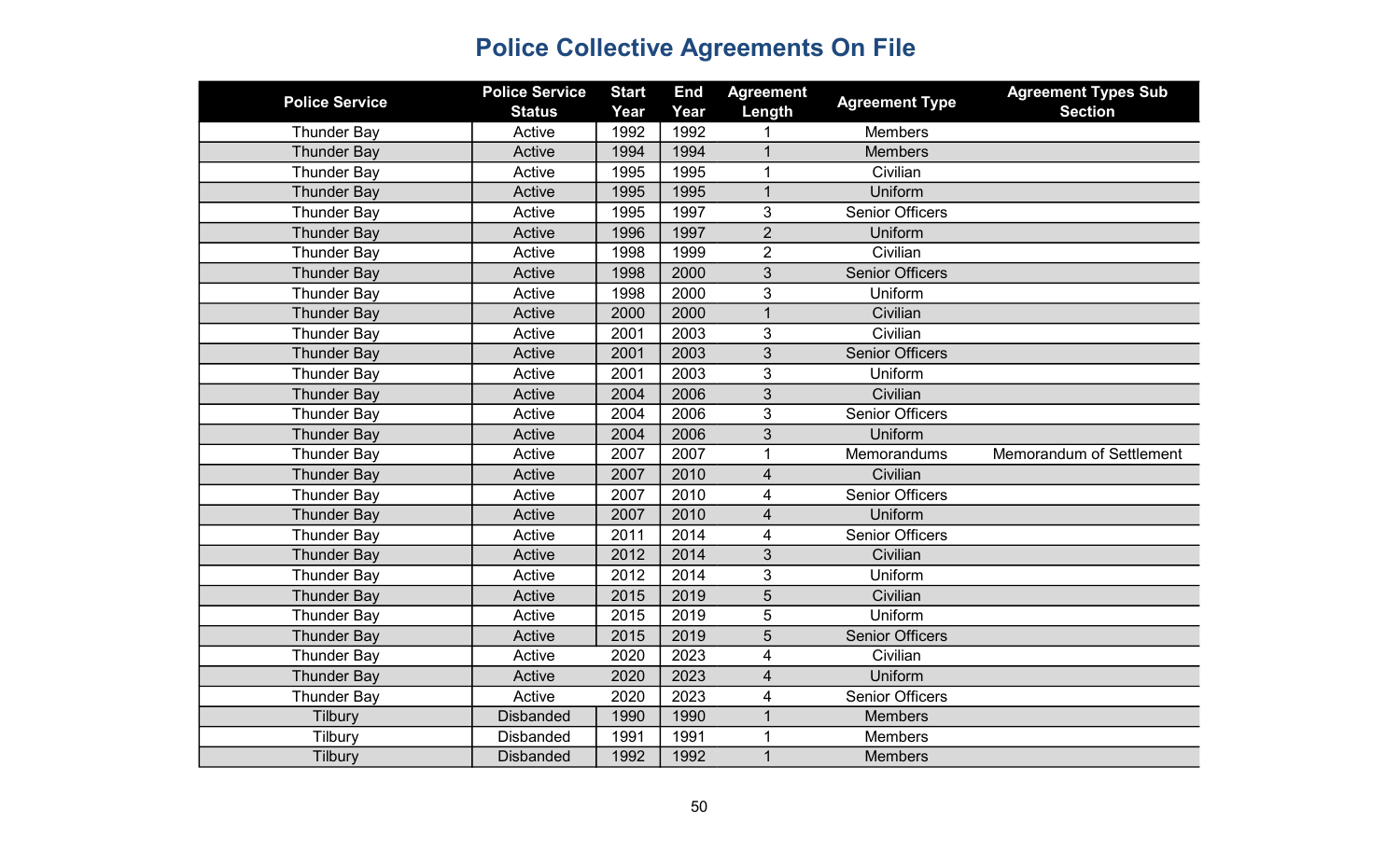| <b>Police Service</b> | <b>Police Service</b><br><b>Status</b> | <b>Start</b><br>Year | <b>End</b><br>Year | <b>Agreement</b><br>Length | <b>Agreement Type</b>  | <b>Agreement Types Sub</b><br><b>Section</b> |
|-----------------------|----------------------------------------|----------------------|--------------------|----------------------------|------------------------|----------------------------------------------|
| <b>Thunder Bay</b>    | Active                                 | 1992                 | 1992               |                            | <b>Members</b>         |                                              |
| <b>Thunder Bay</b>    | Active                                 | 1994                 | 1994               | $\mathbf{1}$               | <b>Members</b>         |                                              |
| <b>Thunder Bay</b>    | Active                                 | 1995                 | 1995               | $\mathbf{1}$               | Civilian               |                                              |
| <b>Thunder Bay</b>    | Active                                 | 1995                 | 1995               | $\mathbf{1}$               | Uniform                |                                              |
| <b>Thunder Bay</b>    | Active                                 | 1995                 | 1997               | 3                          | <b>Senior Officers</b> |                                              |
| <b>Thunder Bay</b>    | Active                                 | 1996                 | 1997               | $\overline{2}$             | Uniform                |                                              |
| <b>Thunder Bay</b>    | Active                                 | 1998                 | 1999               | $\overline{2}$             | Civilian               |                                              |
| <b>Thunder Bay</b>    | Active                                 | 1998                 | 2000               | 3                          | <b>Senior Officers</b> |                                              |
| <b>Thunder Bay</b>    | Active                                 | 1998                 | 2000               | 3                          | Uniform                |                                              |
| <b>Thunder Bay</b>    | Active                                 | 2000                 | 2000               | $\mathbf{1}$               | Civilian               |                                              |
| <b>Thunder Bay</b>    | Active                                 | 2001                 | 2003               | 3                          | Civilian               |                                              |
| <b>Thunder Bay</b>    | Active                                 | 2001                 | 2003               | 3                          | <b>Senior Officers</b> |                                              |
| Thunder Bay           | Active                                 | 2001                 | 2003               | 3                          | Uniform                |                                              |
| <b>Thunder Bay</b>    | Active                                 | 2004                 | 2006               | 3                          | Civilian               |                                              |
| <b>Thunder Bay</b>    | Active                                 | 2004                 | 2006               | 3                          | <b>Senior Officers</b> |                                              |
| <b>Thunder Bay</b>    | Active                                 | 2004                 | 2006               | 3                          | Uniform                |                                              |
| <b>Thunder Bay</b>    | Active                                 | 2007                 | 2007               | $\mathbf{1}$               | Memorandums            | Memorandum of Settlement                     |
| <b>Thunder Bay</b>    | Active                                 | 2007                 | 2010               | $\overline{4}$             | Civilian               |                                              |
| <b>Thunder Bay</b>    | Active                                 | 2007                 | 2010               | 4                          | <b>Senior Officers</b> |                                              |
| <b>Thunder Bay</b>    | Active                                 | 2007                 | 2010               | $\overline{\mathbf{4}}$    | Uniform                |                                              |
| <b>Thunder Bay</b>    | Active                                 | 2011                 | 2014               | 4                          | <b>Senior Officers</b> |                                              |
| <b>Thunder Bay</b>    | Active                                 | 2012                 | 2014               | 3                          | Civilian               |                                              |
| <b>Thunder Bay</b>    | Active                                 | 2012                 | 2014               | 3                          | Uniform                |                                              |
| <b>Thunder Bay</b>    | Active                                 | 2015                 | 2019               | 5                          | Civilian               |                                              |
| <b>Thunder Bay</b>    | Active                                 | 2015                 | 2019               | 5                          | Uniform                |                                              |
| <b>Thunder Bay</b>    | Active                                 | 2015                 | 2019               | 5                          | <b>Senior Officers</b> |                                              |
| <b>Thunder Bay</b>    | Active                                 | 2020                 | 2023               | 4                          | Civilian               |                                              |
| <b>Thunder Bay</b>    | Active                                 | 2020                 | 2023               | $\overline{4}$             | Uniform                |                                              |
| <b>Thunder Bay</b>    | Active                                 | 2020                 | 2023               | 4                          | <b>Senior Officers</b> |                                              |
| <b>Tilbury</b>        | <b>Disbanded</b>                       | 1990                 | 1990               | $\mathbf{1}$               | <b>Members</b>         |                                              |
| <b>Tilbury</b>        | <b>Disbanded</b>                       | 1991                 | 1991               | 1                          | <b>Members</b>         |                                              |
| <b>Tilbury</b>        | <b>Disbanded</b>                       | 1992                 | 1992               | $\overline{1}$             | <b>Members</b>         |                                              |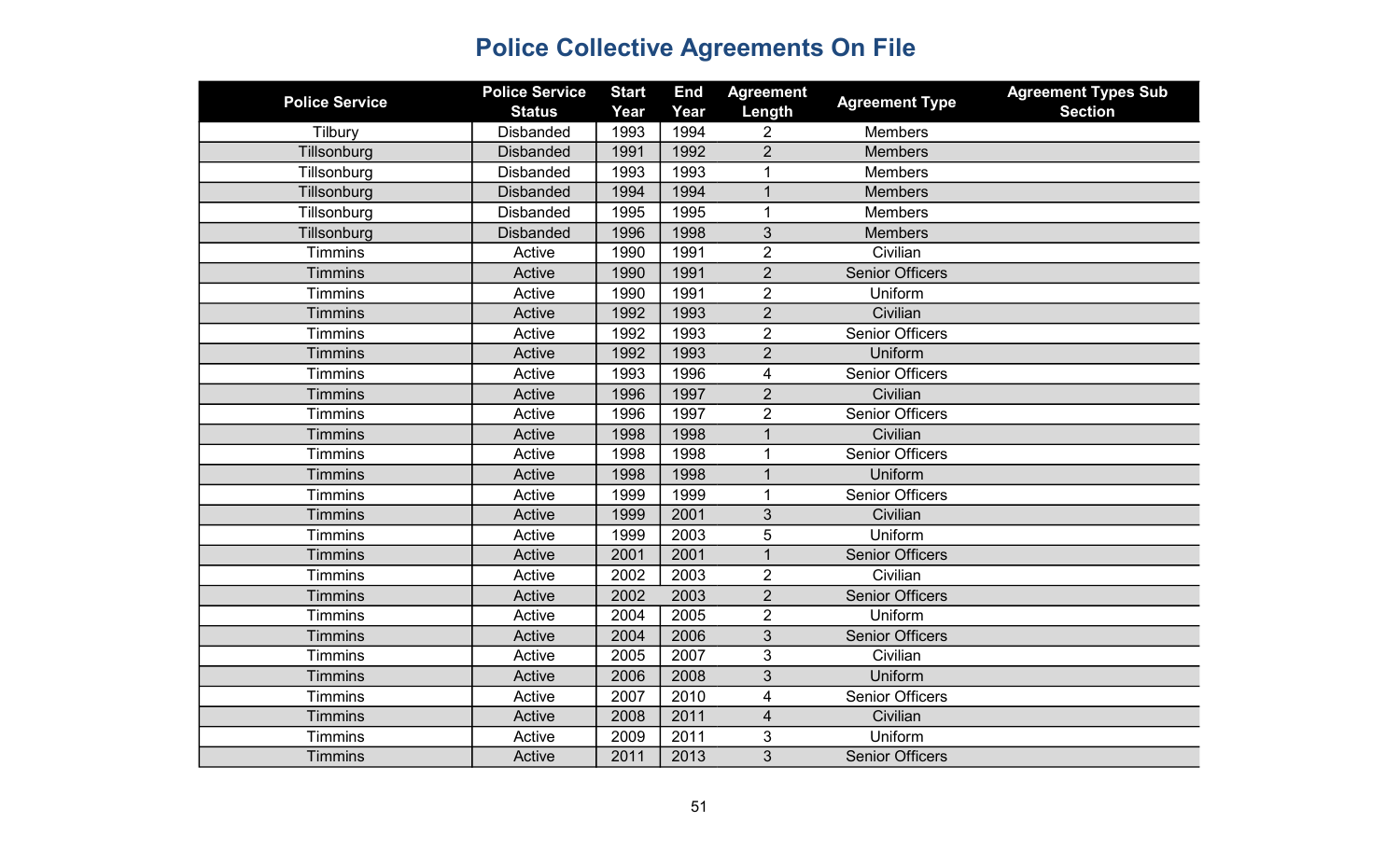| <b>Police Service</b> | <b>Police Service</b> | <b>Start</b> | <b>End</b> | <b>Agreement</b>        | <b>Agreement Type</b>  | <b>Agreement Types Sub</b> |
|-----------------------|-----------------------|--------------|------------|-------------------------|------------------------|----------------------------|
|                       | <b>Status</b>         | Year         | Year       | Length                  |                        | <b>Section</b>             |
| Tilbury               | <b>Disbanded</b>      | 1993         | 1994       | 2                       | <b>Members</b>         |                            |
| Tillsonburg           | <b>Disbanded</b>      | 1991         | 1992       | $\overline{2}$          | <b>Members</b>         |                            |
| Tillsonburg           | <b>Disbanded</b>      | 1993         | 1993       |                         | <b>Members</b>         |                            |
| Tillsonburg           | <b>Disbanded</b>      | 1994         | 1994       | $\overline{1}$          | <b>Members</b>         |                            |
| Tillsonburg           | <b>Disbanded</b>      | 1995         | 1995       |                         | <b>Members</b>         |                            |
| Tillsonburg           | <b>Disbanded</b>      | 1996         | 1998       | 3                       | <b>Members</b>         |                            |
| <b>Timmins</b>        | Active                | 1990         | 1991       | $\overline{2}$          | Civilian               |                            |
| <b>Timmins</b>        | Active                | 1990         | 1991       | $\overline{2}$          | <b>Senior Officers</b> |                            |
| <b>Timmins</b>        | Active                | 1990         | 1991       | $\overline{2}$          | Uniform                |                            |
| <b>Timmins</b>        | Active                | 1992         | 1993       | $\overline{2}$          | Civilian               |                            |
| <b>Timmins</b>        | Active                | 1992         | 1993       | $\overline{2}$          | <b>Senior Officers</b> |                            |
| <b>Timmins</b>        | Active                | 1992         | 1993       | $\overline{2}$          | Uniform                |                            |
| <b>Timmins</b>        | Active                | 1993         | 1996       | $\overline{4}$          | <b>Senior Officers</b> |                            |
| <b>Timmins</b>        | Active                | 1996         | 1997       | $\overline{2}$          | Civilian               |                            |
| <b>Timmins</b>        | Active                | 1996         | 1997       | $\overline{2}$          | <b>Senior Officers</b> |                            |
| <b>Timmins</b>        | Active                | 1998         | 1998       | 1                       | Civilian               |                            |
| <b>Timmins</b>        | Active                | 1998         | 1998       | 1                       | <b>Senior Officers</b> |                            |
| <b>Timmins</b>        | Active                | 1998         | 1998       | $\mathbf 1$             | Uniform                |                            |
| <b>Timmins</b>        | Active                | 1999         | 1999       | $\mathbf 1$             | <b>Senior Officers</b> |                            |
| <b>Timmins</b>        | Active                | 1999         | 2001       | 3                       | Civilian               |                            |
| <b>Timmins</b>        | Active                | 1999         | 2003       | 5                       | Uniform                |                            |
| <b>Timmins</b>        | Active                | 2001         | 2001       | $\mathbf{1}$            | <b>Senior Officers</b> |                            |
| <b>Timmins</b>        | Active                | 2002         | 2003       | $\overline{2}$          | Civilian               |                            |
| <b>Timmins</b>        | Active                | 2002         | 2003       | $\overline{2}$          | <b>Senior Officers</b> |                            |
| <b>Timmins</b>        | Active                | 2004         | 2005       | $\overline{2}$          | Uniform                |                            |
| <b>Timmins</b>        | Active                | 2004         | 2006       | 3                       | <b>Senior Officers</b> |                            |
| <b>Timmins</b>        | Active                | 2005         | 2007       | 3                       | Civilian               |                            |
| <b>Timmins</b>        | Active                | 2006         | 2008       | 3                       | Uniform                |                            |
| <b>Timmins</b>        | Active                | 2007         | 2010       | $\overline{\mathbf{4}}$ | <b>Senior Officers</b> |                            |
| <b>Timmins</b>        | Active                | 2008         | 2011       | $\overline{4}$          | Civilian               |                            |
| <b>Timmins</b>        | Active                | 2009         | 2011       | 3                       | Uniform                |                            |
| <b>Timmins</b>        | Active                | 2011         | 2013       | 3                       | <b>Senior Officers</b> |                            |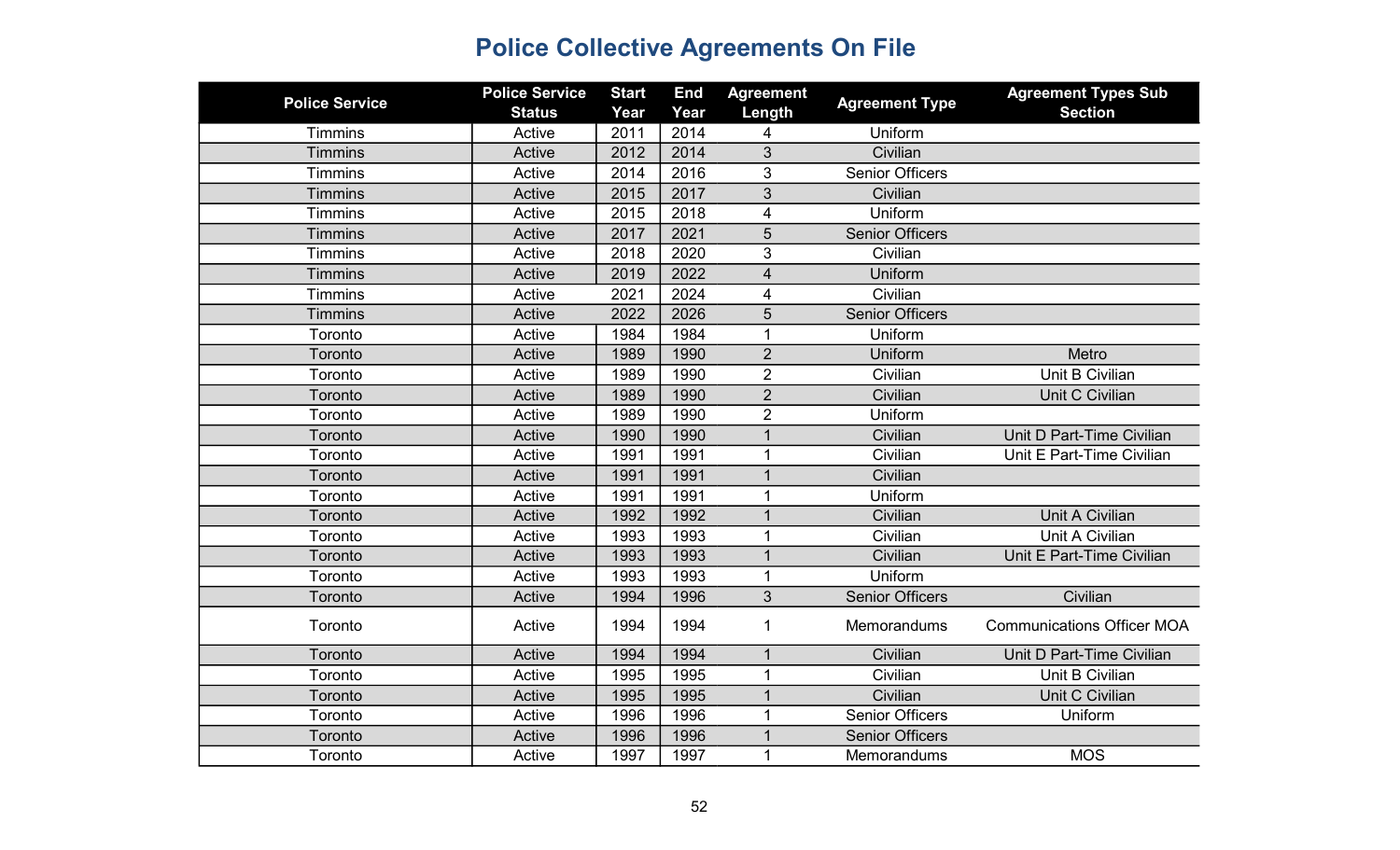| <b>Police Service</b> | <b>Police Service</b><br><b>Status</b> | <b>Start</b><br>Year | <b>End</b><br>Year | <b>Agreement</b><br>Length | <b>Agreement Type</b>  | <b>Agreement Types Sub</b><br><b>Section</b> |
|-----------------------|----------------------------------------|----------------------|--------------------|----------------------------|------------------------|----------------------------------------------|
| Timmins               | Active                                 | 2011                 | 2014               | 4                          | Uniform                |                                              |
| <b>Timmins</b>        | Active                                 | 2012                 | 2014               | 3                          | Civilian               |                                              |
| <b>Timmins</b>        | Active                                 | 2014                 | 2016               | 3                          | <b>Senior Officers</b> |                                              |
| <b>Timmins</b>        | Active                                 | 2015                 | 2017               | $\overline{3}$             | Civilian               |                                              |
| <b>Timmins</b>        | Active                                 | 2015                 | 2018               | $\overline{\mathbf{4}}$    | Uniform                |                                              |
| <b>Timmins</b>        | Active                                 | 2017                 | 2021               | 5                          | <b>Senior Officers</b> |                                              |
| <b>Timmins</b>        | Active                                 | 2018                 | 2020               | 3                          | Civilian               |                                              |
| <b>Timmins</b>        | Active                                 | 2019                 | 2022               | $\overline{4}$             | Uniform                |                                              |
| <b>Timmins</b>        | Active                                 | 2021                 | 2024               | $\overline{4}$             | Civilian               |                                              |
| <b>Timmins</b>        | Active                                 | 2022                 | 2026               | $\overline{5}$             | <b>Senior Officers</b> |                                              |
| Toronto               | Active                                 | 1984                 | 1984               | 1                          | Uniform                |                                              |
| Toronto               | Active                                 | 1989                 | 1990               | $\overline{2}$             | Uniform                | Metro                                        |
| Toronto               | Active                                 | 1989                 | 1990               | $\overline{2}$             | Civilian               | Unit B Civilian                              |
| Toronto               | Active                                 | 1989                 | 1990               | $\overline{2}$             | Civilian               | Unit C Civilian                              |
| Toronto               | Active                                 | 1989                 | 1990               | $\overline{2}$             | Uniform                |                                              |
| Toronto               | Active                                 | 1990                 | 1990               | $\mathbf{1}$               | Civilian               | Unit D Part-Time Civilian                    |
| Toronto               | Active                                 | 1991                 | 1991               | 1                          | Civilian               | Unit E Part-Time Civilian                    |
| Toronto               | Active                                 | 1991                 | 1991               | $\mathbf{1}$               | Civilian               |                                              |
| Toronto               | Active                                 | 1991                 | 1991               | 1                          | Uniform                |                                              |
| Toronto               | Active                                 | 1992                 | 1992               |                            | Civilian               | Unit A Civilian                              |
| Toronto               | Active                                 | 1993                 | 1993               | 1                          | Civilian               | Unit A Civilian                              |
| Toronto               | Active                                 | 1993                 | 1993               | $\mathbf 1$                | Civilian               | Unit E Part-Time Civilian                    |
| Toronto               | Active                                 | 1993                 | 1993               | 1                          | Uniform                |                                              |
| Toronto               | Active                                 | 1994                 | 1996               | 3                          | <b>Senior Officers</b> | Civilian                                     |
| Toronto               | Active                                 | 1994                 | 1994               | 1                          | <b>Memorandums</b>     | <b>Communications Officer MOA</b>            |
| Toronto               | Active                                 | 1994                 | 1994               | $\mathbf{1}$               | Civilian               | Unit D Part-Time Civilian                    |
| Toronto               | Active                                 | 1995                 | 1995               | 1                          | Civilian               | Unit B Civilian                              |
| Toronto               | Active                                 | 1995                 | 1995               | $\mathbf{1}$               | Civilian               | Unit C Civilian                              |
| Toronto               | Active                                 | 1996                 | 1996               | 1                          | <b>Senior Officers</b> | Uniform                                      |
| Toronto               | Active                                 | 1996                 | 1996               |                            | <b>Senior Officers</b> |                                              |
| Toronto               | Active                                 | 1997                 | 1997               | 1                          | Memorandums            | <b>MOS</b>                                   |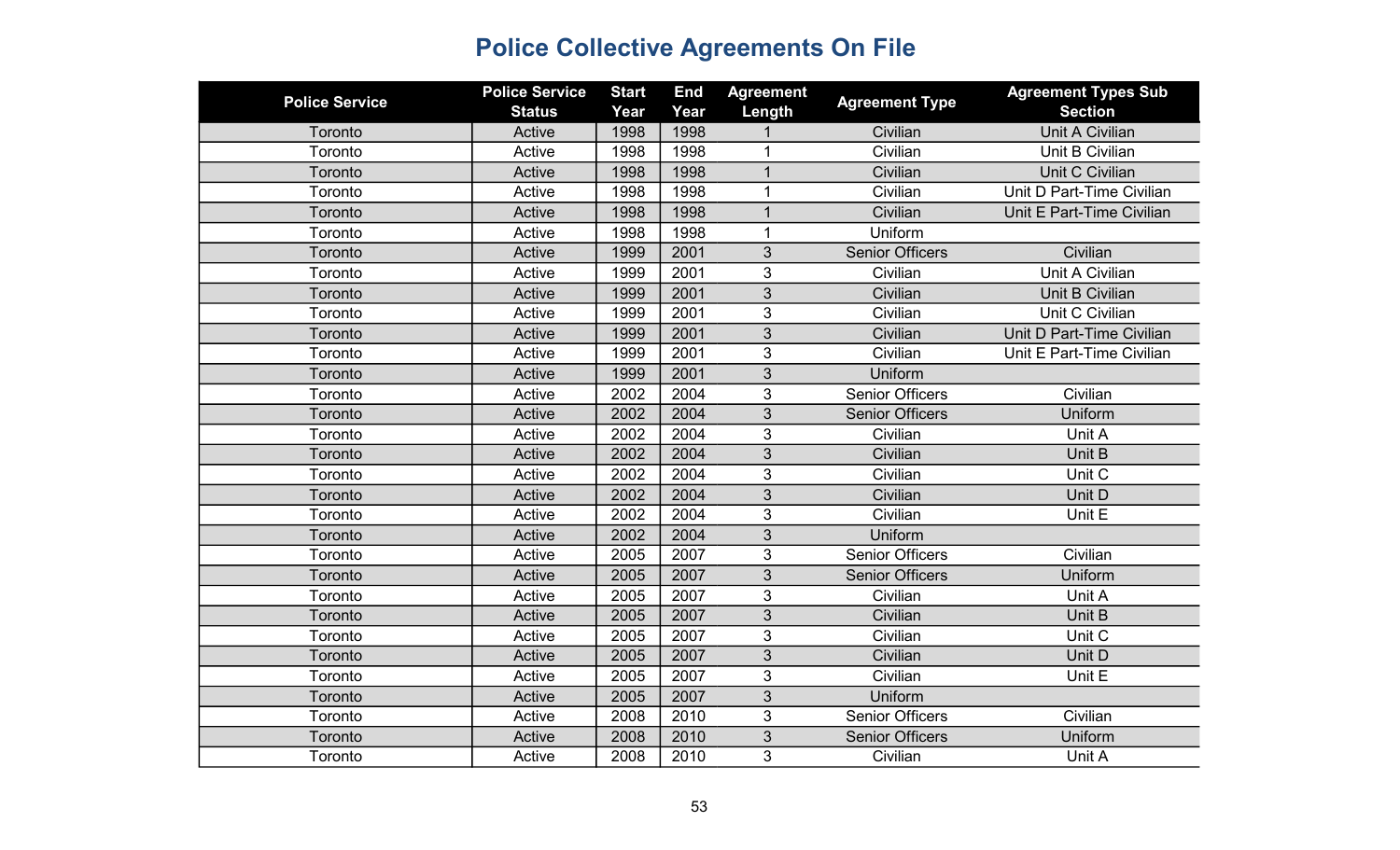| <b>Police Service</b> | <b>Police Service</b><br><b>Status</b> | <b>Start</b><br>Year | <b>End</b><br>Year | <b>Agreement</b><br>Length | <b>Agreement Type</b>  | <b>Agreement Types Sub</b><br><b>Section</b> |
|-----------------------|----------------------------------------|----------------------|--------------------|----------------------------|------------------------|----------------------------------------------|
| Toronto               | Active                                 | 1998                 | 1998               |                            | Civilian               | <b>Unit A Civilian</b>                       |
| Toronto               | Active                                 | 1998                 | 1998               | 1                          | Civilian               | Unit B Civilian                              |
| Toronto               | Active                                 | 1998                 | 1998               | $\mathbf{1}$               | Civilian               | Unit C Civilian                              |
| Toronto               | Active                                 | 1998                 | 1998               | 1                          | Civilian               | Unit D Part-Time Civilian                    |
| Toronto               | Active                                 | 1998                 | 1998               | $\mathbf{1}$               | Civilian               | Unit E Part-Time Civilian                    |
| Toronto               | Active                                 | 1998                 | 1998               | $\mathbf 1$                | Uniform                |                                              |
| Toronto               | Active                                 | 1999                 | 2001               | 3                          | <b>Senior Officers</b> | Civilian                                     |
| Toronto               | Active                                 | 1999                 | 2001               | 3                          | Civilian               | Unit A Civilian                              |
| Toronto               | Active                                 | 1999                 | 2001               | 3                          | Civilian               | Unit B Civilian                              |
| Toronto               | Active                                 | 1999                 | 2001               | 3                          | Civilian               | Unit C Civilian                              |
| Toronto               | Active                                 | 1999                 | 2001               | 3                          | Civilian               | Unit D Part-Time Civilian                    |
| Toronto               | Active                                 | 1999                 | 2001               | 3                          | Civilian               | Unit E Part-Time Civilian                    |
| Toronto               | Active                                 | 1999                 | 2001               | 3                          | Uniform                |                                              |
| Toronto               | Active                                 | 2002                 | 2004               | 3                          | <b>Senior Officers</b> | Civilian                                     |
| Toronto               | Active                                 | 2002                 | 2004               | 3                          | <b>Senior Officers</b> | Uniform                                      |
| Toronto               | Active                                 | 2002                 | 2004               | 3                          | Civilian               | Unit A                                       |
| Toronto               | Active                                 | 2002                 | 2004               | 3                          | Civilian               | Unit B                                       |
| Toronto               | Active                                 | 2002                 | 2004               | 3                          | Civilian               | Unit C                                       |
| Toronto               | Active                                 | 2002                 | 2004               | 3                          | Civilian               | Unit D                                       |
| Toronto               | Active                                 | 2002                 | 2004               | 3                          | Civilian               | Unit E                                       |
| Toronto               | Active                                 | 2002                 | 2004               | 3                          | Uniform                |                                              |
| Toronto               | Active                                 | 2005                 | 2007               | 3                          | <b>Senior Officers</b> | Civilian                                     |
| Toronto               | Active                                 | 2005                 | 2007               | 3                          | <b>Senior Officers</b> | Uniform                                      |
| Toronto               | Active                                 | 2005                 | 2007               | 3                          | Civilian               | Unit A                                       |
| Toronto               | Active                                 | 2005                 | 2007               | 3                          | Civilian               | Unit B                                       |
| Toronto               | Active                                 | 2005                 | 2007               | 3                          | Civilian               | Unit C                                       |
| Toronto               | Active                                 | 2005                 | 2007               | 3                          | Civilian               | Unit D                                       |
| Toronto               | Active                                 | 2005                 | 2007               | 3                          | Civilian               | Unit E                                       |
| Toronto               | Active                                 | 2005                 | 2007               | 3                          | Uniform                |                                              |
| Toronto               | Active                                 | 2008                 | 2010               | 3                          | <b>Senior Officers</b> | Civilian                                     |
| Toronto               | Active                                 | 2008                 | 2010               | 3                          | <b>Senior Officers</b> | Uniform                                      |
| Toronto               | Active                                 | 2008                 | 2010               | 3                          | Civilian               | Unit A                                       |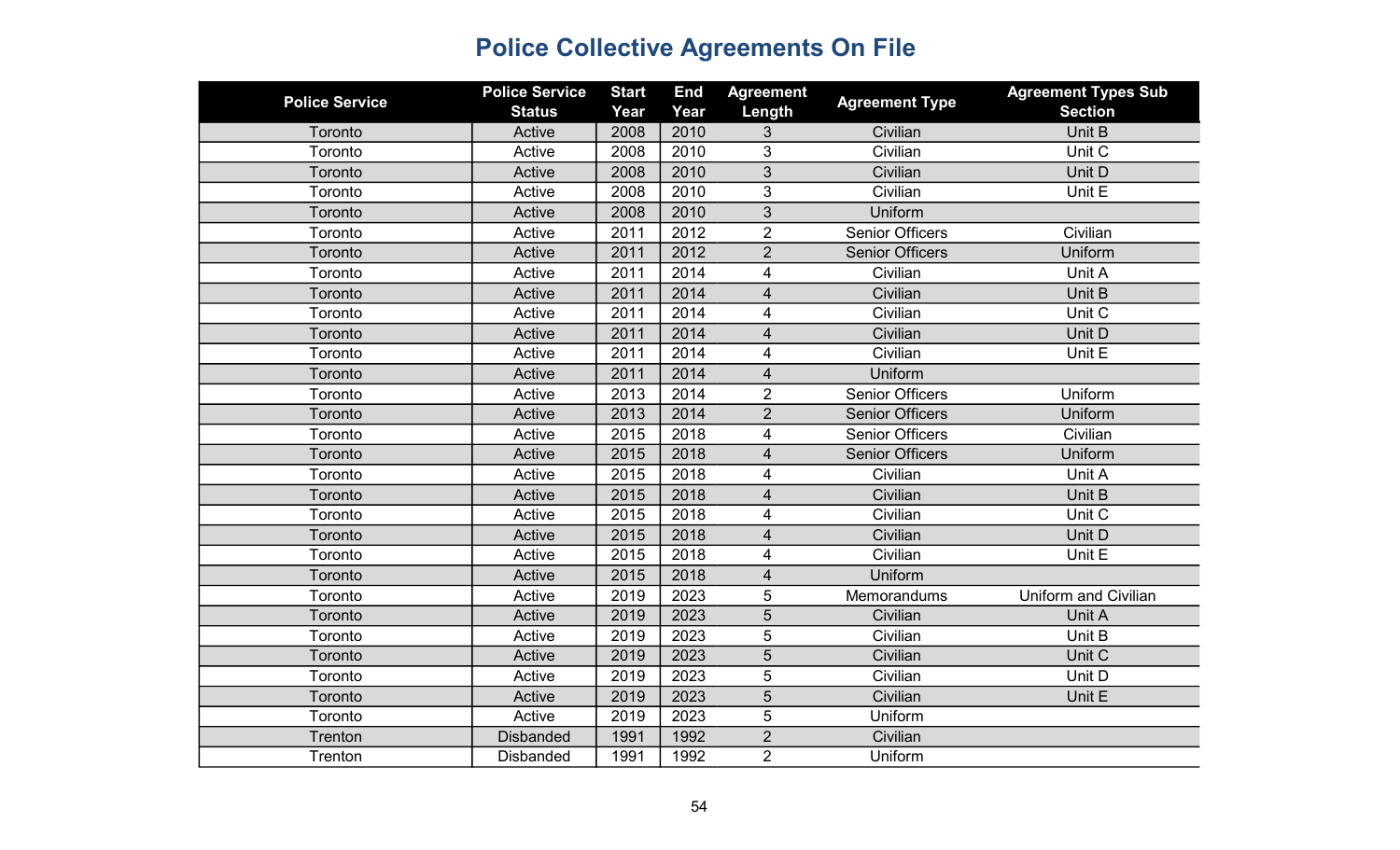| <b>Police Service</b> | <b>Police Service</b><br><b>Status</b> | <b>Start</b><br>Year | <b>End</b><br>Year | <b>Agreement</b><br>Length | <b>Agreement Type</b>  | <b>Agreement Types Sub</b><br><b>Section</b> |
|-----------------------|----------------------------------------|----------------------|--------------------|----------------------------|------------------------|----------------------------------------------|
| Toronto               | Active                                 | 2008                 | 2010               | 3                          | Civilian               | Unit B                                       |
| Toronto               | Active                                 | 2008                 | 2010               | 3                          | Civilian               | Unit C                                       |
| Toronto               | Active                                 | 2008                 | 2010               | 3                          | Civilian               | Unit D                                       |
| Toronto               | Active                                 | 2008                 | 2010               | 3                          | Civilian               | Unit E                                       |
| Toronto               | Active                                 | 2008                 | 2010               | 3                          | Uniform                |                                              |
| Toronto               | Active                                 | 2011                 | 2012               | $\overline{2}$             | <b>Senior Officers</b> | Civilian                                     |
| Toronto               | Active                                 | 2011                 | 2012               | $\overline{2}$             | <b>Senior Officers</b> | Uniform                                      |
| Toronto               | Active                                 | 2011                 | 2014               | 4                          | Civilian               | Unit A                                       |
| Toronto               | Active                                 | 2011                 | 2014               | $\overline{\mathbf{4}}$    | Civilian               | Unit B                                       |
| Toronto               | Active                                 | 2011                 | 2014               | 4                          | Civilian               | Unit C                                       |
| Toronto               | Active                                 | 2011                 | 2014               | 4                          | Civilian               | Unit D                                       |
| Toronto               | Active                                 | 2011                 | 2014               | 4                          | Civilian               | Unit E                                       |
| Toronto               | Active                                 | 2011                 | 2014               | $\overline{4}$             | Uniform                |                                              |
| Toronto               | Active                                 | 2013                 | 2014               | $\overline{2}$             | <b>Senior Officers</b> | Uniform                                      |
| Toronto               | Active                                 | 2013                 | 2014               | $\overline{2}$             | <b>Senior Officers</b> | Uniform                                      |
| Toronto               | Active                                 | 2015                 | 2018               | 4                          | <b>Senior Officers</b> | Civilian                                     |
| Toronto               | Active                                 | 2015                 | 2018               | 4                          | <b>Senior Officers</b> | Uniform                                      |
| Toronto               | Active                                 | 2015                 | 2018               | $\overline{4}$             | Civilian               | Unit A                                       |
| Toronto               | Active                                 | 2015                 | 2018               | 4                          | Civilian               | Unit B                                       |
| Toronto               | Active                                 | 2015                 | 2018               | 4                          | Civilian               | Unit C                                       |
| Toronto               | Active                                 | 2015                 | 2018               | 4                          | Civilian               | Unit D                                       |
| Toronto               | Active                                 | 2015                 | 2018               | 4                          | Civilian               | Unit E                                       |
| Toronto               | Active                                 | 2015                 | 2018               | $\overline{4}$             | Uniform                |                                              |
| Toronto               | Active                                 | 2019                 | 2023               | 5                          | Memorandums            | <b>Uniform and Civilian</b>                  |
| Toronto               | Active                                 | 2019                 | 2023               | 5                          | Civilian               | Unit A                                       |
| Toronto               | Active                                 | 2019                 | 2023               | 5                          | Civilian               | Unit B                                       |
| Toronto               | Active                                 | 2019                 | 2023               | 5                          | Civilian               | Unit C                                       |
| Toronto               | Active                                 | 2019                 | 2023               | 5                          | Civilian               | Unit D                                       |
| Toronto               | Active                                 | 2019                 | 2023               | 5                          | Civilian               | Unit E                                       |
| Toronto               | Active                                 | 2019                 | 2023               | 5                          | Uniform                |                                              |
| Trenton               | <b>Disbanded</b>                       | 1991                 | 1992               | $\overline{2}$             | Civilian               |                                              |
| Trenton               | <b>Disbanded</b>                       | 1991                 | 1992               | $\overline{2}$             | Uniform                |                                              |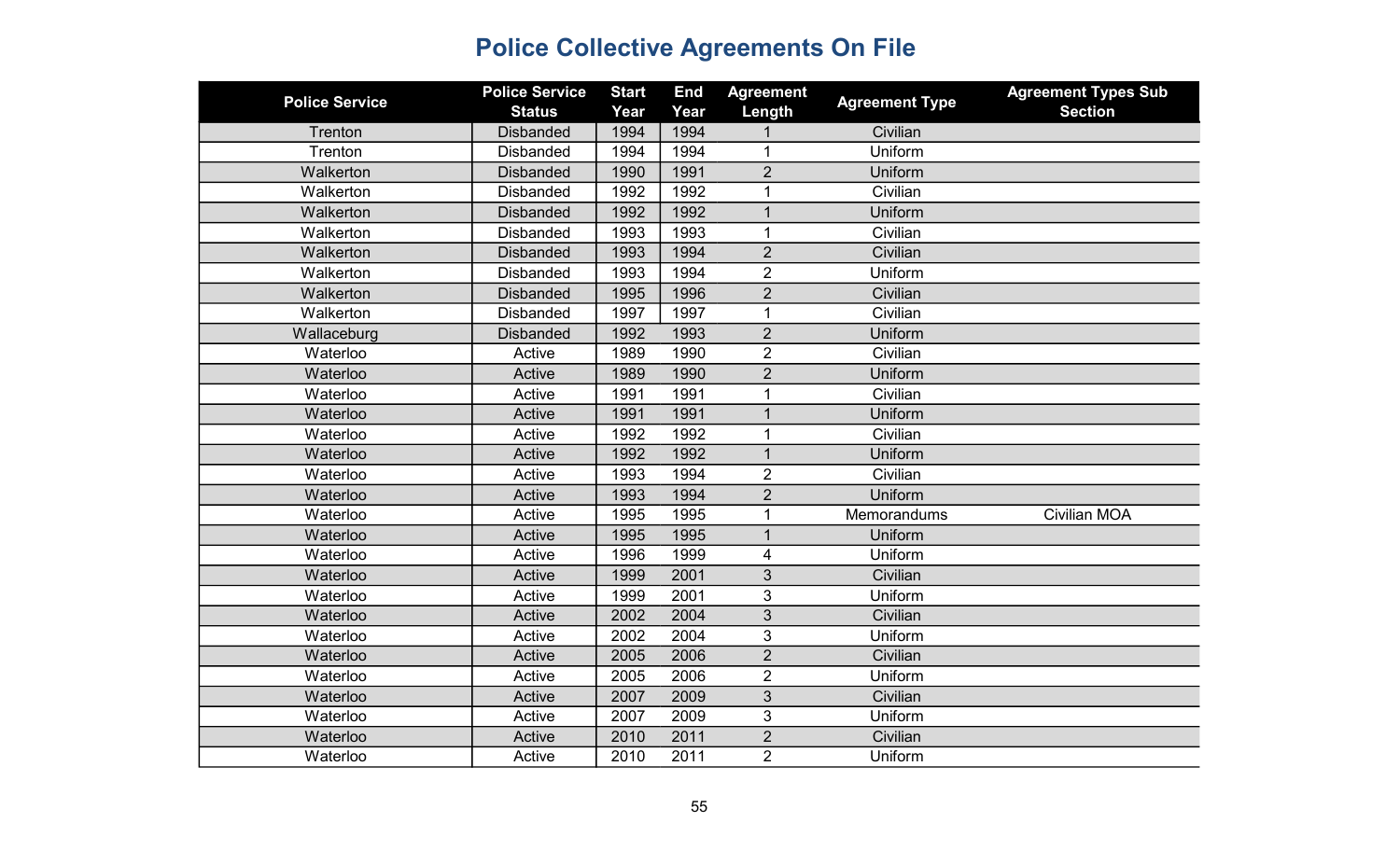| <b>Police Service</b> | <b>Police Service</b> | <b>Start</b> | <b>End</b> | <b>Agreement</b> | <b>Agreement Type</b> | <b>Agreement Types Sub</b> |
|-----------------------|-----------------------|--------------|------------|------------------|-----------------------|----------------------------|
|                       | <b>Status</b>         | Year         | Year       | Length           |                       | <b>Section</b>             |
| Trenton               | <b>Disbanded</b>      | 1994         | 1994       |                  | Civilian              |                            |
| Trenton               | <b>Disbanded</b>      | 1994         | 1994       | 1                | Uniform               |                            |
| Walkerton             | <b>Disbanded</b>      | 1990         | 1991       | $\overline{2}$   | Uniform               |                            |
| Walkerton             | <b>Disbanded</b>      | 1992         | 1992       | 1                | Civilian              |                            |
| Walkerton             | <b>Disbanded</b>      | 1992         | 1992       | $\mathbf 1$      | Uniform               |                            |
| Walkerton             | <b>Disbanded</b>      | 1993         | 1993       | $\mathbf 1$      | Civilian              |                            |
| Walkerton             | <b>Disbanded</b>      | 1993         | 1994       | $\overline{2}$   | Civilian              |                            |
| Walkerton             | <b>Disbanded</b>      | 1993         | 1994       | $\overline{2}$   | Uniform               |                            |
| Walkerton             | <b>Disbanded</b>      | 1995         | 1996       | $\overline{2}$   | Civilian              |                            |
| Walkerton             | <b>Disbanded</b>      | 1997         | 1997       | 1                | Civilian              |                            |
| Wallaceburg           | <b>Disbanded</b>      | 1992         | 1993       | $\overline{2}$   | Uniform               |                            |
| Waterloo              | Active                | 1989         | 1990       | $\overline{2}$   | Civilian              |                            |
| Waterloo              | Active                | 1989         | 1990       | $\overline{2}$   | Uniform               |                            |
| Waterloo              | Active                | 1991         | 1991       | $\mathbf 1$      | Civilian              |                            |
| Waterloo              | Active                | 1991         | 1991       | $\mathbf 1$      | Uniform               |                            |
| Waterloo              | Active                | 1992         | 1992       | 1                | Civilian              |                            |
| Waterloo              | Active                | 1992         | 1992       | $\mathbf{1}$     | Uniform               |                            |
| Waterloo              | Active                | 1993         | 1994       | $\overline{2}$   | Civilian              |                            |
| Waterloo              | Active                | 1993         | 1994       | $\overline{2}$   | Uniform               |                            |
| Waterloo              | Active                | 1995         | 1995       | $\mathbf 1$      | Memorandums           | <b>Civilian MOA</b>        |
| Waterloo              | Active                | 1995         | 1995       | $\mathbf 1$      | Uniform               |                            |
| Waterloo              | Active                | 1996         | 1999       | 4                | Uniform               |                            |
| Waterloo              | Active                | 1999         | 2001       | 3                | Civilian              |                            |
| Waterloo              | Active                | 1999         | 2001       | 3                | Uniform               |                            |
| Waterloo              | Active                | 2002         | 2004       | 3                | Civilian              |                            |
| Waterloo              | Active                | 2002         | 2004       | 3                | Uniform               |                            |
| Waterloo              | Active                | 2005         | 2006       | $\overline{2}$   | Civilian              |                            |
| Waterloo              | Active                | 2005         | 2006       | $\overline{2}$   | Uniform               |                            |
| Waterloo              | Active                | 2007         | 2009       | 3                | Civilian              |                            |
| Waterloo              | Active                | 2007         | 2009       | 3                | Uniform               |                            |
| Waterloo              | Active                | 2010         | 2011       | $\overline{2}$   | Civilian              |                            |
| Waterloo              | Active                | 2010         | 2011       | $\overline{2}$   | Uniform               |                            |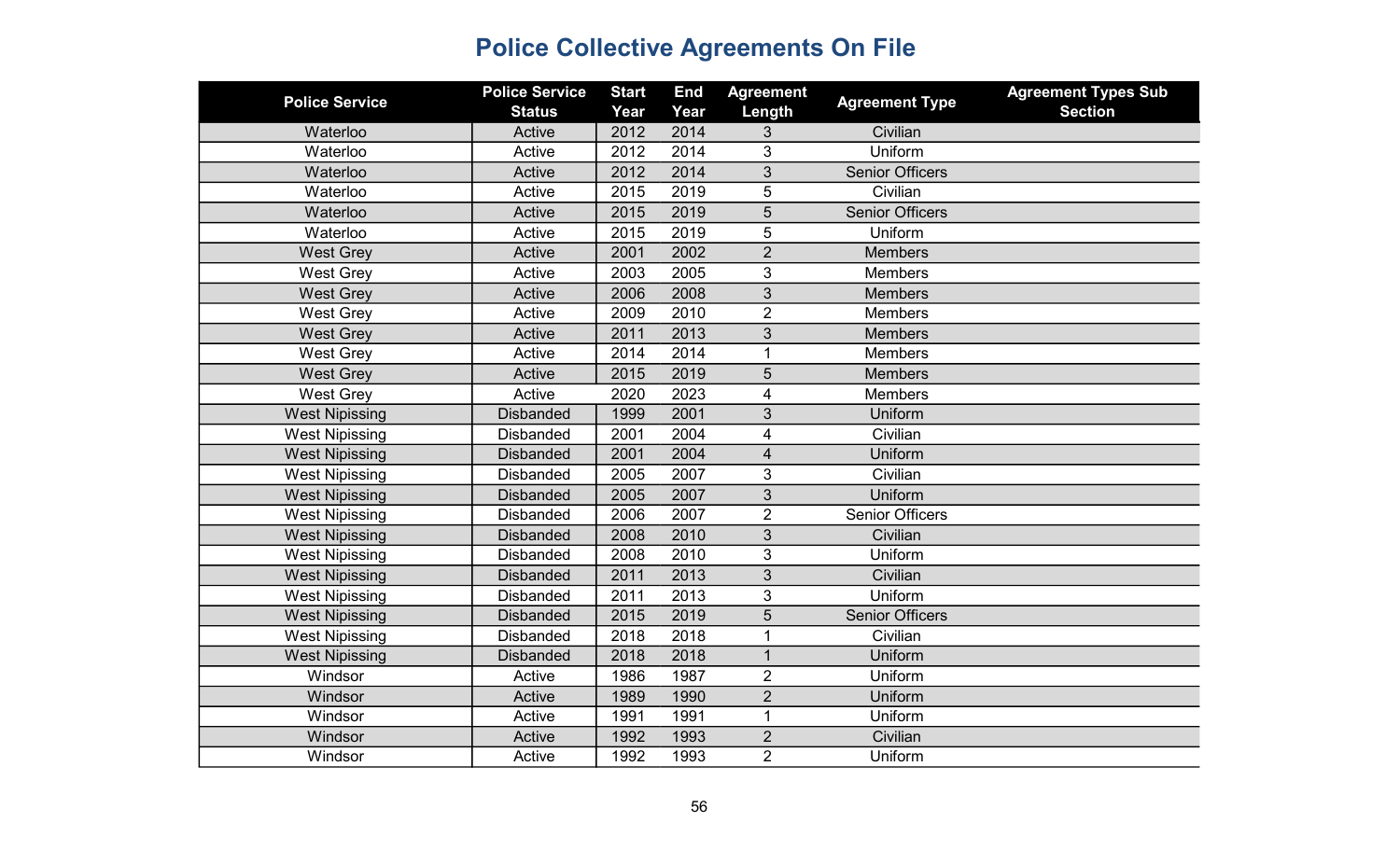| <b>Police Service</b> | <b>Police Service</b><br><b>Status</b> | <b>Start</b><br>Year | <b>End</b><br>Year | <b>Agreement</b><br>Length | <b>Agreement Type</b>  | <b>Agreement Types Sub</b><br><b>Section</b> |
|-----------------------|----------------------------------------|----------------------|--------------------|----------------------------|------------------------|----------------------------------------------|
| Waterloo              | Active                                 | 2012                 | 2014               | 3                          | Civilian               |                                              |
| Waterloo              | Active                                 | 2012                 | 2014               | 3                          | Uniform                |                                              |
| Waterloo              | Active                                 | 2012                 | 2014               | 3                          | <b>Senior Officers</b> |                                              |
| Waterloo              | Active                                 | 2015                 | 2019               | $\overline{5}$             | Civilian               |                                              |
| Waterloo              | Active                                 | 2015                 | 2019               | $\overline{5}$             | <b>Senior Officers</b> |                                              |
| Waterloo              | Active                                 | 2015                 | 2019               | 5                          | Uniform                |                                              |
| <b>West Grey</b>      | Active                                 | 2001                 | 2002               | $\overline{2}$             | <b>Members</b>         |                                              |
| <b>West Grey</b>      | Active                                 | 2003                 | 2005               | 3                          | <b>Members</b>         |                                              |
| <b>West Grey</b>      | Active                                 | 2006                 | 2008               | 3                          | <b>Members</b>         |                                              |
| <b>West Grey</b>      | Active                                 | 2009                 | 2010               | $\overline{2}$             | Members                |                                              |
| <b>West Grey</b>      | Active                                 | 2011                 | 2013               | 3                          | <b>Members</b>         |                                              |
| <b>West Grey</b>      | Active                                 | 2014                 | 2014               | 1                          | <b>Members</b>         |                                              |
| <b>West Grey</b>      | Active                                 | 2015                 | 2019               | 5                          | <b>Members</b>         |                                              |
| <b>West Grey</b>      | Active                                 | 2020                 | 2023               | $\overline{4}$             | <b>Members</b>         |                                              |
| <b>West Nipissing</b> | <b>Disbanded</b>                       | 1999                 | 2001               | $\mathfrak{S}$             | Uniform                |                                              |
| <b>West Nipissing</b> | <b>Disbanded</b>                       | 2001                 | 2004               | $\overline{\mathbf{4}}$    | Civilian               |                                              |
| <b>West Nipissing</b> | <b>Disbanded</b>                       | 2001                 | 2004               | $\overline{\mathbf{4}}$    | Uniform                |                                              |
| <b>West Nipissing</b> | <b>Disbanded</b>                       | 2005                 | 2007               | $\mathfrak{B}$             | Civilian               |                                              |
| <b>West Nipissing</b> | <b>Disbanded</b>                       | 2005                 | 2007               | $\mathfrak{S}$             | Uniform                |                                              |
| <b>West Nipissing</b> | <b>Disbanded</b>                       | 2006                 | 2007               | $\overline{2}$             | <b>Senior Officers</b> |                                              |
| <b>West Nipissing</b> | <b>Disbanded</b>                       | 2008                 | 2010               | 3                          | Civilian               |                                              |
| <b>West Nipissing</b> | <b>Disbanded</b>                       | 2008                 | 2010               | 3                          | Uniform                |                                              |
| <b>West Nipissing</b> | <b>Disbanded</b>                       | 2011                 | 2013               | 3                          | Civilian               |                                              |
| <b>West Nipissing</b> | <b>Disbanded</b>                       | 2011                 | 2013               | 3                          | Uniform                |                                              |
| <b>West Nipissing</b> | <b>Disbanded</b>                       | 2015                 | 2019               | 5                          | <b>Senior Officers</b> |                                              |
| <b>West Nipissing</b> | <b>Disbanded</b>                       | 2018                 | 2018               | 1                          | Civilian               |                                              |
| <b>West Nipissing</b> | <b>Disbanded</b>                       | 2018                 | 2018               | $\mathbf 1$                | Uniform                |                                              |
| Windsor               | Active                                 | 1986                 | 1987               | $\overline{2}$             | Uniform                |                                              |
| Windsor               | Active                                 | 1989                 | 1990               | $\overline{2}$             | Uniform                |                                              |
| Windsor               | Active                                 | 1991                 | 1991               | $\mathbf{1}$               | Uniform                |                                              |
| <b>Windsor</b>        | Active                                 | 1992                 | 1993               | $\overline{2}$             | Civilian               |                                              |
| Windsor               | Active                                 | 1992                 | 1993               | $\overline{2}$             | Uniform                |                                              |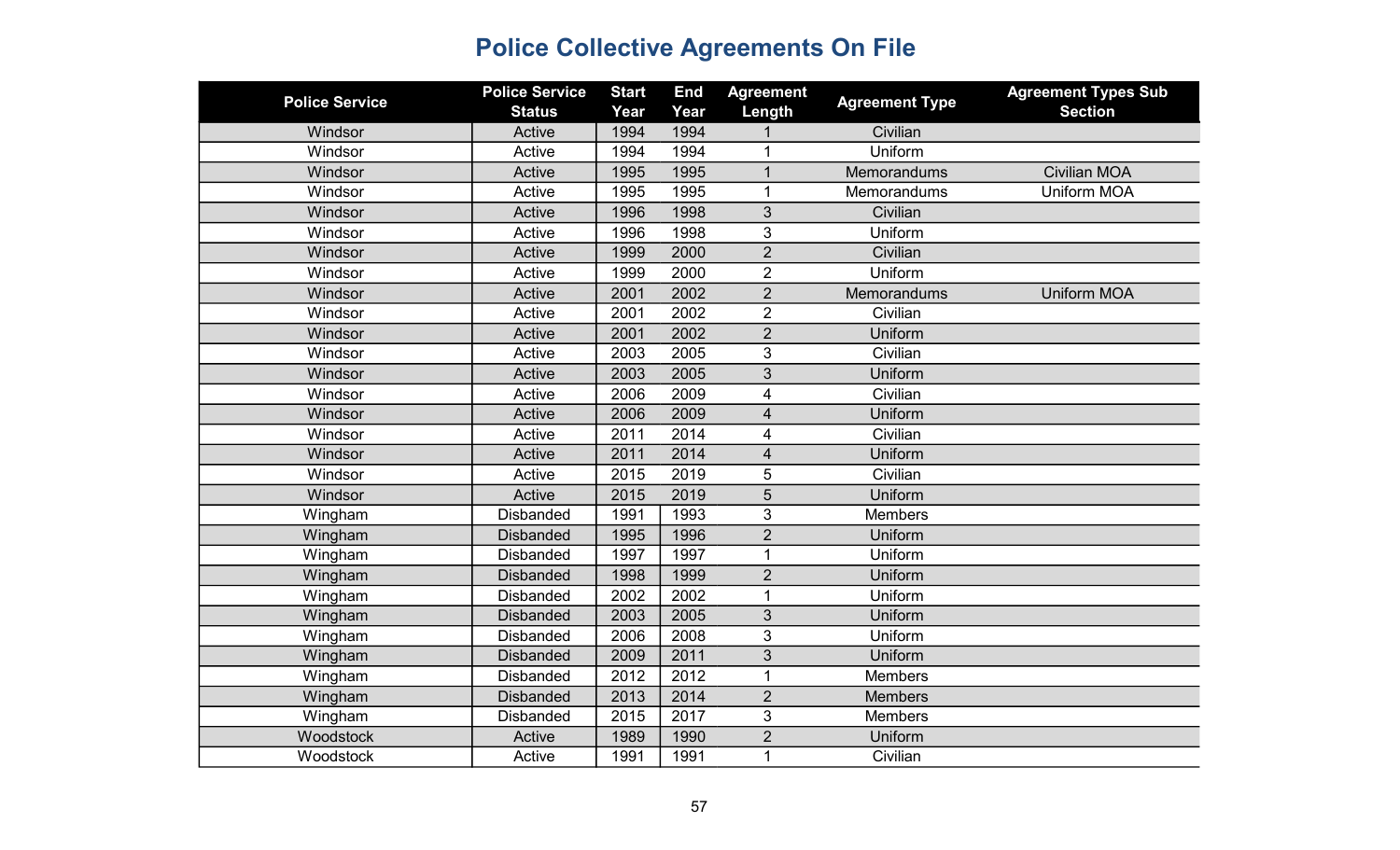| <b>Police Service</b> | <b>Police Service</b><br><b>Status</b> | <b>Start</b><br>Year | <b>End</b><br>Year | <b>Agreement</b><br>Length | <b>Agreement Type</b> | <b>Agreement Types Sub</b><br><b>Section</b> |
|-----------------------|----------------------------------------|----------------------|--------------------|----------------------------|-----------------------|----------------------------------------------|
| Windsor               | Active                                 | 1994                 | 1994               |                            | Civilian              |                                              |
| Windsor               | Active                                 | 1994                 | 1994               | $\mathbf 1$                | Uniform               |                                              |
| Windsor               | Active                                 | 1995                 | 1995               | $\mathbf{1}$               | Memorandums           | <b>Civilian MOA</b>                          |
| Windsor               | Active                                 | 1995                 | 1995               | $\mathbf{1}$               | Memorandums           | <b>Uniform MOA</b>                           |
| Windsor               | Active                                 | 1996                 | 1998               | 3                          | Civilian              |                                              |
| Windsor               | Active                                 | 1996                 | 1998               | 3                          | Uniform               |                                              |
| Windsor               | Active                                 | 1999                 | 2000               | $\overline{2}$             | Civilian              |                                              |
| Windsor               | Active                                 | 1999                 | 2000               | $\overline{2}$             | Uniform               |                                              |
| Windsor               | Active                                 | 2001                 | 2002               | $\overline{2}$             | Memorandums           | <b>Uniform MOA</b>                           |
| Windsor               | Active                                 | 2001                 | 2002               | $\overline{2}$             | Civilian              |                                              |
| Windsor               | Active                                 | 2001                 | 2002               | $\overline{2}$             | Uniform               |                                              |
| Windsor               | Active                                 | 2003                 | 2005               | 3                          | Civilian              |                                              |
| Windsor               | Active                                 | 2003                 | 2005               | 3                          | Uniform               |                                              |
| Windsor               | Active                                 | 2006                 | 2009               | 4                          | Civilian              |                                              |
| Windsor               | Active                                 | 2006                 | 2009               | 4                          | Uniform               |                                              |
| Windsor               | Active                                 | 2011                 | 2014               | 4                          | Civilian              |                                              |
| Windsor               | Active                                 | 2011                 | 2014               | 4                          | Uniform               |                                              |
| Windsor               | Active                                 | 2015                 | 2019               | 5                          | Civilian              |                                              |
| Windsor               | Active                                 | 2015                 | 2019               | 5                          | Uniform               |                                              |
| Wingham               | <b>Disbanded</b>                       | 1991                 | 1993               | 3                          | <b>Members</b>        |                                              |
| Wingham               | <b>Disbanded</b>                       | 1995                 | 1996               | $\overline{2}$             | Uniform               |                                              |
| Wingham               | <b>Disbanded</b>                       | 1997                 | 1997               | 1                          | Uniform               |                                              |
| Wingham               | <b>Disbanded</b>                       | 1998                 | 1999               | $\overline{2}$             | Uniform               |                                              |
| Wingham               | <b>Disbanded</b>                       | 2002                 | 2002               | $\mathbf{1}$               | Uniform               |                                              |
| Wingham               | <b>Disbanded</b>                       | 2003                 | 2005               | 3                          | Uniform               |                                              |
| Wingham               | <b>Disbanded</b>                       | 2006                 | 2008               | 3                          | Uniform               |                                              |
| Wingham               | <b>Disbanded</b>                       | 2009                 | 2011               | 3                          | Uniform               |                                              |
| Wingham               | <b>Disbanded</b>                       | 2012                 | 2012               | 1                          | <b>Members</b>        |                                              |
| Wingham               | <b>Disbanded</b>                       | 2013                 | 2014               | $\overline{2}$             | <b>Members</b>        |                                              |
| Wingham               | <b>Disbanded</b>                       | 2015                 | 2017               | 3                          | <b>Members</b>        |                                              |
| Woodstock             | Active                                 | 1989                 | 1990               | $\overline{2}$             | Uniform               |                                              |
| Woodstock             | Active                                 | 1991                 | 1991               | 1                          | Civilian              |                                              |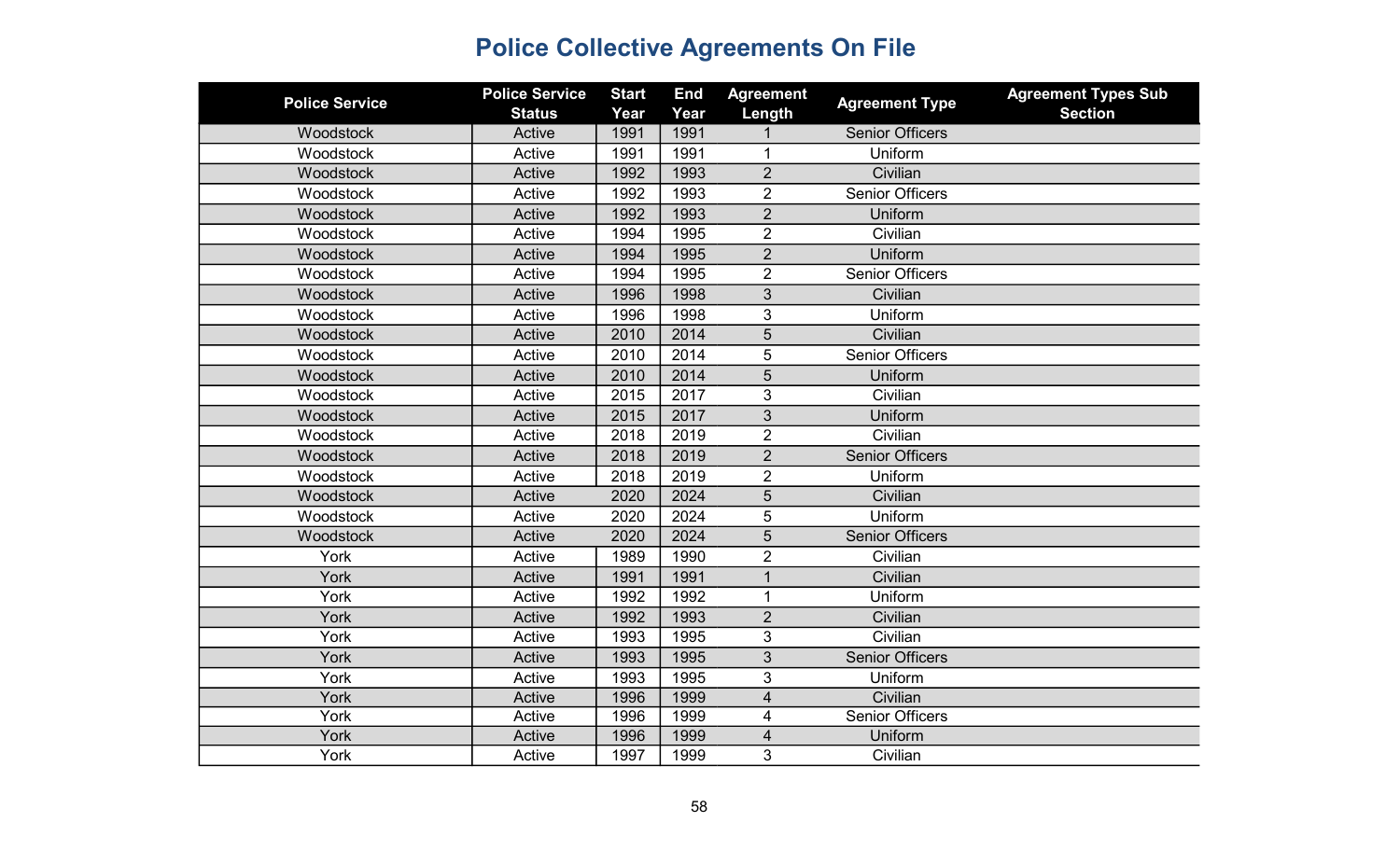| <b>Police Service</b> | <b>Police Service</b> | <b>Start</b> | <b>End</b> | <b>Agreement</b>        | <b>Agreement Type</b>  | <b>Agreement Types Sub</b> |
|-----------------------|-----------------------|--------------|------------|-------------------------|------------------------|----------------------------|
|                       | <b>Status</b>         | Year         | Year       | Length                  |                        | <b>Section</b>             |
| Woodstock             | Active                | 1991         | 1991       |                         | <b>Senior Officers</b> |                            |
| Woodstock             | Active                | 1991         | 1991       | 1                       | Uniform                |                            |
| Woodstock             | Active                | 1992         | 1993       | $\overline{2}$          | Civilian               |                            |
| Woodstock             | Active                | 1992         | 1993       | $\overline{2}$          | <b>Senior Officers</b> |                            |
| Woodstock             | Active                | 1992         | 1993       | $\overline{2}$          | Uniform                |                            |
| Woodstock             | Active                | 1994         | 1995       | $\overline{2}$          | Civilian               |                            |
| Woodstock             | Active                | 1994         | 1995       | $\overline{2}$          | Uniform                |                            |
| Woodstock             | Active                | 1994         | 1995       | $\overline{2}$          | <b>Senior Officers</b> |                            |
| Woodstock             | Active                | 1996         | 1998       | 3                       | Civilian               |                            |
| Woodstock             | Active                | 1996         | 1998       | 3                       | Uniform                |                            |
| Woodstock             | Active                | 2010         | 2014       | 5                       | Civilian               |                            |
| Woodstock             | Active                | 2010         | 2014       | 5                       | <b>Senior Officers</b> |                            |
| Woodstock             | Active                | 2010         | 2014       | $\sqrt{5}$              | Uniform                |                            |
| Woodstock             | Active                | 2015         | 2017       | 3                       | Civilian               |                            |
| Woodstock             | Active                | 2015         | 2017       | 3                       | Uniform                |                            |
| Woodstock             | Active                | 2018         | 2019       | $\overline{2}$          | Civilian               |                            |
| Woodstock             | Active                | 2018         | 2019       | $\overline{2}$          | <b>Senior Officers</b> |                            |
| Woodstock             | Active                | 2018         | 2019       | $\overline{2}$          | Uniform                |                            |
| Woodstock             | Active                | 2020         | 2024       | 5                       | Civilian               |                            |
| Woodstock             | Active                | 2020         | 2024       | 5                       | Uniform                |                            |
| Woodstock             | Active                | 2020         | 2024       | 5                       | <b>Senior Officers</b> |                            |
| York                  | Active                | 1989         | 1990       | $\overline{2}$          | Civilian               |                            |
| York                  | Active                | 1991         | 1991       | $\mathbf{1}$            | Civilian               |                            |
| York                  | Active                | 1992         | 1992       | 1                       | Uniform                |                            |
| York                  | Active                | 1992         | 1993       | $\overline{2}$          | Civilian               |                            |
| York                  | Active                | 1993         | 1995       | 3                       | Civilian               |                            |
| York                  | Active                | 1993         | 1995       | 3                       | <b>Senior Officers</b> |                            |
| York                  | Active                | 1993         | 1995       | 3                       | Uniform                |                            |
| York                  | Active                | 1996         | 1999       | $\overline{\mathbf{4}}$ | Civilian               |                            |
| York                  | Active                | 1996         | 1999       | 4                       | <b>Senior Officers</b> |                            |
| York                  | Active                | 1996         | 1999       | 4                       | Uniform                |                            |
| York                  | Active                | 1997         | 1999       | 3                       | Civilian               |                            |